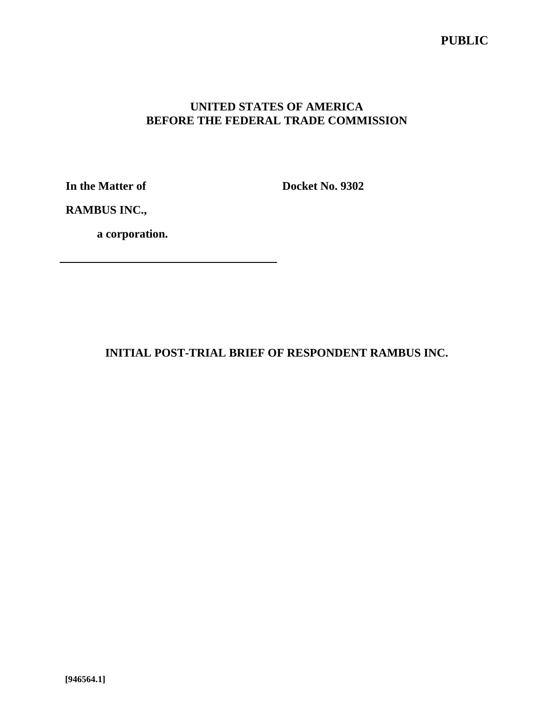# **PUBLIC**

# **UNITED STATES OF AMERICA BEFORE THE FEDERAL TRADE COMMISSION**

**In the Matter of**

**Docket No. 9302**

**RAMBUS INC.,**

**a corporation.**

**INITIAL POST-TRIAL BRIEF OF RESPONDENT RAMBUS INC.**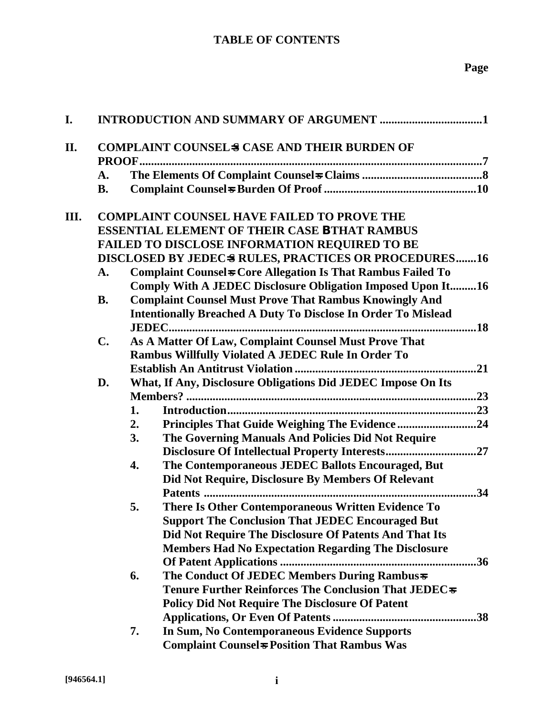# **Page**

| I.  |                                                                          |    |                                                                      |  |  |
|-----|--------------------------------------------------------------------------|----|----------------------------------------------------------------------|--|--|
| II. | <b>COMPLAINT COUNSELS CASE AND THEIR BURDEN OF</b>                       |    |                                                                      |  |  |
|     | A.                                                                       |    |                                                                      |  |  |
|     | <b>B.</b>                                                                |    |                                                                      |  |  |
| Ш.  |                                                                          |    | <b>COMPLAINT COUNSEL HAVE FAILED TO PROVE THE</b>                    |  |  |
|     |                                                                          |    | <b>ESSENTIAL ELEMENT OF THEIR CASE B THAT RAMBUS</b>                 |  |  |
|     |                                                                          |    | <b>FAILED TO DISCLOSE INFORMATION REQUIRED TO BE</b>                 |  |  |
|     |                                                                          |    | DISCLOSED BY JEDECS RULES, PRACTICES OR PROCEDURES16                 |  |  |
|     | <b>Complaint Counsels Core Allegation Is That Rambus Failed To</b><br>A. |    |                                                                      |  |  |
|     |                                                                          |    | Comply With A JEDEC Disclosure Obligation Imposed Upon It16          |  |  |
|     | <b>B.</b>                                                                |    | <b>Complaint Counsel Must Prove That Rambus Knowingly And</b>        |  |  |
|     |                                                                          |    | <b>Intentionally Breached A Duty To Disclose In Order To Mislead</b> |  |  |
|     | $C_{\bullet}$                                                            |    | As A Matter Of Law, Complaint Counsel Must Prove That                |  |  |
|     |                                                                          |    | Rambus Willfully Violated A JEDEC Rule In Order To                   |  |  |
|     |                                                                          |    |                                                                      |  |  |
|     | D.                                                                       |    | What, If Any, Disclosure Obligations Did JEDEC Impose On Its         |  |  |
|     |                                                                          |    |                                                                      |  |  |
|     |                                                                          | 1. |                                                                      |  |  |
|     |                                                                          | 2. |                                                                      |  |  |
|     |                                                                          | 3. | The Governing Manuals And Policies Did Not Require                   |  |  |
|     |                                                                          |    |                                                                      |  |  |
|     |                                                                          | 4. | The Contemporaneous JEDEC Ballots Encouraged, But                    |  |  |
|     |                                                                          |    | Did Not Require, Disclosure By Members Of Relevant                   |  |  |
|     |                                                                          |    |                                                                      |  |  |
|     |                                                                          | 5. | There Is Other Contemporaneous Written Evidence To                   |  |  |
|     |                                                                          |    | <b>Support The Conclusion That JEDEC Encouraged But</b>              |  |  |
|     |                                                                          |    | Did Not Require The Disclosure Of Patents And That Its               |  |  |
|     |                                                                          |    | <b>Members Had No Expectation Regarding The Disclosure</b>           |  |  |
|     |                                                                          |    | 36                                                                   |  |  |
|     |                                                                          | 6. | The Conduct Of JEDEC Members During Rambus=                          |  |  |
|     |                                                                          |    | Tenure Further Reinforces The Conclusion That JEDEC <sub>s</sub>     |  |  |
|     |                                                                          |    | <b>Policy Did Not Require The Disclosure Of Patent</b>               |  |  |
|     |                                                                          |    |                                                                      |  |  |
|     |                                                                          | 7. | In Sum, No Contemporaneous Evidence Supports                         |  |  |
|     |                                                                          |    | <b>Complaint Counsels Position That Rambus Was</b>                   |  |  |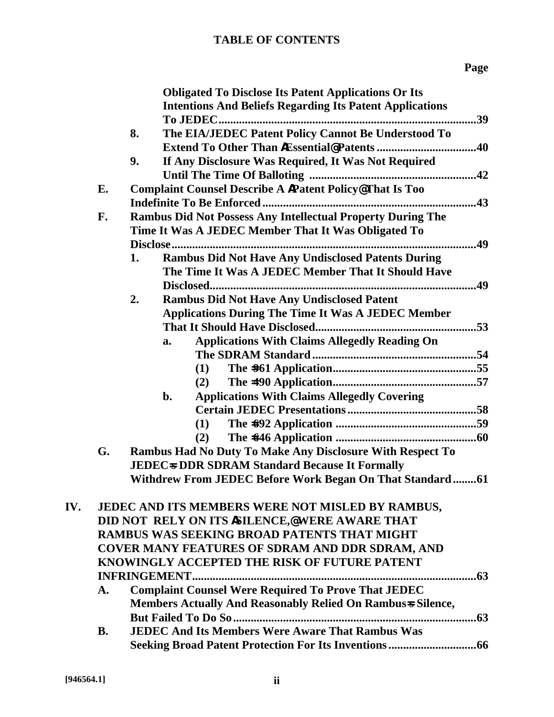|     |                                              | <b>Obligated To Disclose Its Patent Applications Or Its</b>        |  |  |  |  |
|-----|----------------------------------------------|--------------------------------------------------------------------|--|--|--|--|
|     |                                              | <b>Intentions And Beliefs Regarding Its Patent Applications</b>    |  |  |  |  |
|     |                                              | .39                                                                |  |  |  |  |
|     |                                              | The EIA/JEDEC Patent Policy Cannot Be Understood To<br>8.          |  |  |  |  |
|     |                                              | .40                                                                |  |  |  |  |
|     |                                              | If Any Disclosure Was Required, It Was Not Required<br>9.          |  |  |  |  |
|     |                                              |                                                                    |  |  |  |  |
|     | E.                                           | <b>Complaint Counsel Describe A APatent Policy@That Is Too</b>     |  |  |  |  |
|     |                                              |                                                                    |  |  |  |  |
|     | F.                                           | <b>Rambus Did Not Possess Any Intellectual Property During The</b> |  |  |  |  |
|     |                                              | Time It Was A JEDEC Member That It Was Obligated To                |  |  |  |  |
|     |                                              | .49                                                                |  |  |  |  |
|     |                                              | <b>Rambus Did Not Have Any Undisclosed Patents During</b><br>1.    |  |  |  |  |
|     |                                              | The Time It Was A JEDEC Member That It Should Have                 |  |  |  |  |
|     |                                              |                                                                    |  |  |  |  |
|     |                                              | 2.<br><b>Rambus Did Not Have Any Undisclosed Patent</b>            |  |  |  |  |
|     |                                              | <b>Applications During The Time It Was A JEDEC Member</b>          |  |  |  |  |
|     |                                              |                                                                    |  |  |  |  |
|     |                                              | <b>Applications With Claims Allegedly Reading On</b><br>a.         |  |  |  |  |
|     |                                              |                                                                    |  |  |  |  |
|     |                                              | (1)                                                                |  |  |  |  |
|     |                                              | (2)                                                                |  |  |  |  |
|     |                                              | <b>Applications With Claims Allegedly Covering</b><br>b.           |  |  |  |  |
|     |                                              |                                                                    |  |  |  |  |
|     |                                              | (1)                                                                |  |  |  |  |
|     |                                              | (2)                                                                |  |  |  |  |
|     | G.                                           | Rambus Had No Duty To Make Any Disclosure With Respect To          |  |  |  |  |
|     |                                              | <b>JEDEC<sub>s</sub> DDR SDRAM Standard Because It Formally</b>    |  |  |  |  |
|     |                                              | Withdrew From JEDEC Before Work Began On That Standard61           |  |  |  |  |
|     |                                              |                                                                    |  |  |  |  |
| IV. |                                              | JEDEC AND ITS MEMBERS WERE NOT MISLED BY RAMBUS,                   |  |  |  |  |
|     |                                              | DID NOT RELY ON ITS ISILENCE,@WERE AWARE THAT                      |  |  |  |  |
|     |                                              | <b>RAMBUS WAS SEEKING BROAD PATENTS THAT MIGHT</b>                 |  |  |  |  |
|     |                                              | <b>COVER MANY FEATURES OF SDRAM AND DDR SDRAM, AND</b>             |  |  |  |  |
|     | KNOWINGLY ACCEPTED THE RISK OF FUTURE PATENT |                                                                    |  |  |  |  |
|     |                                              |                                                                    |  |  |  |  |
|     | A.                                           | <b>Complaint Counsel Were Required To Prove That JEDEC</b>         |  |  |  |  |
|     |                                              | Members Actually And Reasonably Relied On Rambus & Silence,        |  |  |  |  |
|     |                                              | .63                                                                |  |  |  |  |
|     | <b>B.</b>                                    | <b>JEDEC And Its Members Were Aware That Rambus Was</b>            |  |  |  |  |
|     |                                              |                                                                    |  |  |  |  |
|     |                                              |                                                                    |  |  |  |  |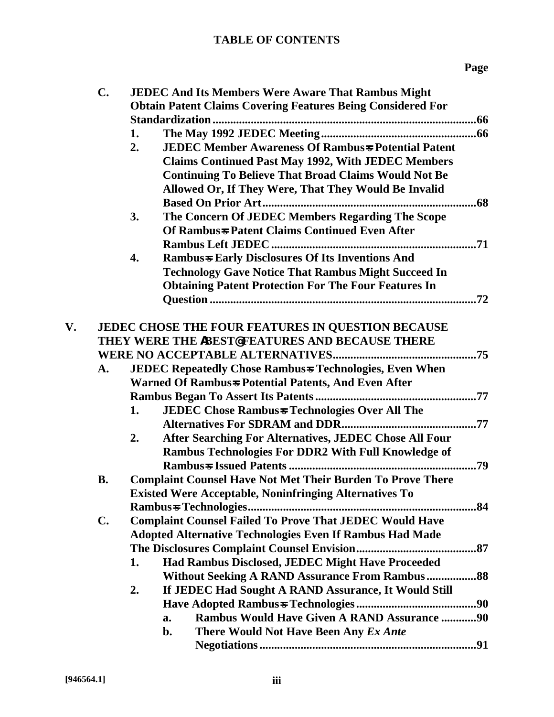|    | $\mathbf{C}$ . | <b>JEDEC And Its Members Were Aware That Rambus Might</b>          |  |  |  |
|----|----------------|--------------------------------------------------------------------|--|--|--|
|    |                | <b>Obtain Patent Claims Covering Features Being Considered For</b> |  |  |  |
|    |                |                                                                    |  |  |  |
|    |                | 1.                                                                 |  |  |  |
|    |                | <b>JEDEC Member Awareness Of Rambus + Potential Patent</b><br>2.   |  |  |  |
|    |                | <b>Claims Continued Past May 1992, With JEDEC Members</b>          |  |  |  |
|    |                | <b>Continuing To Believe That Broad Claims Would Not Be</b>        |  |  |  |
|    |                | Allowed Or, If They Were, That They Would Be Invalid               |  |  |  |
|    |                |                                                                    |  |  |  |
|    |                | The Concern Of JEDEC Members Regarding The Scope<br>3.             |  |  |  |
|    |                | Of Rambus + Patent Claims Continued Even After                     |  |  |  |
|    |                |                                                                    |  |  |  |
|    |                | <b>Rambus-s Early Disclosures Of Its Inventions And</b><br>4.      |  |  |  |
|    |                | <b>Technology Gave Notice That Rambus Might Succeed In</b>         |  |  |  |
|    |                | <b>Obtaining Patent Protection For The Four Features In</b>        |  |  |  |
|    |                |                                                                    |  |  |  |
|    |                |                                                                    |  |  |  |
| V. |                | JEDEC CHOSE THE FOUR FEATURES IN QUESTION BECAUSE                  |  |  |  |
|    |                | THEY WERE THE ABEST@FEATURES AND BECAUSE THERE                     |  |  |  |
|    |                |                                                                    |  |  |  |
|    | A.             | <b>JEDEC Repeatedly Chose Rambus + Technologies, Even When</b>     |  |  |  |
|    |                | Warned Of Rambus-s Potential Patents, And Even After               |  |  |  |
|    |                |                                                                    |  |  |  |
|    |                | <b>JEDEC Chose Rambus + Technologies Over All The</b><br>1.        |  |  |  |
|    |                |                                                                    |  |  |  |
|    |                | After Searching For Alternatives, JEDEC Chose All Four<br>2.       |  |  |  |
|    |                | Rambus Technologies For DDR2 With Full Knowledge of                |  |  |  |
|    |                |                                                                    |  |  |  |
|    | <b>B.</b>      | <b>Complaint Counsel Have Not Met Their Burden To Prove There</b>  |  |  |  |
|    |                | <b>Existed Were Acceptable, Noninfringing Alternatives To</b>      |  |  |  |
|    |                | .84<br><b>Rambus-s Technologies</b>                                |  |  |  |
|    | C.             | <b>Complaint Counsel Failed To Prove That JEDEC Would Have</b>     |  |  |  |
|    |                | <b>Adopted Alternative Technologies Even If Rambus Had Made</b>    |  |  |  |
|    |                |                                                                    |  |  |  |
|    |                | 1.<br>Had Rambus Disclosed, JEDEC Might Have Proceeded             |  |  |  |
|    |                | <b>Without Seeking A RAND Assurance From Rambus 88</b>             |  |  |  |
|    |                | If JEDEC Had Sought A RAND Assurance, It Would Still<br>2.         |  |  |  |
|    |                |                                                                    |  |  |  |
|    |                | <b>Rambus Would Have Given A RAND Assurance 90</b><br>a.           |  |  |  |
|    |                | There Would Not Have Been Any Ex Ante<br>b.                        |  |  |  |
|    |                |                                                                    |  |  |  |
|    |                |                                                                    |  |  |  |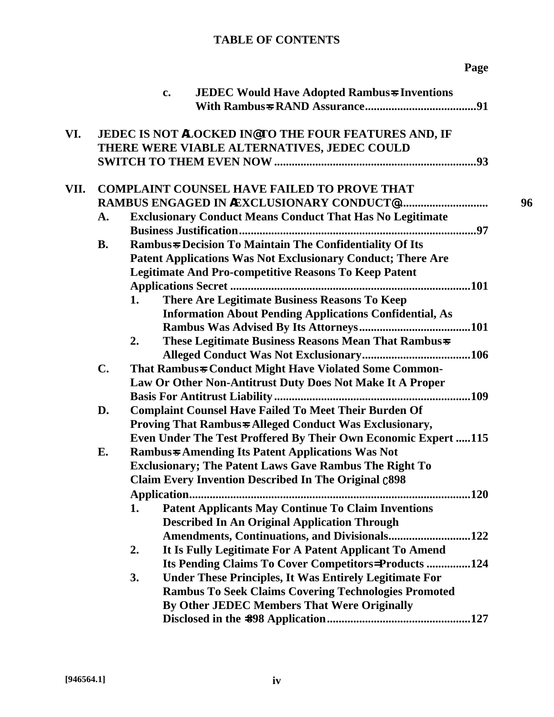|      |                                                         | <b>JEDEC Would Have Adopted Rambus &amp; Inventions</b><br>$c_{\bullet}$ |  |  |
|------|---------------------------------------------------------|--------------------------------------------------------------------------|--|--|
|      |                                                         |                                                                          |  |  |
| VI.  |                                                         | JEDEC IS NOT ALOCKED IN@TO THE FOUR FEATURES AND, IF                     |  |  |
|      |                                                         | THERE WERE VIABLE ALTERNATIVES, JEDEC COULD                              |  |  |
|      |                                                         |                                                                          |  |  |
| VII. |                                                         | <b>COMPLAINT COUNSEL HAVE FAILED TO PROVE THAT</b>                       |  |  |
|      |                                                         |                                                                          |  |  |
|      | A.                                                      | <b>Exclusionary Conduct Means Conduct That Has No Legitimate</b>         |  |  |
|      |                                                         |                                                                          |  |  |
|      | <b>B.</b>                                               | <b>Rambus-s Decision To Maintain The Confidentiality Of Its</b>          |  |  |
|      |                                                         | Patent Applications Was Not Exclusionary Conduct; There Are              |  |  |
|      |                                                         | <b>Legitimate And Pro-competitive Reasons To Keep Patent</b>             |  |  |
|      |                                                         |                                                                          |  |  |
|      |                                                         | There Are Legitimate Business Reasons To Keep<br>1.                      |  |  |
|      |                                                         | <b>Information About Pending Applications Confidential, As</b>           |  |  |
|      |                                                         |                                                                          |  |  |
|      |                                                         | These Legitimate Business Reasons Mean That Rambus=<br>2.                |  |  |
|      |                                                         |                                                                          |  |  |
|      | $\mathbf{C}$ .                                          | That Rambus=S Conduct Might Have Violated Some Common-                   |  |  |
|      |                                                         | Law Or Other Non-Antitrust Duty Does Not Make It A Proper                |  |  |
|      |                                                         |                                                                          |  |  |
|      | D.                                                      | <b>Complaint Counsel Have Failed To Meet Their Burden Of</b>             |  |  |
|      | Proving That Rambus + Alleged Conduct Was Exclusionary, |                                                                          |  |  |
|      |                                                         | Even Under The Test Proffered By Their Own Economic Expert 115           |  |  |
|      | E.                                                      | <b>Rambus-s Amending Its Patent Applications Was Not</b>                 |  |  |
|      |                                                         | <b>Exclusionary; The Patent Laws Gave Rambus The Right To</b>            |  |  |
|      |                                                         | <b>Claim Every Invention Described In The Original c898</b>              |  |  |
|      |                                                         |                                                                          |  |  |
|      |                                                         | <b>Patent Applicants May Continue To Claim Inventions</b><br>1.          |  |  |
|      |                                                         | <b>Described In An Original Application Through</b>                      |  |  |
|      |                                                         | Amendments, Continuations, and Divisionals122                            |  |  |
|      |                                                         | It Is Fully Legitimate For A Patent Applicant To Amend<br>2.             |  |  |
|      |                                                         | Its Pending Claims To Cover Competitors=Products 124                     |  |  |
|      |                                                         | <b>Under These Principles, It Was Entirely Legitimate For</b><br>3.      |  |  |
|      |                                                         | <b>Rambus To Seek Claims Covering Technologies Promoted</b>              |  |  |
|      |                                                         | By Other JEDEC Members That Were Originally                              |  |  |
|      |                                                         |                                                                          |  |  |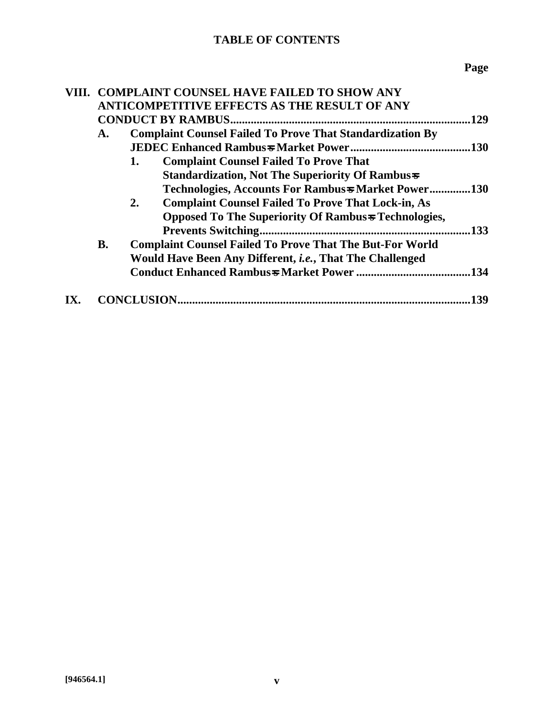|  | VIII. COMPLAINT COUNSEL HAVE FAILED TO SHOW ANY |                                                                  |  |  |
|--|-------------------------------------------------|------------------------------------------------------------------|--|--|
|  |                                                 | <b>ANTICOMPETITIVE EFFECTS AS THE RESULT OF ANY</b>              |  |  |
|  |                                                 | 129                                                              |  |  |
|  | A.                                              | <b>Complaint Counsel Failed To Prove That Standardization By</b> |  |  |
|  |                                                 |                                                                  |  |  |
|  |                                                 | <b>Complaint Counsel Failed To Prove That</b><br>1.              |  |  |
|  |                                                 | <b>Standardization, Not The Superiority Of Rambuss</b>           |  |  |
|  |                                                 | Technologies, Accounts For Rambus = Market Power130              |  |  |
|  |                                                 | <b>Complaint Counsel Failed To Prove That Lock-in, As</b><br>2.  |  |  |
|  |                                                 | Opposed To The Superiority Of Rambus + Technologies,             |  |  |
|  |                                                 | 133                                                              |  |  |
|  | <b>B.</b>                                       | <b>Complaint Counsel Failed To Prove That The But-For World</b>  |  |  |
|  |                                                 | Would Have Been Any Different, <i>i.e.</i> , That The Challenged |  |  |
|  |                                                 | .134                                                             |  |  |
|  |                                                 | 139                                                              |  |  |
|  |                                                 |                                                                  |  |  |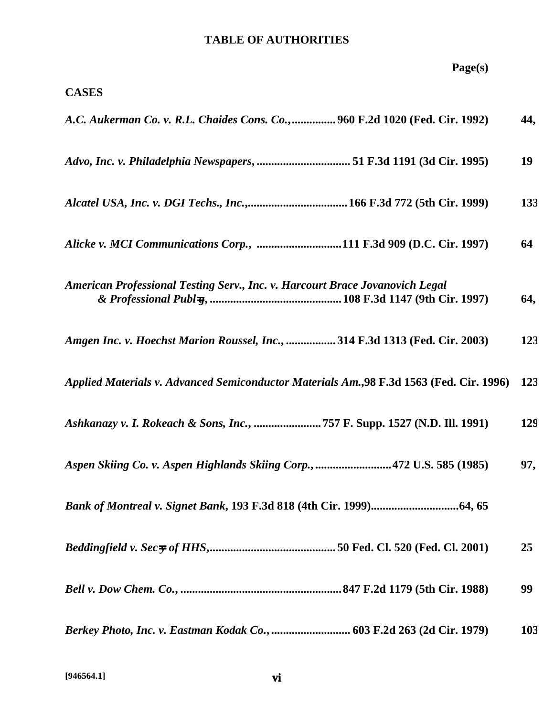| Page(s)                                                                                  |     |
|------------------------------------------------------------------------------------------|-----|
| <b>CASES</b>                                                                             |     |
| A.C. Aukerman Co. v. R.L. Chaides Cons. Co.,  960 F.2d 1020 (Fed. Cir. 1992)             | 44, |
| Advo, Inc. v. Philadelphia Newspapers,  51 F.3d 1191 (3d Cir. 1995)                      | 19  |
|                                                                                          | 133 |
| Alicke v. MCI Communications Corp., 111 F.3d 909 (D.C. Cir. 1997)                        | 64  |
| American Professional Testing Serv., Inc. v. Harcourt Brace Jovanovich Legal             | 64, |
| Amgen Inc. v. Hoechst Marion Roussel, Inc.,  314 F.3d 1313 (Fed. Cir. 2003)              | 123 |
| Applied Materials v. Advanced Semiconductor Materials Am., 98 F.3d 1563 (Fed. Cir. 1996) | 123 |
|                                                                                          | 129 |
| Aspen Skiing Co. v. Aspen Highlands Skiing Corp., 472 U.S. 585 (1985)                    | 97, |
|                                                                                          |     |
|                                                                                          | 25  |
|                                                                                          | 99  |
|                                                                                          | 103 |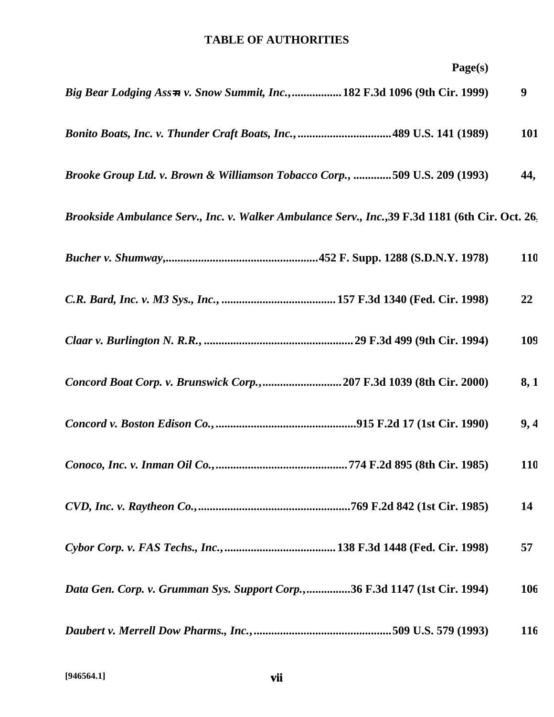| Page(s)                                                                                          |            |
|--------------------------------------------------------------------------------------------------|------------|
| Big Bear Lodging Ass=n v. Snow Summit, Inc., 182 F.3d 1096 (9th Cir. 1999)                       | 9          |
| Bonito Boats, Inc. v. Thunder Craft Boats, Inc., 489 U.S. 141 (1989)                             | <b>101</b> |
| Brooke Group Ltd. v. Brown & Williamson Tobacco Corp., 509 U.S. 209 (1993)                       | 44,        |
| Brookside Ambulance Serv., Inc. v. Walker Ambulance Serv., Inc., 39 F.3d 1181 (6th Cir. Oct. 26. |            |
|                                                                                                  | 110        |
|                                                                                                  | 22         |
|                                                                                                  | 109        |
| Concord Boat Corp. v. Brunswick Corp.,207 F.3d 1039 (8th Cir. 2000)                              | 8, 1       |
|                                                                                                  | 9,4        |
| Conoco, Inc. v. Inman Oil Co.,<br>774 F.2d 895 (8th Cir. 1985)                                   | 110        |
|                                                                                                  | 14         |
|                                                                                                  | 57         |
| Data Gen. Corp. v. Grumman Sys. Support Corp.,36 F.3d 1147 (1st Cir. 1994)                       | 106        |
|                                                                                                  | 116        |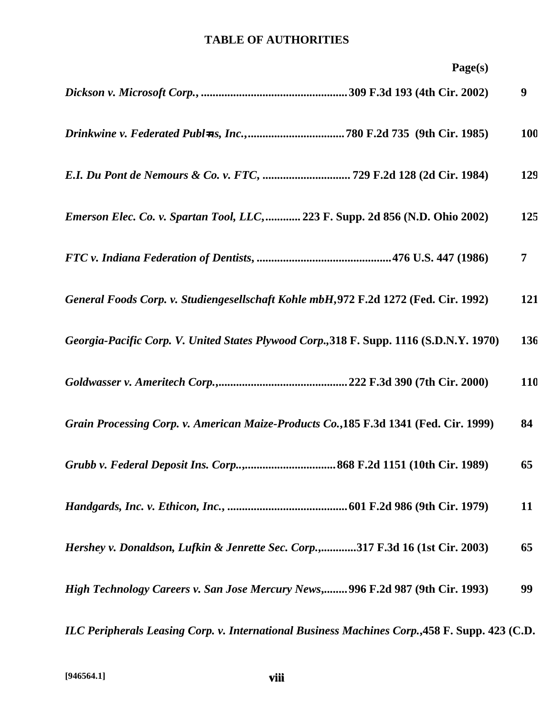| Page(s)                                                                                        |                |
|------------------------------------------------------------------------------------------------|----------------|
|                                                                                                | 9              |
|                                                                                                | <b>100</b>     |
| E.I. Du Pont de Nemours & Co. v. FTC,  729 F.2d 128 (2d Cir. 1984)                             | 129            |
| Emerson Elec. Co. v. Spartan Tool, LLC,  223 F. Supp. 2d 856 (N.D. Ohio 2002)                  | 125            |
|                                                                                                | $\overline{7}$ |
| General Foods Corp. v. Studiengesellschaft Kohle mbH, 972 F.2d 1272 (Fed. Cir. 1992)           | 121            |
| Georgia-Pacific Corp. V. United States Plywood Corp., 318 F. Supp. 1116 (S.D.N.Y. 1970)        | 136            |
|                                                                                                | <b>110</b>     |
| Grain Processing Corp. v. American Maize-Products Co., 185 F.3d 1341 (Fed. Cir. 1999)          | 84             |
|                                                                                                | 65             |
|                                                                                                | 11             |
| Hershey v. Donaldson, Lufkin & Jenrette Sec. Corp.,317 F.3d 16 (1st Cir. 2003)                 | 65             |
| High Technology Careers v. San Jose Mercury News, 996 F.2d 987 (9th Cir. 1993)                 | 99             |
| ILC Peripherals Leasing Corp. v. International Business Machines Corp., 458 F. Supp. 423 (C.D. |                |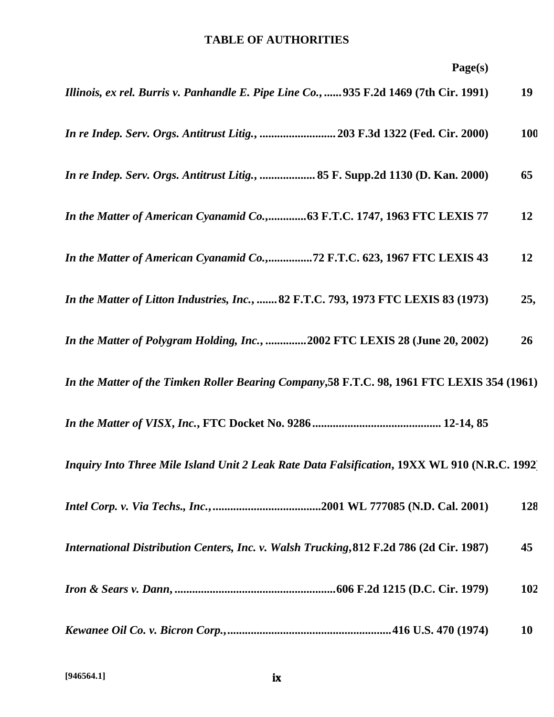| Illinois, ex rel. Burris v. Panhandle E. Pipe Line Co.,  935 F.2d 1469 (7th Cir. 1991)        | 19         |
|-----------------------------------------------------------------------------------------------|------------|
| In re Indep. Serv. Orgs. Antitrust Litig.,  203 F.3d 1322 (Fed. Cir. 2000)                    | <b>100</b> |
| In re Indep. Serv. Orgs. Antitrust Litig.,  85 F. Supp.2d 1130 (D. Kan. 2000)                 | 65         |
| In the Matter of American Cyanamid Co.,63 F.T.C. 1747, 1963 FTC LEXIS 77                      | 12         |
| In the Matter of American Cyanamid Co.,72 F.T.C. 623, 1967 FTC LEXIS 43                       | 12         |
| In the Matter of Litton Industries, Inc.,  82 F.T.C. 793, 1973 FTC LEXIS 83 (1973)            | 25,        |
| In the Matter of Polygram Holding, Inc., 2002 FTC LEXIS 28 (June 20, 2002)                    | 26         |
| In the Matter of the Timken Roller Bearing Company, 58 F.T.C. 98, 1961 FTC LEXIS 354 (1961)   |            |
|                                                                                               |            |
| Inquiry Into Three Mile Island Unit 2 Leak Rate Data Falsification, 19XX WL 910 (N.R.C. 1992) |            |
|                                                                                               | 128        |
| International Distribution Centers, Inc. v. Walsh Trucking, 812 F.2d 786 (2d Cir. 1987)       | 45         |
|                                                                                               | 102        |
|                                                                                               | <b>10</b>  |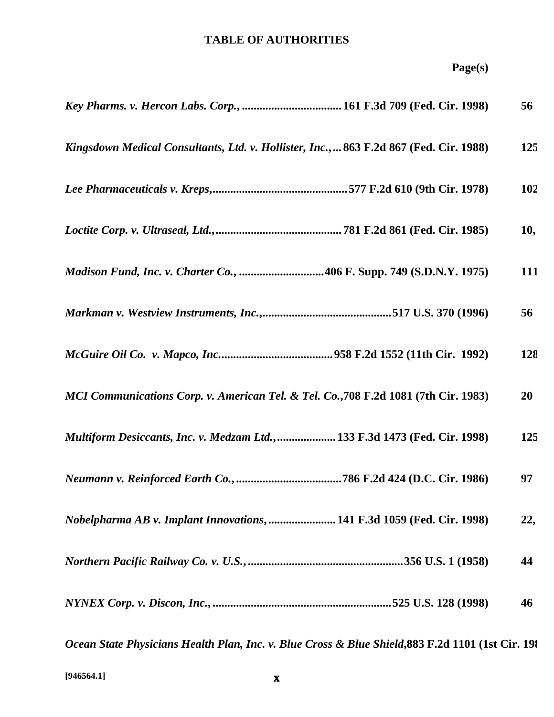|                                                                                                    | 56  |
|----------------------------------------------------------------------------------------------------|-----|
| Kingsdown Medical Consultants, Ltd. v. Hollister, Inc., 863 F.2d 867 (Fed. Cir. 1988)              | 125 |
|                                                                                                    | 102 |
|                                                                                                    | 10, |
| <i>Madison Fund, Inc. v. Charter Co., </i> 406 F. Supp. 749 (S.D.N.Y. 1975)                        | 111 |
|                                                                                                    | 56  |
|                                                                                                    | 128 |
| MCI Communications Corp. v. American Tel. & Tel. Co., 708 F.2d 1081 (7th Cir. 1983)                | 20  |
| Multiform Desiccants, Inc. v. Medzam Ltd., 133 F.3d 1473 (Fed. Cir. 1998)                          | 125 |
|                                                                                                    | 97  |
| <i>Nobelpharma AB v. Implant Innovations, </i> 141 F.3d 1059 (Fed. Cir. 1998)                      | 22, |
|                                                                                                    | 44  |
|                                                                                                    | 46  |
| Ocean State Physicians Health Plan, Inc. v. Blue Cross & Blue Shield, 883 F.2d 1101 (1st Cir. 198) |     |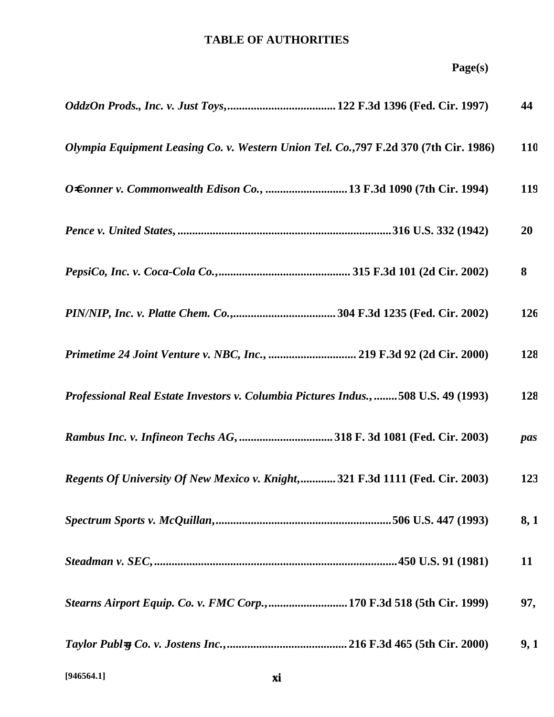|  | n GAL |  |
|--|-------|--|
|  |       |  |

|                                                                                       | 44         |
|---------------------------------------------------------------------------------------|------------|
| Olympia Equipment Leasing Co. v. Western Union Tel. Co., 797 F.2d 370 (7th Cir. 1986) | <b>110</b> |
|                                                                                       | 119        |
|                                                                                       | 20         |
|                                                                                       | 8          |
|                                                                                       | 126        |
| Primetime 24 Joint Venture v. NBC, Inc.,  219 F.3d 92 (2d Cir. 2000)                  | 128        |
| Professional Real Estate Investors v. Columbia Pictures Indus., 508 U.S. 49 (1993)    | 128        |
|                                                                                       | pas        |
| Regents Of University Of New Mexico v. Knight,321 F.3d 1111 (Fed. Cir. 2003)          | 123        |
|                                                                                       | 8, 1       |
|                                                                                       | 11         |
| Stearns Airport Equip. Co. v. FMC Corp., 170 F.3d 518 (5th Cir. 1999)                 | 97,        |
|                                                                                       | 9,1        |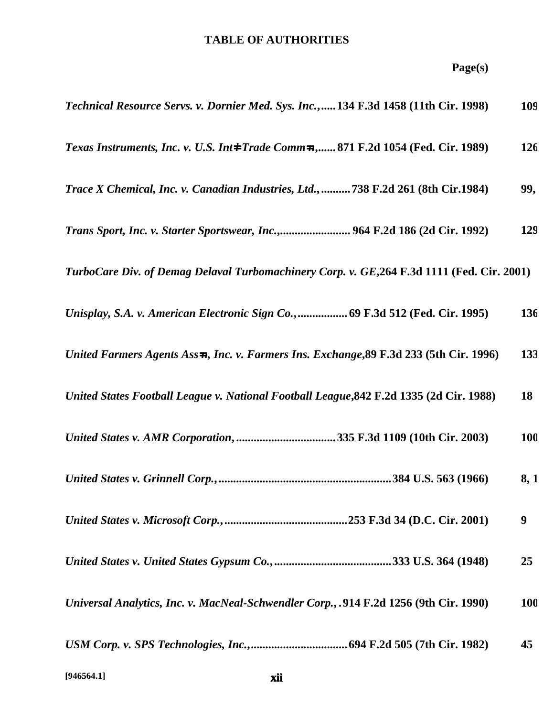| Technical Resource Servs. v. Dornier Med. Sys. Inc., 134 F.3d 1458 (11th Cir. 1998)        | 109        |
|--------------------------------------------------------------------------------------------|------------|
| Texas Instruments, Inc. v. U.S. Int4 Trade Comm-n, 871 F.2d 1054 (Fed. Cir. 1989)          | 126        |
| Trace X Chemical, Inc. v. Canadian Industries, Ltd.,738 F.2d 261 (8th Cir.1984)            | 99,        |
| Trans Sport, Inc. v. Starter Sportswear, Inc., 964 F.2d 186 (2d Cir. 1992)                 | 129        |
| TurboCare Div. of Demag Delaval Turbomachinery Corp. v. GE, 264 F.3d 1111 (Fed. Cir. 2001) |            |
| Unisplay, S.A. v. American Electronic Sign Co.,  69 F.3d 512 (Fed. Cir. 1995)              | 136        |
| United Farmers Agents Ass=n, Inc. v. Farmers Ins. Exchange, 89 F.3d 233 (5th Cir. 1996)    | 133        |
| United States Football League v. National Football League, 842 F.2d 1335 (2d Cir. 1988)    | 18         |
| United States v. AMR Corporation, 335 F.3d 1109 (10th Cir. 2003)                           | <b>100</b> |
|                                                                                            | 8, 1       |
|                                                                                            | 9          |
|                                                                                            | 25         |
| Universal Analytics, Inc. v. MacNeal-Schwendler Corp.,. 914 F.2d 1256 (9th Cir. 1990)      | <b>100</b> |
|                                                                                            | 45         |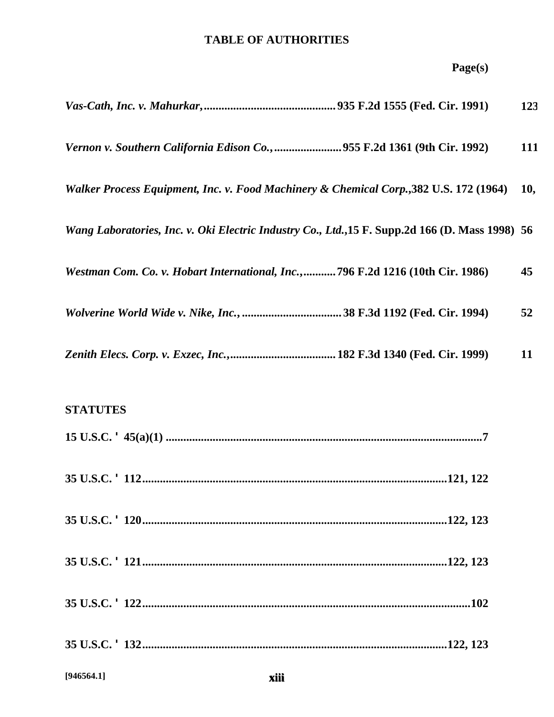# **Page(s)**

|                                                                                                  | 123 |
|--------------------------------------------------------------------------------------------------|-----|
| Vernon v. Southern California Edison Co., 955 F.2d 1361 (9th Cir. 1992)                          | 111 |
| Walker Process Equipment, Inc. v. Food Machinery & Chemical Corp., 382 U.S. 172 (1964)           | 10, |
| Wang Laboratories, Inc. v. Oki Electric Industry Co., Ltd., 15 F. Supp. 2d 166 (D. Mass 1998) 56 |     |
| Westman Com. Co. v. Hobart International, Inc., 796 F.2d 1216 (10th Cir. 1986)                   | 45  |
|                                                                                                  | 52  |
|                                                                                                  | 11  |

# **STATUTES**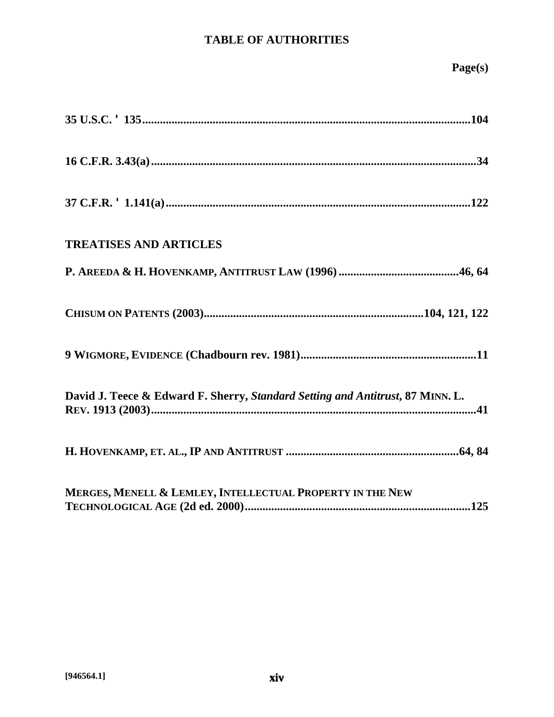| <b>TREATISES AND ARTICLES</b>                                                  |
|--------------------------------------------------------------------------------|
|                                                                                |
|                                                                                |
|                                                                                |
| David J. Teece & Edward F. Sherry, Standard Setting and Antitrust, 87 MINN. L. |
|                                                                                |
| MERGES, MENELL & LEMLEY, INTELLECTUAL PROPERTY IN THE NEW                      |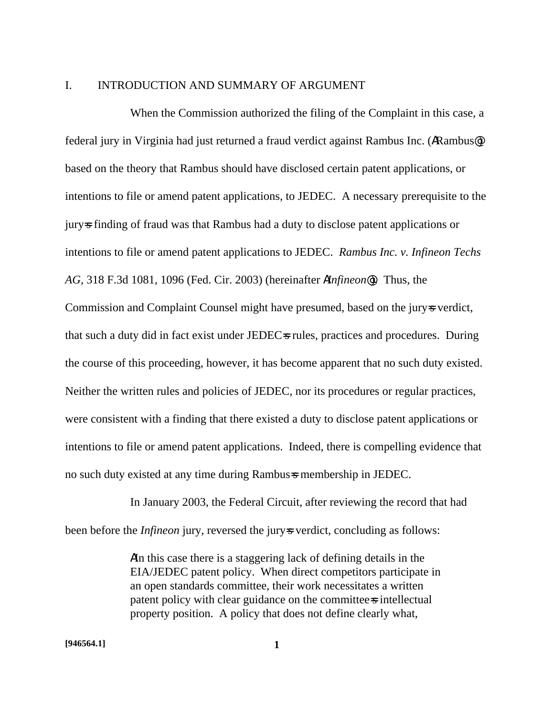#### I. INTRODUCTION AND SUMMARY OF ARGUMENT

When the Commission authorized the filing of the Complaint in this case, a federal jury in Virginia had just returned a fraud verdict against Rambus Inc. (ARambus@) based on the theory that Rambus should have disclosed certain patent applications, or intentions to file or amend patent applications, to JEDEC. A necessary prerequisite to the jury=s finding of fraud was that Rambus had a duty to disclose patent applications or intentions to file or amend patent applications to JEDEC. *Rambus Inc. v. Infineon Techs AG*, 318 F.3d 1081, 1096 (Fed. Cir. 2003) (hereinafter A*Infineon@*). Thus, the Commission and Complaint Counsel might have presumed, based on the jury-s verdict, that such a duty did in fact exist under JEDEC=s rules, practices and procedures. During the course of this proceeding, however, it has become apparent that no such duty existed. Neither the written rules and policies of JEDEC, nor its procedures or regular practices, were consistent with a finding that there existed a duty to disclose patent applications or intentions to file or amend patent applications. Indeed, there is compelling evidence that no such duty existed at any time during Rambus=s membership in JEDEC.

In January 2003, the Federal Circuit, after reviewing the record that had been before the *Infineon* jury, reversed the jury-s verdict, concluding as follows:

> AIn this case there is a staggering lack of defining details in the EIA/JEDEC patent policy. When direct competitors participate in an open standards committee, their work necessitates a written patent policy with clear guidance on the committee=s intellectual property position. A policy that does not define clearly what,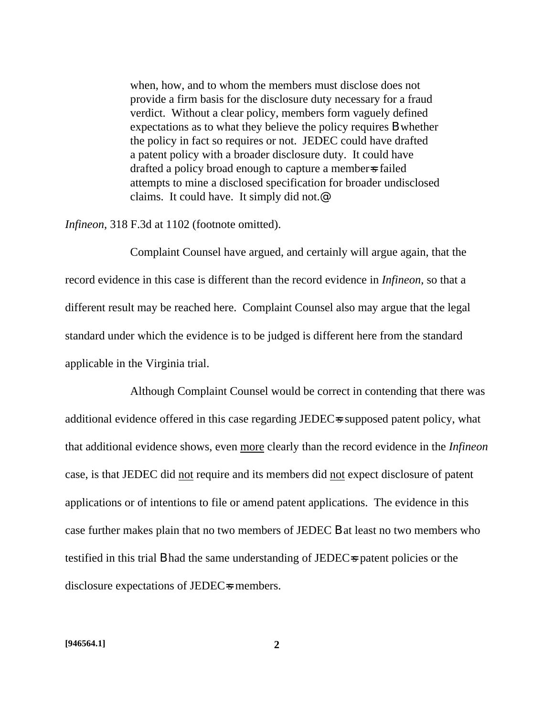when, how, and to whom the members must disclose does not provide a firm basis for the disclosure duty necessary for a fraud verdict. Without a clear policy, members form vaguely defined expectations as to what they believe the policy requires B whether the policy in fact so requires or not. JEDEC could have drafted a patent policy with a broader disclosure duty. It could have drafted a policy broad enough to capture a member=s failed attempts to mine a disclosed specification for broader undisclosed claims. It could have. It simply did not.@

*Infineon*, 318 F.3d at 1102 (footnote omitted).

Complaint Counsel have argued, and certainly will argue again, that the record evidence in this case is different than the record evidence in *Infineon*, so that a different result may be reached here. Complaint Counsel also may argue that the legal standard under which the evidence is to be judged is different here from the standard applicable in the Virginia trial.

Although Complaint Counsel would be correct in contending that there was additional evidence offered in this case regarding JEDEC=s supposed patent policy, what that additional evidence shows, even more clearly than the record evidence in the *Infineon* case, is that JEDEC did not require and its members did not expect disclosure of patent applications or of intentions to file or amend patent applications. The evidence in this case further makes plain that no two members of JEDEC B at least no two members who testified in this trial **B** had the same understanding of JEDEC-s patent policies or the disclosure expectations of JEDEC=s members.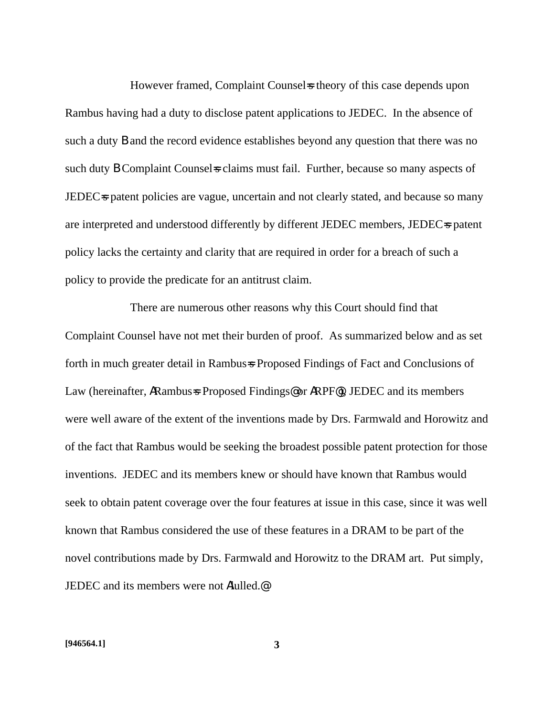However framed, Complaint Counsels theory of this case depends upon Rambus having had a duty to disclose patent applications to JEDEC. In the absence of such a duty B and the record evidence establishes beyond any question that there was no such duty **B** Complaint Counsels claims must fail. Further, because so many aspects of JEDEC<sub>s</sub> patent policies are vague, uncertain and not clearly stated, and because so many are interpreted and understood differently by different JEDEC members, JEDEC=s patent policy lacks the certainty and clarity that are required in order for a breach of such a policy to provide the predicate for an antitrust claim.

There are numerous other reasons why this Court should find that Complaint Counsel have not met their burden of proof. As summarized below and as set forth in much greater detail in Rambus=s Proposed Findings of Fact and Conclusions of Law (hereinafter, ARambus=s Proposed Findings@ or ARPF@), JEDEC and its members were well aware of the extent of the inventions made by Drs. Farmwald and Horowitz and of the fact that Rambus would be seeking the broadest possible patent protection for those inventions. JEDEC and its members knew or should have known that Rambus would seek to obtain patent coverage over the four features at issue in this case, since it was well known that Rambus considered the use of these features in a DRAM to be part of the novel contributions made by Drs. Farmwald and Horowitz to the DRAM art. Put simply, JEDEC and its members were not Alulled.@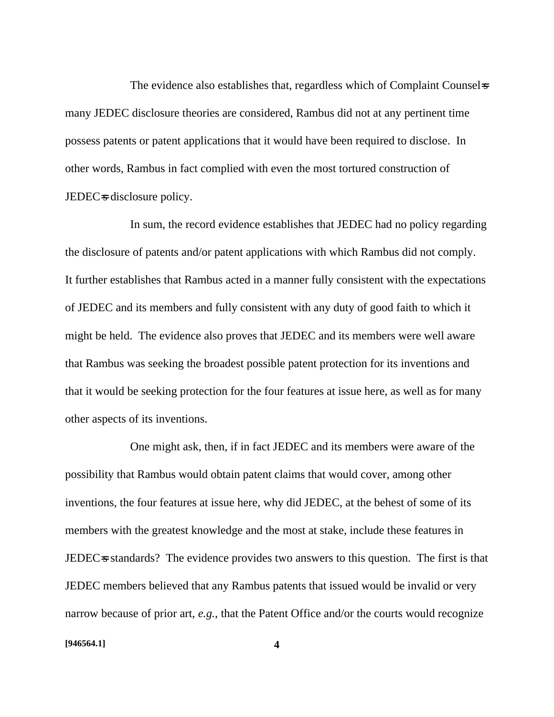The evidence also establishes that, regardless which of Complaint Counsel-s many JEDEC disclosure theories are considered, Rambus did not at any pertinent time possess patents or patent applications that it would have been required to disclose. In other words, Rambus in fact complied with even the most tortured construction of JEDEC<sup>s</sup> disclosure policy.

In sum, the record evidence establishes that JEDEC had no policy regarding the disclosure of patents and/or patent applications with which Rambus did not comply. It further establishes that Rambus acted in a manner fully consistent with the expectations of JEDEC and its members and fully consistent with any duty of good faith to which it might be held. The evidence also proves that JEDEC and its members were well aware that Rambus was seeking the broadest possible patent protection for its inventions and that it would be seeking protection for the four features at issue here, as well as for many other aspects of its inventions.

One might ask, then, if in fact JEDEC and its members were aware of the possibility that Rambus would obtain patent claims that would cover, among other inventions, the four features at issue here, why did JEDEC, at the behest of some of its members with the greatest knowledge and the most at stake, include these features in JEDEC<sub>s</sub> standards? The evidence provides two answers to this question. The first is that JEDEC members believed that any Rambus patents that issued would be invalid or very narrow because of prior art, *e.g.*, that the Patent Office and/or the courts would recognize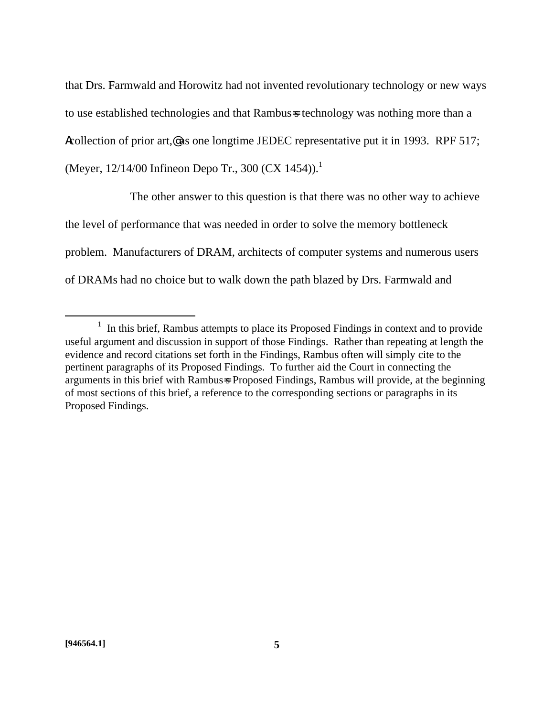that Drs. Farmwald and Horowitz had not invented revolutionary technology or new ways to use established technologies and that Rambus=s technology was nothing more than a Acollection of prior art,@ as one longtime JEDEC representative put it in 1993. RPF 517; (Meyer,  $12/14/00$  Infineon Depo Tr., 300 (CX 1454)).<sup>1</sup>

The other answer to this question is that there was no other way to achieve the level of performance that was needed in order to solve the memory bottleneck problem. Manufacturers of DRAM, architects of computer systems and numerous users of DRAMs had no choice but to walk down the path blazed by Drs. Farmwald and

 $\overline{a}$ 

 $<sup>1</sup>$  In this brief, Rambus attempts to place its Proposed Findings in context and to provide</sup> useful argument and discussion in support of those Findings. Rather than repeating at length the evidence and record citations set forth in the Findings, Rambus often will simply cite to the pertinent paragraphs of its Proposed Findings. To further aid the Court in connecting the arguments in this brief with Rambus=s Proposed Findings, Rambus will provide, at the beginning of most sections of this brief, a reference to the corresponding sections or paragraphs in its Proposed Findings.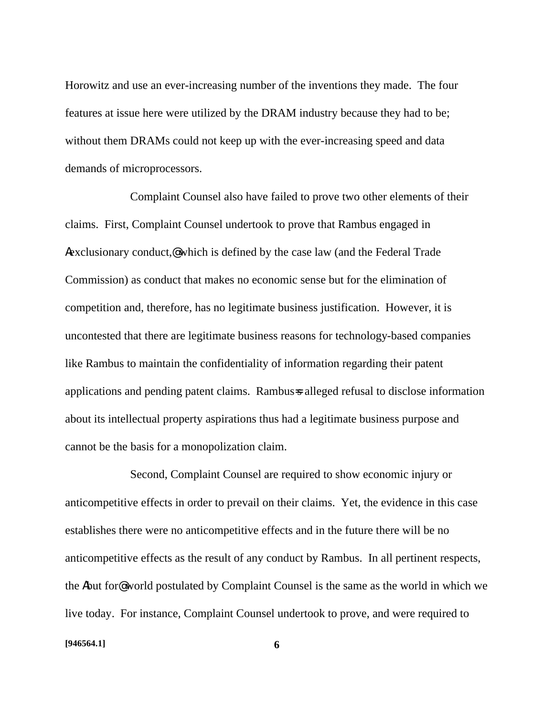Horowitz and use an ever-increasing number of the inventions they made. The four features at issue here were utilized by the DRAM industry because they had to be; without them DRAMs could not keep up with the ever-increasing speed and data demands of microprocessors.

Complaint Counsel also have failed to prove two other elements of their claims. First, Complaint Counsel undertook to prove that Rambus engaged in Aexclusionary conduct,@ which is defined by the case law (and the Federal Trade Commission) as conduct that makes no economic sense but for the elimination of competition and, therefore, has no legitimate business justification. However, it is uncontested that there are legitimate business reasons for technology-based companies like Rambus to maintain the confidentiality of information regarding their patent applications and pending patent claims. Rambus=s alleged refusal to disclose information about its intellectual property aspirations thus had a legitimate business purpose and cannot be the basis for a monopolization claim.

Second, Complaint Counsel are required to show economic injury or anticompetitive effects in order to prevail on their claims. Yet, the evidence in this case establishes there were no anticompetitive effects and in the future there will be no anticompetitive effects as the result of any conduct by Rambus. In all pertinent respects, the Abut for@ world postulated by Complaint Counsel is the same as the world in which we live today. For instance, Complaint Counsel undertook to prove, and were required to

#### **[946564.1] 6**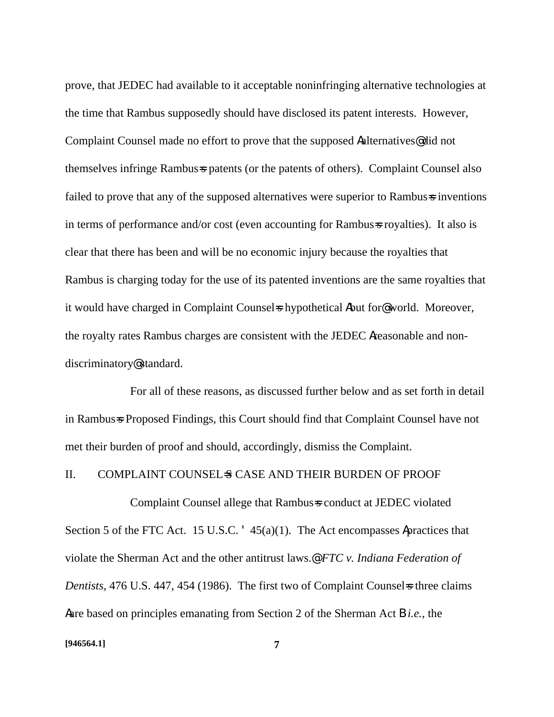prove, that JEDEC had available to it acceptable noninfringing alternative technologies at the time that Rambus supposedly should have disclosed its patent interests. However, Complaint Counsel made no effort to prove that the supposed Aalternatives@ did not themselves infringe Rambus=s patents (or the patents of others). Complaint Counsel also failed to prove that any of the supposed alternatives were superior to Rambus=s inventions in terms of performance and/or cost (even accounting for Rambus=s royalties). It also is clear that there has been and will be no economic injury because the royalties that Rambus is charging today for the use of its patented inventions are the same royalties that it would have charged in Complaint Counsel is hypothetical Abut for @world. Moreover, the royalty rates Rambus charges are consistent with the JEDEC Areasonable and nondiscriminatory@ standard.

For all of these reasons, as discussed further below and as set forth in detail in Rambus=s Proposed Findings, this Court should find that Complaint Counsel have not met their burden of proof and should, accordingly, dismiss the Complaint.

### II. COMPLAINT COUNSEL-S CASE AND THEIR BURDEN OF PROOF

Complaint Counsel allege that Rambus=s conduct at JEDEC violated Section 5 of the FTC Act. 15 U.S.C. '45(a)(1). The Act encompasses Apractices that violate the Sherman Act and the other antitrust laws.@ *FTC v. Indiana Federation of Dentists*, 476 U.S. 447, 454 (1986). The first two of Complaint Counsel is three claims Aare based on principles emanating from Section 2 of the Sherman Act B *i.e.*, the

#### **[946564.1] 7**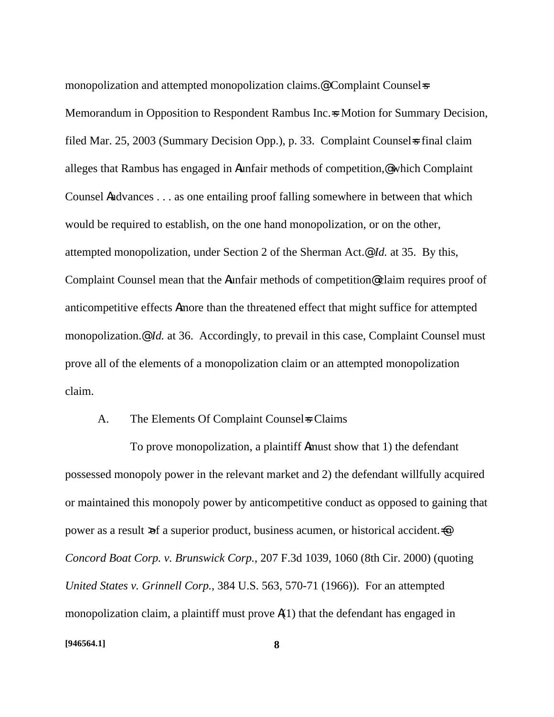monopolization and attempted monopolization claims.<sup>@</sup> Complaint Counsel=s Memorandum in Opposition to Respondent Rambus Inc. $\approx$  Motion for Summary Decision, filed Mar. 25, 2003 (Summary Decision Opp.), p. 33. Complaint Counsels final claim alleges that Rambus has engaged in Aunfair methods of competition,@ which Complaint Counsel Aadvances . . . as one entailing proof falling somewhere in between that which would be required to establish, on the one hand monopolization, or on the other, attempted monopolization, under Section 2 of the Sherman Act.@ *Id.* at 35. By this, Complaint Counsel mean that the Aunfair methods of competition@ claim requires proof of anticompetitive effects Amore than the threatened effect that might suffice for attempted monopolization.@ *Id.* at 36. Accordingly, to prevail in this case, Complaint Counsel must prove all of the elements of a monopolization claim or an attempted monopolization claim.

#### A. The Elements Of Complaint Counsel Sclaims

To prove monopolization, a plaintiff Amust show that 1) the defendant possessed monopoly power in the relevant market and 2) the defendant willfully acquired or maintained this monopoly power by anticompetitive conduct as opposed to gaining that power as a result >of a superior product, business acumen, or historical accident.=@ *Concord Boat Corp. v. Brunswick Corp.*, 207 F.3d 1039, 1060 (8th Cir. 2000) (quoting *United States v. Grinnell Corp.*, 384 U.S. 563, 570-71 (1966)). For an attempted monopolization claim, a plaintiff must prove  $\mathbf{A}(1)$  that the defendant has engaged in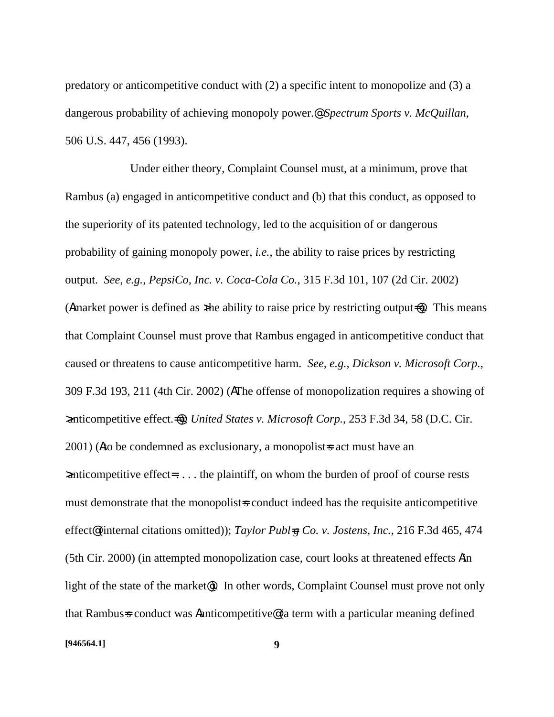predatory or anticompetitive conduct with (2) a specific intent to monopolize and (3) a dangerous probability of achieving monopoly power.@ *Spectrum Sports v. McQuillan*, 506 U.S. 447, 456 (1993).

Under either theory, Complaint Counsel must, at a minimum, prove that Rambus (a) engaged in anticompetitive conduct and (b) that this conduct, as opposed to the superiority of its patented technology, led to the acquisition of or dangerous probability of gaining monopoly power, *i.e.*, the ability to raise prices by restricting output. *See, e.g., PepsiCo, Inc. v. Coca-Cola Co.*, 315 F.3d 101, 107 (2d Cir. 2002) (Amarket power is defined as  $x$ the ability to raise price by restricting output= $\omega$ ). This means that Complaint Counsel must prove that Rambus engaged in anticompetitive conduct that caused or threatens to cause anticompetitive harm. *See, e.g., Dickson v. Microsoft Corp.*, 309 F.3d 193, 211 (4th Cir. 2002) (AThe offense of monopolization requires a showing of >anticompetitive effect.=@); *United States v. Microsoft Corp.*, 253 F.3d 34, 58 (D.C. Cir.  $2001$ ) (Ato be condemned as exclusionary, a monopolist sact must have an >anticompetitive effect= . . . . the plaintiff, on whom the burden of proof of course rests must demonstrate that the monopolist-s conduct indeed has the requisite anticompetitive effect@ (internal citations omitted)); *Taylor Publ=g Co. v. Jostens, Inc.*, 216 F.3d 465, 474 (5th Cir. 2000) (in attempted monopolization case, court looks at threatened effects Ain light of the state of the market<sup>®</sup>. In other words, Complaint Counsel must prove not only that Rambus=s conduct was Aanticompetitive@ (a term with a particular meaning defined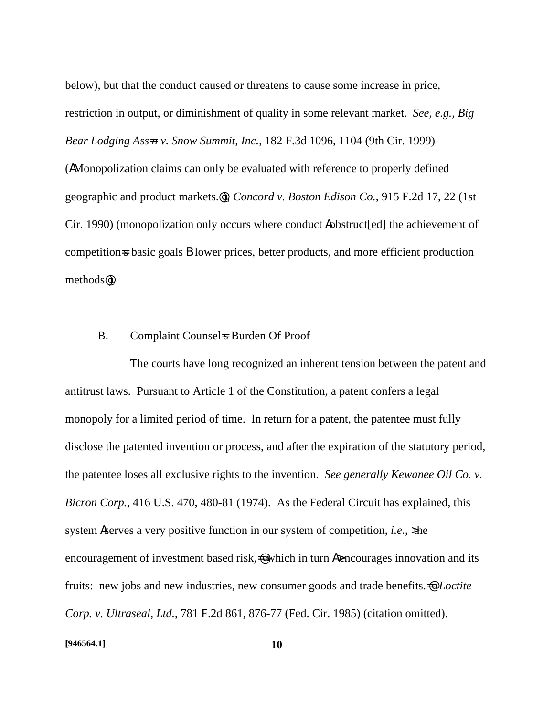below), but that the conduct caused or threatens to cause some increase in price, restriction in output, or diminishment of quality in some relevant market. *See, e.g., Big Bear Lodging Ass=n v. Snow Summit, Inc.*, 182 F.3d 1096, 1104 (9th Cir. 1999) (AMonopolization claims can only be evaluated with reference to properly defined geographic and product markets.@); *Concord v. Boston Edison Co.*, 915 F.2d 17, 22 (1st Cir. 1990) (monopolization only occurs where conduct Aobstruct[ed] the achievement of competition=s basic goals **B** lower prices, better products, and more efficient production methods@).

#### B. Complaint Counsels Burden Of Proof

The courts have long recognized an inherent tension between the patent and antitrust laws. Pursuant to Article 1 of the Constitution, a patent confers a legal monopoly for a limited period of time. In return for a patent, the patentee must fully disclose the patented invention or process, and after the expiration of the statutory period, the patentee loses all exclusive rights to the invention. *See generally Kewanee Oil Co. v. Bicron Corp.*, 416 U.S. 470, 480-81 (1974). As the Federal Circuit has explained, this system Aserves a very positive function in our system of competition, *i.e.*, the encouragement of investment based risk,  $\triangleq$  which in turn A bencourages innovation and its fruits: new jobs and new industries, new consumer goods and trade benefits.<sup>•</sup> *Loctite Corp. v. Ultraseal, Ltd.*, 781 F.2d 861, 876-77 (Fed. Cir. 1985) (citation omitted).

#### **[946564.1] 10**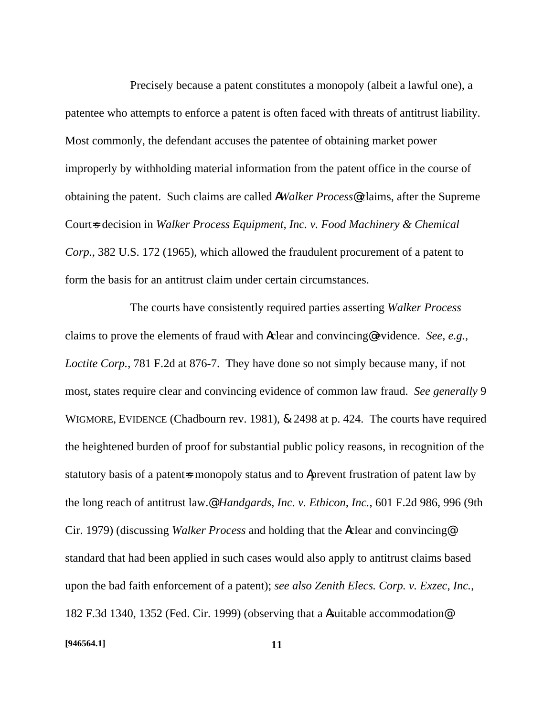Precisely because a patent constitutes a monopoly (albeit a lawful one), a patentee who attempts to enforce a patent is often faced with threats of antitrust liability. Most commonly, the defendant accuses the patentee of obtaining market power improperly by withholding material information from the patent office in the course of obtaining the patent. Such claims are called A*Walker Process*@ claims, after the Supreme Court=s decision in *Walker Process Equipment, Inc. v. Food Machinery & Chemical Corp.*, 382 U.S. 172 (1965), which allowed the fraudulent procurement of a patent to form the basis for an antitrust claim under certain circumstances.

The courts have consistently required parties asserting *Walker Process* claims to prove the elements of fraud with Aclear and convincing@ evidence. *See, e.g., Loctite Corp.*, 781 F.2d at 876-7. They have done so not simply because many, if not most, states require clear and convincing evidence of common law fraud. *See generally* 9 WIGMORE, EVIDENCE (Chadbourn rev. 1981), & 2498 at p. 424. The courts have required the heightened burden of proof for substantial public policy reasons, in recognition of the statutory basis of a patent-s monopoly status and to Aprevent frustration of patent law by the long reach of antitrust law.@ *Handgards, Inc. v. Ethicon, Inc.*, 601 F.2d 986, 996 (9th Cir. 1979) (discussing *Walker Process* and holding that the Aclear and convincing@ standard that had been applied in such cases would also apply to antitrust claims based upon the bad faith enforcement of a patent); *see also Zenith Elecs. Corp. v. Exzec, Inc.*, 182 F.3d 1340, 1352 (Fed. Cir. 1999) (observing that a Asuitable accommodation@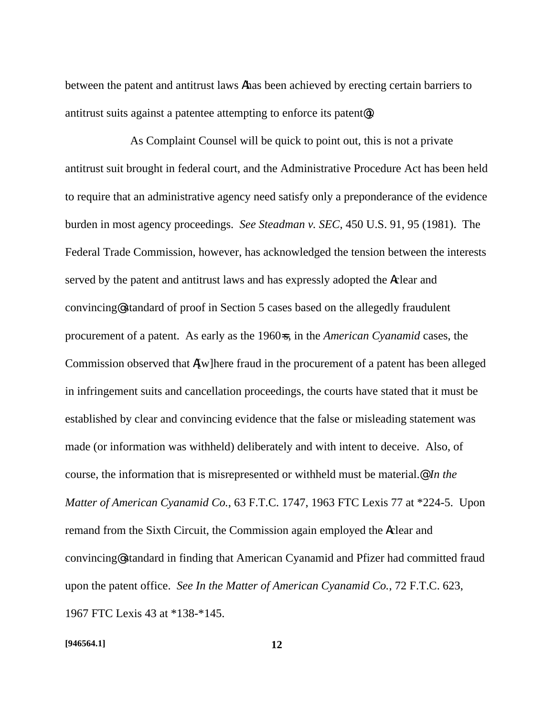between the patent and antitrust laws Ahas been achieved by erecting certain barriers to antitrust suits against a patentee attempting to enforce its patent@).

As Complaint Counsel will be quick to point out, this is not a private antitrust suit brought in federal court, and the Administrative Procedure Act has been held to require that an administrative agency need satisfy only a preponderance of the evidence burden in most agency proceedings. *See Steadman v. SEC*, 450 U.S. 91, 95 (1981). The Federal Trade Commission, however, has acknowledged the tension between the interests served by the patent and antitrust laws and has expressly adopted the Aclear and convincing@ standard of proof in Section 5 cases based on the allegedly fraudulent procurement of a patent. As early as the 1960=s, in the *American Cyanamid* cases, the Commission observed that A[w]here fraud in the procurement of a patent has been alleged in infringement suits and cancellation proceedings, the courts have stated that it must be established by clear and convincing evidence that the false or misleading statement was made (or information was withheld) deliberately and with intent to deceive. Also, of course, the information that is misrepresented or withheld must be material.@ *In the Matter of American Cyanamid Co.*, 63 F.T.C. 1747, 1963 FTC Lexis 77 at \*224-5. Upon remand from the Sixth Circuit, the Commission again employed the Aclear and convincing@ standard in finding that American Cyanamid and Pfizer had committed fraud upon the patent office. *See In the Matter of American Cyanamid Co.*, 72 F.T.C. 623, 1967 FTC Lexis 43 at \*138-\*145.

#### **[946564.1] 12**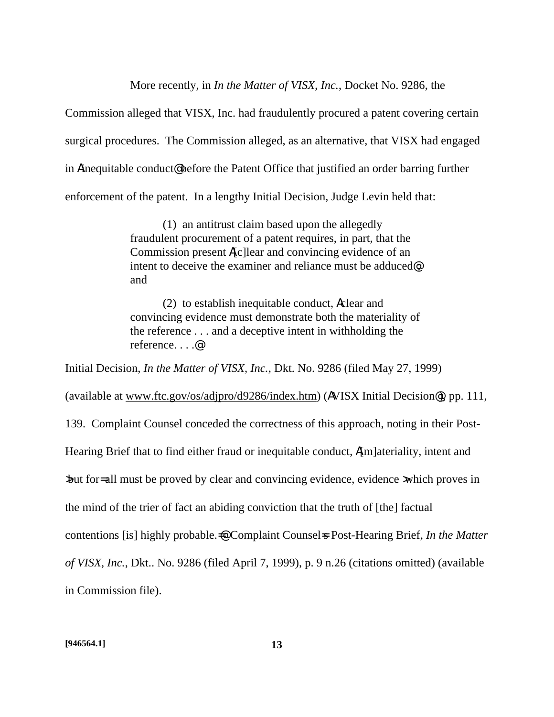More recently, in *In the Matter of VISX*, *Inc.*, Docket No. 9286, the

Commission alleged that VISX, Inc. had fraudulently procured a patent covering certain surgical procedures. The Commission alleged, as an alternative, that VISX had engaged in Ainequitable conduct@ before the Patent Office that justified an order barring further enforcement of the patent. In a lengthy Initial Decision, Judge Levin held that:

> (1) an antitrust claim based upon the allegedly fraudulent procurement of a patent requires, in part, that the Commission present A[c]lear and convincing evidence of an intent to deceive the examiner and reliance must be adduced@; and

> (2) to establish inequitable conduct, Aclear and convincing evidence must demonstrate both the materiality of the reference . . . and a deceptive intent in withholding the reference. . . .@

Initial Decision, *In the Matter of VISX, Inc.*, Dkt. No. 9286 (filed May 27, 1999) (available at www.ftc.gov/os/adjpro/d9286/index.htm) (AVISX Initial Decision@), pp. 111, 139. Complaint Counsel conceded the correctness of this approach, noting in their Post-Hearing Brief that to find either fraud or inequitable conduct, A[m]ateriality, intent and >but for= all must be proved by clear and convincing evidence, evidence >which proves in the mind of the trier of fact an abiding conviction that the truth of [the] factual contentions [is] highly probable. $\triangleq$  Complaint Counsel = Post-Hearing Brief, *In the Matter of VISX, Inc.*, Dkt.. No. 9286 (filed April 7, 1999), p. 9 n.26 (citations omitted) (available in Commission file).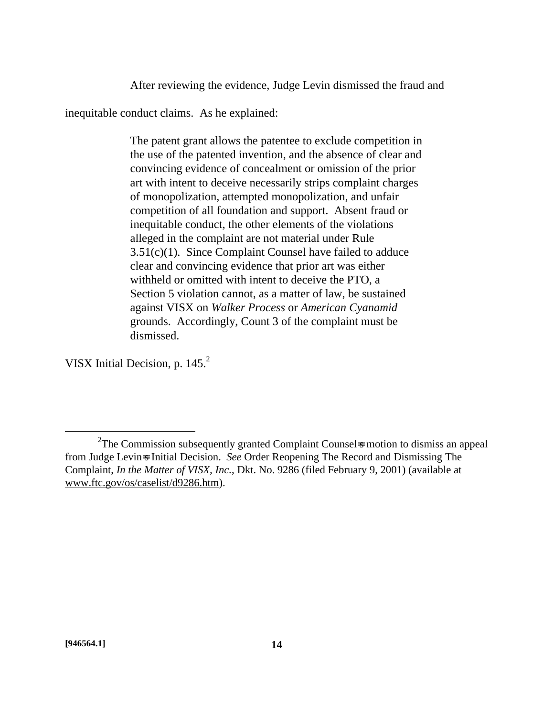After reviewing the evidence, Judge Levin dismissed the fraud and

inequitable conduct claims. As he explained:

The patent grant allows the patentee to exclude competition in the use of the patented invention, and the absence of clear and convincing evidence of concealment or omission of the prior art with intent to deceive necessarily strips complaint charges of monopolization, attempted monopolization, and unfair competition of all foundation and support. Absent fraud or inequitable conduct, the other elements of the violations alleged in the complaint are not material under Rule  $3.51(c)(1)$ . Since Complaint Counsel have failed to adduce clear and convincing evidence that prior art was either withheld or omitted with intent to deceive the PTO, a Section 5 violation cannot, as a matter of law, be sustained against VISX on *Walker Process* or *American Cyanamid* grounds. Accordingly, Count 3 of the complaint must be dismissed.

VISX Initial Decision, p. 145.<sup>2</sup>

 $\overline{a}$ 

<sup>&</sup>lt;sup>2</sup>The Commission subsequently granted Complaint Counsel is motion to dismiss an appeal from Judge Levin=s Initial Decision. *See* Order Reopening The Record and Dismissing The Complaint, *In the Matter of VISX, Inc.*, Dkt. No. 9286 (filed February 9, 2001) (available at www.ftc.gov/os/caselist/d9286.htm).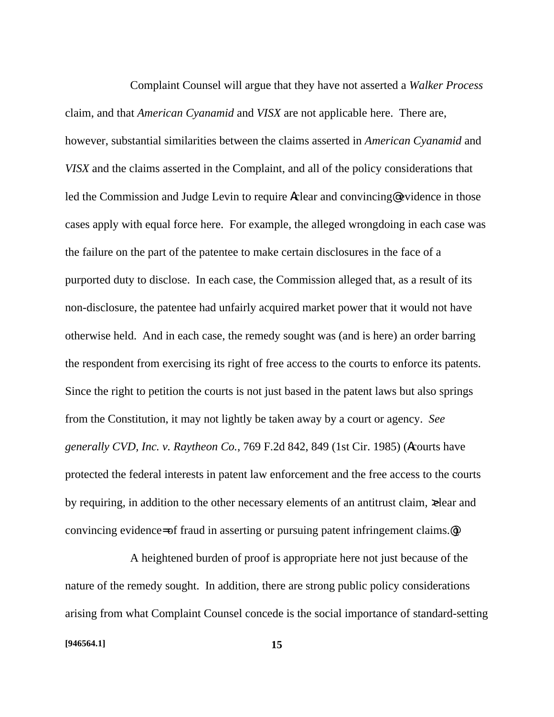Complaint Counsel will argue that they have not asserted a *Walker Process* claim, and that *American Cyanamid* and *VISX* are not applicable here. There are, however, substantial similarities between the claims asserted in *American Cyanamid* and *VISX* and the claims asserted in the Complaint, and all of the policy considerations that led the Commission and Judge Levin to require Aclear and convincing@ evidence in those cases apply with equal force here. For example, the alleged wrongdoing in each case was the failure on the part of the patentee to make certain disclosures in the face of a purported duty to disclose. In each case, the Commission alleged that, as a result of its non-disclosure, the patentee had unfairly acquired market power that it would not have otherwise held. And in each case, the remedy sought was (and is here) an order barring the respondent from exercising its right of free access to the courts to enforce its patents. Since the right to petition the courts is not just based in the patent laws but also springs from the Constitution, it may not lightly be taken away by a court or agency. *See generally CVD, Inc. v. Raytheon Co.*, 769 F.2d 842, 849 (1st Cir. 1985) (Acourts have protected the federal interests in patent law enforcement and the free access to the courts by requiring, in addition to the other necessary elements of an antitrust claim,  $\infty$ lear and convincing evidence= of fraud in asserting or pursuing patent infringement claims.@)

A heightened burden of proof is appropriate here not just because of the nature of the remedy sought. In addition, there are strong public policy considerations arising from what Complaint Counsel concede is the social importance of standard-setting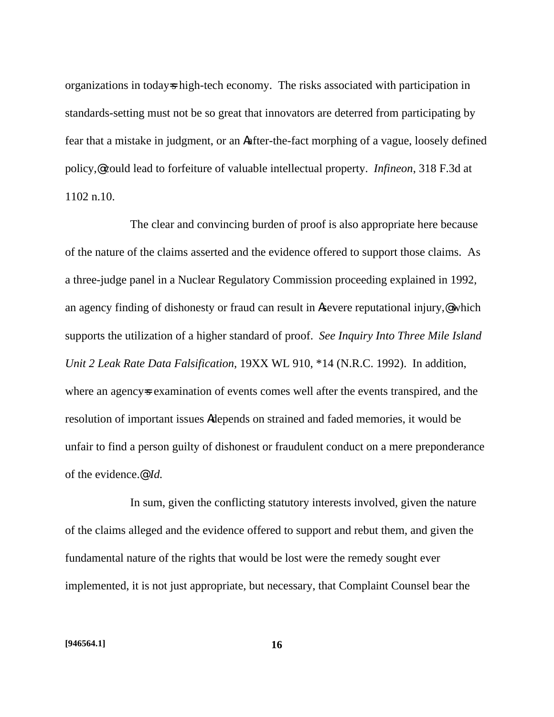organizations in today=s high-tech economy. The risks associated with participation in standards-setting must not be so great that innovators are deterred from participating by fear that a mistake in judgment, or an Aafter-the-fact morphing of a vague, loosely defined policy,@ could lead to forfeiture of valuable intellectual property. *Infineon*, 318 F.3d at 1102 n.10.

The clear and convincing burden of proof is also appropriate here because of the nature of the claims asserted and the evidence offered to support those claims. As a three-judge panel in a Nuclear Regulatory Commission proceeding explained in 1992, an agency finding of dishonesty or fraud can result in A severe reputational injury, which supports the utilization of a higher standard of proof. *See Inquiry Into Three Mile Island Unit 2 Leak Rate Data Falsification*, 19XX WL 910, \*14 (N.R.C. 1992). In addition, where an agency sexamination of events comes well after the events transpired, and the resolution of important issues Adepends on strained and faded memories, it would be unfair to find a person guilty of dishonest or fraudulent conduct on a mere preponderance of the evidence.@ *Id.*

In sum, given the conflicting statutory interests involved, given the nature of the claims alleged and the evidence offered to support and rebut them, and given the fundamental nature of the rights that would be lost were the remedy sought ever implemented, it is not just appropriate, but necessary, that Complaint Counsel bear the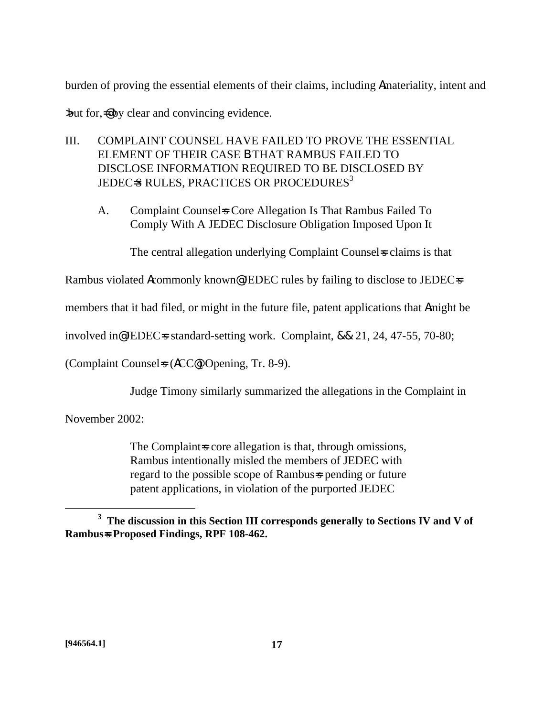burden of proving the essential elements of their claims, including Amateriality, intent and

>but for,=@ by clear and convincing evidence.

- III. COMPLAINT COUNSEL HAVE FAILED TO PROVE THE ESSENTIAL ELEMENT OF THEIR CASE B THAT RAMBUS FAILED TO DISCLOSE INFORMATION REQUIRED TO BE DISCLOSED BY JEDEC=S RULES, PRACTICES OR PROCEDURES<sup>3</sup>
	- A. Complaint Counsels Core Allegation Is That Rambus Failed To Comply With A JEDEC Disclosure Obligation Imposed Upon It

The central allegation underlying Complaint Counsels claims is that

Rambus violated Acommonly known@ JEDEC rules by failing to disclose to JEDEC=s

members that it had filed, or might in the future file, patent applications that Amight be

involved in@ JEDEC=s standard-setting work. Complaint, && 21, 24, 47-55, 70-80;

(Complaint Counsel=s (ACC@) Opening, Tr. 8-9).

Judge Timony similarly summarized the allegations in the Complaint in

November 2002:

The Complaint score allegation is that, through omissions, Rambus intentionally misled the members of JEDEC with regard to the possible scope of Rambus-s pending or future patent applications, in violation of the purported JEDEC

 $\overline{a}$ 

**<sup>3</sup> The discussion in this Section III corresponds generally to Sections IV and V of Rambus=s Proposed Findings, RPF 108-462.**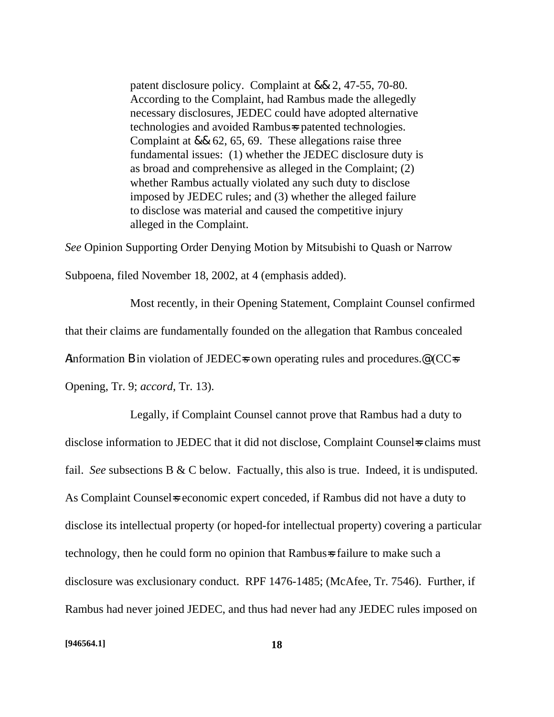patent disclosure policy. Complaint at && 2, 47-55, 70-80. According to the Complaint, had Rambus made the allegedly necessary disclosures, JEDEC could have adopted alternative technologies and avoided Rambus=s patented technologies. Complaint at && 62, 65, 69. These allegations raise three fundamental issues: (1) whether the JEDEC disclosure duty is as broad and comprehensive as alleged in the Complaint; (2) whether Rambus actually violated any such duty to disclose imposed by JEDEC rules; and (3) whether the alleged failure to disclose was material and caused the competitive injury alleged in the Complaint.

*See* Opinion Supporting Order Denying Motion by Mitsubishi to Quash or Narrow Subpoena, filed November 18, 2002, at 4 (emphasis added).

Most recently, in their Opening Statement, Complaint Counsel confirmed that their claims are fundamentally founded on the allegation that Rambus concealed Ainformation **B** in violation of JEDEC sown operating rules and procedures.<sup>@</sup> (CC s Opening, Tr. 9; *accord*, Tr. 13).

Legally, if Complaint Counsel cannot prove that Rambus had a duty to disclose information to JEDEC that it did not disclose, Complaint Counsel is claims must fail. *See* subsections B & C below. Factually, this also is true. Indeed, it is undisputed. As Complaint Counsel is economic expert conceded, if Rambus did not have a duty to disclose its intellectual property (or hoped-for intellectual property) covering a particular technology, then he could form no opinion that Rambus=s failure to make such a disclosure was exclusionary conduct. RPF 1476-1485; (McAfee, Tr. 7546). Further, if Rambus had never joined JEDEC, and thus had never had any JEDEC rules imposed on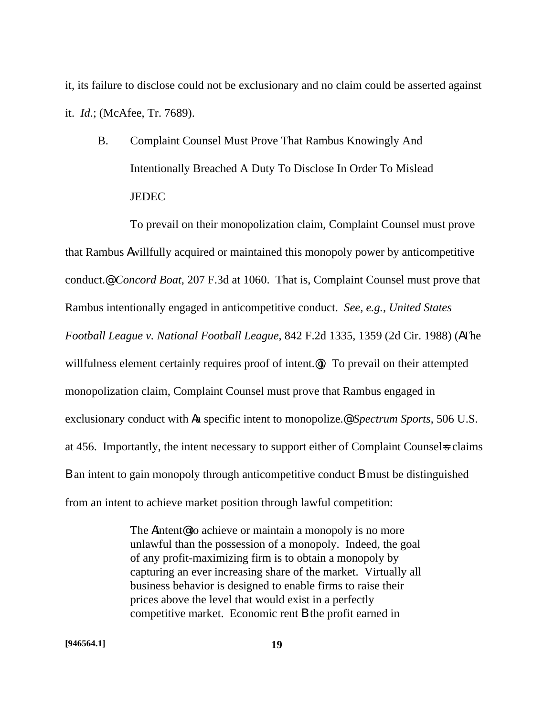it, its failure to disclose could not be exclusionary and no claim could be asserted against it. *Id*.; (McAfee, Tr. 7689).

B. Complaint Counsel Must Prove That Rambus Knowingly And Intentionally Breached A Duty To Disclose In Order To Mislead **JEDEC** 

To prevail on their monopolization claim, Complaint Counsel must prove that Rambus Awillfully acquired or maintained this monopoly power by anticompetitive conduct.@ *Concord Boat*, 207 F.3d at 1060. That is, Complaint Counsel must prove that Rambus intentionally engaged in anticompetitive conduct. *See, e.g., United States Football League v. National Football League*, 842 F.2d 1335, 1359 (2d Cir. 1988) (AThe willfulness element certainly requires proof of intent.<sup>@</sup>). To prevail on their attempted monopolization claim, Complaint Counsel must prove that Rambus engaged in exclusionary conduct with Aa specific intent to monopolize.@ *Spectrum Sports*, 506 U.S. at 456. Importantly, the intent necessary to support either of Complaint Counsels claims B an intent to gain monopoly through anticompetitive conduct B must be distinguished from an intent to achieve market position through lawful competition:

> The Aintent@ to achieve or maintain a monopoly is no more unlawful than the possession of a monopoly. Indeed, the goal of any profit-maximizing firm is to obtain a monopoly by capturing an ever increasing share of the market. Virtually all business behavior is designed to enable firms to raise their prices above the level that would exist in a perfectly competitive market. Economic rent B the profit earned in

**[946564.1] 19**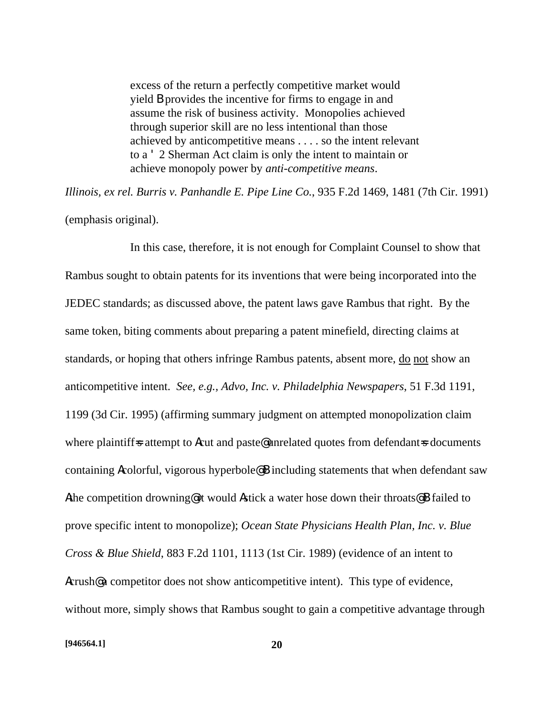excess of the return a perfectly competitive market would yield B provides the incentive for firms to engage in and assume the risk of business activity. Monopolies achieved through superior skill are no less intentional than those achieved by anticompetitive means . . . . so the intent relevant to a ' 2 Sherman Act claim is only the intent to maintain or achieve monopoly power by *anti-competitive means*.

*Illinois, ex rel. Burris v. Panhandle E. Pipe Line Co.*, 935 F.2d 1469, 1481 (7th Cir. 1991) (emphasis original).

In this case, therefore, it is not enough for Complaint Counsel to show that Rambus sought to obtain patents for its inventions that were being incorporated into the JEDEC standards; as discussed above, the patent laws gave Rambus that right. By the same token, biting comments about preparing a patent minefield, directing claims at standards, or hoping that others infringe Rambus patents, absent more, do not show an anticompetitive intent. *See, e.g., Advo, Inc. v. Philadelphia Newspapers*, 51 F.3d 1191, 1199 (3d Cir. 1995) (affirming summary judgment on attempted monopolization claim where plaintiff=s attempt to **A**cut and paste<sup>@</sup> unrelated quotes from defendant=s documents containing Acolorful, vigorous hyperbole@B including statements that when defendant saw Athe competition drowning@ it would Astick a water hose down their throats@B failed to prove specific intent to monopolize); *Ocean State Physicians Health Plan, Inc. v. Blue Cross & Blue Shield*, 883 F.2d 1101, 1113 (1st Cir. 1989) (evidence of an intent to Acrush<sup>@</sup> a competitor does not show anticompetitive intent). This type of evidence, without more, simply shows that Rambus sought to gain a competitive advantage through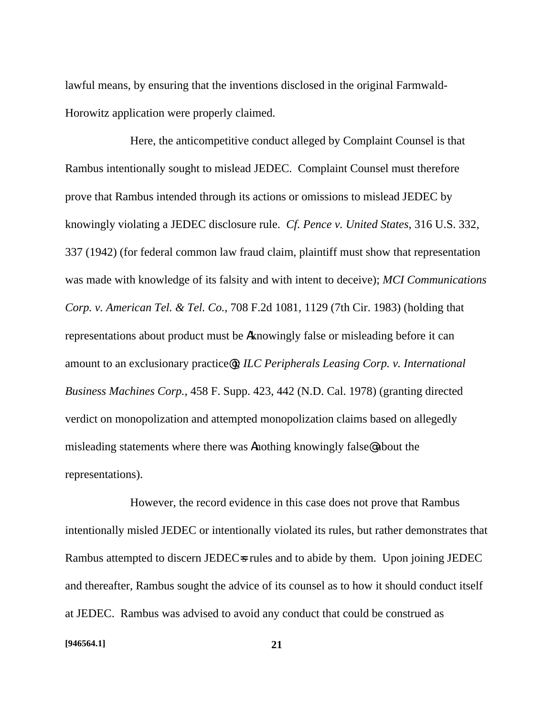lawful means, by ensuring that the inventions disclosed in the original Farmwald-Horowitz application were properly claimed.

Here, the anticompetitive conduct alleged by Complaint Counsel is that Rambus intentionally sought to mislead JEDEC. Complaint Counsel must therefore prove that Rambus intended through its actions or omissions to mislead JEDEC by knowingly violating a JEDEC disclosure rule. *Cf. Pence v. United States*, 316 U.S. 332, 337 (1942) (for federal common law fraud claim, plaintiff must show that representation was made with knowledge of its falsity and with intent to deceive); *MCI Communications Corp. v. American Tel. & Tel. Co.*, 708 F.2d 1081, 1129 (7th Cir. 1983) (holding that representations about product must be Aknowingly false or misleading before it can amount to an exclusionary practice@); *ILC Peripherals Leasing Corp. v. International Business Machines Corp.*, 458 F. Supp. 423, 442 (N.D. Cal. 1978) (granting directed verdict on monopolization and attempted monopolization claims based on allegedly misleading statements where there was Anothing knowingly false@ about the representations).

However, the record evidence in this case does not prove that Rambus intentionally misled JEDEC or intentionally violated its rules, but rather demonstrates that Rambus attempted to discern JEDECs rules and to abide by them. Upon joining JEDEC and thereafter, Rambus sought the advice of its counsel as to how it should conduct itself at JEDEC. Rambus was advised to avoid any conduct that could be construed as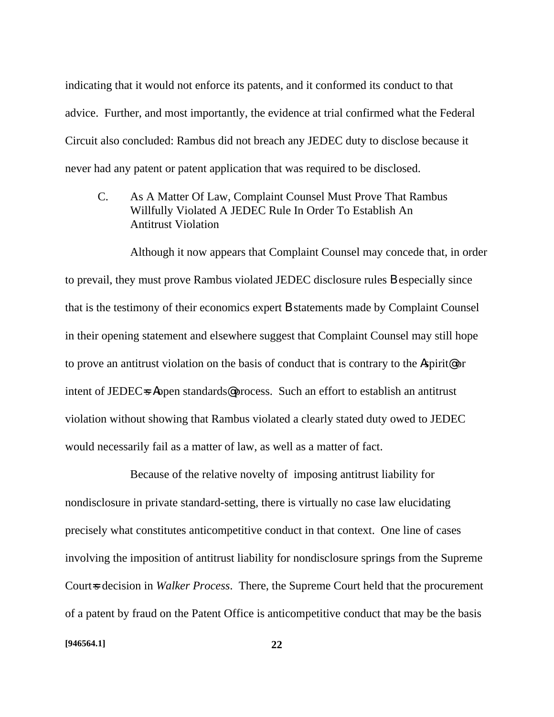indicating that it would not enforce its patents, and it conformed its conduct to that advice. Further, and most importantly, the evidence at trial confirmed what the Federal Circuit also concluded: Rambus did not breach any JEDEC duty to disclose because it never had any patent or patent application that was required to be disclosed.

C. As A Matter Of Law, Complaint Counsel Must Prove That Rambus Willfully Violated A JEDEC Rule In Order To Establish An Antitrust Violation

Although it now appears that Complaint Counsel may concede that, in order to prevail, they must prove Rambus violated JEDEC disclosure rules B especially since that is the testimony of their economics expert B statements made by Complaint Counsel in their opening statement and elsewhere suggest that Complaint Counsel may still hope to prove an antitrust violation on the basis of conduct that is contrary to the Aspirit@ or intent of JEDEC=s Aopen standards@ process. Such an effort to establish an antitrust violation without showing that Rambus violated a clearly stated duty owed to JEDEC would necessarily fail as a matter of law, as well as a matter of fact.

Because of the relative novelty of imposing antitrust liability for nondisclosure in private standard-setting, there is virtually no case law elucidating precisely what constitutes anticompetitive conduct in that context. One line of cases involving the imposition of antitrust liability for nondisclosure springs from the Supreme Court=s decision in *Walker Process*. There, the Supreme Court held that the procurement of a patent by fraud on the Patent Office is anticompetitive conduct that may be the basis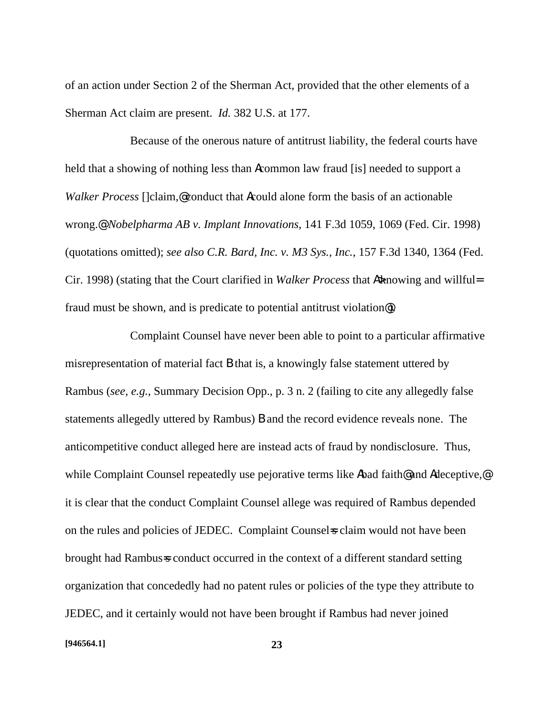of an action under Section 2 of the Sherman Act, provided that the other elements of a Sherman Act claim are present. *Id.* 382 U.S. at 177.

Because of the onerous nature of antitrust liability, the federal courts have held that a showing of nothing less than Acommon law fraud [is] needed to support a *Walker Process* []claim,@conduct that **A**could alone form the basis of an actionable wrong.@ *Nobelpharma AB v. Implant Innovations*, 141 F.3d 1059, 1069 (Fed. Cir. 1998) (quotations omitted); *see also C.R. Bard, Inc. v. M3 Sys., Inc.*, 157 F.3d 1340, 1364 (Fed. Cir. 1998) (stating that the Court clarified in *Walker Process* that **A** $\star$ howing and willful= fraud must be shown, and is predicate to potential antitrust violation@).

Complaint Counsel have never been able to point to a particular affirmative misrepresentation of material fact B that is, a knowingly false statement uttered by Rambus (*see, e.g.*, Summary Decision Opp., p. 3 n. 2 (failing to cite any allegedly false statements allegedly uttered by Rambus) B and the record evidence reveals none. The anticompetitive conduct alleged here are instead acts of fraud by nondisclosure. Thus, while Complaint Counsel repeatedly use pejorative terms like Abad faith@ and Adeceptive, it is clear that the conduct Complaint Counsel allege was required of Rambus depended on the rules and policies of JEDEC. Complaint Counsels claim would not have been brought had Rambus=s conduct occurred in the context of a different standard setting organization that concededly had no patent rules or policies of the type they attribute to JEDEC, and it certainly would not have been brought if Rambus had never joined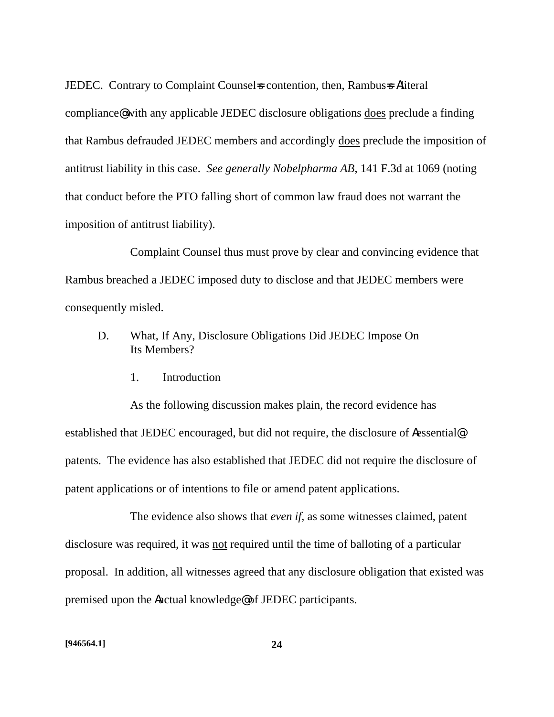JEDEC. Contrary to Complaint Counsels contention, then, Rambusse Aliteral compliance@ with any applicable JEDEC disclosure obligations does preclude a finding that Rambus defrauded JEDEC members and accordingly does preclude the imposition of antitrust liability in this case. *See generally Nobelpharma AB*, 141 F.3d at 1069 (noting that conduct before the PTO falling short of common law fraud does not warrant the imposition of antitrust liability).

Complaint Counsel thus must prove by clear and convincing evidence that Rambus breached a JEDEC imposed duty to disclose and that JEDEC members were consequently misled.

- D. What, If Any, Disclosure Obligations Did JEDEC Impose On Its Members?
	- 1. Introduction

As the following discussion makes plain, the record evidence has established that JEDEC encouraged, but did not require, the disclosure of Aessential@ patents. The evidence has also established that JEDEC did not require the disclosure of patent applications or of intentions to file or amend patent applications.

The evidence also shows that *even if*, as some witnesses claimed, patent disclosure was required, it was not required until the time of balloting of a particular proposal. In addition, all witnesses agreed that any disclosure obligation that existed was premised upon the Aactual knowledge@ of JEDEC participants.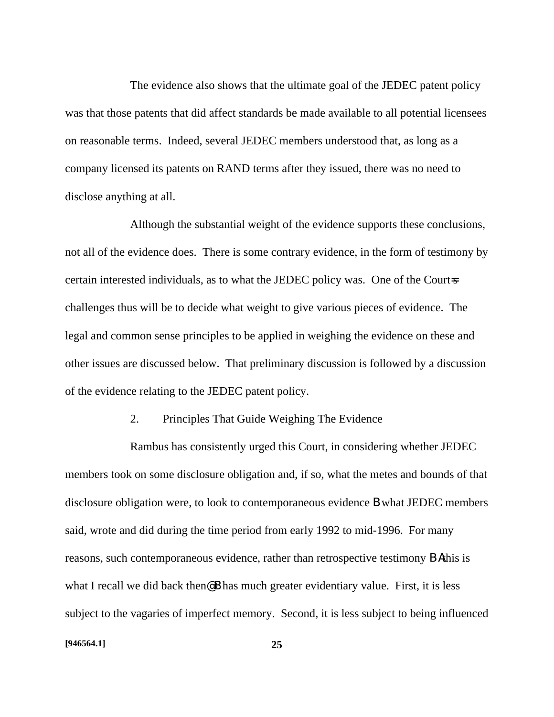The evidence also shows that the ultimate goal of the JEDEC patent policy was that those patents that did affect standards be made available to all potential licensees on reasonable terms. Indeed, several JEDEC members understood that, as long as a company licensed its patents on RAND terms after they issued, there was no need to disclose anything at all.

Although the substantial weight of the evidence supports these conclusions, not all of the evidence does. There is some contrary evidence, in the form of testimony by certain interested individuals, as to what the JEDEC policy was. One of the Court=s challenges thus will be to decide what weight to give various pieces of evidence. The legal and common sense principles to be applied in weighing the evidence on these and other issues are discussed below. That preliminary discussion is followed by a discussion of the evidence relating to the JEDEC patent policy.

### 2. Principles That Guide Weighing The Evidence

Rambus has consistently urged this Court, in considering whether JEDEC members took on some disclosure obligation and, if so, what the metes and bounds of that disclosure obligation were, to look to contemporaneous evidence B what JEDEC members said, wrote and did during the time period from early 1992 to mid-1996. For many reasons, such contemporaneous evidence, rather than retrospective testimony B Athis is what I recall we did back then@ **B** has much greater evidentiary value. First, it is less subject to the vagaries of imperfect memory. Second, it is less subject to being influenced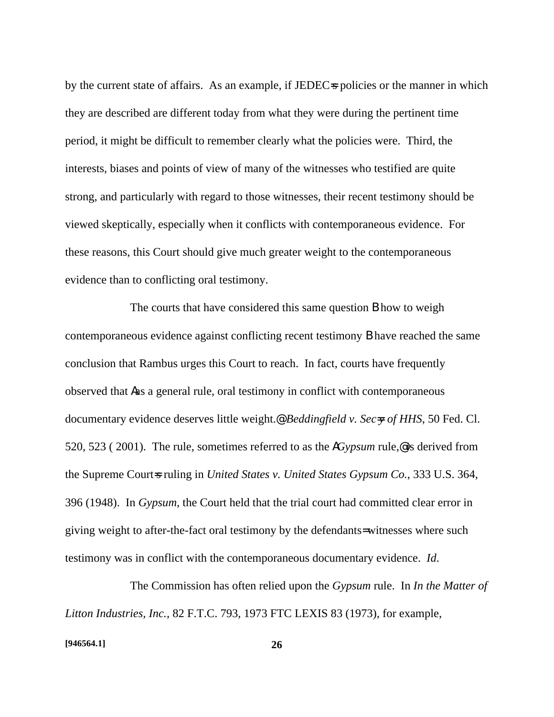by the current state of affairs. As an example, if JEDEC=s policies or the manner in which they are described are different today from what they were during the pertinent time period, it might be difficult to remember clearly what the policies were. Third, the interests, biases and points of view of many of the witnesses who testified are quite strong, and particularly with regard to those witnesses, their recent testimony should be viewed skeptically, especially when it conflicts with contemporaneous evidence. For these reasons, this Court should give much greater weight to the contemporaneous evidence than to conflicting oral testimony.

The courts that have considered this same question **B** how to weigh contemporaneous evidence against conflicting recent testimony B have reached the same conclusion that Rambus urges this Court to reach. In fact, courts have frequently observed that Aas a general rule, oral testimony in conflict with contemporaneous documentary evidence deserves little weight.@ *Beddingfield v. Sec=y of HHS*, 50 Fed. Cl. 520, 523 ( 2001). The rule, sometimes referred to as the A*Gypsum* rule,@ is derived from the Supreme Court=s ruling in *United States v. United States Gypsum Co.*, 333 U.S. 364, 396 (1948). In *Gypsum*, the Court held that the trial court had committed clear error in giving weight to after-the-fact oral testimony by the defendants= witnesses where such testimony was in conflict with the contemporaneous documentary evidence. *Id*.

The Commission has often relied upon the *Gypsum* rule. In *In the Matter of Litton Industries, Inc.*, 82 F.T.C. 793, 1973 FTC LEXIS 83 (1973), for example,

#### **[946564.1] 26**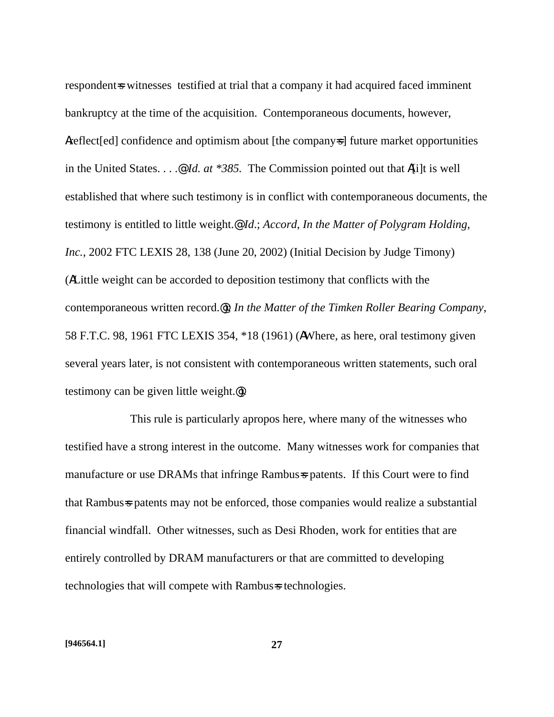respondent is witnesses testified at trial that a company it had acquired faced imminent bankruptcy at the time of the acquisition. Contemporaneous documents, however, Areflect[ed] confidence and optimism about [the company=s] future market opportunities in the United States. . . .@ *Id. at \*385.* The Commission pointed out that A[i]t is well established that where such testimony is in conflict with contemporaneous documents, the testimony is entitled to little weight.@ *Id*.; *Accord*, *In the Matter of Polygram Holding, Inc.*, 2002 FTC LEXIS 28, 138 (June 20, 2002) (Initial Decision by Judge Timony) (ALittle weight can be accorded to deposition testimony that conflicts with the contemporaneous written record.@); *In the Matter of the Timken Roller Bearing Company*, 58 F.T.C. 98, 1961 FTC LEXIS 354, \*18 (1961) (AWhere, as here, oral testimony given several years later, is not consistent with contemporaneous written statements, such oral testimony can be given little weight.@).

This rule is particularly apropos here, where many of the witnesses who testified have a strong interest in the outcome. Many witnesses work for companies that manufacture or use DRAMs that infringe Rambus-s patents. If this Court were to find that Rambus=s patents may not be enforced, those companies would realize a substantial financial windfall. Other witnesses, such as Desi Rhoden, work for entities that are entirely controlled by DRAM manufacturers or that are committed to developing technologies that will compete with Rambus=s technologies.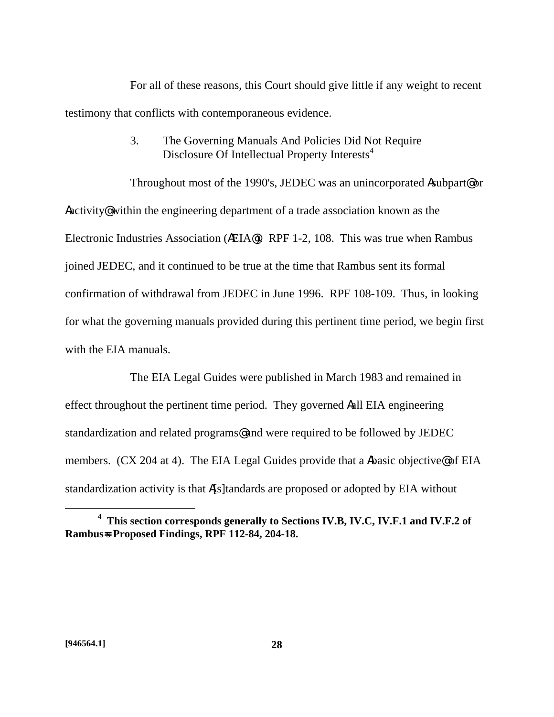For all of these reasons, this Court should give little if any weight to recent testimony that conflicts with contemporaneous evidence.

# 3. The Governing Manuals And Policies Did Not Require Disclosure Of Intellectual Property Interests<sup>4</sup>

Throughout most of the 1990's, JEDEC was an unincorporated Asubpart@ or Aactivity@ within the engineering department of a trade association known as the Electronic Industries Association (AEIA@). RPF 1-2, 108. This was true when Rambus joined JEDEC, and it continued to be true at the time that Rambus sent its formal confirmation of withdrawal from JEDEC in June 1996. RPF 108-109. Thus, in looking for what the governing manuals provided during this pertinent time period, we begin first with the EIA manuals.

The EIA Legal Guides were published in March 1983 and remained in effect throughout the pertinent time period. They governed Aall EIA engineering standardization and related programs@ and were required to be followed by JEDEC members. (CX 204 at 4). The EIA Legal Guides provide that a Abasic objective@ of EIA standardization activity is that A[s]tandards are proposed or adopted by EIA without

**<sup>4</sup> This section corresponds generally to Sections IV.B, IV.C, IV.F.1 and IV.F.2 of Rambus=s Proposed Findings, RPF 112-84, 204-18.**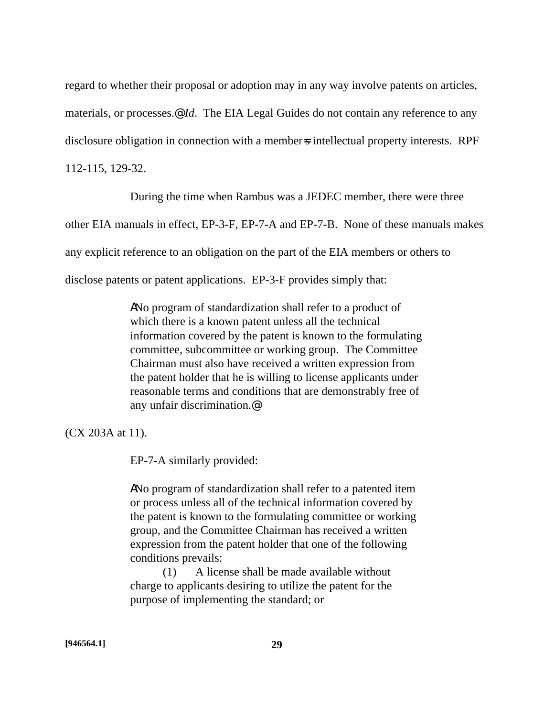regard to whether their proposal or adoption may in any way involve patents on articles, materials, or processes.@ *Id*. The EIA Legal Guides do not contain any reference to any disclosure obligation in connection with a members intellectual property interests. RPF 112-115, 129-32.

During the time when Rambus was a JEDEC member, there were three

other EIA manuals in effect, EP-3-F, EP-7-A and EP-7-B. None of these manuals makes

any explicit reference to an obligation on the part of the EIA members or others to

disclose patents or patent applications. EP-3-F provides simply that:

ANo program of standardization shall refer to a product of which there is a known patent unless all the technical information covered by the patent is known to the formulating committee, subcommittee or working group. The Committee Chairman must also have received a written expression from the patent holder that he is willing to license applicants under reasonable terms and conditions that are demonstrably free of any unfair discrimination.@

(CX 203A at 11).

EP-7-A similarly provided:

ANo program of standardization shall refer to a patented item or process unless all of the technical information covered by the patent is known to the formulating committee or working group, and the Committee Chairman has received a written expression from the patent holder that one of the following conditions prevails:

(1) A license shall be made available without charge to applicants desiring to utilize the patent for the purpose of implementing the standard; or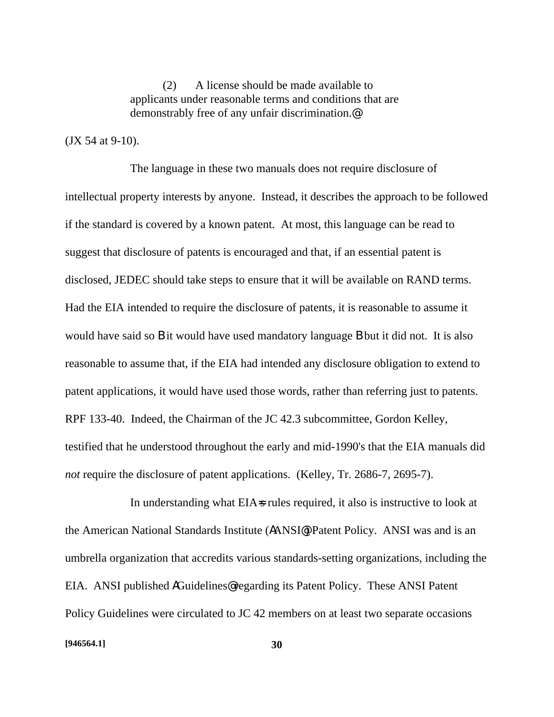(2) A license should be made available to applicants under reasonable terms and conditions that are demonstrably free of any unfair discrimination.@

(JX 54 at 9-10).

The language in these two manuals does not require disclosure of intellectual property interests by anyone. Instead, it describes the approach to be followed if the standard is covered by a known patent. At most, this language can be read to suggest that disclosure of patents is encouraged and that, if an essential patent is disclosed, JEDEC should take steps to ensure that it will be available on RAND terms. Had the EIA intended to require the disclosure of patents, it is reasonable to assume it would have said so **B** it would have used mandatory language **B** but it did not. It is also reasonable to assume that, if the EIA had intended any disclosure obligation to extend to patent applications, it would have used those words, rather than referring just to patents. RPF 133-40. Indeed, the Chairman of the JC 42.3 subcommittee, Gordon Kelley, testified that he understood throughout the early and mid-1990's that the EIA manuals did *not* require the disclosure of patent applications. (Kelley, Tr. 2686-7, 2695-7).

In understanding what EIA=s rules required, it also is instructive to look at the American National Standards Institute (AANSI@) Patent Policy. ANSI was and is an umbrella organization that accredits various standards-setting organizations, including the EIA. ANSI published AGuidelines@ regarding its Patent Policy. These ANSI Patent Policy Guidelines were circulated to JC 42 members on at least two separate occasions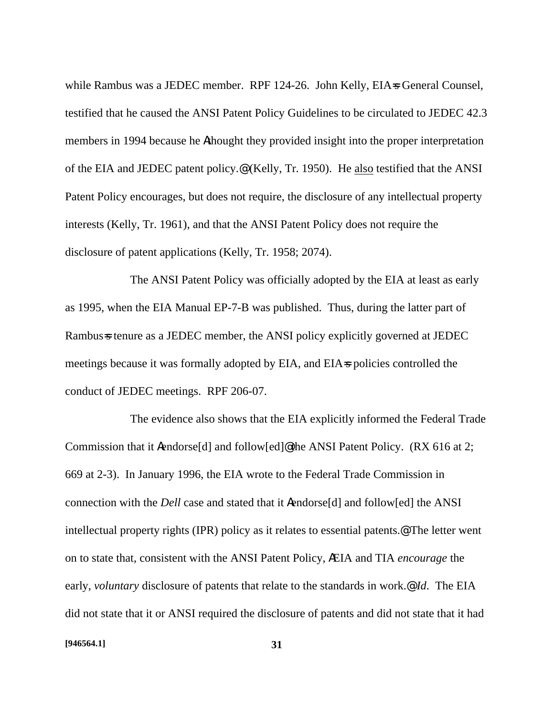while Rambus was a JEDEC member. RPF 124-26. John Kelly, EIA=s General Counsel, testified that he caused the ANSI Patent Policy Guidelines to be circulated to JEDEC 42.3 members in 1994 because he Athought they provided insight into the proper interpretation of the EIA and JEDEC patent policy.@ (Kelly, Tr. 1950). He also testified that the ANSI Patent Policy encourages, but does not require, the disclosure of any intellectual property interests (Kelly, Tr. 1961), and that the ANSI Patent Policy does not require the disclosure of patent applications (Kelly, Tr. 1958; 2074).

The ANSI Patent Policy was officially adopted by the EIA at least as early as 1995, when the EIA Manual EP-7-B was published. Thus, during the latter part of Rambus=s tenure as a JEDEC member, the ANSI policy explicitly governed at JEDEC meetings because it was formally adopted by EIA, and EIA=s policies controlled the conduct of JEDEC meetings. RPF 206-07.

The evidence also shows that the EIA explicitly informed the Federal Trade Commission that it Aendorse[d] and follow[ed]@ the ANSI Patent Policy. (RX 616 at 2; 669 at 2-3). In January 1996, the EIA wrote to the Federal Trade Commission in connection with the *Dell* case and stated that it Aendorse[d] and follow[ed] the ANSI intellectual property rights (IPR) policy as it relates to essential patents.@ The letter went on to state that, consistent with the ANSI Patent Policy, AEIA and TIA *encourage* the early, *voluntary* disclosure of patents that relate to the standards in work.@ *Id*. The EIA did not state that it or ANSI required the disclosure of patents and did not state that it had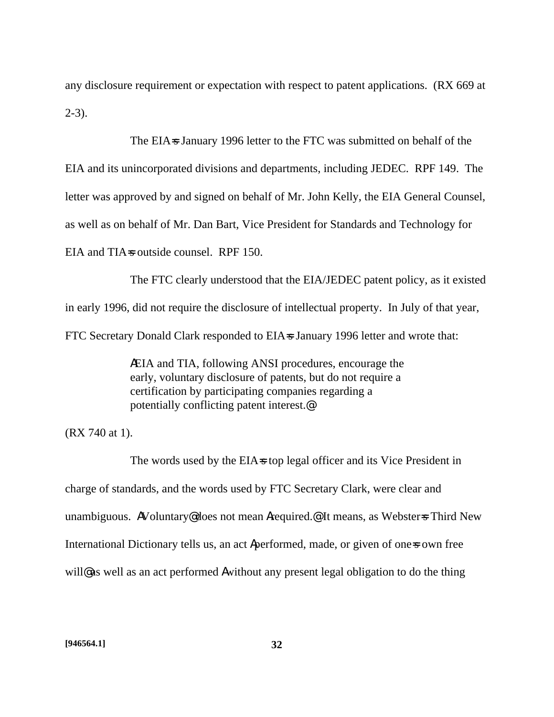any disclosure requirement or expectation with respect to patent applications. (RX 669 at  $2-3)$ .

The EIA=s January 1996 letter to the FTC was submitted on behalf of the

EIA and its unincorporated divisions and departments, including JEDEC. RPF 149. The

letter was approved by and signed on behalf of Mr. John Kelly, the EIA General Counsel,

as well as on behalf of Mr. Dan Bart, Vice President for Standards and Technology for

EIA and TIA=s outside counsel. RPF 150.

The FTC clearly understood that the EIA/JEDEC patent policy, as it existed in early 1996, did not require the disclosure of intellectual property. In July of that year, FTC Secretary Donald Clark responded to EIA=s January 1996 letter and wrote that:

> AEIA and TIA, following ANSI procedures, encourage the early, voluntary disclosure of patents, but do not require a certification by participating companies regarding a potentially conflicting patent interest.@

(RX 740 at 1).

The words used by the EIA=s top legal officer and its Vice President in charge of standards, and the words used by FTC Secretary Clark, were clear and unambiguous. AVoluntary@does not mean Arequired.@ It means, as Webster=s Third New International Dictionary tells us, an act Aperformed, made, or given of one-sown free will@ as well as an act performed Awithout any present legal obligation to do the thing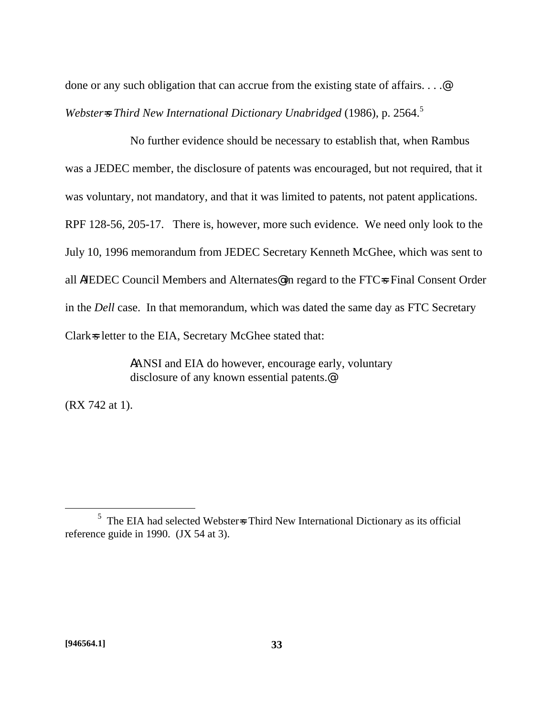done or any such obligation that can accrue from the existing state of affairs....@ *Webster*<sup> $=$ </sup> Third New International Dictionary Unabridged (1986), p. 2564.<sup>5</sup>

No further evidence should be necessary to establish that, when Rambus was a JEDEC member, the disclosure of patents was encouraged, but not required, that it was voluntary, not mandatory, and that it was limited to patents, not patent applications. RPF 128-56, 205-17. There is, however, more such evidence. We need only look to the July 10, 1996 memorandum from JEDEC Secretary Kenneth McGhee, which was sent to all AJEDEC Council Members and Alternates@ in regard to the FTC=s Final Consent Order in the *Dell* case. In that memorandum, which was dated the same day as FTC Secretary Clark=s letter to the EIA, Secretary McGhee stated that:

> AANSI and EIA do however, encourage early, voluntary disclosure of any known essential patents.@

(RX 742 at 1).

1

 $<sup>5</sup>$  The EIA had selected Webster=s Third New International Dictionary as its official</sup> reference guide in 1990. (JX 54 at 3).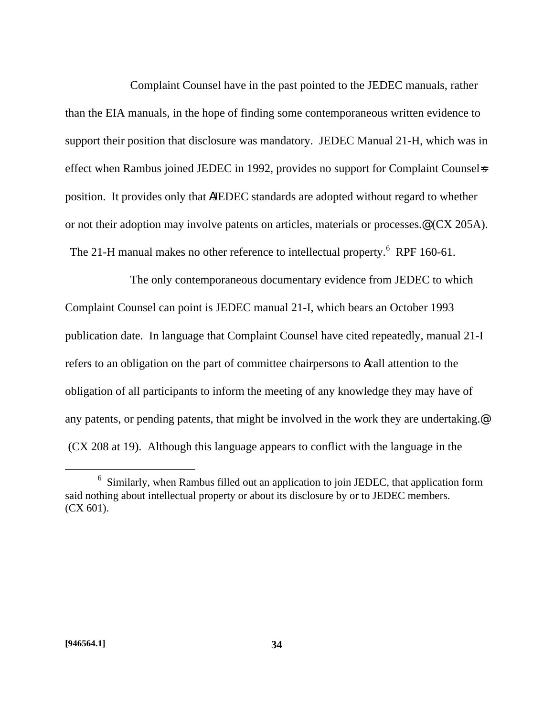Complaint Counsel have in the past pointed to the JEDEC manuals, rather than the EIA manuals, in the hope of finding some contemporaneous written evidence to support their position that disclosure was mandatory. JEDEC Manual 21-H, which was in effect when Rambus joined JEDEC in 1992, provides no support for Complaint Counsel-s position. It provides only that AJEDEC standards are adopted without regard to whether or not their adoption may involve patents on articles, materials or processes.@ (CX 205A). The 21-H manual makes no other reference to intellectual property.  $6$  RPF 160-61.

The only contemporaneous documentary evidence from JEDEC to which Complaint Counsel can point is JEDEC manual 21-I, which bears an October 1993 publication date. In language that Complaint Counsel have cited repeatedly, manual 21-I refers to an obligation on the part of committee chairpersons to Acall attention to the obligation of all participants to inform the meeting of any knowledge they may have of any patents, or pending patents, that might be involved in the work they are undertaking.@ (CX 208 at 19). Although this language appears to conflict with the language in the

 $6$  Similarly, when Rambus filled out an application to join JEDEC, that application form said nothing about intellectual property or about its disclosure by or to JEDEC members. (CX 601).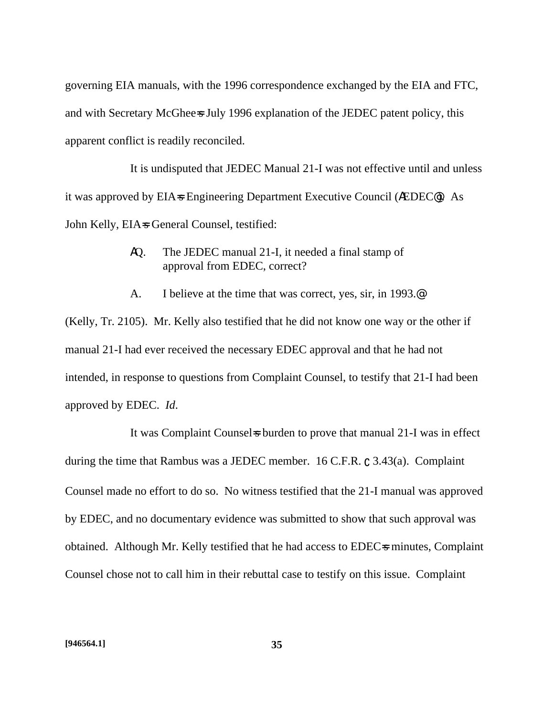governing EIA manuals, with the 1996 correspondence exchanged by the EIA and FTC, and with Secretary McGhee=s July 1996 explanation of the JEDEC patent policy, this apparent conflict is readily reconciled.

It is undisputed that JEDEC Manual 21-I was not effective until and unless it was approved by EIA=s Engineering Department Executive Council (AEDEC<sup>®</sup>). As John Kelly, EIA=s General Counsel, testified:

- AQ. The JEDEC manual 21-I, it needed a final stamp of approval from EDEC, correct?
- A. I believe at the time that was correct, yes, sir, in 1993.@

(Kelly, Tr. 2105). Mr. Kelly also testified that he did not know one way or the other if manual 21-I had ever received the necessary EDEC approval and that he had not intended, in response to questions from Complaint Counsel, to testify that 21-I had been approved by EDEC. *Id*.

It was Complaint Counsels burden to prove that manual 21-I was in effect during the time that Rambus was a JEDEC member. 16 C.F.R.  $\mathcal{C}$  3.43(a). Complaint Counsel made no effort to do so. No witness testified that the 21-I manual was approved by EDEC, and no documentary evidence was submitted to show that such approval was obtained. Although Mr. Kelly testified that he had access to EDEC-s minutes, Complaint Counsel chose not to call him in their rebuttal case to testify on this issue. Complaint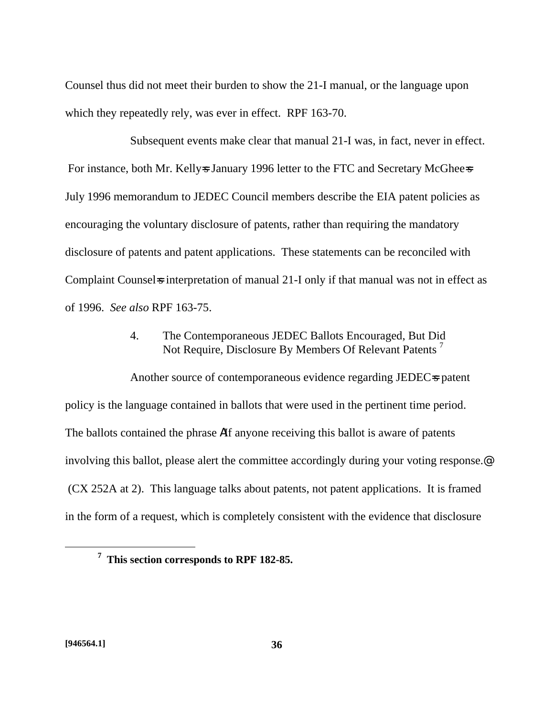Counsel thus did not meet their burden to show the 21-I manual, or the language upon which they repeatedly rely, was ever in effect. RPF 163-70.

Subsequent events make clear that manual 21-I was, in fact, never in effect. For instance, both Mr. Kelly-s January 1996 letter to the FTC and Secretary McGhee-s July 1996 memorandum to JEDEC Council members describe the EIA patent policies as encouraging the voluntary disclosure of patents, rather than requiring the mandatory disclosure of patents and patent applications. These statements can be reconciled with Complaint Counsels interpretation of manual 21-I only if that manual was not in effect as of 1996. *See also* RPF 163-75.

# 4. The Contemporaneous JEDEC Ballots Encouraged, But Did Not Require, Disclosure By Members Of Relevant Patents<sup>7</sup>

Another source of contemporaneous evidence regarding JEDEC=s patent policy is the language contained in ballots that were used in the pertinent time period. The ballots contained the phrase AIf anyone receiving this ballot is aware of patents involving this ballot, please alert the committee accordingly during your voting response.@ (CX 252A at 2). This language talks about patents, not patent applications. It is framed in the form of a request, which is completely consistent with the evidence that disclosure

**<sup>7</sup> This section corresponds to RPF 182-85.**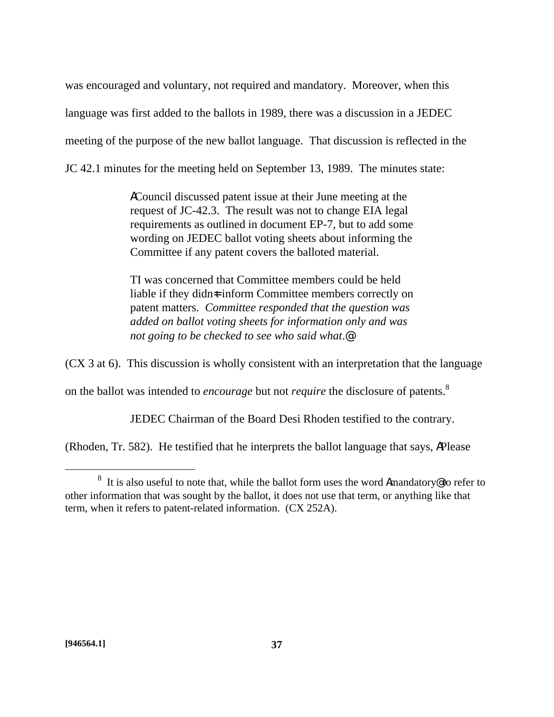was encouraged and voluntary, not required and mandatory. Moreover, when this language was first added to the ballots in 1989, there was a discussion in a JEDEC meeting of the purpose of the new ballot language. That discussion is reflected in the JC 42.1 minutes for the meeting held on September 13, 1989. The minutes state:

> ACouncil discussed patent issue at their June meeting at the request of JC-42.3. The result was not to change EIA legal requirements as outlined in document EP-7, but to add some wording on JEDEC ballot voting sheets about informing the Committee if any patent covers the balloted material.

> TI was concerned that Committee members could be held liable if they didn $\pm$  inform Committee members correctly on patent matters. *Committee responded that the question was added on ballot voting sheets for information only and was not going to be checked to see who said what*.@

(CX 3 at 6). This discussion is wholly consistent with an interpretation that the language

on the ballot was intended to *encourage* but not *require* the disclosure of patents.<sup>8</sup>

JEDEC Chairman of the Board Desi Rhoden testified to the contrary.

(Rhoden, Tr. 582). He testified that he interprets the ballot language that says, APlease

<sup>&</sup>lt;sup>8</sup> It is also useful to note that, while the ballot form uses the word Amandatory out of refer to other information that was sought by the ballot, it does not use that term, or anything like that term, when it refers to patent-related information. (CX 252A).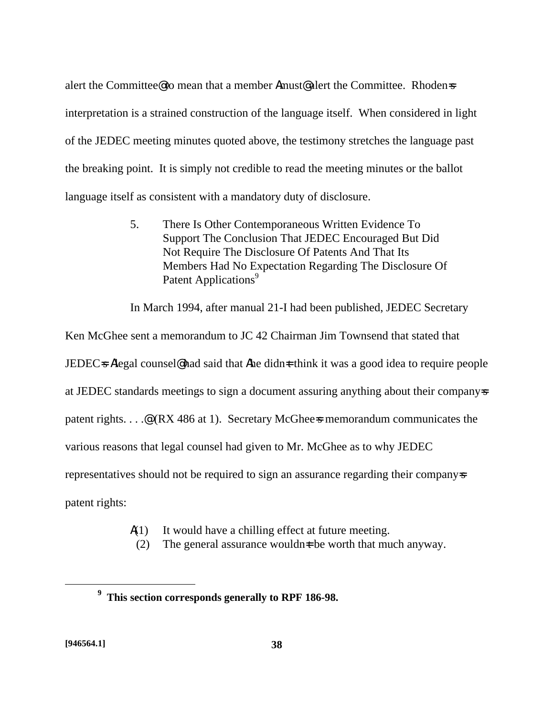alert the Committee@ to mean that a member Amust@ alert the Committee. Rhoden=s interpretation is a strained construction of the language itself. When considered in light of the JEDEC meeting minutes quoted above, the testimony stretches the language past the breaking point. It is simply not credible to read the meeting minutes or the ballot language itself as consistent with a mandatory duty of disclosure.

> 5. There Is Other Contemporaneous Written Evidence To Support The Conclusion That JEDEC Encouraged But Did Not Require The Disclosure Of Patents And That Its Members Had No Expectation Regarding The Disclosure Of Patent Applications<sup>9</sup>

In March 1994, after manual 21-I had been published, JEDEC Secretary

Ken McGhee sent a memorandum to JC 42 Chairman Jim Townsend that stated that JEDEC=s Alegal counsel@ had said that A he didn=t think it was a good idea to require people at JEDEC standards meetings to sign a document assuring anything about their companyss patent rights. . . .@ (RX 486 at 1). Secretary McGhee=s memorandum communicates the various reasons that legal counsel had given to Mr. McGhee as to why JEDEC representatives should not be required to sign an assurance regarding their companysity patent rights:

- $A(1)$  It would have a chilling effect at future meeting.
- (2) The general assurance wouldn $\pm$  be worth that much anyway.

1

**<sup>9</sup> This section corresponds generally to RPF 186-98.**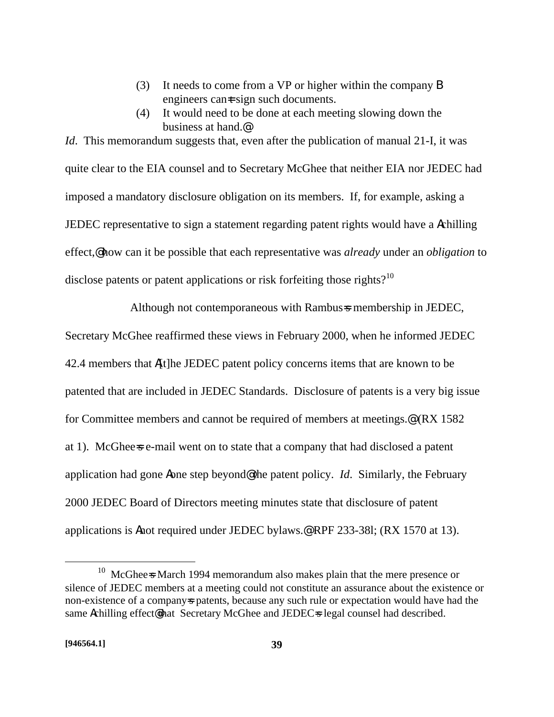- (3) It needs to come from a VP or higher within the company B engineers can $\pm$  sign such documents.
- (4) It would need to be done at each meeting slowing down the business at hand.@

*Id.* This memorandum suggests that, even after the publication of manual 21-I, it was quite clear to the EIA counsel and to Secretary McGhee that neither EIA nor JEDEC had imposed a mandatory disclosure obligation on its members. If, for example, asking a JEDEC representative to sign a statement regarding patent rights would have a Achilling effect,@ how can it be possible that each representative was *already* under an *obligation* to disclose patents or patent applications or risk forfeiting those rights?<sup>10</sup>

Although not contemporaneous with Rambus=s membership in JEDEC,

Secretary McGhee reaffirmed these views in February 2000, when he informed JEDEC 42.4 members that A[t]he JEDEC patent policy concerns items that are known to be patented that are included in JEDEC Standards. Disclosure of patents is a very big issue for Committee members and cannot be required of members at meetings.<sup>@</sup> (RX 1582) at 1). McGhee=s e-mail went on to state that a company that had disclosed a patent application had gone Aone step beyond@ the patent policy. *Id*. Similarly, the February 2000 JEDEC Board of Directors meeting minutes state that disclosure of patent applications is Anot required under JEDEC bylaws.@ RPF 233-38l; (RX 1570 at 13).

1

 $10$  McGhee=s March 1994 memorandum also makes plain that the mere presence or silence of JEDEC members at a meeting could not constitute an assurance about the existence or non-existence of a company=s patents, because any such rule or expectation would have had the same Achilling effect@that Secretary McGhee and JEDEC=s legal counsel had described.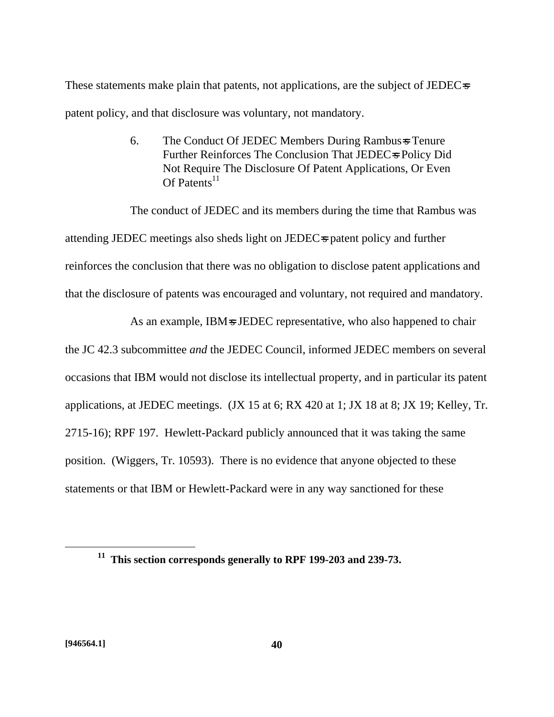These statements make plain that patents, not applications, are the subject of JEDEC=s patent policy, and that disclosure was voluntary, not mandatory.

> 6. The Conduct Of JEDEC Members During Rambus=s Tenure Further Reinforces The Conclusion That JEDEC=s Policy Did Not Require The Disclosure Of Patent Applications, Or Even Of Patents<sup>11</sup>

The conduct of JEDEC and its members during the time that Rambus was attending JEDEC meetings also sheds light on JEDEC-s patent policy and further reinforces the conclusion that there was no obligation to disclose patent applications and that the disclosure of patents was encouraged and voluntary, not required and mandatory.

As an example, IBM=s JEDEC representative, who also happened to chair the JC 42.3 subcommittee *and* the JEDEC Council, informed JEDEC members on several occasions that IBM would not disclose its intellectual property, and in particular its patent applications, at JEDEC meetings. (JX 15 at 6; RX 420 at 1; JX 18 at 8; JX 19; Kelley, Tr. 2715-16); RPF 197. Hewlett-Packard publicly announced that it was taking the same position. (Wiggers, Tr. 10593). There is no evidence that anyone objected to these statements or that IBM or Hewlett-Packard were in any way sanctioned for these

<u>.</u>

**<sup>11</sup> This section corresponds generally to RPF 199-203 and 239-73.**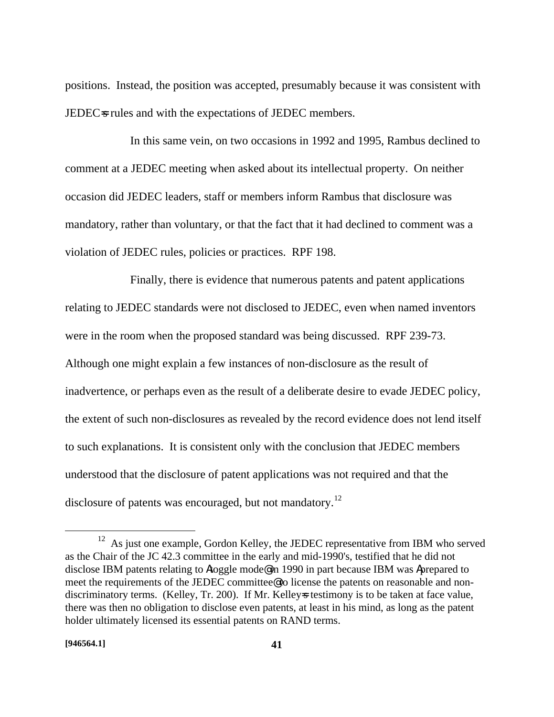positions. Instead, the position was accepted, presumably because it was consistent with JEDEC=s rules and with the expectations of JEDEC members.

In this same vein, on two occasions in 1992 and 1995, Rambus declined to comment at a JEDEC meeting when asked about its intellectual property. On neither occasion did JEDEC leaders, staff or members inform Rambus that disclosure was mandatory, rather than voluntary, or that the fact that it had declined to comment was a violation of JEDEC rules, policies or practices. RPF 198.

Finally, there is evidence that numerous patents and patent applications relating to JEDEC standards were not disclosed to JEDEC, even when named inventors were in the room when the proposed standard was being discussed. RPF 239-73. Although one might explain a few instances of non-disclosure as the result of inadvertence, or perhaps even as the result of a deliberate desire to evade JEDEC policy, the extent of such non-disclosures as revealed by the record evidence does not lend itself to such explanations. It is consistent only with the conclusion that JEDEC members understood that the disclosure of patent applications was not required and that the disclosure of patents was encouraged, but not mandatory.<sup>12</sup>

1

<sup>&</sup>lt;sup>12</sup> As just one example, Gordon Kelley, the JEDEC representative from IBM who served as the Chair of the JC 42.3 committee in the early and mid-1990's, testified that he did not disclose IBM patents relating to Atoggle mode@ in 1990 in part because IBM was Aprepared to meet the requirements of the JEDEC committee@ to license the patents on reasonable and nondiscriminatory terms. (Kelley, Tr. 200). If Mr. Kelleys testimony is to be taken at face value, there was then no obligation to disclose even patents, at least in his mind, as long as the patent holder ultimately licensed its essential patents on RAND terms.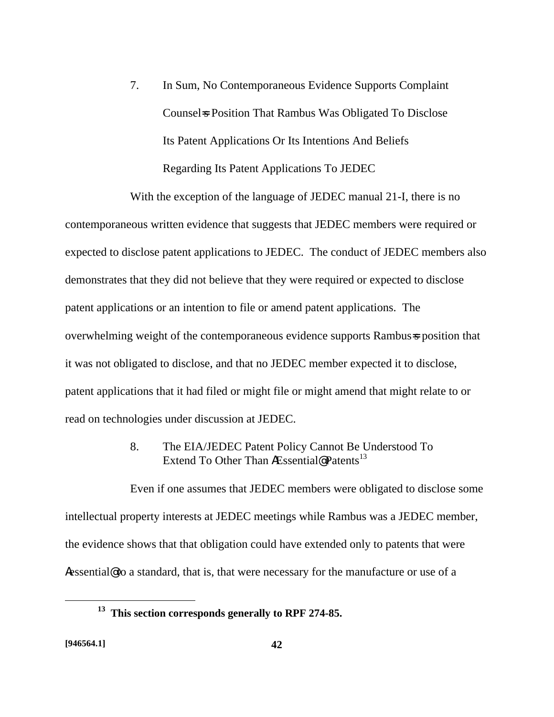7. In Sum, No Contemporaneous Evidence Supports Complaint Counsel=s Position That Rambus Was Obligated To Disclose Its Patent Applications Or Its Intentions And Beliefs Regarding Its Patent Applications To JEDEC

With the exception of the language of JEDEC manual 21-I, there is no contemporaneous written evidence that suggests that JEDEC members were required or expected to disclose patent applications to JEDEC. The conduct of JEDEC members also demonstrates that they did not believe that they were required or expected to disclose patent applications or an intention to file or amend patent applications. The overwhelming weight of the contemporaneous evidence supports Rambus=s position that it was not obligated to disclose, and that no JEDEC member expected it to disclose, patent applications that it had filed or might file or might amend that might relate to or read on technologies under discussion at JEDEC.

> 8. The EIA/JEDEC Patent Policy Cannot Be Understood To Extend To Other Than AEssential@ Patents<sup>13</sup>

Even if one assumes that JEDEC members were obligated to disclose some intellectual property interests at JEDEC meetings while Rambus was a JEDEC member, the evidence shows that that obligation could have extended only to patents that were Aessential@ to a standard, that is, that were necessary for the manufacture or use of a

**<sup>13</sup> This section corresponds generally to RPF 274-85.**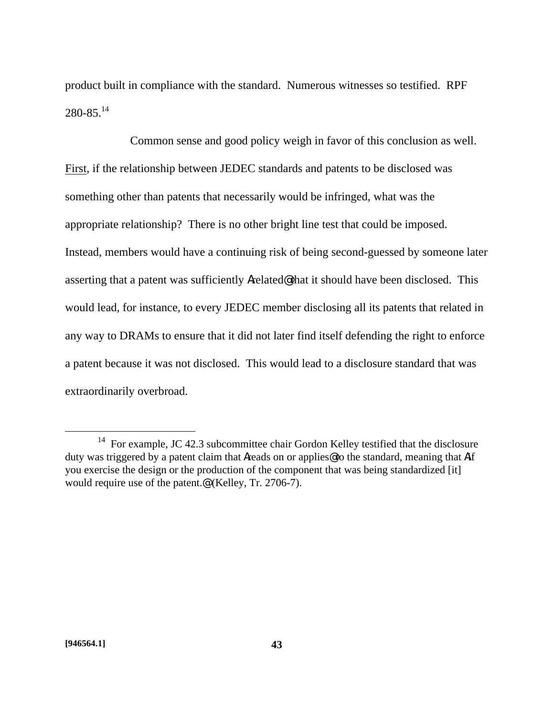product built in compliance with the standard. Numerous witnesses so testified. RPF  $280 - 85$ <sup>14</sup>

Common sense and good policy weigh in favor of this conclusion as well. First, if the relationship between JEDEC standards and patents to be disclosed was something other than patents that necessarily would be infringed, what was the appropriate relationship? There is no other bright line test that could be imposed. Instead, members would have a continuing risk of being second-guessed by someone later asserting that a patent was sufficiently Arelated@ that it should have been disclosed. This would lead, for instance, to every JEDEC member disclosing all its patents that related in any way to DRAMs to ensure that it did not later find itself defending the right to enforce a patent because it was not disclosed. This would lead to a disclosure standard that was extraordinarily overbroad.

<sup>&</sup>lt;sup>14</sup> For example, JC 42.3 subcommittee chair Gordon Kelley testified that the disclosure duty was triggered by a patent claim that Areads on or applies@ to the standard, meaning that Aif you exercise the design or the production of the component that was being standardized [it] would require use of the patent.<sup>@</sup> (Kelley, Tr. 2706-7).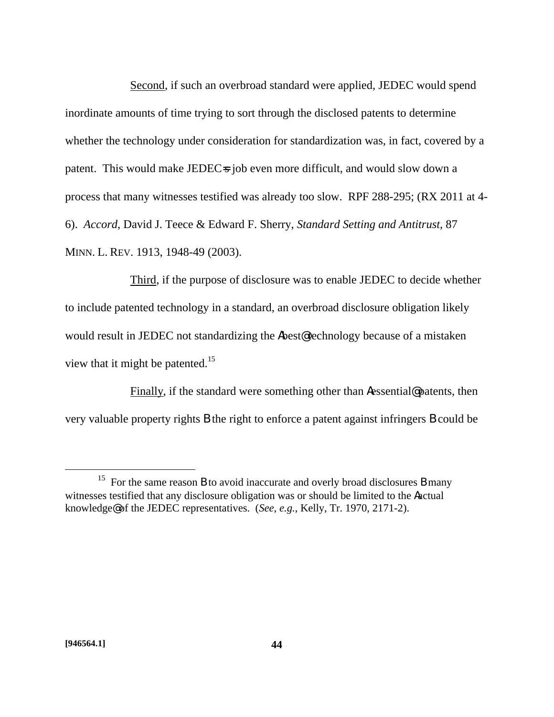Second, if such an overbroad standard were applied, JEDEC would spend inordinate amounts of time trying to sort through the disclosed patents to determine whether the technology under consideration for standardization was, in fact, covered by a patent. This would make JEDECs job even more difficult, and would slow down a process that many witnesses testified was already too slow. RPF 288-295; (RX 2011 at 4- 6). *Accord*, David J. Teece & Edward F. Sherry, *Standard Setting and Antitrust*, 87 MINN. L. REV. 1913, 1948-49 (2003).

Third, if the purpose of disclosure was to enable JEDEC to decide whether to include patented technology in a standard, an overbroad disclosure obligation likely would result in JEDEC not standardizing the Abest@ technology because of a mistaken view that it might be patented.<sup>15</sup>

Finally, if the standard were something other than Aessential@ patents, then very valuable property rights B the right to enforce a patent against infringers B could be

<sup>&</sup>lt;sup>15</sup> For the same reason **B** to avoid inaccurate and overly broad disclosures **B** many witnesses testified that any disclosure obligation was or should be limited to the Aactual knowledge@ of the JEDEC representatives. (*See, e.g.*, Kelly, Tr. 1970, 2171-2).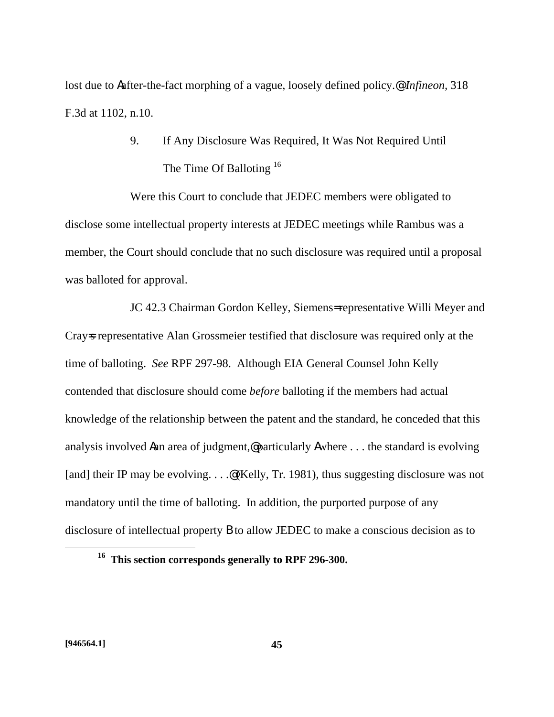lost due to Aafter-the-fact morphing of a vague, loosely defined policy.@ *Infineon,* 318 F.3d at 1102, n.10.

> 9. If Any Disclosure Was Required, It Was Not Required Until The Time Of Balloting <sup>16</sup>

Were this Court to conclude that JEDEC members were obligated to disclose some intellectual property interests at JEDEC meetings while Rambus was a member, the Court should conclude that no such disclosure was required until a proposal was balloted for approval.

JC 42.3 Chairman Gordon Kelley, Siemens= representative Willi Meyer and Cray=s representative Alan Grossmeier testified that disclosure was required only at the time of balloting. *See* RPF 297-98. Although EIA General Counsel John Kelly contended that disclosure should come *before* balloting if the members had actual knowledge of the relationship between the patent and the standard, he conceded that this analysis involved Aan area of judgment,@ particularly Awhere . . . the standard is evolving [and] their IP may be evolving. . . . @ (Kelly, Tr. 1981), thus suggesting disclosure was not mandatory until the time of balloting. In addition, the purported purpose of any disclosure of intellectual property B to allow JEDEC to make a conscious decision as to

**<sup>16</sup> This section corresponds generally to RPF 296-300.**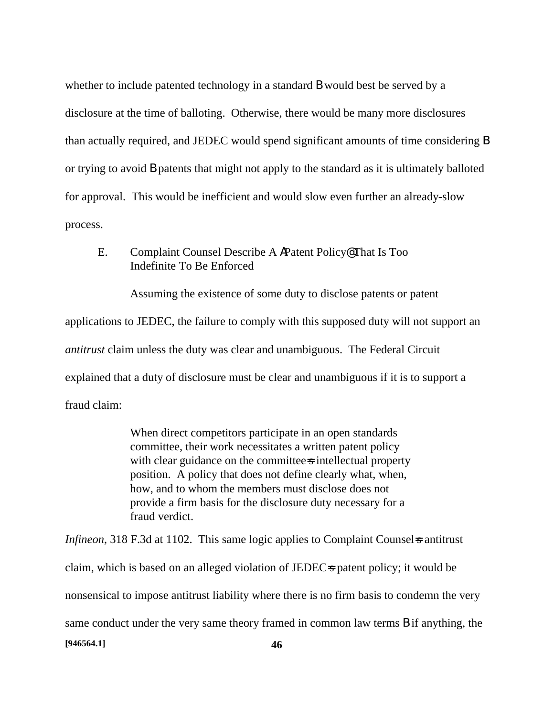whether to include patented technology in a standard **B** would best be served by a disclosure at the time of balloting. Otherwise, there would be many more disclosures than actually required, and JEDEC would spend significant amounts of time considering B or trying to avoid B patents that might not apply to the standard as it is ultimately balloted for approval. This would be inefficient and would slow even further an already-slow process.

# E. Complaint Counsel Describe A APatent Policy@ That Is Too Indefinite To Be Enforced

Assuming the existence of some duty to disclose patents or patent

applications to JEDEC, the failure to comply with this supposed duty will not support an *antitrust* claim unless the duty was clear and unambiguous. The Federal Circuit explained that a duty of disclosure must be clear and unambiguous if it is to support a fraud claim:

> When direct competitors participate in an open standards committee, their work necessitates a written patent policy with clear guidance on the committee-s intellectual property position. A policy that does not define clearly what, when, how, and to whom the members must disclose does not provide a firm basis for the disclosure duty necessary for a fraud verdict.

**[946564.1] 46** *Infineon*, 318 F.3d at 1102. This same logic applies to Complaint Counsel is antitrust claim, which is based on an alleged violation of JEDEC=s patent policy; it would be nonsensical to impose antitrust liability where there is no firm basis to condemn the very same conduct under the very same theory framed in common law terms B if anything, the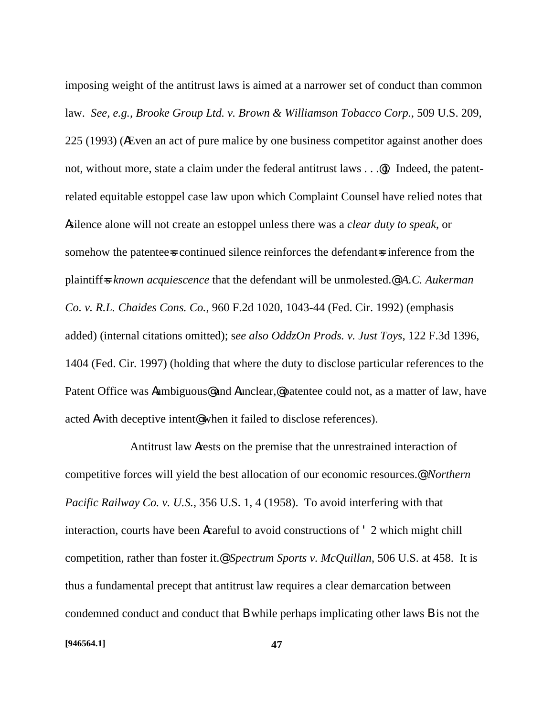imposing weight of the antitrust laws is aimed at a narrower set of conduct than common law. *See, e.g., Brooke Group Ltd. v. Brown & Williamson Tobacco Corp.*, 509 U.S. 209, 225 (1993) (AEven an act of pure malice by one business competitor against another does not, without more, state a claim under the federal antitrust laws . . .@. Indeed, the patentrelated equitable estoppel case law upon which Complaint Counsel have relied notes that Asilence alone will not create an estoppel unless there was a *clear duty to speak*, or somehow the patentee-s continued silence reinforces the defendant-s inference from the plaintiff=s *known acquiescence* that the defendant will be unmolested.@ *A.C. Aukerman Co. v. R.L. Chaides Cons. Co.*, 960 F.2d 1020, 1043-44 (Fed. Cir. 1992) (emphasis added) (internal citations omitted); s*ee also OddzOn Prods. v. Just Toys*, 122 F.3d 1396, 1404 (Fed. Cir. 1997) (holding that where the duty to disclose particular references to the Patent Office was Aambiguous@ and Aunclear,@ patentee could not, as a matter of law, have acted Awith deceptive intent@ when it failed to disclose references).

Antitrust law Arests on the premise that the unrestrained interaction of competitive forces will yield the best allocation of our economic resources.@ *Northern Pacific Railway Co. v. U.S.*, 356 U.S. 1, 4 (1958). To avoid interfering with that interaction, courts have been Acareful to avoid constructions of ' 2 which might chill competition, rather than foster it.@ *Spectrum Sports v. McQuillan*, 506 U.S. at 458. It is thus a fundamental precept that antitrust law requires a clear demarcation between condemned conduct and conduct that B while perhaps implicating other laws B is not the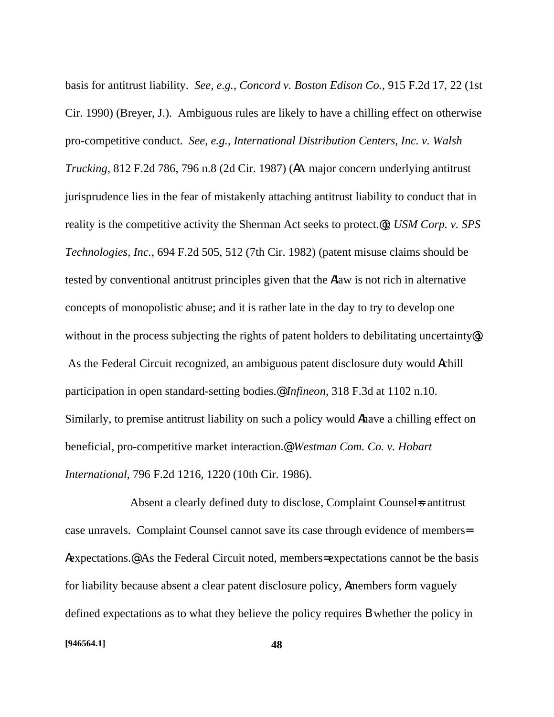basis for antitrust liability. *See, e.g.*, *Concord v. Boston Edison Co.*, 915 F.2d 17, 22 (1st Cir. 1990) (Breyer, J.). Ambiguous rules are likely to have a chilling effect on otherwise pro-competitive conduct. *See, e.g.*, *International Distribution Centers, Inc. v. Walsh Trucking*, 812 F.2d 786, 796 n.8 (2d Cir. 1987) (AA major concern underlying antitrust jurisprudence lies in the fear of mistakenly attaching antitrust liability to conduct that in reality is the competitive activity the Sherman Act seeks to protect.@); *USM Corp. v. SPS Technologies, Inc.*, 694 F.2d 505, 512 (7th Cir. 1982) (patent misuse claims should be tested by conventional antitrust principles given that the Alaw is not rich in alternative concepts of monopolistic abuse; and it is rather late in the day to try to develop one without in the process subjecting the rights of patent holders to debilitating uncertainty. As the Federal Circuit recognized, an ambiguous patent disclosure duty would Achill participation in open standard-setting bodies.@ *Infineon*, 318 F.3d at 1102 n.10. Similarly, to premise antitrust liability on such a policy would Ahave a chilling effect on beneficial, pro-competitive market interaction.@ *Westman Com. Co. v. Hobart International*, 796 F.2d 1216, 1220 (10th Cir. 1986).

Absent a clearly defined duty to disclose, Complaint Counsel is antitrust case unravels. Complaint Counsel cannot save its case through evidence of members= Aexpectations.@ As the Federal Circuit noted, members= expectations cannot be the basis for liability because absent a clear patent disclosure policy, Amembers form vaguely defined expectations as to what they believe the policy requires B whether the policy in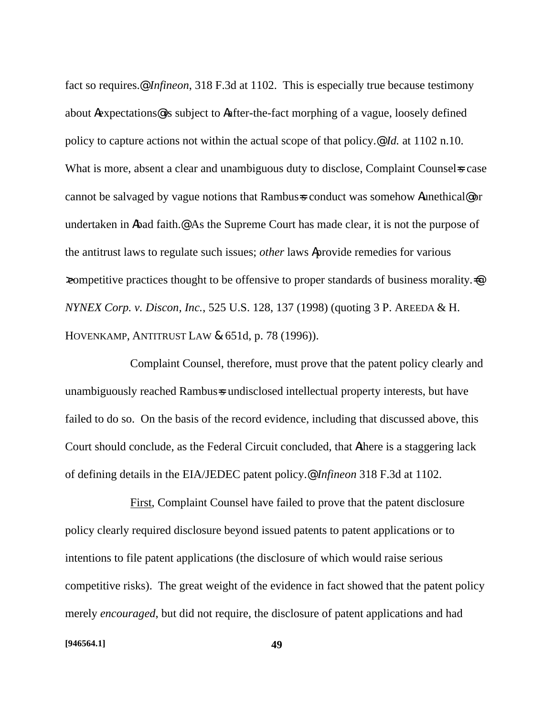fact so requires.@ *Infineon*, 318 F.3d at 1102. This is especially true because testimony about Aexpectations@ is subject to Aafter-the-fact morphing of a vague, loosely defined policy to capture actions not within the actual scope of that policy.@ *Id.* at 1102 n.10. What is more, absent a clear and unambiguous duty to disclose, Complaint Counsel as case cannot be salvaged by vague notions that Rambus=s conduct was somehow Aunethical@ or undertaken in Abad faith.<sup>@</sup> As the Supreme Court has made clear, it is not the purpose of the antitrust laws to regulate such issues; *other* laws Aprovide remedies for various  $\infty$ competitive practices thought to be offensive to proper standards of business morality. *NYNEX Corp. v. Discon, Inc.*, 525 U.S. 128, 137 (1998) (quoting 3 P. AREEDA & H. HOVENKAMP, ANTITRUST LAW & 651d, p. 78 (1996)).

Complaint Counsel, therefore, must prove that the patent policy clearly and unambiguously reached Rambus=s undisclosed intellectual property interests, but have failed to do so. On the basis of the record evidence, including that discussed above, this Court should conclude, as the Federal Circuit concluded, that Athere is a staggering lack of defining details in the EIA/JEDEC patent policy.@ *Infineon* 318 F.3d at 1102.

First, Complaint Counsel have failed to prove that the patent disclosure policy clearly required disclosure beyond issued patents to patent applications or to intentions to file patent applications (the disclosure of which would raise serious competitive risks). The great weight of the evidence in fact showed that the patent policy merely *encouraged*, but did not require, the disclosure of patent applications and had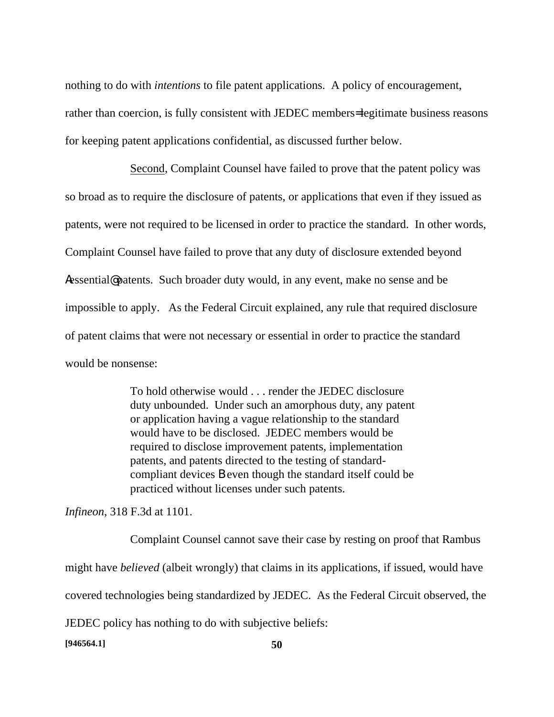nothing to do with *intentions* to file patent applications. A policy of encouragement, rather than coercion, is fully consistent with JEDEC members= legitimate business reasons for keeping patent applications confidential, as discussed further below.

Second, Complaint Counsel have failed to prove that the patent policy was so broad as to require the disclosure of patents, or applications that even if they issued as patents, were not required to be licensed in order to practice the standard. In other words, Complaint Counsel have failed to prove that any duty of disclosure extended beyond Aessential@ patents. Such broader duty would, in any event, make no sense and be impossible to apply. As the Federal Circuit explained, any rule that required disclosure of patent claims that were not necessary or essential in order to practice the standard would be nonsense:

> To hold otherwise would . . . render the JEDEC disclosure duty unbounded. Under such an amorphous duty, any patent or application having a vague relationship to the standard would have to be disclosed. JEDEC members would be required to disclose improvement patents, implementation patents, and patents directed to the testing of standardcompliant devices B even though the standard itself could be practiced without licenses under such patents.

*Infineon*, 318 F.3d at 1101.

Complaint Counsel cannot save their case by resting on proof that Rambus might have *believed* (albeit wrongly) that claims in its applications, if issued, would have covered technologies being standardized by JEDEC. As the Federal Circuit observed, the JEDEC policy has nothing to do with subjective beliefs:

**[946564.1] 50**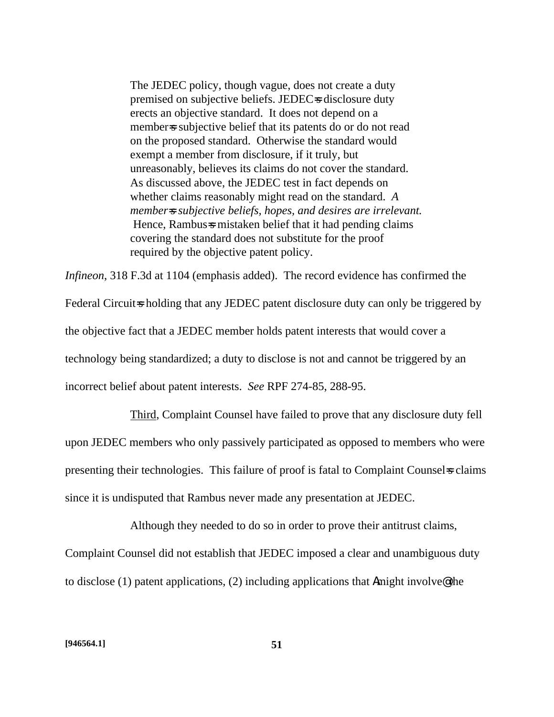The JEDEC policy, though vague, does not create a duty premised on subjective beliefs. JEDEC=s disclosure duty erects an objective standard. It does not depend on a member is subjective belief that its patents do or do not read on the proposed standard. Otherwise the standard would exempt a member from disclosure, if it truly, but unreasonably, believes its claims do not cover the standard. As discussed above, the JEDEC test in fact depends on whether claims reasonably might read on the standard. *A member=s subjective beliefs, hopes, and desires are irrelevant.* Hence, Rambus-s mistaken belief that it had pending claims covering the standard does not substitute for the proof required by the objective patent policy.

*Infineon*, 318 F.3d at 1104 (emphasis added). The record evidence has confirmed the Federal Circuit-s holding that any JEDEC patent disclosure duty can only be triggered by the objective fact that a JEDEC member holds patent interests that would cover a technology being standardized; a duty to disclose is not and cannot be triggered by an incorrect belief about patent interests. *See* RPF 274-85, 288-95.

Third, Complaint Counsel have failed to prove that any disclosure duty fell upon JEDEC members who only passively participated as opposed to members who were presenting their technologies. This failure of proof is fatal to Complaint Counsel sclaims since it is undisputed that Rambus never made any presentation at JEDEC.

Although they needed to do so in order to prove their antitrust claims, Complaint Counsel did not establish that JEDEC imposed a clear and unambiguous duty to disclose (1) patent applications, (2) including applications that Amight involve@ the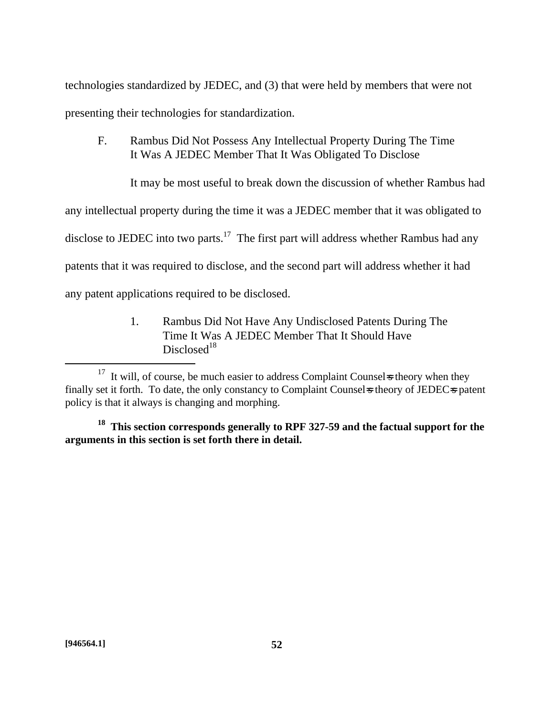technologies standardized by JEDEC, and (3) that were held by members that were not presenting their technologies for standardization.

F. Rambus Did Not Possess Any Intellectual Property During The Time It Was A JEDEC Member That It Was Obligated To Disclose

It may be most useful to break down the discussion of whether Rambus had

any intellectual property during the time it was a JEDEC member that it was obligated to

disclose to JEDEC into two parts.<sup>17</sup> The first part will address whether Rambus had any

patents that it was required to disclose, and the second part will address whether it had

any patent applications required to be disclosed.

1. Rambus Did Not Have Any Undisclosed Patents During The Time It Was A JEDEC Member That It Should Have  $Disclosed<sup>18</sup>$ 

1

 $17$  It will, of course, be much easier to address Complaint Counsel stheory when they finally set it forth. To date, the only constancy to Complaint Counsels theory of JEDECs patent policy is that it always is changing and morphing.

**<sup>18</sup> This section corresponds generally to RPF 327-59 and the factual support for the arguments in this section is set forth there in detail.**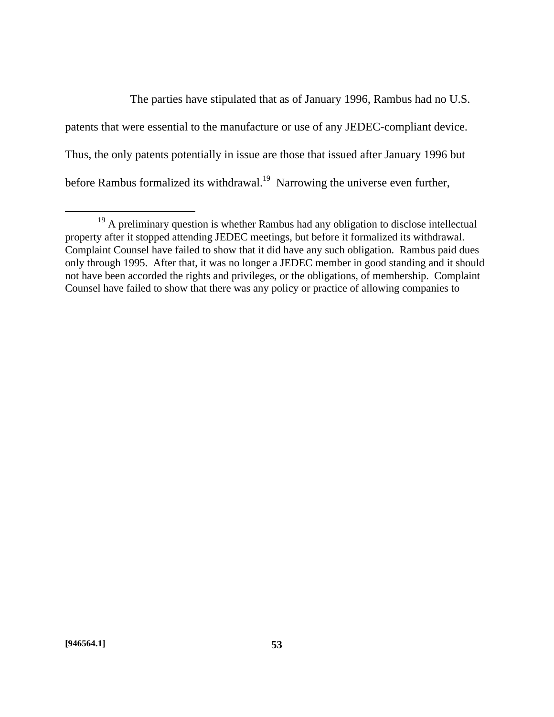The parties have stipulated that as of January 1996, Rambus had no U.S. patents that were essential to the manufacture or use of any JEDEC-compliant device. Thus, the only patents potentially in issue are those that issued after January 1996 but before Rambus formalized its withdrawal.<sup>19</sup> Narrowing the universe even further,

<sup>&</sup>lt;sup>19</sup> A preliminary question is whether Rambus had any obligation to disclose intellectual property after it stopped attending JEDEC meetings, but before it formalized its withdrawal. Complaint Counsel have failed to show that it did have any such obligation. Rambus paid dues only through 1995. After that, it was no longer a JEDEC member in good standing and it should not have been accorded the rights and privileges, or the obligations, of membership. Complaint Counsel have failed to show that there was any policy or practice of allowing companies to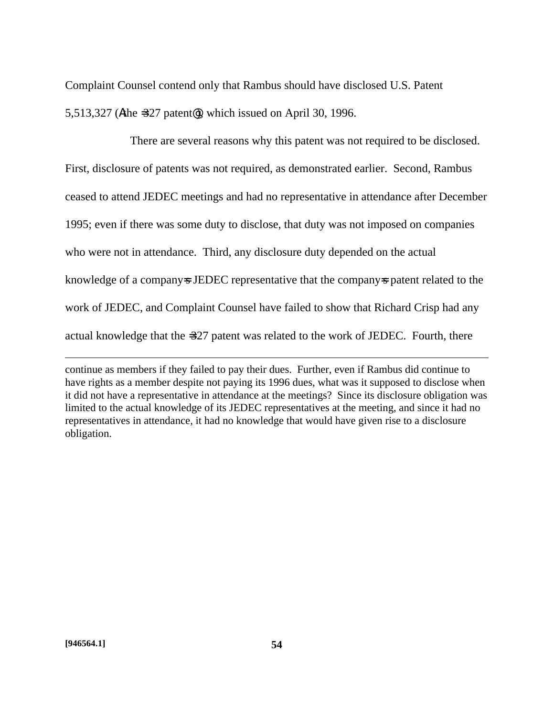Complaint Counsel contend only that Rambus should have disclosed U.S. Patent 5,513,327 (Athe =327 patent@), which issued on April 30, 1996.

There are several reasons why this patent was not required to be disclosed. First, disclosure of patents was not required, as demonstrated earlier. Second, Rambus ceased to attend JEDEC meetings and had no representative in attendance after December 1995; even if there was some duty to disclose, that duty was not imposed on companies who were not in attendance. Third, any disclosure duty depended on the actual knowledge of a company-s JEDEC representative that the company-s patent related to the work of JEDEC, and Complaint Counsel have failed to show that Richard Crisp had any actual knowledge that the =327 patent was related to the work of JEDEC. Fourth, there

1

continue as members if they failed to pay their dues. Further, even if Rambus did continue to have rights as a member despite not paying its 1996 dues, what was it supposed to disclose when it did not have a representative in attendance at the meetings? Since its disclosure obligation was limited to the actual knowledge of its JEDEC representatives at the meeting, and since it had no representatives in attendance, it had no knowledge that would have given rise to a disclosure obligation.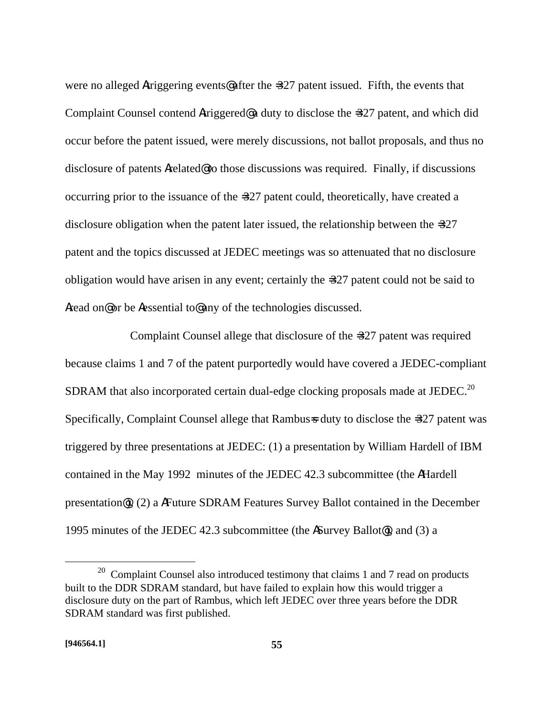were no alleged Atriggering events@ after the =327 patent issued. Fifth, the events that Complaint Counsel contend Atriggered@ a duty to disclose the =327 patent, and which did occur before the patent issued, were merely discussions, not ballot proposals, and thus no disclosure of patents Arelated@ to those discussions was required. Finally, if discussions occurring prior to the issuance of the =327 patent could, theoretically, have created a disclosure obligation when the patent later issued, the relationship between the =327 patent and the topics discussed at JEDEC meetings was so attenuated that no disclosure obligation would have arisen in any event; certainly the =327 patent could not be said to Aread on@ or be Aessential to@ any of the technologies discussed.

Complaint Counsel allege that disclosure of the =327 patent was required because claims 1 and 7 of the patent purportedly would have covered a JEDEC-compliant SDRAM that also incorporated certain dual-edge clocking proposals made at JEDEC.<sup>20</sup> Specifically, Complaint Counsel allege that Rambus=s duty to disclose the =327 patent was triggered by three presentations at JEDEC: (1) a presentation by William Hardell of IBM contained in the May 1992 minutes of the JEDEC 42.3 subcommittee (the AHardell presentation@), (2) a AFuture SDRAM Features Survey Ballot contained in the December 1995 minutes of the JEDEC 42.3 subcommittee (the ASurvey Ballot@), and (3) a

 $20$  Complaint Counsel also introduced testimony that claims 1 and 7 read on products built to the DDR SDRAM standard, but have failed to explain how this would trigger a disclosure duty on the part of Rambus, which left JEDEC over three years before the DDR SDRAM standard was first published.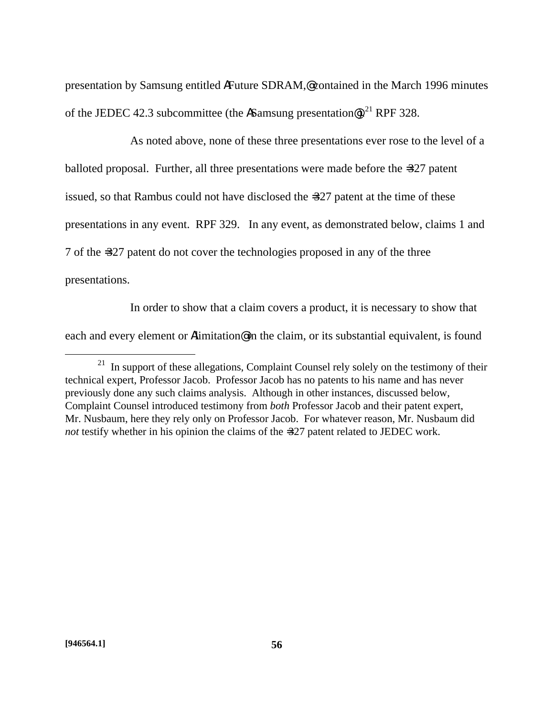presentation by Samsung entitled AFuture SDRAM,@ contained in the March 1996 minutes of the JEDEC 42.3 subcommittee (the ASamsung presentation®).<sup>21</sup> RPF 328.

As noted above, none of these three presentations ever rose to the level of a balloted proposal. Further, all three presentations were made before the =327 patent issued, so that Rambus could not have disclosed the =327 patent at the time of these presentations in any event. RPF 329. In any event, as demonstrated below, claims 1 and 7 of the =327 patent do not cover the technologies proposed in any of the three presentations.

In order to show that a claim covers a product, it is necessary to show that each and every element or Alimitation@ in the claim, or its substantial equivalent, is found

1

 $21$  In support of these allegations, Complaint Counsel rely solely on the testimony of their technical expert, Professor Jacob. Professor Jacob has no patents to his name and has never previously done any such claims analysis. Although in other instances, discussed below, Complaint Counsel introduced testimony from *both* Professor Jacob and their patent expert, Mr. Nusbaum, here they rely only on Professor Jacob. For whatever reason, Mr. Nusbaum did *not* testify whether in his opinion the claims of the =327 patent related to JEDEC work.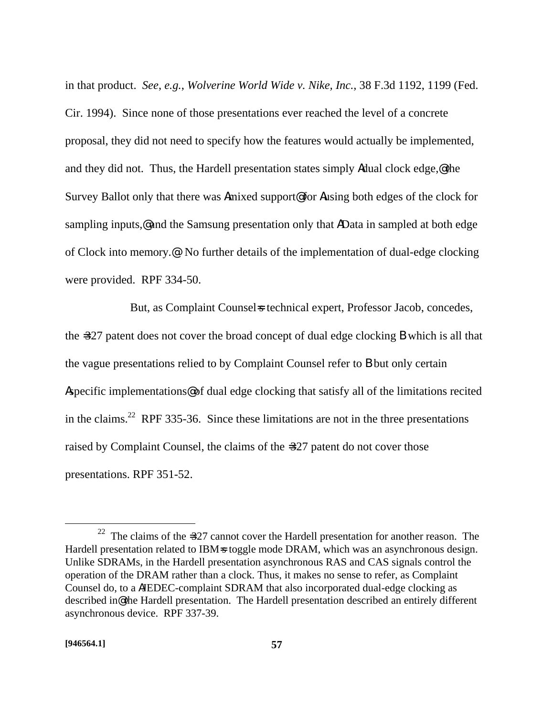in that product. *See*, *e.g.*, *Wolverine World Wide v. Nike, Inc.*, 38 F.3d 1192, 1199 (Fed. Cir. 1994). Since none of those presentations ever reached the level of a concrete proposal, they did not need to specify how the features would actually be implemented, and they did not. Thus, the Hardell presentation states simply Adual clock edge,  $\mathbf{\&}$  the Survey Ballot only that there was Amixed support@ for Ausing both edges of the clock for sampling inputs,@ and the Samsung presentation only that AData in sampled at both edge of Clock into memory.@ No further details of the implementation of dual-edge clocking were provided. RPF 334-50.

But, as Complaint Counsel is technical expert, Professor Jacob, concedes, the =327 patent does not cover the broad concept of dual edge clocking B which is all that the vague presentations relied to by Complaint Counsel refer to B but only certain Aspecific implementations@ of dual edge clocking that satisfy all of the limitations recited in the claims.<sup>22</sup> RPF 335-36. Since these limitations are not in the three presentations raised by Complaint Counsel, the claims of the =327 patent do not cover those presentations. RPF 351-52.

<sup>&</sup>lt;sup>22</sup> The claims of the  $=327$  cannot cover the Hardell presentation for another reason. The Hardell presentation related to IBM=s toggle mode DRAM, which was an asynchronous design. Unlike SDRAMs, in the Hardell presentation asynchronous RAS and CAS signals control the operation of the DRAM rather than a clock. Thus, it makes no sense to refer, as Complaint Counsel do, to a AJEDEC-complaint SDRAM that also incorporated dual-edge clocking as described in@ the Hardell presentation. The Hardell presentation described an entirely different asynchronous device. RPF 337-39.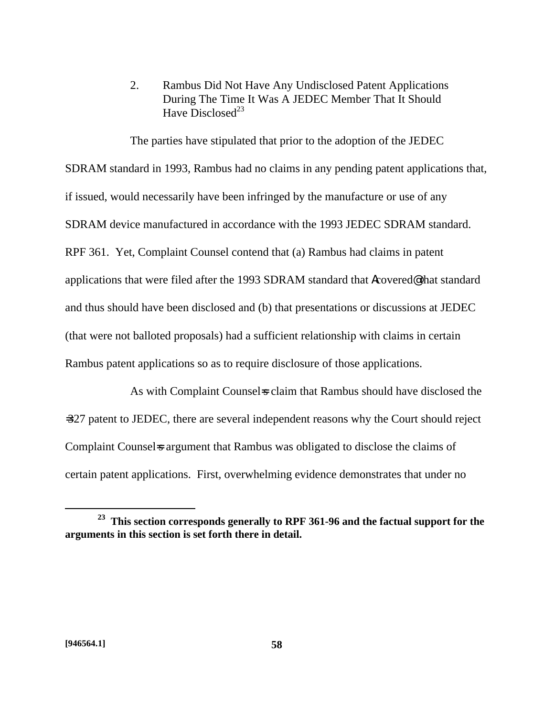2. Rambus Did Not Have Any Undisclosed Patent Applications During The Time It Was A JEDEC Member That It Should Have Disclosed<sup>23</sup>

The parties have stipulated that prior to the adoption of the JEDEC SDRAM standard in 1993, Rambus had no claims in any pending patent applications that, if issued, would necessarily have been infringed by the manufacture or use of any SDRAM device manufactured in accordance with the 1993 JEDEC SDRAM standard. RPF 361. Yet, Complaint Counsel contend that (a) Rambus had claims in patent applications that were filed after the 1993 SDRAM standard that Acovered@ that standard and thus should have been disclosed and (b) that presentations or discussions at JEDEC (that were not balloted proposals) had a sufficient relationship with claims in certain Rambus patent applications so as to require disclosure of those applications.

As with Complaint Counsels claim that Rambus should have disclosed the =327 patent to JEDEC, there are several independent reasons why the Court should reject Complaint Counsel is argument that Rambus was obligated to disclose the claims of certain patent applications. First, overwhelming evidence demonstrates that under no

**<sup>23</sup> This section corresponds generally to RPF 361-96 and the factual support for the arguments in this section is set forth there in detail.**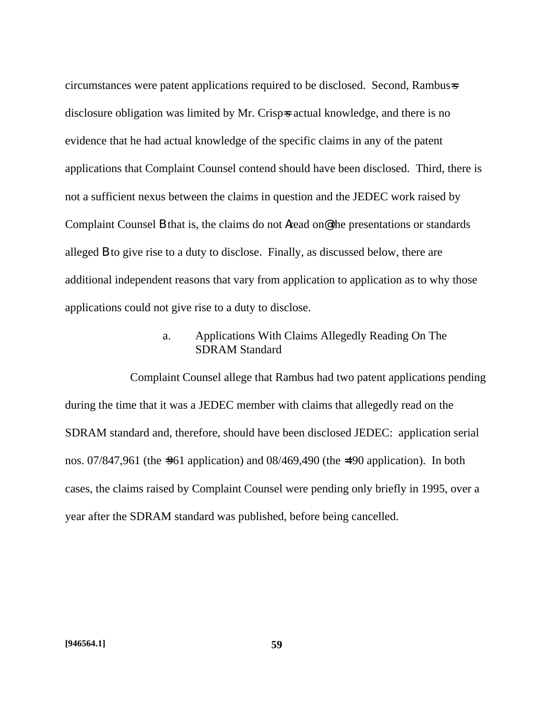circumstances were patent applications required to be disclosed. Second, Rambus=s disclosure obligation was limited by Mr. Crisp=s actual knowledge, and there is no evidence that he had actual knowledge of the specific claims in any of the patent applications that Complaint Counsel contend should have been disclosed. Third, there is not a sufficient nexus between the claims in question and the JEDEC work raised by Complaint Counsel B that is, the claims do not Aread on@ the presentations or standards alleged B to give rise to a duty to disclose. Finally, as discussed below, there are additional independent reasons that vary from application to application as to why those applications could not give rise to a duty to disclose.

### a. Applications With Claims Allegedly Reading On The SDRAM Standard

Complaint Counsel allege that Rambus had two patent applications pending during the time that it was a JEDEC member with claims that allegedly read on the SDRAM standard and, therefore, should have been disclosed JEDEC: application serial nos. 07/847,961 (the =961 application) and 08/469,490 (the =490 application). In both cases, the claims raised by Complaint Counsel were pending only briefly in 1995, over a year after the SDRAM standard was published, before being cancelled.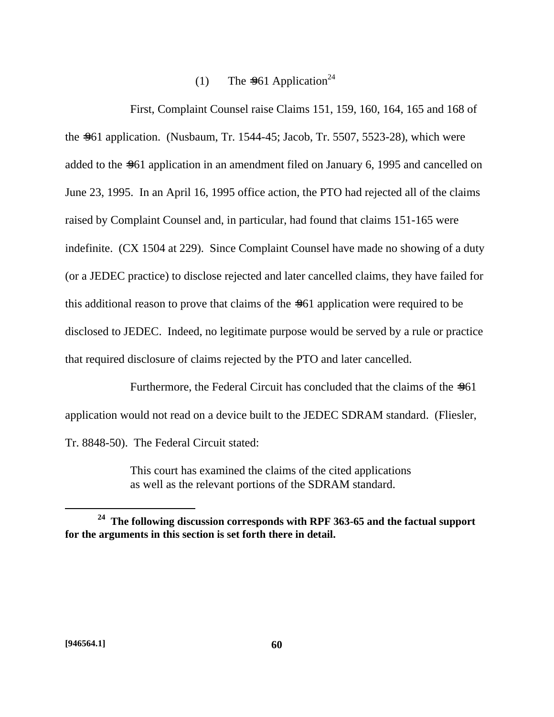# (1) The  $=961$  Application<sup>24</sup>

First, Complaint Counsel raise Claims 151, 159, 160, 164, 165 and 168 of the =961 application. (Nusbaum, Tr. 1544-45; Jacob, Tr. 5507, 5523-28), which were added to the =961 application in an amendment filed on January 6, 1995 and cancelled on June 23, 1995. In an April 16, 1995 office action, the PTO had rejected all of the claims raised by Complaint Counsel and, in particular, had found that claims 151-165 were indefinite. (CX 1504 at 229). Since Complaint Counsel have made no showing of a duty (or a JEDEC practice) to disclose rejected and later cancelled claims, they have failed for this additional reason to prove that claims of the =961 application were required to be disclosed to JEDEC. Indeed, no legitimate purpose would be served by a rule or practice that required disclosure of claims rejected by the PTO and later cancelled.

Furthermore, the Federal Circuit has concluded that the claims of the  $=961$ application would not read on a device built to the JEDEC SDRAM standard. (Fliesler, Tr. 8848-50). The Federal Circuit stated:

> This court has examined the claims of the cited applications as well as the relevant portions of the SDRAM standard.

**<sup>24</sup> The following discussion corresponds with RPF 363-65 and the factual support for the arguments in this section is set forth there in detail.**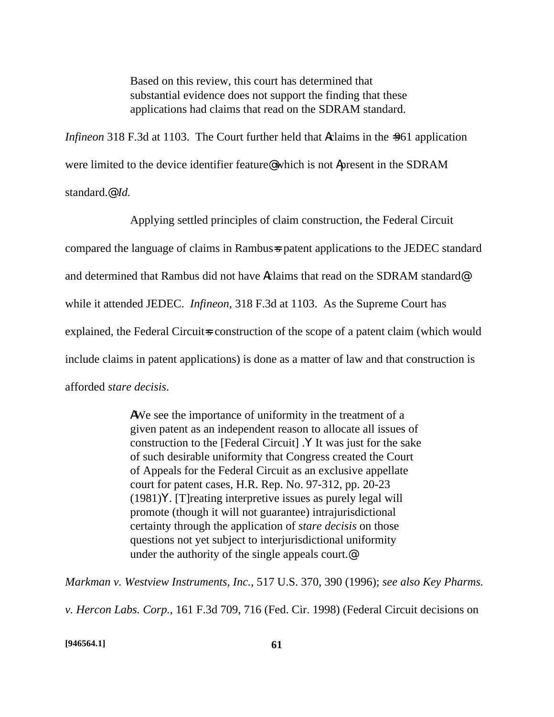Based on this review, this court has determined that substantial evidence does not support the finding that these applications had claims that read on the SDRAM standard.

*Infineon* 318 F.3d at 1103. The Court further held that **A**claims in the =961 application were limited to the device identifier feature@ which is not Apresent in the SDRAM standard.@ *Id.*

Applying settled principles of claim construction, the Federal Circuit compared the language of claims in Rambus=s patent applications to the JEDEC standard and determined that Rambus did not have Aclaims that read on the SDRAM standard@ while it attended JEDEC. *Infineon*, 318 F.3d at 1103. As the Supreme Court has explained, the Federal Circuit=s construction of the scope of a patent claim (which would include claims in patent applications) is done as a matter of law and that construction is afforded *stare decisis*.

> AWe see the importance of uniformity in the treatment of a given patent as an independent reason to allocate all issues of construction to the [Federal Circuit] .Y It was just for the sake of such desirable uniformity that Congress created the Court of Appeals for the Federal Circuit as an exclusive appellate court for patent cases, H.R. Rep. No. 97-312, pp. 20-23 (1981)Y. [T]reating interpretive issues as purely legal will promote (though it will not guarantee) intrajurisdictional certainty through the application of *stare decisis* on those questions not yet subject to interjurisdictional uniformity under the authority of the single appeals court.@

*Markman v. Westview Instruments, Inc.*, 517 U.S. 370, 390 (1996); *see also Key Pharms.* 

*v. Hercon Labs. Corp.*, 161 F.3d 709, 716 (Fed. Cir. 1998) (Federal Circuit decisions on

**[946564.1] 61**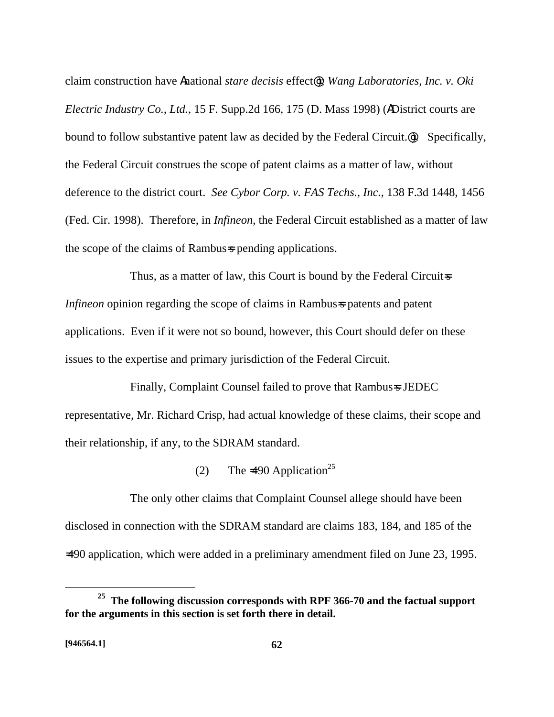claim construction have Anational *stare decisis* effect@); *Wang Laboratories, Inc. v. Oki Electric Industry Co., Ltd.*, 15 F. Supp.2d 166, 175 (D. Mass 1998) (ADistrict courts are bound to follow substantive patent law as decided by the Federal Circuit.@). Specifically, the Federal Circuit construes the scope of patent claims as a matter of law, without deference to the district court. *See Cybor Corp. v. FAS Techs., Inc.*, 138 F.3d 1448, 1456 (Fed. Cir. 1998). Therefore, in *Infineon*, the Federal Circuit established as a matter of law the scope of the claims of Rambus=s pending applications.

Thus, as a matter of law, this Court is bound by the Federal Circuits *Infineon* opinion regarding the scope of claims in Rambus=s patents and patent applications. Even if it were not so bound, however, this Court should defer on these issues to the expertise and primary jurisdiction of the Federal Circuit.

Finally, Complaint Counsel failed to prove that Rambus=s JEDEC representative, Mr. Richard Crisp, had actual knowledge of these claims, their scope and their relationship, if any, to the SDRAM standard.

(2) The  $\approx$  490 Application<sup>25</sup>

The only other claims that Complaint Counsel allege should have been disclosed in connection with the SDRAM standard are claims 183, 184, and 185 of the =490 application, which were added in a preliminary amendment filed on June 23, 1995.

<u>.</u>

**<sup>25</sup> The following discussion corresponds with RPF 366-70 and the factual support for the arguments in this section is set forth there in detail.**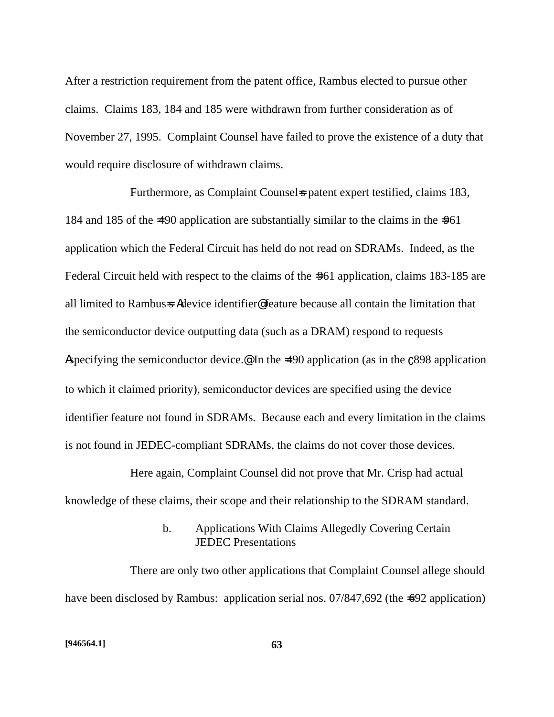After a restriction requirement from the patent office, Rambus elected to pursue other claims. Claims 183, 184 and 185 were withdrawn from further consideration as of November 27, 1995. Complaint Counsel have failed to prove the existence of a duty that would require disclosure of withdrawn claims.

Furthermore, as Complaint Counsels patent expert testified, claims 183, 184 and 185 of the  $\neq 90$  application are substantially similar to the claims in the  $\neq 961$ application which the Federal Circuit has held do not read on SDRAMs. Indeed, as the Federal Circuit held with respect to the claims of the  $=961$  application, claims 183-185 are all limited to Rambus=s Adevice identifier@ feature because all contain the limitation that the semiconductor device outputting data (such as a DRAM) respond to requests Aspecifying the semiconductor device.<sup>@</sup> In the  $\neq 490$  application (as in the  $\binom{898}{898}$  application to which it claimed priority), semiconductor devices are specified using the device identifier feature not found in SDRAMs. Because each and every limitation in the claims is not found in JEDEC-compliant SDRAMs, the claims do not cover those devices.

Here again, Complaint Counsel did not prove that Mr. Crisp had actual knowledge of these claims, their scope and their relationship to the SDRAM standard.

## b. Applications With Claims Allegedly Covering Certain JEDEC Presentations

There are only two other applications that Complaint Counsel allege should have been disclosed by Rambus: application serial nos. 07/847,692 (the =692 application)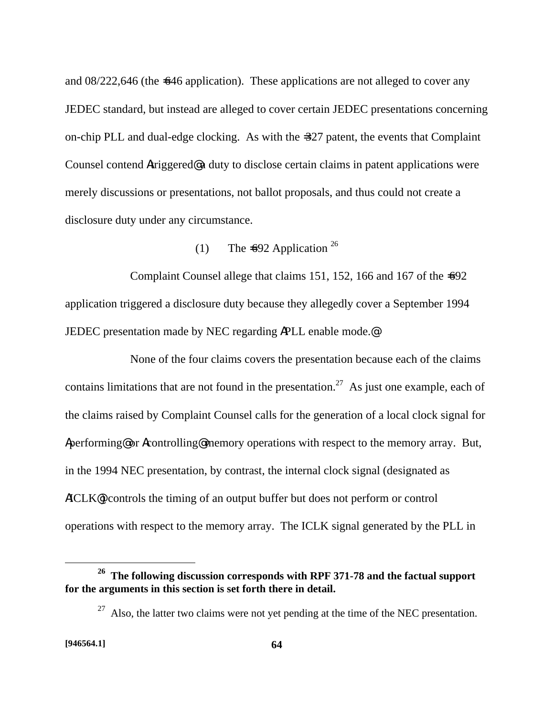and 08/222,646 (the =646 application). These applications are not alleged to cover any JEDEC standard, but instead are alleged to cover certain JEDEC presentations concerning on-chip PLL and dual-edge clocking. As with the =327 patent, the events that Complaint Counsel contend Atriggered@ a duty to disclose certain claims in patent applications were merely discussions or presentations, not ballot proposals, and thus could not create a disclosure duty under any circumstance.

(1) The  $\pm 692$  Application <sup>26</sup>

Complaint Counsel allege that claims 151, 152, 166 and 167 of the  $\pm$ 092 application triggered a disclosure duty because they allegedly cover a September 1994 JEDEC presentation made by NEC regarding APLL enable mode.@

None of the four claims covers the presentation because each of the claims contains limitations that are not found in the presentation.<sup>27</sup> As just one example, each of the claims raised by Complaint Counsel calls for the generation of a local clock signal for Aperforming@ or Acontrolling@ memory operations with respect to the memory array. But, in the 1994 NEC presentation, by contrast, the internal clock signal (designated as AICLK@) controls the timing of an output buffer but does not perform or control operations with respect to the memory array. The ICLK signal generated by the PLL in

**<sup>26</sup> The following discussion corresponds with RPF 371-78 and the factual support for the arguments in this section is set forth there in detail.**

 $27$  Also, the latter two claims were not yet pending at the time of the NEC presentation.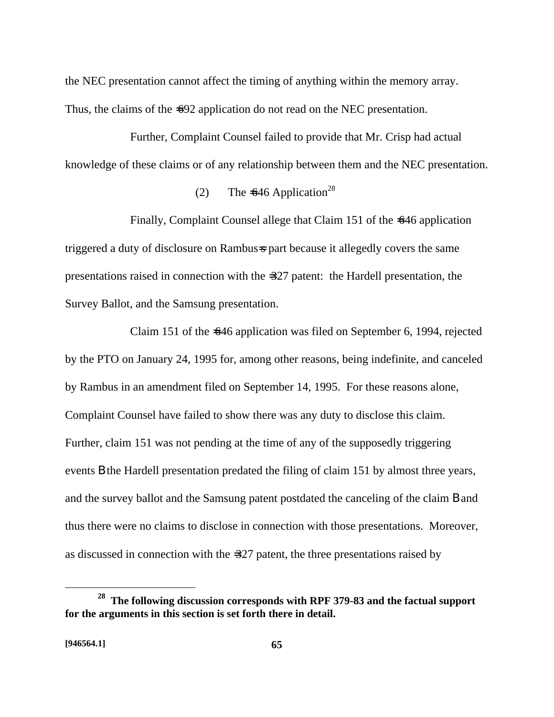the NEC presentation cannot affect the timing of anything within the memory array. Thus, the claims of the  $\leq 92$  application do not read on the NEC presentation.

Further, Complaint Counsel failed to provide that Mr. Crisp had actual knowledge of these claims or of any relationship between them and the NEC presentation.

# (2) The  $=646$  Application<sup>28</sup>

Finally, Complaint Counsel allege that Claim 151 of the  $\pm$ 646 application triggered a duty of disclosure on Rambus=s part because it allegedly covers the same presentations raised in connection with the =327 patent: the Hardell presentation, the Survey Ballot, and the Samsung presentation.

Claim 151 of the  $\leq 46$  application was filed on September 6, 1994, rejected by the PTO on January 24, 1995 for, among other reasons, being indefinite, and canceled by Rambus in an amendment filed on September 14, 1995. For these reasons alone, Complaint Counsel have failed to show there was any duty to disclose this claim. Further, claim 151 was not pending at the time of any of the supposedly triggering events B the Hardell presentation predated the filing of claim 151 by almost three years, and the survey ballot and the Samsung patent postdated the canceling of the claim B and thus there were no claims to disclose in connection with those presentations. Moreover, as discussed in connection with the =327 patent, the three presentations raised by

<u>.</u>

**<sup>28</sup> The following discussion corresponds with RPF 379-83 and the factual support for the arguments in this section is set forth there in detail.**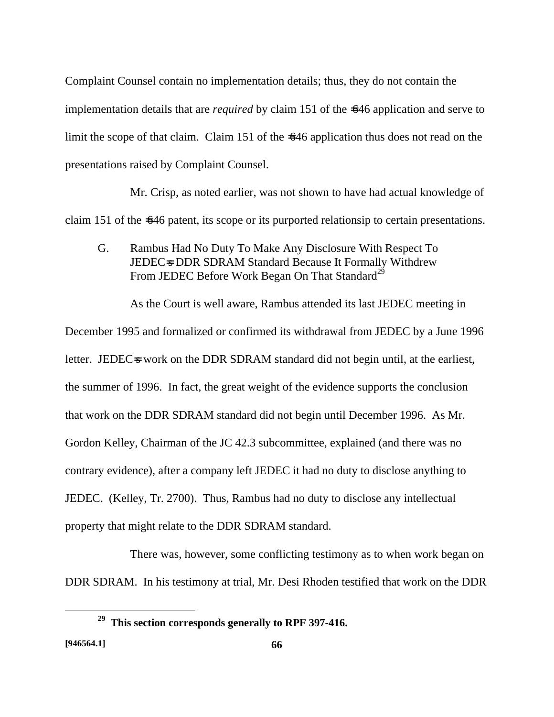Complaint Counsel contain no implementation details; thus, they do not contain the implementation details that are *required* by claim 151 of the =646 application and serve to limit the scope of that claim. Claim 151 of the  $-646$  application thus does not read on the presentations raised by Complaint Counsel.

Mr. Crisp, as noted earlier, was not shown to have had actual knowledge of claim 151 of the  $\leq 46$  patent, its scope or its purported relationsip to certain presentations.

G. Rambus Had No Duty To Make Any Disclosure With Respect To JEDEC=S DDR SDRAM Standard Because It Formally Withdrew From JEDEC Before Work Began On That Standard<sup>29</sup>

As the Court is well aware, Rambus attended its last JEDEC meeting in December 1995 and formalized or confirmed its withdrawal from JEDEC by a June 1996 letter. JEDEC=s work on the DDR SDRAM standard did not begin until, at the earliest, the summer of 1996. In fact, the great weight of the evidence supports the conclusion that work on the DDR SDRAM standard did not begin until December 1996. As Mr. Gordon Kelley, Chairman of the JC 42.3 subcommittee, explained (and there was no contrary evidence), after a company left JEDEC it had no duty to disclose anything to JEDEC. (Kelley, Tr. 2700). Thus, Rambus had no duty to disclose any intellectual property that might relate to the DDR SDRAM standard.

There was, however, some conflicting testimony as to when work began on DDR SDRAM. In his testimony at trial, Mr. Desi Rhoden testified that work on the DDR

1

**<sup>29</sup> This section corresponds generally to RPF 397-416.**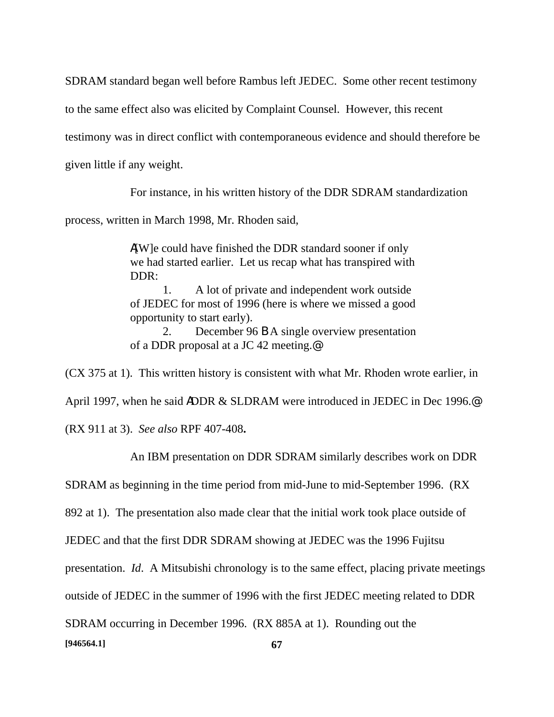SDRAM standard began well before Rambus left JEDEC. Some other recent testimony

to the same effect also was elicited by Complaint Counsel. However, this recent

testimony was in direct conflict with contemporaneous evidence and should therefore be

given little if any weight.

For instance, in his written history of the DDR SDRAM standardization

process, written in March 1998, Mr. Rhoden said,

A[W]e could have finished the DDR standard sooner if only we had started earlier. Let us recap what has transpired with DDR:

1. A lot of private and independent work outside of JEDEC for most of 1996 (here is where we missed a good opportunity to start early).

2. December 96 B A single overview presentation of a DDR proposal at a JC 42 meeting.@

(CX 375 at 1). This written history is consistent with what Mr. Rhoden wrote earlier, in April 1997, when he said ADDR & SLDRAM were introduced in JEDEC in Dec 1996.@ (RX 911 at 3). *See also* RPF 407-408**.**

An IBM presentation on DDR SDRAM similarly describes work on DDR

SDRAM as beginning in the time period from mid-June to mid-September 1996. (RX

892 at 1). The presentation also made clear that the initial work took place outside of

JEDEC and that the first DDR SDRAM showing at JEDEC was the 1996 Fujitsu

presentation. *Id*. A Mitsubishi chronology is to the same effect, placing private meetings

outside of JEDEC in the summer of 1996 with the first JEDEC meeting related to DDR

SDRAM occurring in December 1996. (RX 885A at 1). Rounding out the

**[946564.1] 67**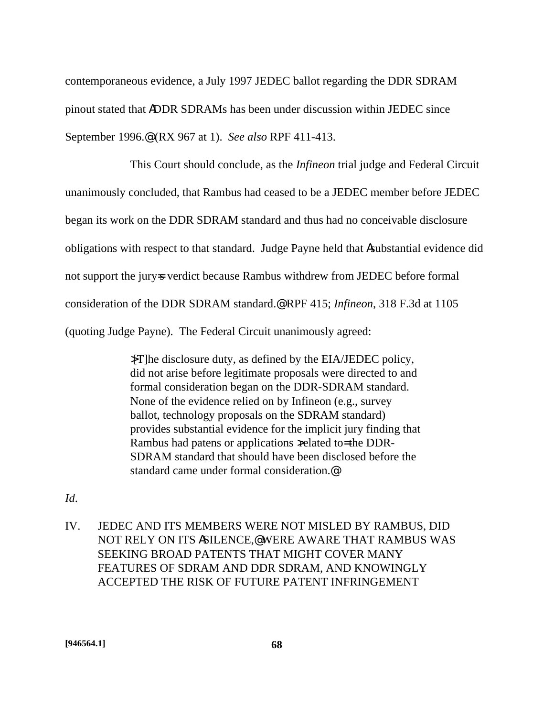contemporaneous evidence, a July 1997 JEDEC ballot regarding the DDR SDRAM pinout stated that ADDR SDRAMs has been under discussion within JEDEC since September 1996.@ (RX 967 at 1). *See also* RPF 411-413.

This Court should conclude, as the *Infineon* trial judge and Federal Circuit unanimously concluded, that Rambus had ceased to be a JEDEC member before JEDEC began its work on the DDR SDRAM standard and thus had no conceivable disclosure obligations with respect to that standard. Judge Payne held that Asubstantial evidence did not support the jury-s verdict because Rambus withdrew from JEDEC before formal consideration of the DDR SDRAM standard.@ RPF 415; *Infineon*, 318 F.3d at 1105 (quoting Judge Payne). The Federal Circuit unanimously agreed:

> >[T]he disclosure duty, as defined by the EIA/JEDEC policy, did not arise before legitimate proposals were directed to and formal consideration began on the DDR-SDRAM standard. None of the evidence relied on by Infineon (e.g., survey ballot, technology proposals on the SDRAM standard) provides substantial evidence for the implicit jury finding that Rambus had patens or applications  $x$ elated to= the DDR-SDRAM standard that should have been disclosed before the standard came under formal consideration.@

- *Id*.
- IV. JEDEC AND ITS MEMBERS WERE NOT MISLED BY RAMBUS, DID NOT RELY ON ITS ASILENCE,@ WERE AWARE THAT RAMBUS WAS SEEKING BROAD PATENTS THAT MIGHT COVER MANY FEATURES OF SDRAM AND DDR SDRAM, AND KNOWINGLY ACCEPTED THE RISK OF FUTURE PATENT INFRINGEMENT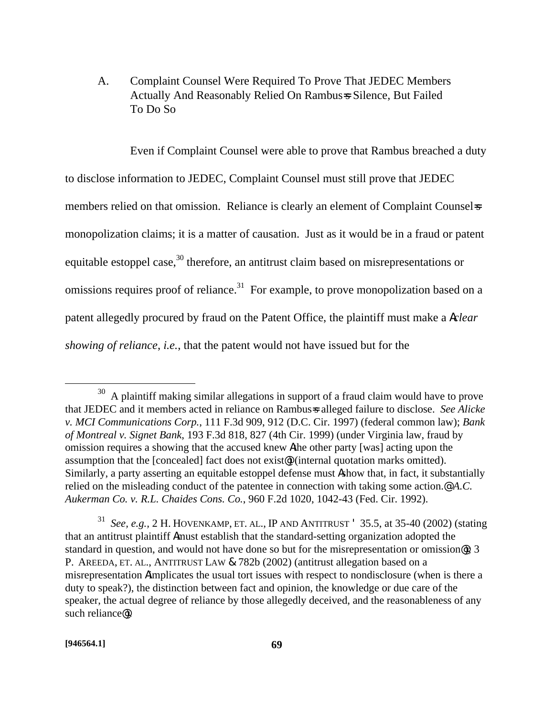A. Complaint Counsel Were Required To Prove That JEDEC Members Actually And Reasonably Relied On Rambus=s Silence, But Failed To Do So

Even if Complaint Counsel were able to prove that Rambus breached a duty

to disclose information to JEDEC, Complaint Counsel must still prove that JEDEC members relied on that omission. Reliance is clearly an element of Complaint Counsel-s monopolization claims; it is a matter of causation. Just as it would be in a fraud or patent equitable estoppel case,<sup>30</sup> therefore, an antitrust claim based on misrepresentations or omissions requires proof of reliance.<sup>31</sup> For example, to prove monopolization based on a patent allegedly procured by fraud on the Patent Office, the plaintiff must make a A*clear showing of reliance*, *i.e.*, that the patent would not have issued but for the

<u>.</u>

<sup>30</sup> A plaintiff making similar allegations in support of a fraud claim would have to prove that JEDEC and it members acted in reliance on Rambus=s alleged failure to disclose. *See Alicke v. MCI Communications Corp.*, 111 F.3d 909, 912 (D.C. Cir. 1997) (federal common law); *Bank of Montreal v. Signet Bank*, 193 F.3d 818, 827 (4th Cir. 1999) (under Virginia law, fraud by omission requires a showing that the accused knew Athe other party [was] acting upon the assumption that the [concealed] fact does not exist@) (internal quotation marks omitted). Similarly, a party asserting an equitable estoppel defense must Ashow that, in fact, it substantially relied on the misleading conduct of the patentee in connection with taking some action.@ *A.C. Aukerman Co. v. R.L. Chaides Cons. Co.*, 960 F.2d 1020, 1042-43 (Fed. Cir. 1992).

<sup>31</sup> *See, e.g.,* 2 H. HOVENKAMP, ET. AL., IP AND ANTITRUST ' 35.5, at 35-40 (2002) (stating that an antitrust plaintiff Amust establish that the standard-setting organization adopted the standard in question, and would not have done so but for the misrepresentation or omission@); 3 P. AREEDA, ET. AL., ANTITRUST LAW & 782b (2002) (antitrust allegation based on a misrepresentation Aimplicates the usual tort issues with respect to nondisclosure (when is there a duty to speak?), the distinction between fact and opinion, the knowledge or due care of the speaker, the actual degree of reliance by those allegedly deceived, and the reasonableness of any such reliance@).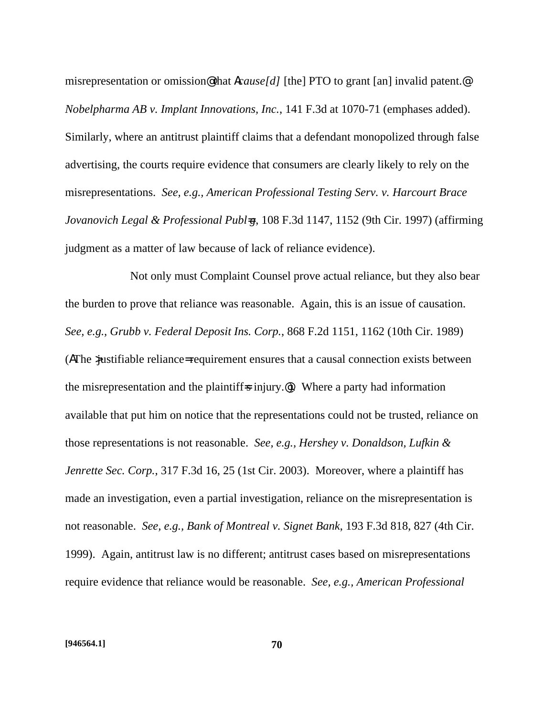misrepresentation or omission@ that A*cause[d]* [the] PTO to grant [an] invalid patent.@ *Nobelpharma AB v. Implant Innovations, Inc.*, 141 F.3d at 1070-71 (emphases added). Similarly, where an antitrust plaintiff claims that a defendant monopolized through false advertising, the courts require evidence that consumers are clearly likely to rely on the misrepresentations. *See, e.g., American Professional Testing Serv. v. Harcourt Brace Jovanovich Legal & Professional Publ<del></del>*<sub>7</sub>, 108 F.3d 1147, 1152 (9th Cir. 1997) (affirming judgment as a matter of law because of lack of reliance evidence).

Not only must Complaint Counsel prove actual reliance, but they also bear the burden to prove that reliance was reasonable. Again, this is an issue of causation. *See, e.g., Grubb v. Federal Deposit Ins. Corp.*, 868 F.2d 1151, 1162 (10th Cir. 1989) (AThe >justifiable reliance= requirement ensures that a causal connection exists between the misrepresentation and the plaintiff-s injury.<sup>@</sup>). Where a party had information available that put him on notice that the representations could not be trusted, reliance on those representations is not reasonable. *See, e.g., Hershey v. Donaldson, Lufkin & Jenrette Sec. Corp.*, 317 F.3d 16, 25 (1st Cir. 2003). Moreover, where a plaintiff has made an investigation, even a partial investigation, reliance on the misrepresentation is not reasonable. *See, e.g., Bank of Montreal v. Signet Bank*, 193 F.3d 818, 827 (4th Cir. 1999). Again, antitrust law is no different; antitrust cases based on misrepresentations require evidence that reliance would be reasonable. *See, e.g., American Professional*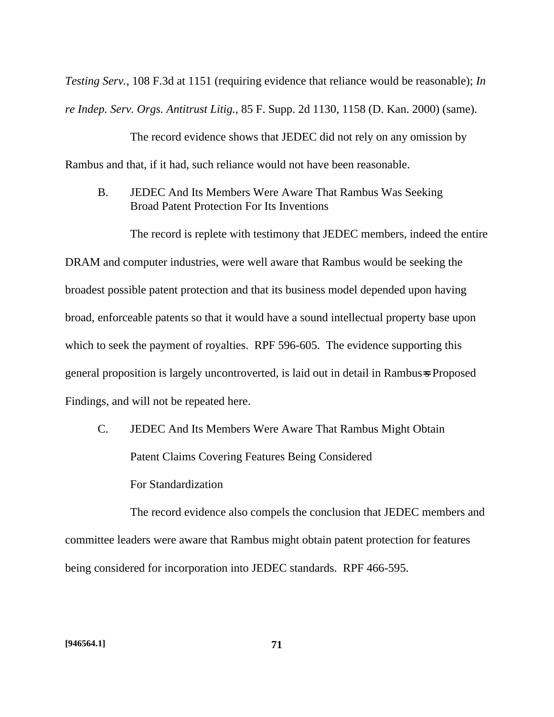*Testing Serv.*, 108 F.3d at 1151 (requiring evidence that reliance would be reasonable); *In re Indep. Serv. Orgs. Antitrust Litig.*, 85 F. Supp. 2d 1130, 1158 (D. Kan. 2000) (same).

The record evidence shows that JEDEC did not rely on any omission by Rambus and that, if it had, such reliance would not have been reasonable.

B. JEDEC And Its Members Were Aware That Rambus Was Seeking Broad Patent Protection For Its Inventions

The record is replete with testimony that JEDEC members, indeed the entire DRAM and computer industries, were well aware that Rambus would be seeking the broadest possible patent protection and that its business model depended upon having broad, enforceable patents so that it would have a sound intellectual property base upon which to seek the payment of royalties. RPF 596-605. The evidence supporting this general proposition is largely uncontroverted, is laid out in detail in Rambus=s Proposed Findings, and will not be repeated here.

C. JEDEC And Its Members Were Aware That Rambus Might Obtain Patent Claims Covering Features Being Considered For Standardization

The record evidence also compels the conclusion that JEDEC members and committee leaders were aware that Rambus might obtain patent protection for features being considered for incorporation into JEDEC standards. RPF 466-595.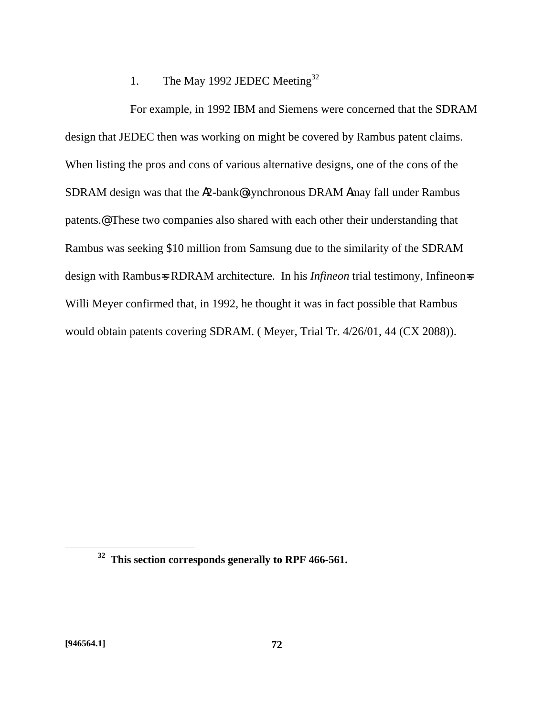# 1. The May 1992 JEDEC Meeting<sup>32</sup>

For example, in 1992 IBM and Siemens were concerned that the SDRAM design that JEDEC then was working on might be covered by Rambus patent claims. When listing the pros and cons of various alternative designs, one of the cons of the SDRAM design was that the A2-bank@ synchronous DRAM Amay fall under Rambus patents.@ These two companies also shared with each other their understanding that Rambus was seeking \$10 million from Samsung due to the similarity of the SDRAM design with Rambus=s RDRAM architecture. In his *Infineon* trial testimony, Infineon=s Willi Meyer confirmed that, in 1992, he thought it was in fact possible that Rambus would obtain patents covering SDRAM. ( Meyer, Trial Tr. 4/26/01, 44 (CX 2088)).

**<sup>32</sup> This section corresponds generally to RPF 466-561.**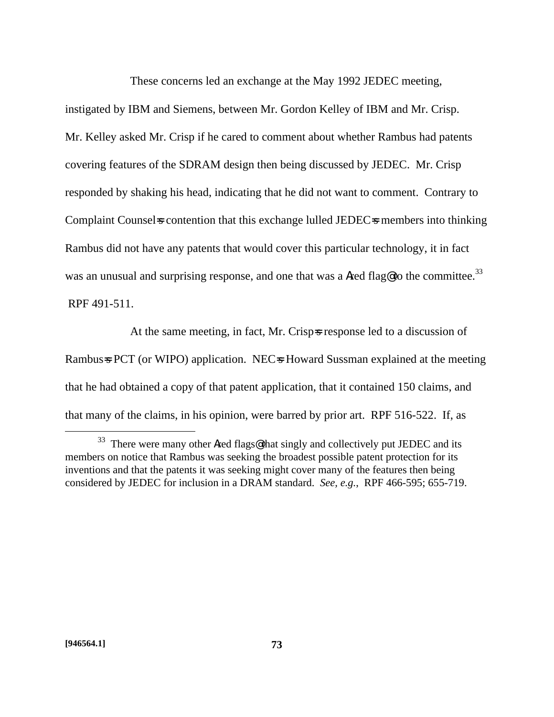These concerns led an exchange at the May 1992 JEDEC meeting,

instigated by IBM and Siemens, between Mr. Gordon Kelley of IBM and Mr. Crisp. Mr. Kelley asked Mr. Crisp if he cared to comment about whether Rambus had patents covering features of the SDRAM design then being discussed by JEDEC. Mr. Crisp responded by shaking his head, indicating that he did not want to comment. Contrary to Complaint Counsels contention that this exchange lulled JEDECs members into thinking Rambus did not have any patents that would cover this particular technology, it in fact was an unusual and surprising response, and one that was a **Ared flag@to the committee.**<sup>33</sup> RPF 491-511.

At the same meeting, in fact, Mr. Crisp=s response led to a discussion of Rambus=s PCT (or WIPO) application. NEC=s Howard Sussman explained at the meeting that he had obtained a copy of that patent application, that it contained 150 claims, and that many of the claims, in his opinion, were barred by prior art. RPF 516-522. If, as

1

<sup>&</sup>lt;sup>33</sup> There were many other Ared flags@ that singly and collectively put JEDEC and its members on notice that Rambus was seeking the broadest possible patent protection for its inventions and that the patents it was seeking might cover many of the features then being considered by JEDEC for inclusion in a DRAM standard. *See, e.g.*, RPF 466-595; 655-719.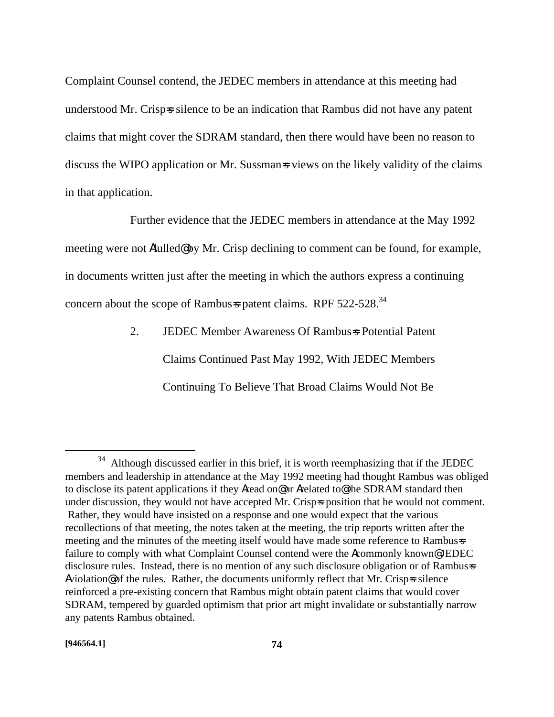Complaint Counsel contend, the JEDEC members in attendance at this meeting had understood Mr. Crisp=s silence to be an indication that Rambus did not have any patent claims that might cover the SDRAM standard, then there would have been no reason to discuss the WIPO application or Mr. Sussmans views on the likely validity of the claims in that application.

Further evidence that the JEDEC members in attendance at the May 1992 meeting were not Alulled@ by Mr. Crisp declining to comment can be found, for example, in documents written just after the meeting in which the authors express a continuing concern about the scope of Rambus=s patent claims. RPF 522-528.<sup>34</sup>

> 2. JEDEC Member Awareness Of Rambus=s Potential Patent Claims Continued Past May 1992, With JEDEC Members Continuing To Believe That Broad Claims Would Not Be

 $34$  Although discussed earlier in this brief, it is worth reemphasizing that if the JEDEC members and leadership in attendance at the May 1992 meeting had thought Rambus was obliged to disclose its patent applications if they Aread on@ or Arelated to@ the SDRAM standard then under discussion, they would not have accepted Mr. Crisp=s position that he would not comment. Rather, they would have insisted on a response and one would expect that the various recollections of that meeting, the notes taken at the meeting, the trip reports written after the meeting and the minutes of the meeting itself would have made some reference to Rambus=s failure to comply with what Complaint Counsel contend were the Acommonly known@ JEDEC disclosure rules. Instead, there is no mention of any such disclosure obligation or of Rambus=s  $Aviolation@of the rules. Rather, the documents uniformly reflect that Mr. Crisp- $s$  silence$ reinforced a pre-existing concern that Rambus might obtain patent claims that would cover SDRAM, tempered by guarded optimism that prior art might invalidate or substantially narrow any patents Rambus obtained.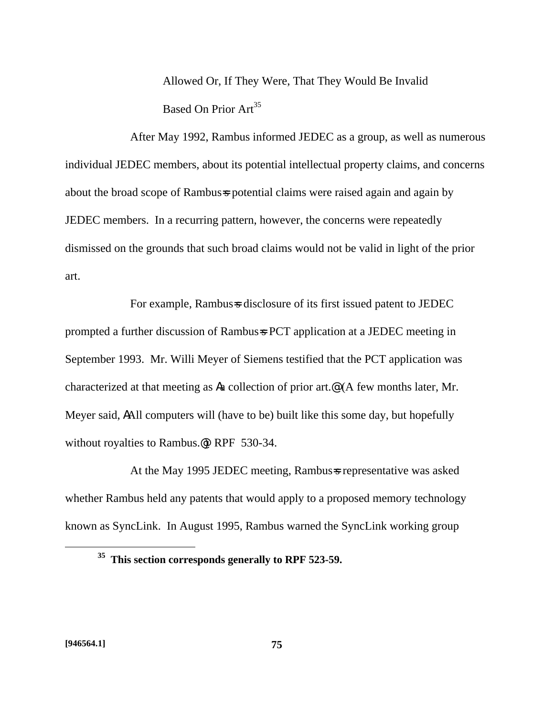Allowed Or, If They Were, That They Would Be Invalid Based On Prior Art<sup>35</sup>

After May 1992, Rambus informed JEDEC as a group, as well as numerous individual JEDEC members, about its potential intellectual property claims, and concerns about the broad scope of Rambus=s potential claims were raised again and again by JEDEC members. In a recurring pattern, however, the concerns were repeatedly dismissed on the grounds that such broad claims would not be valid in light of the prior art.

For example, Rambus=s disclosure of its first issued patent to JEDEC prompted a further discussion of Rambus=s PCT application at a JEDEC meeting in September 1993. Mr. Willi Meyer of Siemens testified that the PCT application was characterized at that meeting as Aa collection of prior art.@ (A few months later, Mr. Meyer said, AAll computers will (have to be) built like this some day, but hopefully without royalties to Rambus.@) RPF 530-34.

At the May 1995 JEDEC meeting, Rambus=s representative was asked whether Rambus held any patents that would apply to a proposed memory technology known as SyncLink. In August 1995, Rambus warned the SyncLink working group

**<sup>35</sup> This section corresponds generally to RPF 523-59.**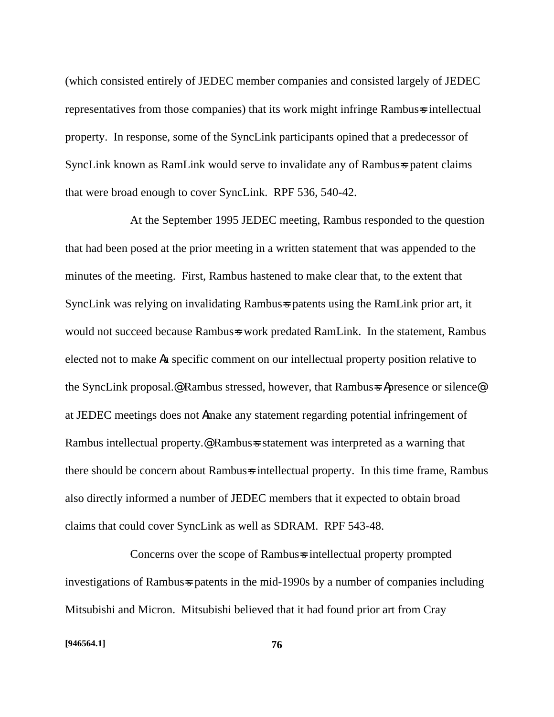(which consisted entirely of JEDEC member companies and consisted largely of JEDEC representatives from those companies) that its work might infringe Rambus=s intellectual property. In response, some of the SyncLink participants opined that a predecessor of SyncLink known as RamLink would serve to invalidate any of Rambus=s patent claims that were broad enough to cover SyncLink. RPF 536, 540-42.

At the September 1995 JEDEC meeting, Rambus responded to the question that had been posed at the prior meeting in a written statement that was appended to the minutes of the meeting. First, Rambus hastened to make clear that, to the extent that SyncLink was relying on invalidating Rambus=s patents using the RamLink prior art, it would not succeed because Rambus=s work predated RamLink. In the statement, Rambus elected not to make Aa specific comment on our intellectual property position relative to the SyncLink proposal.<sup>@</sup> Rambus stressed, however, that Rambus=s Apresence or silence<sup>@</sup> at JEDEC meetings does not Amake any statement regarding potential infringement of Rambus intellectual property.<sup>@</sup> Rambus=s statement was interpreted as a warning that there should be concern about Rambus-s intellectual property. In this time frame, Rambus also directly informed a number of JEDEC members that it expected to obtain broad claims that could cover SyncLink as well as SDRAM. RPF 543-48.

Concerns over the scope of Rambus-s intellectual property prompted investigations of Rambus=s patents in the mid-1990s by a number of companies including Mitsubishi and Micron. Mitsubishi believed that it had found prior art from Cray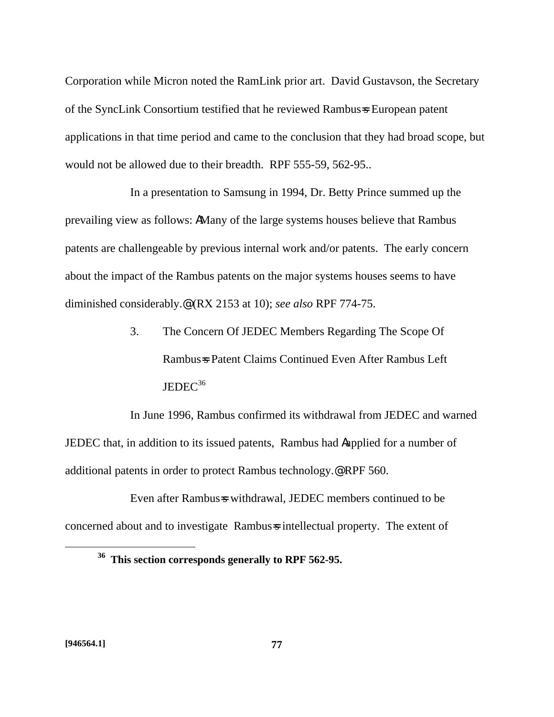Corporation while Micron noted the RamLink prior art. David Gustavson, the Secretary of the SyncLink Consortium testified that he reviewed Rambus=s European patent applications in that time period and came to the conclusion that they had broad scope, but would not be allowed due to their breadth. RPF 555-59, 562-95..

In a presentation to Samsung in 1994, Dr. Betty Prince summed up the prevailing view as follows: AMany of the large systems houses believe that Rambus patents are challengeable by previous internal work and/or patents. The early concern about the impact of the Rambus patents on the major systems houses seems to have diminished considerably.@ (RX 2153 at 10); *see also* RPF 774-75.

> 3. The Concern Of JEDEC Members Regarding The Scope Of Rambus=s Patent Claims Continued Even After Rambus Left  $JEDEC<sup>36</sup>$

In June 1996, Rambus confirmed its withdrawal from JEDEC and warned JEDEC that, in addition to its issued patents, Rambus had Aapplied for a number of additional patents in order to protect Rambus technology.@ RPF 560.

Even after Rambus=s withdrawal, JEDEC members continued to be concerned about and to investigate Rambus=s intellectual property. The extent of

**<sup>36</sup> This section corresponds generally to RPF 562-95.**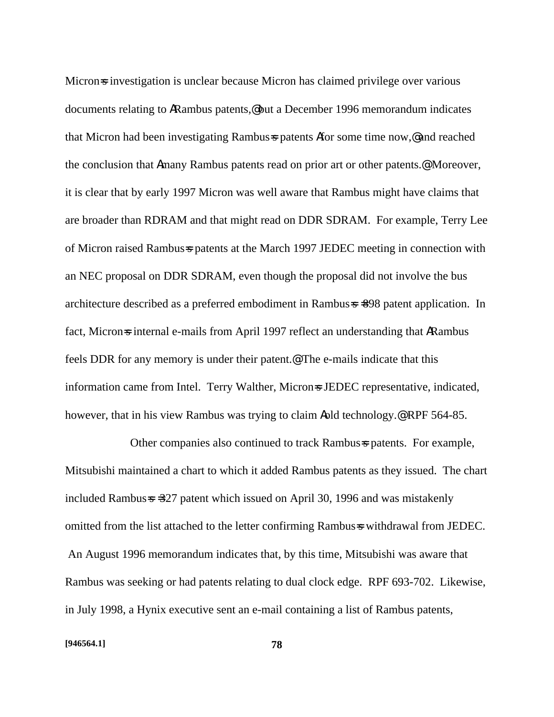Micron-s investigation is unclear because Micron has claimed privilege over various documents relating to ARambus patents,@ but a December 1996 memorandum indicates that Micron had been investigating Rambus=s patents Afor some time now,@ and reached the conclusion that Amany Rambus patents read on prior art or other patents.@ Moreover, it is clear that by early 1997 Micron was well aware that Rambus might have claims that are broader than RDRAM and that might read on DDR SDRAM. For example, Terry Lee of Micron raised Rambus=s patents at the March 1997 JEDEC meeting in connection with an NEC proposal on DDR SDRAM, even though the proposal did not involve the bus architecture described as a preferred embodiment in Rambus=s =898 patent application. In fact, Micron-s internal e-mails from April 1997 reflect an understanding that ARambus feels DDR for any memory is under their patent.@ The e-mails indicate that this information came from Intel. Terry Walther, Microns JEDEC representative, indicated, however, that in his view Rambus was trying to claim Aold technology.@ RPF 564-85.

Other companies also continued to track Rambus=s patents. For example, Mitsubishi maintained a chart to which it added Rambus patents as they issued. The chart included Rambus=s =327 patent which issued on April 30, 1996 and was mistakenly omitted from the list attached to the letter confirming Rambus=s withdrawal from JEDEC. An August 1996 memorandum indicates that, by this time, Mitsubishi was aware that Rambus was seeking or had patents relating to dual clock edge. RPF 693-702. Likewise, in July 1998, a Hynix executive sent an e-mail containing a list of Rambus patents,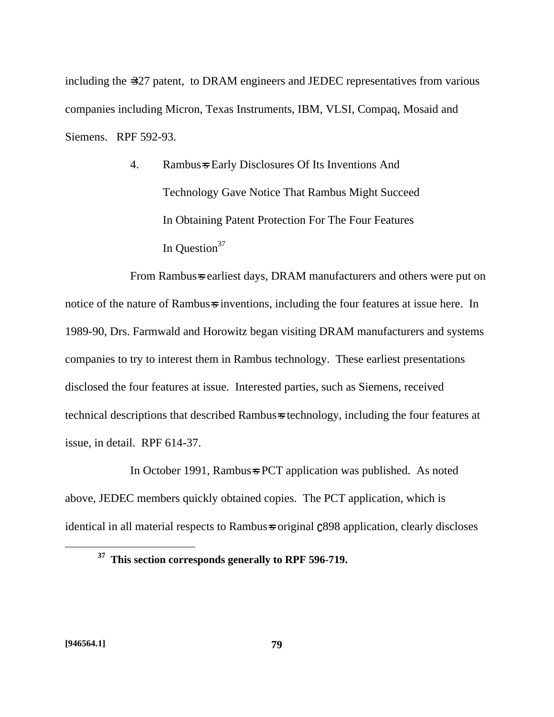including the =327 patent, to DRAM engineers and JEDEC representatives from various companies including Micron, Texas Instruments, IBM, VLSI, Compaq, Mosaid and Siemens. RPF 592-93.

> 4. Rambus=s Early Disclosures Of Its Inventions And Technology Gave Notice That Rambus Might Succeed In Obtaining Patent Protection For The Four Features In Ouestion<sup>37</sup>

From Rambus-s earliest days, DRAM manufacturers and others were put on notice of the nature of Rambus-s inventions, including the four features at issue here. In 1989-90, Drs. Farmwald and Horowitz began visiting DRAM manufacturers and systems companies to try to interest them in Rambus technology. These earliest presentations disclosed the four features at issue. Interested parties, such as Siemens, received technical descriptions that described Rambus=s technology, including the four features at issue, in detail. RPF 614-37.

In October 1991, Rambus=s PCT application was published. As noted above, JEDEC members quickly obtained copies. The PCT application, which is identical in all material respects to Rambus=s original  $C898$  application, clearly discloses

**<sup>37</sup> This section corresponds generally to RPF 596-719.**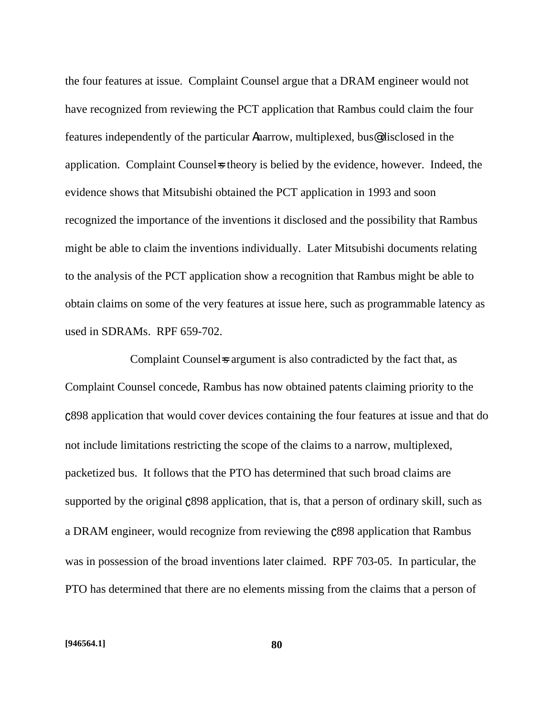the four features at issue. Complaint Counsel argue that a DRAM engineer would not have recognized from reviewing the PCT application that Rambus could claim the four features independently of the particular Anarrow, multiplexed, bus@ disclosed in the application. Complaint Counsels theory is belied by the evidence, however. Indeed, the evidence shows that Mitsubishi obtained the PCT application in 1993 and soon recognized the importance of the inventions it disclosed and the possibility that Rambus might be able to claim the inventions individually. Later Mitsubishi documents relating to the analysis of the PCT application show a recognition that Rambus might be able to obtain claims on some of the very features at issue here, such as programmable latency as used in SDRAMs. RPF 659-702.

Complaint Counsel is argument is also contradicted by the fact that, as Complaint Counsel concede, Rambus has now obtained patents claiming priority to the \_898 application that would cover devices containing the four features at issue and that do not include limitations restricting the scope of the claims to a narrow, multiplexed, packetized bus. It follows that the PTO has determined that such broad claims are supported by the original  $c898$  application, that is, that a person of ordinary skill, such as a DRAM engineer, would recognize from reviewing the  $c898$  application that Rambus was in possession of the broad inventions later claimed. RPF 703-05. In particular, the PTO has determined that there are no elements missing from the claims that a person of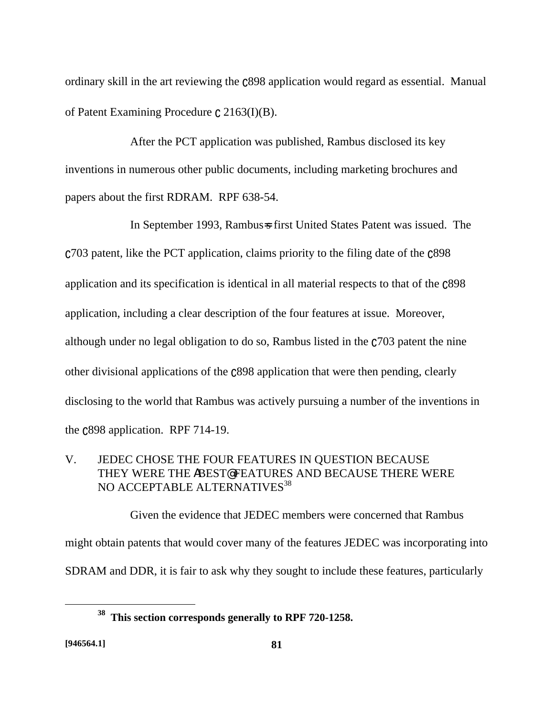ordinary skill in the art reviewing the  $c898$  application would regard as essential. Manual of Patent Examining Procedure  $\mathfrak{c}$  2163(I)(B).

After the PCT application was published, Rambus disclosed its key inventions in numerous other public documents, including marketing brochures and papers about the first RDRAM. RPF 638-54.

In September 1993, Rambus=s first United States Patent was issued. The  $C$ 703 patent, like the PCT application, claims priority to the filing date of the  $C$ 898 application and its specification is identical in all material respects to that of the  $c898$ application, including a clear description of the four features at issue. Moreover, although under no legal obligation to do so, Rambus listed in the  $c703$  patent the nine other divisional applications of the  $c$ 898 application that were then pending, clearly disclosing to the world that Rambus was actively pursuing a number of the inventions in the  $C898$  application. RPF 714-19.

# V. JEDEC CHOSE THE FOUR FEATURES IN QUESTION BECAUSE THEY WERE THE ABEST@ FEATURES AND BECAUSE THERE WERE NO ACCEPTABLE ALTERNATIVES<sup>38</sup>

Given the evidence that JEDEC members were concerned that Rambus might obtain patents that would cover many of the features JEDEC was incorporating into SDRAM and DDR, it is fair to ask why they sought to include these features, particularly

1

**<sup>38</sup> This section corresponds generally to RPF 720-1258.**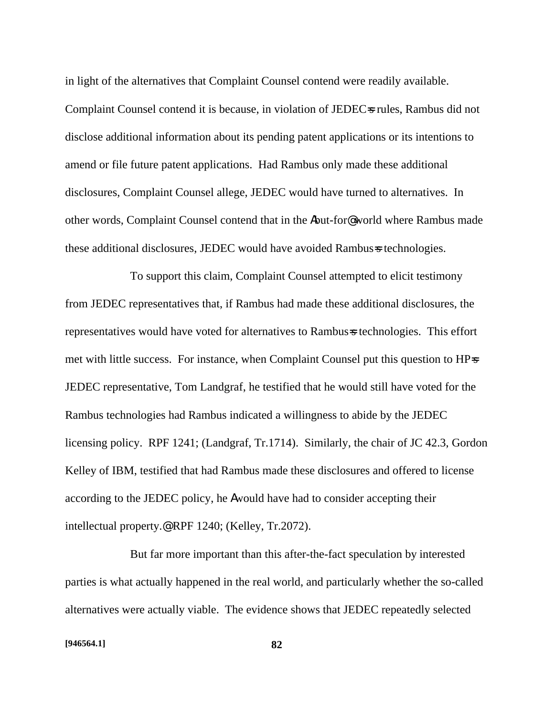in light of the alternatives that Complaint Counsel contend were readily available. Complaint Counsel contend it is because, in violation of JEDECs rules, Rambus did not disclose additional information about its pending patent applications or its intentions to amend or file future patent applications. Had Rambus only made these additional disclosures, Complaint Counsel allege, JEDEC would have turned to alternatives. In other words, Complaint Counsel contend that in the Abut-for@ world where Rambus made these additional disclosures, JEDEC would have avoided Rambus=s technologies.

To support this claim, Complaint Counsel attempted to elicit testimony from JEDEC representatives that, if Rambus had made these additional disclosures, the representatives would have voted for alternatives to Rambus=s technologies. This effort met with little success. For instance, when Complaint Counsel put this question to HP=s JEDEC representative, Tom Landgraf, he testified that he would still have voted for the Rambus technologies had Rambus indicated a willingness to abide by the JEDEC licensing policy. RPF 1241; (Landgraf, Tr.1714). Similarly, the chair of JC 42.3, Gordon Kelley of IBM, testified that had Rambus made these disclosures and offered to license according to the JEDEC policy, he Awould have had to consider accepting their intellectual property.@ RPF 1240; (Kelley, Tr.2072).

But far more important than this after-the-fact speculation by interested parties is what actually happened in the real world, and particularly whether the so-called alternatives were actually viable. The evidence shows that JEDEC repeatedly selected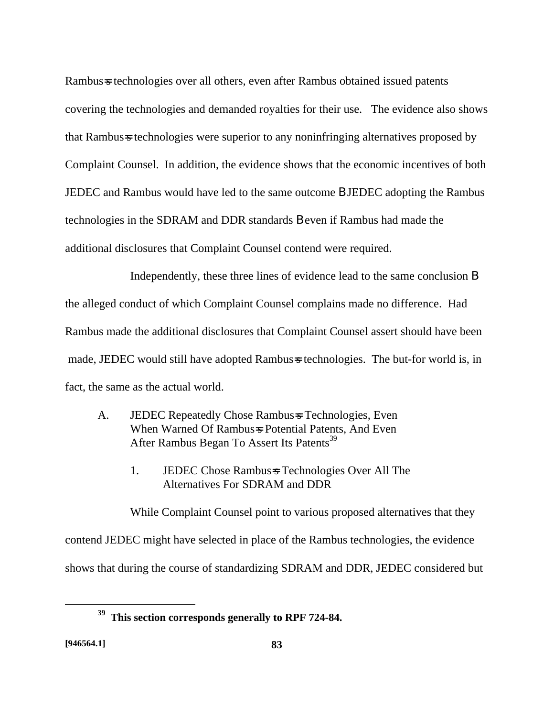Rambus=s technologies over all others, even after Rambus obtained issued patents covering the technologies and demanded royalties for their use. The evidence also shows that Rambus=s technologies were superior to any noninfringing alternatives proposed by Complaint Counsel. In addition, the evidence shows that the economic incentives of both JEDEC and Rambus would have led to the same outcome B JEDEC adopting the Rambus technologies in the SDRAM and DDR standards B even if Rambus had made the additional disclosures that Complaint Counsel contend were required.

Independently, these three lines of evidence lead to the same conclusion B the alleged conduct of which Complaint Counsel complains made no difference. Had Rambus made the additional disclosures that Complaint Counsel assert should have been made, JEDEC would still have adopted Rambus=s technologies. The but-for world is, in fact, the same as the actual world.

- A. JEDEC Repeatedly Chose Rambus=s Technologies, Even When Warned Of Rambus=s Potential Patents, And Even After Rambus Began To Assert Its Patents<sup>39</sup>
	- 1. JEDEC Chose Rambus=s Technologies Over All The Alternatives For SDRAM and DDR

While Complaint Counsel point to various proposed alternatives that they contend JEDEC might have selected in place of the Rambus technologies, the evidence shows that during the course of standardizing SDRAM and DDR, JEDEC considered but

**<sup>39</sup> This section corresponds generally to RPF 724-84.**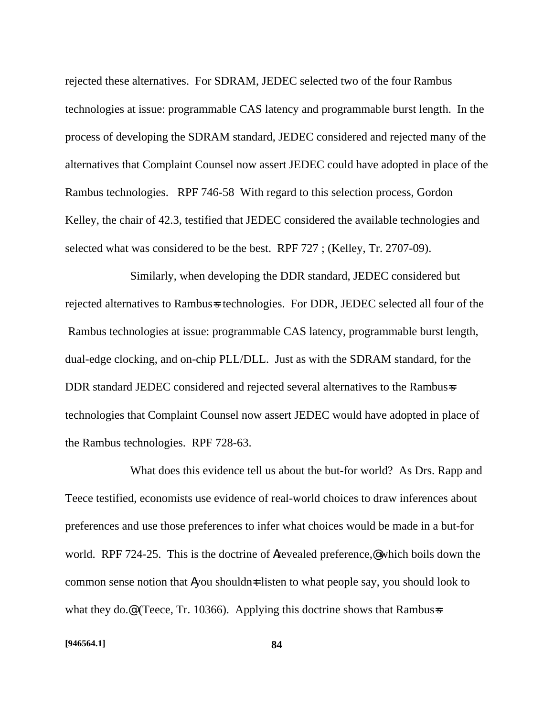rejected these alternatives. For SDRAM, JEDEC selected two of the four Rambus technologies at issue: programmable CAS latency and programmable burst length. In the process of developing the SDRAM standard, JEDEC considered and rejected many of the alternatives that Complaint Counsel now assert JEDEC could have adopted in place of the Rambus technologies. RPF 746-58 With regard to this selection process, Gordon Kelley, the chair of 42.3, testified that JEDEC considered the available technologies and selected what was considered to be the best. RPF 727 ; (Kelley, Tr. 2707-09).

Similarly, when developing the DDR standard, JEDEC considered but rejected alternatives to Rambus-s technologies. For DDR, JEDEC selected all four of the Rambus technologies at issue: programmable CAS latency, programmable burst length, dual-edge clocking, and on-chip PLL/DLL. Just as with the SDRAM standard, for the DDR standard JEDEC considered and rejected several alternatives to the Rambus=s technologies that Complaint Counsel now assert JEDEC would have adopted in place of the Rambus technologies. RPF 728-63.

What does this evidence tell us about the but-for world? As Drs. Rapp and Teece testified, economists use evidence of real-world choices to draw inferences about preferences and use those preferences to infer what choices would be made in a but-for world. RPF 724-25. This is the doctrine of **A**revealed preference, which boils down the common sense notion that Ayou shouldn $\pm$  listen to what people say, you should look to what they do.<sup>@</sup> (Teece, Tr. 10366). Applying this doctrine shows that Rambus=s

#### **[946564.1] 84**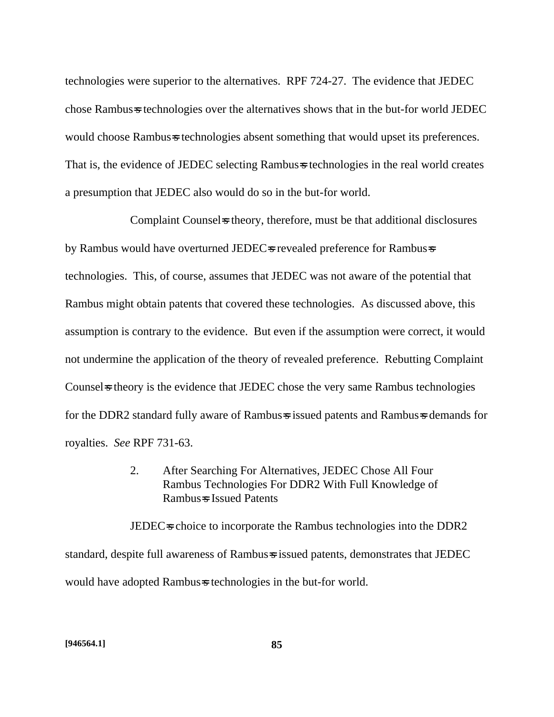technologies were superior to the alternatives. RPF 724-27. The evidence that JEDEC chose Rambus=s technologies over the alternatives shows that in the but-for world JEDEC would choose Rambus-s technologies absent something that would upset its preferences. That is, the evidence of JEDEC selecting Rambus=s technologies in the real world creates a presumption that JEDEC also would do so in the but-for world.

Complaint Counsels theory, therefore, must be that additional disclosures by Rambus would have overturned JEDECs revealed preference for Rambusses technologies. This, of course, assumes that JEDEC was not aware of the potential that Rambus might obtain patents that covered these technologies. As discussed above, this assumption is contrary to the evidence. But even if the assumption were correct, it would not undermine the application of the theory of revealed preference. Rebutting Complaint Counsel is the evidence that JEDEC chose the very same Rambus technologies for the DDR2 standard fully aware of Rambus=s issued patents and Rambus=s demands for royalties. *See* RPF 731-63.

> 2. After Searching For Alternatives, JEDEC Chose All Four Rambus Technologies For DDR2 With Full Knowledge of Rambus=s Issued Patents

JEDEC<sub>s</sub> choice to incorporate the Rambus technologies into the DDR2 standard, despite full awareness of Rambus=s issued patents, demonstrates that JEDEC would have adopted Rambus=s technologies in the but-for world.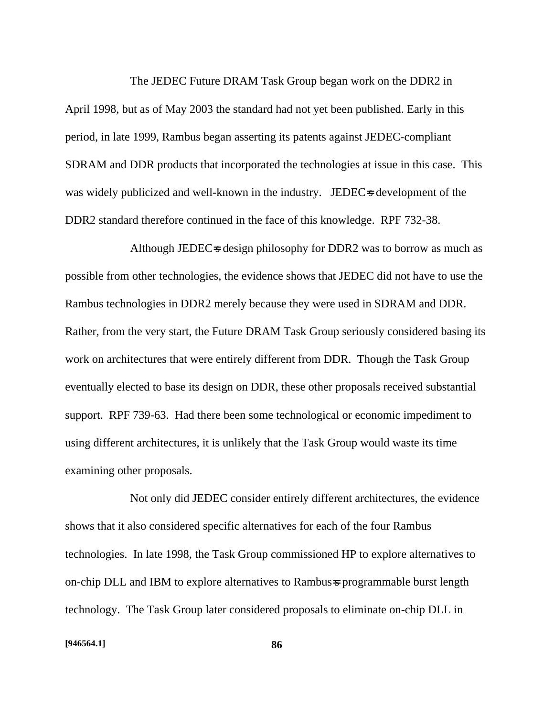The JEDEC Future DRAM Task Group began work on the DDR2 in April 1998, but as of May 2003 the standard had not yet been published. Early in this period, in late 1999, Rambus began asserting its patents against JEDEC-compliant SDRAM and DDR products that incorporated the technologies at issue in this case. This was widely publicized and well-known in the industry. JEDEC=s development of the DDR2 standard therefore continued in the face of this knowledge. RPF 732-38.

Although JEDEC $\approx$  design philosophy for DDR2 was to borrow as much as possible from other technologies, the evidence shows that JEDEC did not have to use the Rambus technologies in DDR2 merely because they were used in SDRAM and DDR. Rather, from the very start, the Future DRAM Task Group seriously considered basing its work on architectures that were entirely different from DDR. Though the Task Group eventually elected to base its design on DDR, these other proposals received substantial support. RPF 739-63. Had there been some technological or economic impediment to using different architectures, it is unlikely that the Task Group would waste its time examining other proposals.

Not only did JEDEC consider entirely different architectures, the evidence shows that it also considered specific alternatives for each of the four Rambus technologies. In late 1998, the Task Group commissioned HP to explore alternatives to on-chip DLL and IBM to explore alternatives to Rambus=s programmable burst length technology. The Task Group later considered proposals to eliminate on-chip DLL in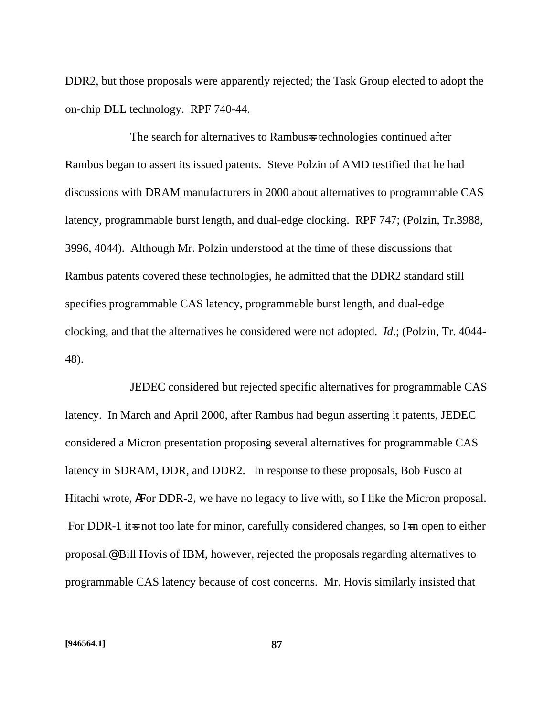DDR2, but those proposals were apparently rejected; the Task Group elected to adopt the on-chip DLL technology. RPF 740-44.

The search for alternatives to Rambus=s technologies continued after Rambus began to assert its issued patents. Steve Polzin of AMD testified that he had discussions with DRAM manufacturers in 2000 about alternatives to programmable CAS latency, programmable burst length, and dual-edge clocking. RPF 747; (Polzin, Tr.3988, 3996, 4044). Although Mr. Polzin understood at the time of these discussions that Rambus patents covered these technologies, he admitted that the DDR2 standard still specifies programmable CAS latency, programmable burst length, and dual-edge clocking, and that the alternatives he considered were not adopted. *Id*.; (Polzin, Tr. 4044- 48).

JEDEC considered but rejected specific alternatives for programmable CAS latency. In March and April 2000, after Rambus had begun asserting it patents, JEDEC considered a Micron presentation proposing several alternatives for programmable CAS latency in SDRAM, DDR, and DDR2. In response to these proposals, Bob Fusco at Hitachi wrote, AFor DDR-2, we have no legacy to live with, so I like the Micron proposal. For DDR-1 it is not too late for minor, carefully considered changes, so I in open to either proposal.@ Bill Hovis of IBM, however, rejected the proposals regarding alternatives to programmable CAS latency because of cost concerns. Mr. Hovis similarly insisted that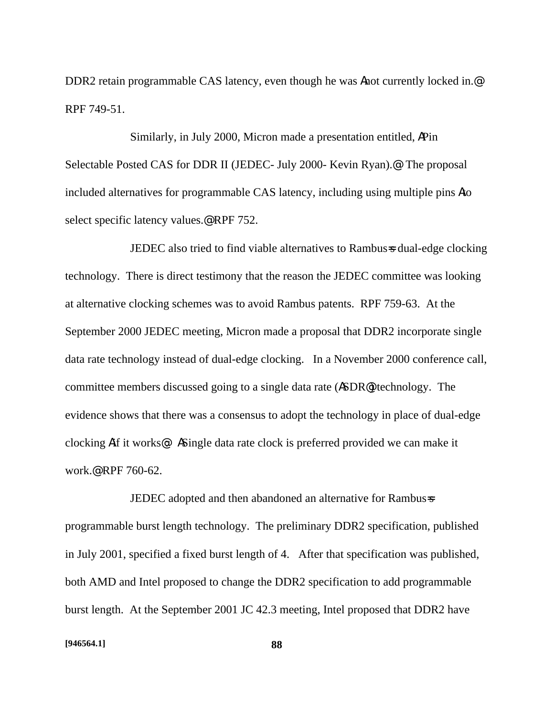DDR2 retain programmable CAS latency, even though he was **A**not currently locked in.<sup>@</sup> RPF 749-51.

Similarly, in July 2000, Micron made a presentation entitled, APin Selectable Posted CAS for DDR II (JEDEC- July 2000- Kevin Ryan).@ The proposal included alternatives for programmable CAS latency, including using multiple pins Ato select specific latency values.<sup>@</sup> RPF 752.

JEDEC also tried to find viable alternatives to Rambus=s dual-edge clocking technology. There is direct testimony that the reason the JEDEC committee was looking at alternative clocking schemes was to avoid Rambus patents. RPF 759-63. At the September 2000 JEDEC meeting, Micron made a proposal that DDR2 incorporate single data rate technology instead of dual-edge clocking. In a November 2000 conference call, committee members discussed going to a single data rate (ASDR@) technology. The evidence shows that there was a consensus to adopt the technology in place of dual-edge clocking Aif it works@: ASingle data rate clock is preferred provided we can make it work.@ RPF 760-62.

JEDEC adopted and then abandoned an alternative for Rambus=s programmable burst length technology. The preliminary DDR2 specification, published in July 2001, specified a fixed burst length of 4. After that specification was published, both AMD and Intel proposed to change the DDR2 specification to add programmable burst length. At the September 2001 JC 42.3 meeting, Intel proposed that DDR2 have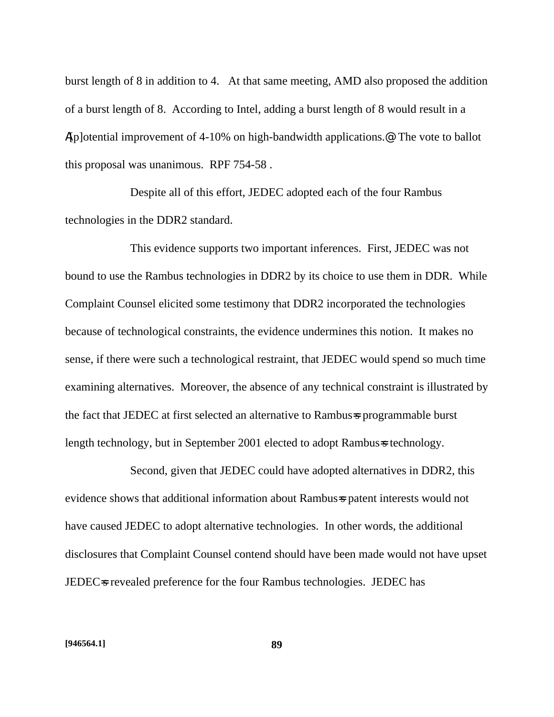burst length of 8 in addition to 4. At that same meeting, AMD also proposed the addition of a burst length of 8. According to Intel, adding a burst length of 8 would result in a A[p]otential improvement of 4-10% on high-bandwidth applications.@ The vote to ballot this proposal was unanimous. RPF 754-58 .

Despite all of this effort, JEDEC adopted each of the four Rambus technologies in the DDR2 standard.

This evidence supports two important inferences. First, JEDEC was not bound to use the Rambus technologies in DDR2 by its choice to use them in DDR. While Complaint Counsel elicited some testimony that DDR2 incorporated the technologies because of technological constraints, the evidence undermines this notion. It makes no sense, if there were such a technological restraint, that JEDEC would spend so much time examining alternatives. Moreover, the absence of any technical constraint is illustrated by the fact that JEDEC at first selected an alternative to Rambus=s programmable burst length technology, but in September 2001 elected to adopt Rambus=s technology.

Second, given that JEDEC could have adopted alternatives in DDR2, this evidence shows that additional information about Rambus=s patent interests would not have caused JEDEC to adopt alternative technologies. In other words, the additional disclosures that Complaint Counsel contend should have been made would not have upset JEDEC<sub>s</sub> revealed preference for the four Rambus technologies. JEDEC has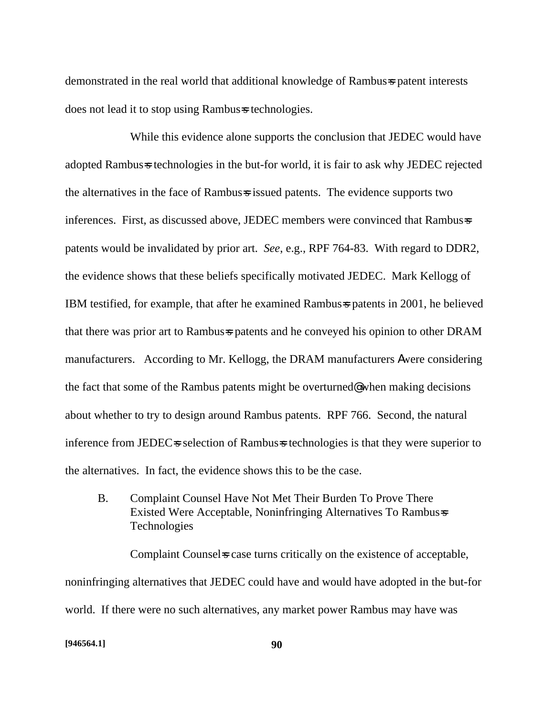demonstrated in the real world that additional knowledge of Rambus=s patent interests does not lead it to stop using Rambus=s technologies.

While this evidence alone supports the conclusion that JEDEC would have adopted Rambus=s technologies in the but-for world, it is fair to ask why JEDEC rejected the alternatives in the face of Rambus=s issued patents. The evidence supports two inferences. First, as discussed above, JEDEC members were convinced that Rambus=s patents would be invalidated by prior art. *See*, e.g.*,* RPF 764-83. With regard to DDR2, the evidence shows that these beliefs specifically motivated JEDEC. Mark Kellogg of IBM testified, for example, that after he examined Rambus=s patents in 2001, he believed that there was prior art to Rambus patents and he conveyed his opinion to other DRAM manufacturers. According to Mr. Kellogg, the DRAM manufacturers Awere considering the fact that some of the Rambus patents might be overturned@ when making decisions about whether to try to design around Rambus patents. RPF 766. Second, the natural inference from JEDEC=s selection of Rambus=s technologies is that they were superior to the alternatives. In fact, the evidence shows this to be the case.

B. Complaint Counsel Have Not Met Their Burden To Prove There Existed Were Acceptable, Noninfringing Alternatives To Rambus=s Technologies

Complaint Counsel is case turns critically on the existence of acceptable, noninfringing alternatives that JEDEC could have and would have adopted in the but-for world. If there were no such alternatives, any market power Rambus may have was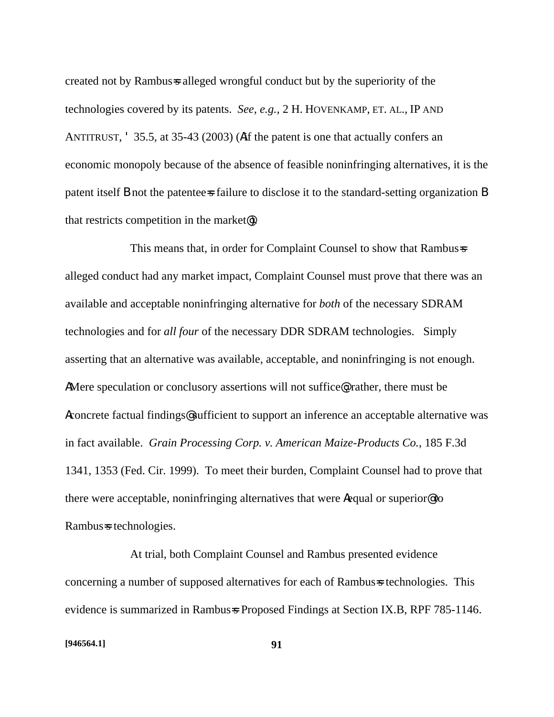created not by Rambus=s alleged wrongful conduct but by the superiority of the technologies covered by its patents. *See, e.g.,* 2 H. HOVENKAMP, ET. AL., IP AND ANTITRUST, ' 35.5, at 35-43 (2003) (Aif the patent is one that actually confers an economic monopoly because of the absence of feasible noninfringing alternatives, it is the patent itself B not the patentee=s failure to disclose it to the standard-setting organization B that restricts competition in the market@).

This means that, in order for Complaint Counsel to show that Rambus=s alleged conduct had any market impact, Complaint Counsel must prove that there was an available and acceptable noninfringing alternative for *both* of the necessary SDRAM technologies and for *all four* of the necessary DDR SDRAM technologies. Simply asserting that an alternative was available, acceptable, and noninfringing is not enough. AMere speculation or conclusory assertions will not suffice. rather, there must be Aconcrete factual findings@ sufficient to support an inference an acceptable alternative was in fact available. *Grain Processing Corp. v. American Maize-Products Co.*, 185 F.3d 1341, 1353 (Fed. Cir. 1999). To meet their burden, Complaint Counsel had to prove that there were acceptable, noninfringing alternatives that were Aequal or superior@ to Rambus=s technologies.

At trial, both Complaint Counsel and Rambus presented evidence concerning a number of supposed alternatives for each of Rambus=s technologies. This evidence is summarized in Rambus=s Proposed Findings at Section IX.B, RPF 785-1146.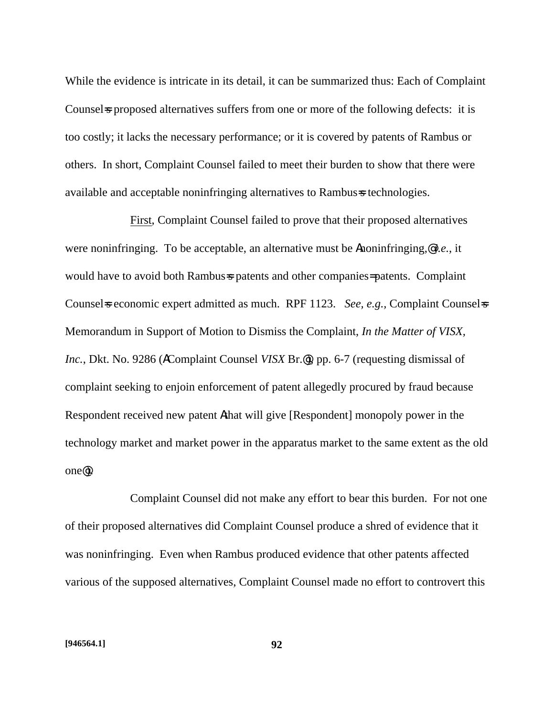While the evidence is intricate in its detail, it can be summarized thus: Each of Complaint Counsels proposed alternatives suffers from one or more of the following defects: it is too costly; it lacks the necessary performance; or it is covered by patents of Rambus or others. In short, Complaint Counsel failed to meet their burden to show that there were available and acceptable noninfringing alternatives to Rambus=s technologies.

First, Complaint Counsel failed to prove that their proposed alternatives were noninfringing. To be acceptable, an alternative must be Anoninfringing,@ *i.e.*, it would have to avoid both Rambus=s patents and other companies=patents. Complaint Counsels economic expert admitted as much. RPF 1123. *See, e.g.,* Complaint Counsels Memorandum in Support of Motion to Dismiss the Complaint, *In the Matter of VISX, Inc.*, Dkt. No. 9286 (**AComplaint Counsel** *VISX* **Br.**@), pp. 6-7 (requesting dismissal of complaint seeking to enjoin enforcement of patent allegedly procured by fraud because Respondent received new patent Athat will give [Respondent] monopoly power in the technology market and market power in the apparatus market to the same extent as the old one@).

Complaint Counsel did not make any effort to bear this burden. For not one of their proposed alternatives did Complaint Counsel produce a shred of evidence that it was noninfringing. Even when Rambus produced evidence that other patents affected various of the supposed alternatives, Complaint Counsel made no effort to controvert this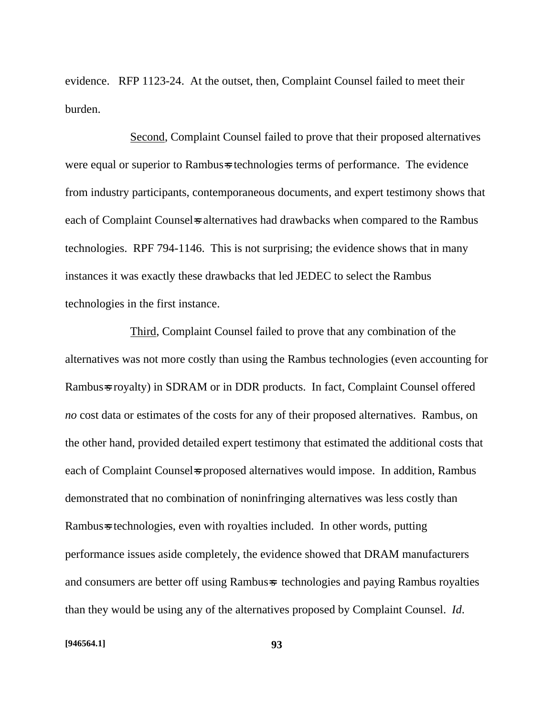evidence. RFP 1123-24. At the outset, then, Complaint Counsel failed to meet their burden.

Second, Complaint Counsel failed to prove that their proposed alternatives were equal or superior to Rambus=s technologies terms of performance. The evidence from industry participants, contemporaneous documents, and expert testimony shows that each of Complaint Counsel is alternatives had drawbacks when compared to the Rambus technologies. RPF 794-1146. This is not surprising; the evidence shows that in many instances it was exactly these drawbacks that led JEDEC to select the Rambus technologies in the first instance.

Third, Complaint Counsel failed to prove that any combination of the alternatives was not more costly than using the Rambus technologies (even accounting for Rambus=s royalty) in SDRAM or in DDR products. In fact, Complaint Counsel offered *no* cost data or estimates of the costs for any of their proposed alternatives. Rambus, on the other hand, provided detailed expert testimony that estimated the additional costs that each of Complaint Counsels proposed alternatives would impose. In addition, Rambus demonstrated that no combination of noninfringing alternatives was less costly than Rambus=s technologies, even with royalties included. In other words, putting performance issues aside completely, the evidence showed that DRAM manufacturers and consumers are better off using Rambus=s technologies and paying Rambus royalties than they would be using any of the alternatives proposed by Complaint Counsel. *Id*.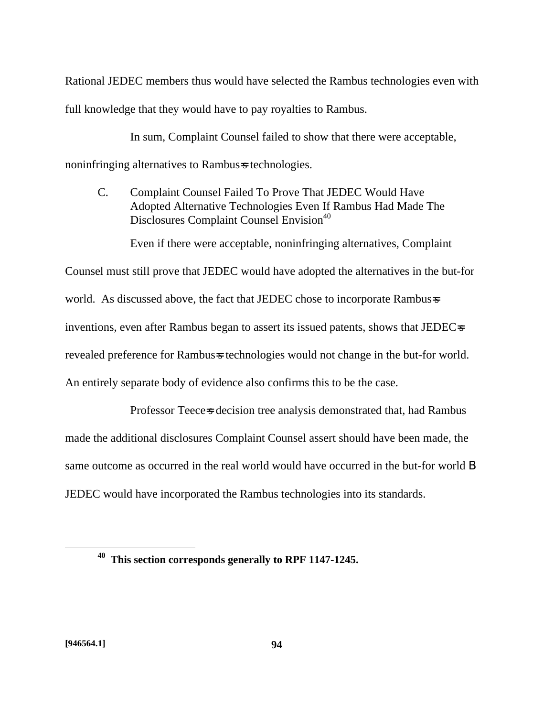Rational JEDEC members thus would have selected the Rambus technologies even with full knowledge that they would have to pay royalties to Rambus.

In sum, Complaint Counsel failed to show that there were acceptable, noninfringing alternatives to Rambus=s technologies.

C. Complaint Counsel Failed To Prove That JEDEC Would Have Adopted Alternative Technologies Even If Rambus Had Made The Disclosures Complaint Counsel Envision<sup>40</sup>

Even if there were acceptable, noninfringing alternatives, Complaint

Counsel must still prove that JEDEC would have adopted the alternatives in the but-for world. As discussed above, the fact that JEDEC chose to incorporate Rambus=s inventions, even after Rambus began to assert its issued patents, shows that JEDEC=s revealed preference for Rambus-s technologies would not change in the but-for world. An entirely separate body of evidence also confirms this to be the case.

Professor Teece=s decision tree analysis demonstrated that, had Rambus made the additional disclosures Complaint Counsel assert should have been made, the same outcome as occurred in the real world would have occurred in the but-for world **B** JEDEC would have incorporated the Rambus technologies into its standards.

<u>.</u>

**<sup>40</sup> This section corresponds generally to RPF 1147-1245.**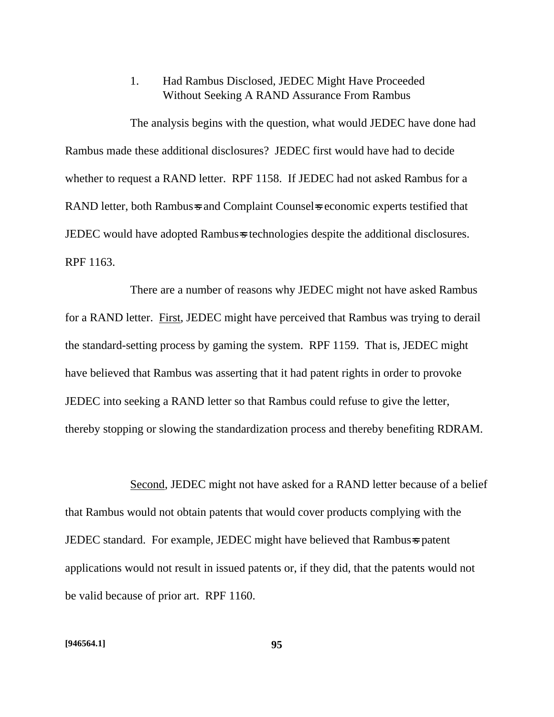# 1. Had Rambus Disclosed, JEDEC Might Have Proceeded Without Seeking A RAND Assurance From Rambus

The analysis begins with the question, what would JEDEC have done had Rambus made these additional disclosures? JEDEC first would have had to decide whether to request a RAND letter. RPF 1158. If JEDEC had not asked Rambus for a RAND letter, both Rambus=s and Complaint Counsel=s economic experts testified that JEDEC would have adopted Rambus=s technologies despite the additional disclosures. RPF 1163.

There are a number of reasons why JEDEC might not have asked Rambus for a RAND letter. First, JEDEC might have perceived that Rambus was trying to derail the standard-setting process by gaming the system. RPF 1159. That is, JEDEC might have believed that Rambus was asserting that it had patent rights in order to provoke JEDEC into seeking a RAND letter so that Rambus could refuse to give the letter, thereby stopping or slowing the standardization process and thereby benefiting RDRAM.

Second, JEDEC might not have asked for a RAND letter because of a belief that Rambus would not obtain patents that would cover products complying with the **JEDEC** standard. For example, **JEDEC** might have believed that Rambus=s patent applications would not result in issued patents or, if they did, that the patents would not be valid because of prior art. RPF 1160.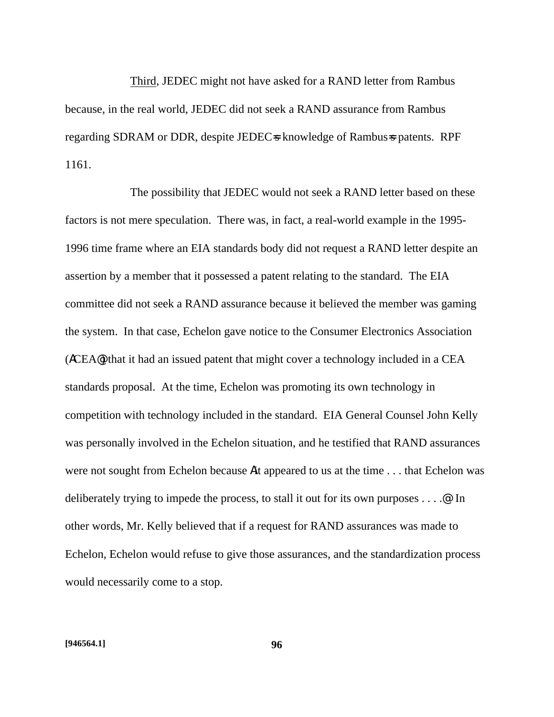Third, JEDEC might not have asked for a RAND letter from Rambus because, in the real world, JEDEC did not seek a RAND assurance from Rambus regarding SDRAM or DDR, despite JEDEC=s knowledge of Rambus=s patents. RPF 1161.

The possibility that JEDEC would not seek a RAND letter based on these factors is not mere speculation. There was, in fact, a real-world example in the 1995- 1996 time frame where an EIA standards body did not request a RAND letter despite an assertion by a member that it possessed a patent relating to the standard. The EIA committee did not seek a RAND assurance because it believed the member was gaming the system. In that case, Echelon gave notice to the Consumer Electronics Association (ACEA@) that it had an issued patent that might cover a technology included in a CEA standards proposal. At the time, Echelon was promoting its own technology in competition with technology included in the standard. EIA General Counsel John Kelly was personally involved in the Echelon situation, and he testified that RAND assurances were not sought from Echelon because Ait appeared to us at the time . . . that Echelon was deliberately trying to impede the process, to stall it out for its own purposes . . . .@ In other words, Mr. Kelly believed that if a request for RAND assurances was made to Echelon, Echelon would refuse to give those assurances, and the standardization process would necessarily come to a stop.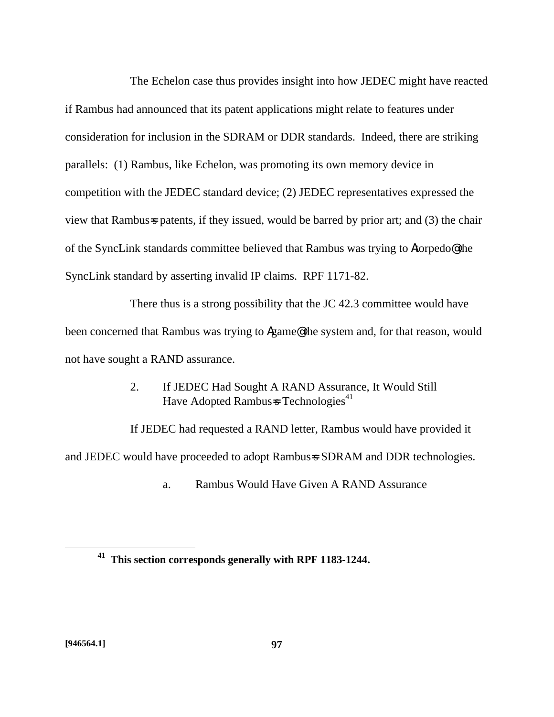The Echelon case thus provides insight into how JEDEC might have reacted if Rambus had announced that its patent applications might relate to features under consideration for inclusion in the SDRAM or DDR standards. Indeed, there are striking parallels: (1) Rambus, like Echelon, was promoting its own memory device in competition with the JEDEC standard device; (2) JEDEC representatives expressed the view that Rambus=s patents, if they issued, would be barred by prior art; and (3) the chair of the SyncLink standards committee believed that Rambus was trying to Atorpedo@ the SyncLink standard by asserting invalid IP claims. RPF 1171-82.

There thus is a strong possibility that the JC 42.3 committee would have been concerned that Rambus was trying to Agame@ the system and, for that reason, would not have sought a RAND assurance.

> 2. If JEDEC Had Sought A RAND Assurance, It Would Still Have Adopted Rambus $\approx$  Technologies<sup>41</sup>

If JEDEC had requested a RAND letter, Rambus would have provided it and JEDEC would have proceeded to adopt Rambus=s SDRAM and DDR technologies.

a. Rambus Would Have Given A RAND Assurance

<u>.</u>

**<sup>41</sup> This section corresponds generally with RPF 1183-1244.**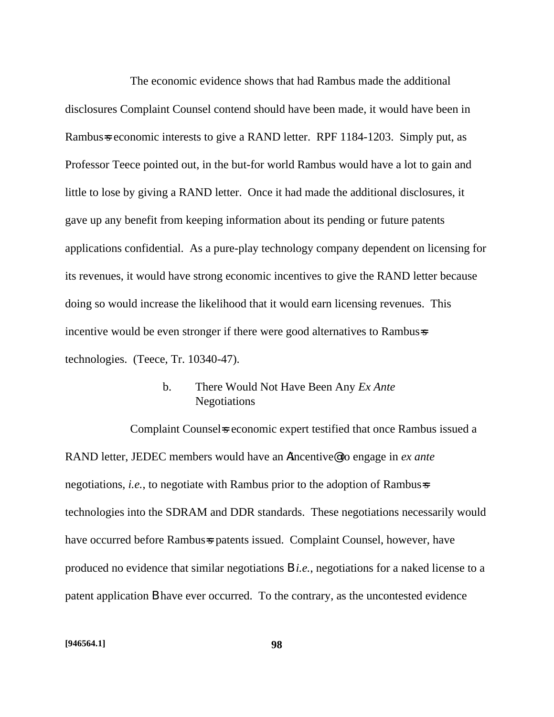The economic evidence shows that had Rambus made the additional disclosures Complaint Counsel contend should have been made, it would have been in Rambus=s economic interests to give a RAND letter. RPF 1184-1203. Simply put, as Professor Teece pointed out, in the but-for world Rambus would have a lot to gain and little to lose by giving a RAND letter. Once it had made the additional disclosures, it gave up any benefit from keeping information about its pending or future patents applications confidential. As a pure-play technology company dependent on licensing for its revenues, it would have strong economic incentives to give the RAND letter because doing so would increase the likelihood that it would earn licensing revenues. This incentive would be even stronger if there were good alternatives to Rambus=s technologies. (Teece, Tr. 10340-47).

#### b. There Would Not Have Been Any *Ex Ante* Negotiations

Complaint Counsel is economic expert testified that once Rambus issued a RAND letter, JEDEC members would have an Aincentive@ to engage in *ex ante* negotiations, *i.e.*, to negotiate with Rambus prior to the adoption of Rambus=s technologies into the SDRAM and DDR standards. These negotiations necessarily would have occurred before Rambus=s patents issued. Complaint Counsel, however, have produced no evidence that similar negotiations B *i.e.*, negotiations for a naked license to a patent application B have ever occurred. To the contrary, as the uncontested evidence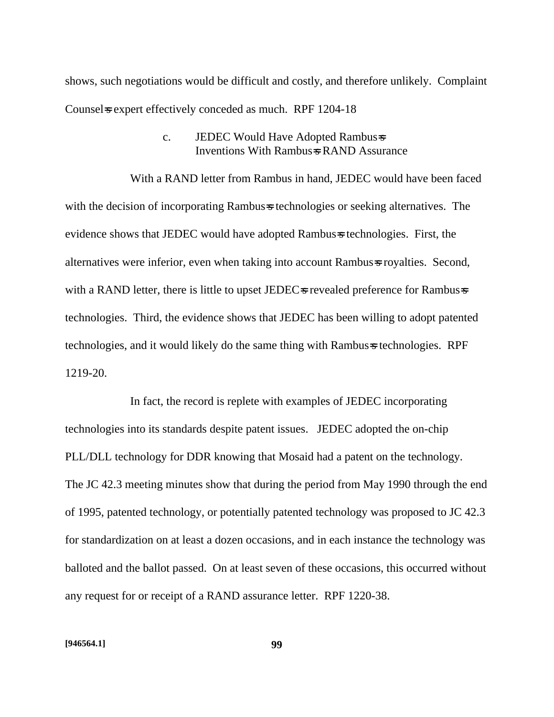shows, such negotiations would be difficult and costly, and therefore unlikely. Complaint Counsel sexpert effectively conceded as much. RPF 1204-18

#### c. JEDEC Would Have Adopted Rambus=s Inventions With Rambus=s RAND Assurance

With a RAND letter from Rambus in hand, JEDEC would have been faced with the decision of incorporating Rambus=s technologies or seeking alternatives. The evidence shows that JEDEC would have adopted Rambus=s technologies. First, the alternatives were inferior, even when taking into account Rambus=s royalties. Second, with a RAND letter, there is little to upset JEDEC $\approx$  revealed preference for Rambus $\approx$ technologies. Third, the evidence shows that JEDEC has been willing to adopt patented technologies, and it would likely do the same thing with Rambus=s technologies. RPF 1219-20.

In fact, the record is replete with examples of JEDEC incorporating technologies into its standards despite patent issues. JEDEC adopted the on-chip PLL/DLL technology for DDR knowing that Mosaid had a patent on the technology. The JC 42.3 meeting minutes show that during the period from May 1990 through the end of 1995, patented technology, or potentially patented technology was proposed to JC 42.3 for standardization on at least a dozen occasions, and in each instance the technology was balloted and the ballot passed. On at least seven of these occasions, this occurred without any request for or receipt of a RAND assurance letter. RPF 1220-38.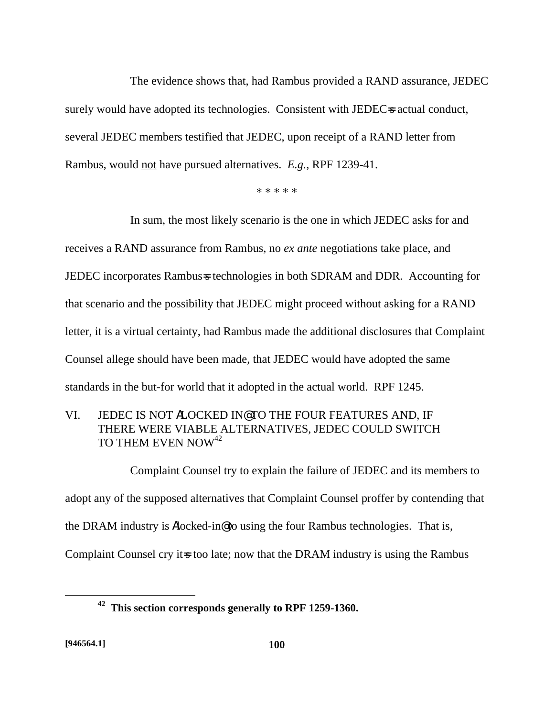The evidence shows that, had Rambus provided a RAND assurance, JEDEC surely would have adopted its technologies. Consistent with JEDEC=s actual conduct, several JEDEC members testified that JEDEC, upon receipt of a RAND letter from Rambus, would not have pursued alternatives. *E.g.*, RPF 1239-41.

\* \* \* \* \*

In sum, the most likely scenario is the one in which JEDEC asks for and receives a RAND assurance from Rambus, no *ex ante* negotiations take place, and JEDEC incorporates Rambus=s technologies in both SDRAM and DDR. Accounting for that scenario and the possibility that JEDEC might proceed without asking for a RAND letter, it is a virtual certainty, had Rambus made the additional disclosures that Complaint Counsel allege should have been made, that JEDEC would have adopted the same standards in the but-for world that it adopted in the actual world. RPF 1245.

## VI. JEDEC IS NOT ALOCKED IN@ TO THE FOUR FEATURES AND, IF THERE WERE VIABLE ALTERNATIVES, JEDEC COULD SWITCH TO THEM EVEN NOW<sup>42</sup>

Complaint Counsel try to explain the failure of JEDEC and its members to adopt any of the supposed alternatives that Complaint Counsel proffer by contending that the DRAM industry is Alocked-in@ to using the four Rambus technologies. That is, Complaint Counsel cry it is too late; now that the DRAM industry is using the Rambus

 $\overline{a}$ 

**<sup>42</sup> This section corresponds generally to RPF 1259-1360.**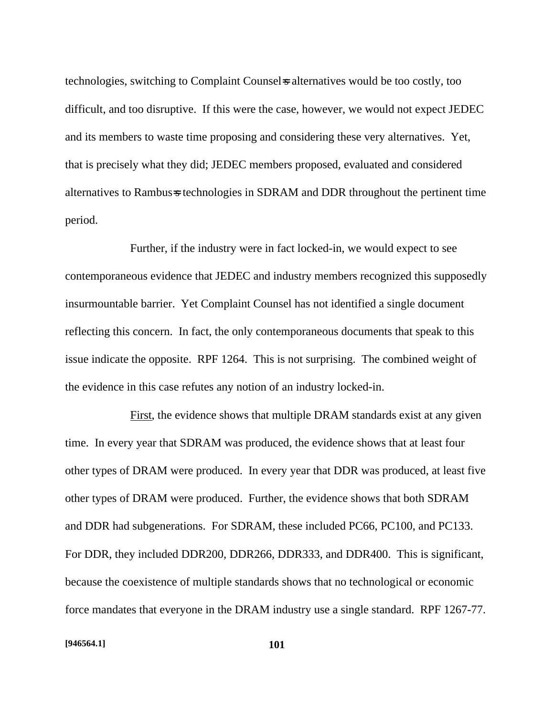technologies, switching to Complaint Counsel=s alternatives would be too costly, too difficult, and too disruptive. If this were the case, however, we would not expect JEDEC and its members to waste time proposing and considering these very alternatives. Yet, that is precisely what they did; JEDEC members proposed, evaluated and considered alternatives to Rambus=s technologies in SDRAM and DDR throughout the pertinent time period.

Further, if the industry were in fact locked-in, we would expect to see contemporaneous evidence that JEDEC and industry members recognized this supposedly insurmountable barrier. Yet Complaint Counsel has not identified a single document reflecting this concern. In fact, the only contemporaneous documents that speak to this issue indicate the opposite. RPF 1264. This is not surprising. The combined weight of the evidence in this case refutes any notion of an industry locked-in.

First, the evidence shows that multiple DRAM standards exist at any given time. In every year that SDRAM was produced, the evidence shows that at least four other types of DRAM were produced. In every year that DDR was produced, at least five other types of DRAM were produced. Further, the evidence shows that both SDRAM and DDR had subgenerations. For SDRAM, these included PC66, PC100, and PC133. For DDR, they included DDR200, DDR266, DDR333, and DDR400. This is significant, because the coexistence of multiple standards shows that no technological or economic force mandates that everyone in the DRAM industry use a single standard. RPF 1267-77.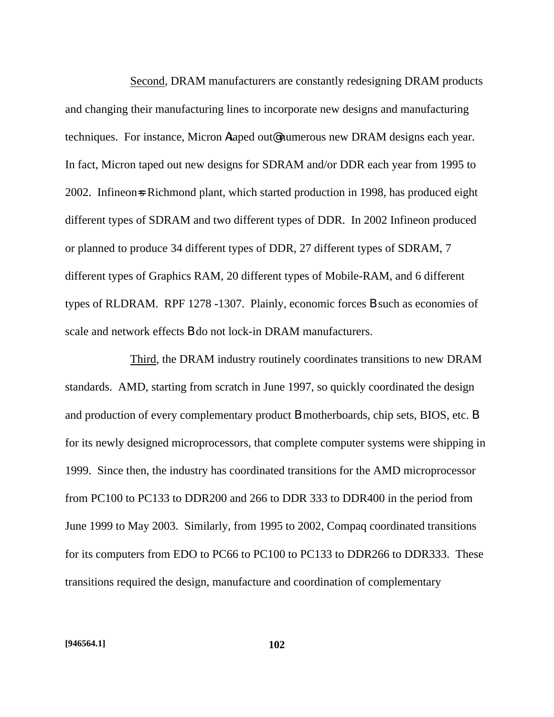Second, DRAM manufacturers are constantly redesigning DRAM products and changing their manufacturing lines to incorporate new designs and manufacturing techniques. For instance, Micron Ataped out@ numerous new DRAM designs each year. In fact, Micron taped out new designs for SDRAM and/or DDR each year from 1995 to 2002. Infineon-s Richmond plant, which started production in 1998, has produced eight different types of SDRAM and two different types of DDR. In 2002 Infineon produced or planned to produce 34 different types of DDR, 27 different types of SDRAM, 7 different types of Graphics RAM, 20 different types of Mobile-RAM, and 6 different types of RLDRAM. RPF 1278 -1307. Plainly, economic forces B such as economies of scale and network effects B do not lock-in DRAM manufacturers.

Third, the DRAM industry routinely coordinates transitions to new DRAM standards. AMD, starting from scratch in June 1997, so quickly coordinated the design and production of every complementary product B motherboards, chip sets, BIOS, etc. B for its newly designed microprocessors, that complete computer systems were shipping in 1999. Since then, the industry has coordinated transitions for the AMD microprocessor from PC100 to PC133 to DDR200 and 266 to DDR 333 to DDR400 in the period from June 1999 to May 2003. Similarly, from 1995 to 2002, Compaq coordinated transitions for its computers from EDO to PC66 to PC100 to PC133 to DDR266 to DDR333. These transitions required the design, manufacture and coordination of complementary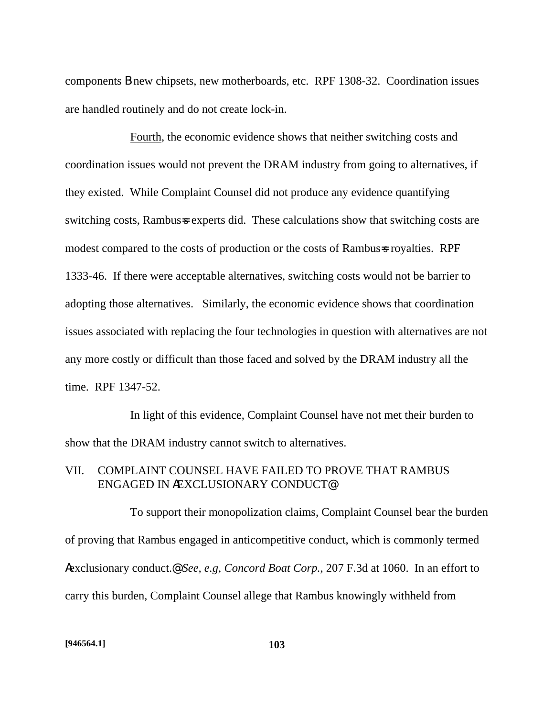components B new chipsets, new motherboards, etc. RPF 1308-32. Coordination issues are handled routinely and do not create lock-in.

Fourth, the economic evidence shows that neither switching costs and coordination issues would not prevent the DRAM industry from going to alternatives, if they existed. While Complaint Counsel did not produce any evidence quantifying switching costs, Rambus=s experts did. These calculations show that switching costs are modest compared to the costs of production or the costs of Rambus=s royalties. RPF 1333-46. If there were acceptable alternatives, switching costs would not be barrier to adopting those alternatives. Similarly, the economic evidence shows that coordination issues associated with replacing the four technologies in question with alternatives are not any more costly or difficult than those faced and solved by the DRAM industry all the time. RPF 1347-52.

In light of this evidence, Complaint Counsel have not met their burden to show that the DRAM industry cannot switch to alternatives.

### VII. COMPLAINT COUNSEL HAVE FAILED TO PROVE THAT RAMBUS ENGAGED IN AEXCLUSIONARY CONDUCT@

To support their monopolization claims, Complaint Counsel bear the burden of proving that Rambus engaged in anticompetitive conduct, which is commonly termed Aexclusionary conduct.@ *See, e.g, Concord Boat Corp.*, 207 F.3d at 1060. In an effort to carry this burden, Complaint Counsel allege that Rambus knowingly withheld from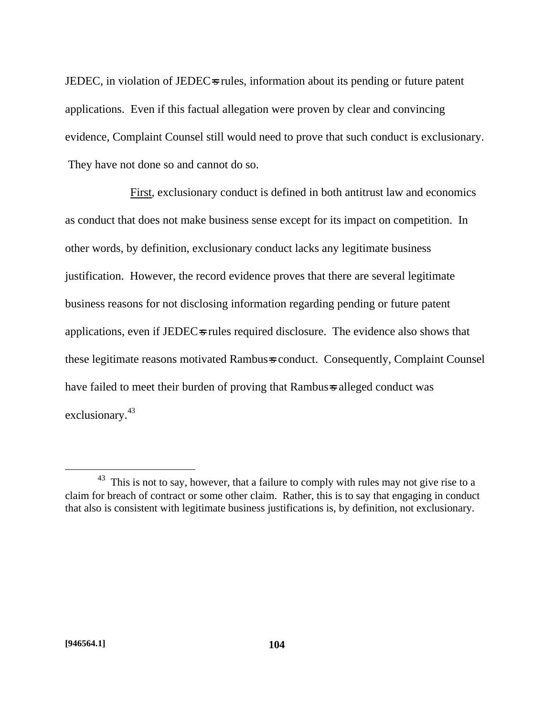JEDEC, in violation of JEDEC=s rules, information about its pending or future patent applications. Even if this factual allegation were proven by clear and convincing evidence, Complaint Counsel still would need to prove that such conduct is exclusionary. They have not done so and cannot do so.

First, exclusionary conduct is defined in both antitrust law and economics as conduct that does not make business sense except for its impact on competition. In other words, by definition, exclusionary conduct lacks any legitimate business justification. However, the record evidence proves that there are several legitimate business reasons for not disclosing information regarding pending or future patent applications, even if JEDEC=s rules required disclosure. The evidence also shows that these legitimate reasons motivated Rambus=s conduct. Consequently, Complaint Counsel have failed to meet their burden of proving that Rambus=s alleged conduct was exclusionary.<sup>43</sup>

1

 $43$  This is not to say, however, that a failure to comply with rules may not give rise to a claim for breach of contract or some other claim. Rather, this is to say that engaging in conduct that also is consistent with legitimate business justifications is, by definition, not exclusionary.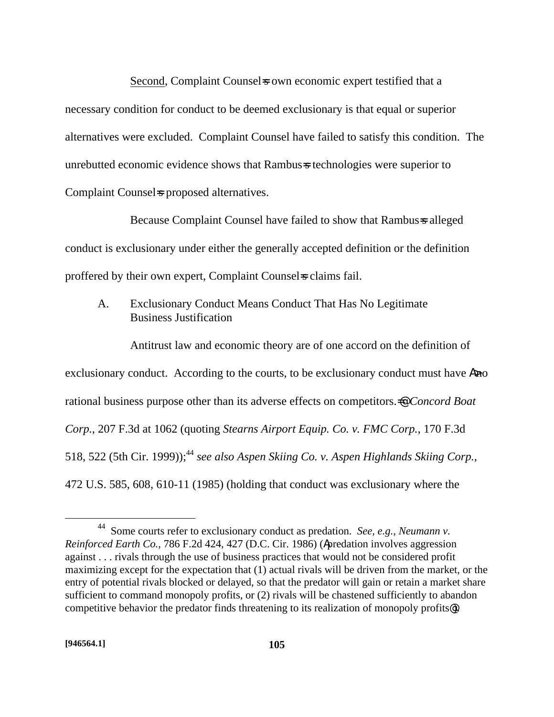Second, Complaint Counsels own economic expert testified that a necessary condition for conduct to be deemed exclusionary is that equal or superior alternatives were excluded. Complaint Counsel have failed to satisfy this condition. The unrebutted economic evidence shows that Rambus=s technologies were superior to Complaint Counsel = proposed alternatives.

Because Complaint Counsel have failed to show that Rambus=s alleged conduct is exclusionary under either the generally accepted definition or the definition proffered by their own expert, Complaint Counsels claims fail.

## A. Exclusionary Conduct Means Conduct That Has No Legitimate Business Justification

Antitrust law and economic theory are of one accord on the definition of exclusionary conduct. According to the courts, to be exclusionary conduct must have Ano rational business purpose other than its adverse effects on competitors.=@ *Concord Boat Corp.*, 207 F.3d at 1062 (quoting *Stearns Airport Equip. Co. v. FMC Corp.*, 170 F.3d 518, 522 (5th Cir. 1999));<sup>44</sup> see also Aspen Skiing Co. v. Aspen Highlands Skiing Corp., 472 U.S. 585, 608, 610-11 (1985) (holding that conduct was exclusionary where the

 $\overline{a}$ 

<sup>44</sup> Some courts refer to exclusionary conduct as predation. *See, e.g., Neumann v. Reinforced Earth Co.*, 786 F.2d 424, 427 (D.C. Cir. 1986) (Apredation involves aggression against . . . rivals through the use of business practices that would not be considered profit maximizing except for the expectation that (1) actual rivals will be driven from the market, or the entry of potential rivals blocked or delayed, so that the predator will gain or retain a market share sufficient to command monopoly profits, or (2) rivals will be chastened sufficiently to abandon competitive behavior the predator finds threatening to its realization of monopoly profits@).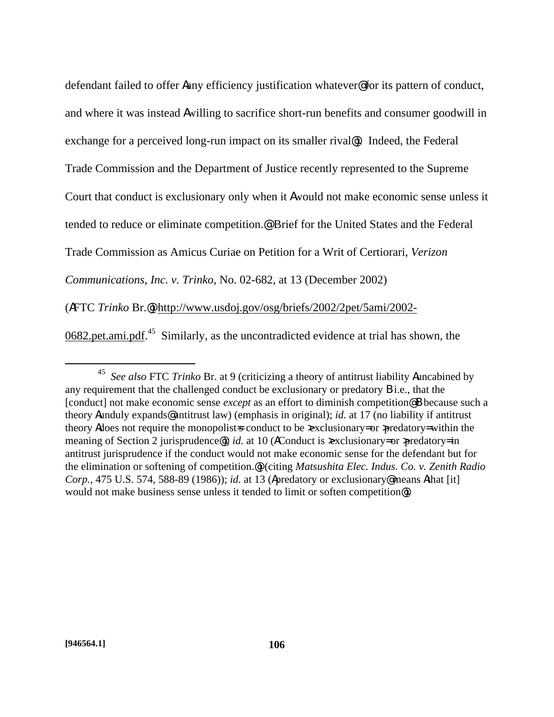defendant failed to offer Aany efficiency justification whatever@ for its pattern of conduct, and where it was instead Awilling to sacrifice short-run benefits and consumer goodwill in exchange for a perceived long-run impact on its smaller rival@). Indeed, the Federal Trade Commission and the Department of Justice recently represented to the Supreme Court that conduct is exclusionary only when it Awould not make economic sense unless it tended to reduce or eliminate competition.@ Brief for the United States and the Federal Trade Commission as Amicus Curiae on Petition for a Writ of Certiorari, *Verizon Communications, Inc. v. Trinko*, No. 02-682, at 13 (December 2002) (AFTC *Trinko* Br.@) http://www.usdoj.gov/osg/briefs/2002/2pet/5ami/2002-

 $0682$  pet ami.pdf.<sup>45</sup> Similarly, as the uncontradicted evidence at trial has shown, the

1

<sup>45</sup> *See also* FTC *Trinko* Br. at 9 (criticizing a theory of antitrust liability Auncabined by any requirement that the challenged conduct be exclusionary or predatory B i.e., that the [conduct] not make economic sense *except* as an effort to diminish competition@ B because such a theory Aunduly expands@ antitrust law) (emphasis in original); *id.* at 17 (no liability if antitrust theory Adoes not require the monopolists conduct to be  $\infty$  exclusionary= or  $\infty$  predatory= within the meaning of Section 2 jurisprudence<sup>®</sup>); *id.* at 10 (AConduct is  $\infty$  exclusionary= or  $\infty$  predatory= in antitrust jurisprudence if the conduct would not make economic sense for the defendant but for the elimination or softening of competition.@) (citing *Matsushita Elec. Indus. Co. v. Zenith Radio Corp.*, 475 U.S. 574, 588-89 (1986)); *id.* at 13 (Apredatory or exclusionary@ means Athat [it] would not make business sense unless it tended to limit or soften competition@).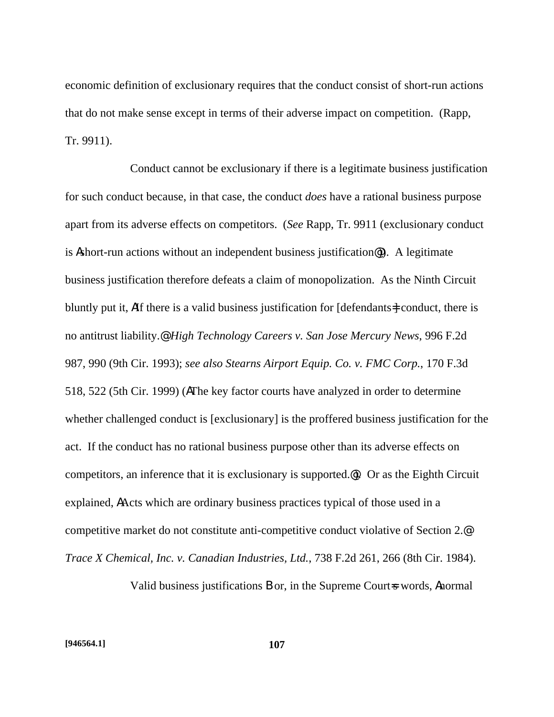economic definition of exclusionary requires that the conduct consist of short-run actions that do not make sense except in terms of their adverse impact on competition. (Rapp, Tr. 9911).

Conduct cannot be exclusionary if there is a legitimate business justification for such conduct because, in that case, the conduct *does* have a rational business purpose apart from its adverse effects on competitors. (*See* Rapp, Tr. 9911 (exclusionary conduct is Ashort-run actions without an independent business justification@)). A legitimate business justification therefore defeats a claim of monopolization. As the Ninth Circuit bluntly put it, AIf there is a valid business justification for [defendants=] conduct, there is no antitrust liability.@ *High Technology Careers v. San Jose Mercury News*, 996 F.2d 987, 990 (9th Cir. 1993); *see also Stearns Airport Equip. Co. v. FMC Corp.*, 170 F.3d 518, 522 (5th Cir. 1999) (AThe key factor courts have analyzed in order to determine whether challenged conduct is [exclusionary] is the proffered business justification for the act. If the conduct has no rational business purpose other than its adverse effects on competitors, an inference that it is exclusionary is supported.@). Or as the Eighth Circuit explained, AActs which are ordinary business practices typical of those used in a competitive market do not constitute anti-competitive conduct violative of Section 2.@ *Trace X Chemical, Inc. v. Canadian Industries, Ltd.*, 738 F.2d 261, 266 (8th Cir. 1984).

Valid business justifications **B** or, in the Supreme Court=s words, Anormal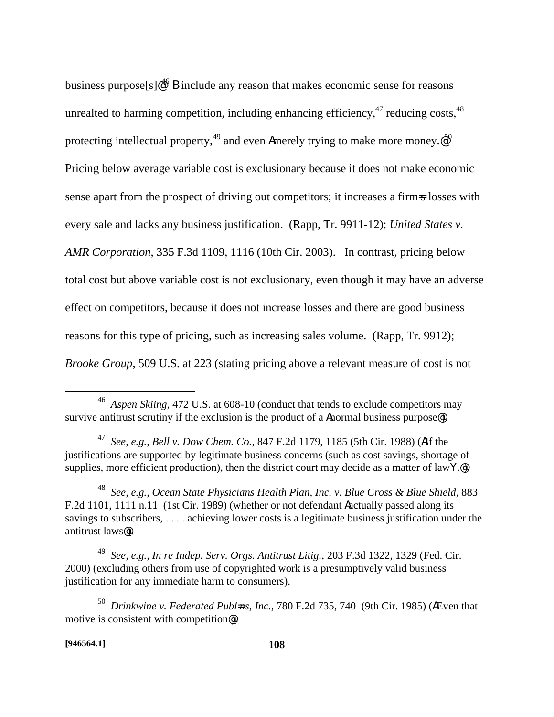business purpose $[s] \cdot \mathbb{R}^4$ <sup>6</sup> **B** include any reason that makes economic sense for reasons unrealted to harming competition, including enhancing efficiency,  $47$  reducing costs,  $48$ protecting intellectual property,  $49$  and even Amerely trying to make more money.  $\mathcal{Q}^{50}$ Pricing below average variable cost is exclusionary because it does not make economic sense apart from the prospect of driving out competitors; it increases a firm-s losses with every sale and lacks any business justification. (Rapp, Tr. 9911-12); *United States v. AMR Corporation*, 335 F.3d 1109, 1116 (10th Cir. 2003). In contrast, pricing below total cost but above variable cost is not exclusionary, even though it may have an adverse effect on competitors, because it does not increase losses and there are good business reasons for this type of pricing, such as increasing sales volume. (Rapp, Tr. 9912); *Brooke Group*, 509 U.S. at 223 (stating pricing above a relevant measure of cost is not

<u>.</u>

<sup>46</sup> *Aspen Skiing*, 472 U.S. at 608-10 (conduct that tends to exclude competitors may survive antitrust scrutiny if the exclusion is the product of a **Anormal business purpose**.

<sup>47</sup> *See, e.g., Bell v. Dow Chem. Co.*, 847 F.2d 1179, 1185 (5th Cir. 1988) (AIf the justifications are supported by legitimate business concerns (such as cost savings, shortage of supplies, more efficient production), then the district court may decide as a matter of law $Y$ . $\circledast$ .

<sup>48</sup> *See, e.g., Ocean State Physicians Health Plan, Inc. v. Blue Cross & Blue Shield*, 883 F.2d 1101, 1111 n.11 (1st Cir. 1989) (whether or not defendant Aactually passed along its savings to subscribers, . . . . achieving lower costs is a legitimate business justification under the antitrust laws@).

<sup>49</sup> *See, e.g., In re Indep. Serv. Orgs. Antitrust Litig.*, 203 F.3d 1322, 1329 (Fed. Cir. 2000) (excluding others from use of copyrighted work is a presumptively valid business justification for any immediate harm to consumers).

<sup>50</sup> *Drinkwine v. Federated Publ=ns, Inc.*, 780 F.2d 735, 740 (9th Cir. 1985) (AEven that motive is consistent with competition@).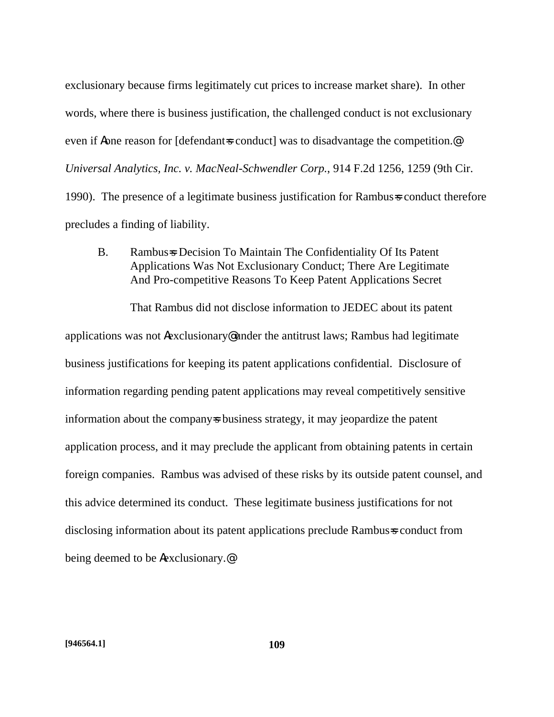exclusionary because firms legitimately cut prices to increase market share). In other words, where there is business justification, the challenged conduct is not exclusionary even if **A**one reason for [defendant=s conduct] was to disadvantage the competition.<sup>@</sup> *Universal Analytics, Inc. v. MacNeal-Schwendler Corp.*, 914 F.2d 1256, 1259 (9th Cir. 1990). The presence of a legitimate business justification for Rambus=s conduct therefore precludes a finding of liability.

B. Rambus=s Decision To Maintain The Confidentiality Of Its Patent Applications Was Not Exclusionary Conduct; There Are Legitimate And Pro-competitive Reasons To Keep Patent Applications Secret

That Rambus did not disclose information to JEDEC about its patent applications was not Aexclusionary@ under the antitrust laws; Rambus had legitimate business justifications for keeping its patent applications confidential. Disclosure of information regarding pending patent applications may reveal competitively sensitive information about the company sbusiness strategy, it may jeopardize the patent application process, and it may preclude the applicant from obtaining patents in certain foreign companies. Rambus was advised of these risks by its outside patent counsel, and this advice determined its conduct. These legitimate business justifications for not disclosing information about its patent applications preclude Rambus=s conduct from being deemed to be Aexclusionary.@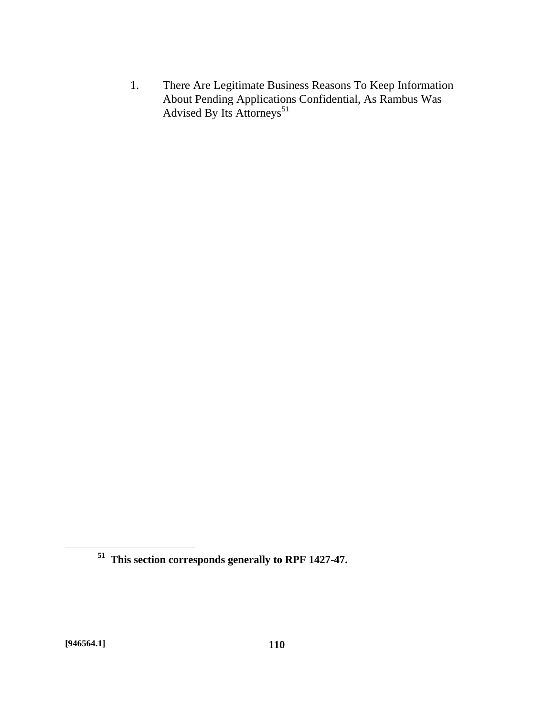1. There Are Legitimate Business Reasons To Keep Information About Pending Applications Confidential, As Rambus Was Advised By Its Attorneys<sup>51</sup>

<u>.</u>

**<sup>51</sup> This section corresponds generally to RPF 1427-47.**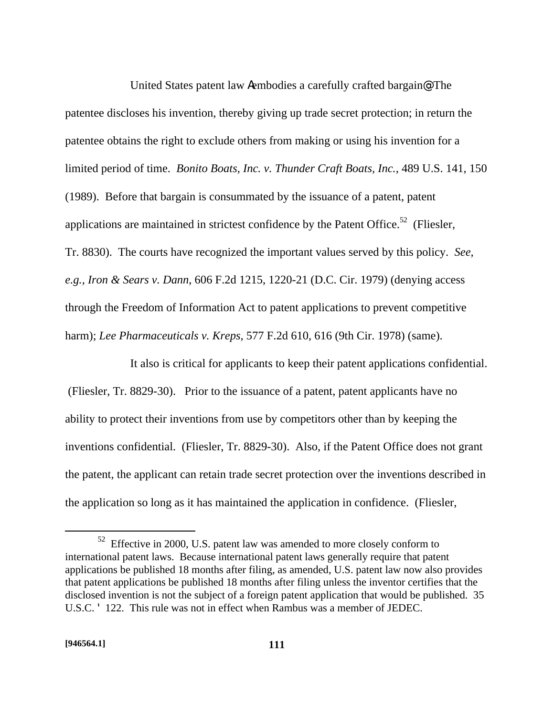United States patent law Aembodies a carefully crafted bargain@: The patentee discloses his invention, thereby giving up trade secret protection; in return the patentee obtains the right to exclude others from making or using his invention for a limited period of time. *Bonito Boats, Inc. v. Thunder Craft Boats, Inc.*, 489 U.S. 141, 150 (1989). Before that bargain is consummated by the issuance of a patent, patent applications are maintained in strictest confidence by the Patent Office.<sup>52</sup> (Fliesler, Tr. 8830). The courts have recognized the important values served by this policy. *See, e.g., Iron & Sears v. Dann*, 606 F.2d 1215, 1220-21 (D.C. Cir. 1979) (denying access through the Freedom of Information Act to patent applications to prevent competitive harm); *Lee Pharmaceuticals v. Kreps*, 577 F.2d 610, 616 (9th Cir. 1978) (same).

It also is critical for applicants to keep their patent applications confidential. (Fliesler, Tr. 8829-30). Prior to the issuance of a patent, patent applicants have no ability to protect their inventions from use by competitors other than by keeping the inventions confidential. (Fliesler, Tr. 8829-30). Also, if the Patent Office does not grant the patent, the applicant can retain trade secret protection over the inventions described in the application so long as it has maintained the application in confidence. (Fliesler,

 $\overline{a}$ 

 $52$  Effective in 2000, U.S. patent law was amended to more closely conform to international patent laws. Because international patent laws generally require that patent applications be published 18 months after filing, as amended, U.S. patent law now also provides that patent applications be published 18 months after filing unless the inventor certifies that the disclosed invention is not the subject of a foreign patent application that would be published. 35 U.S.C. ' 122. This rule was not in effect when Rambus was a member of JEDEC.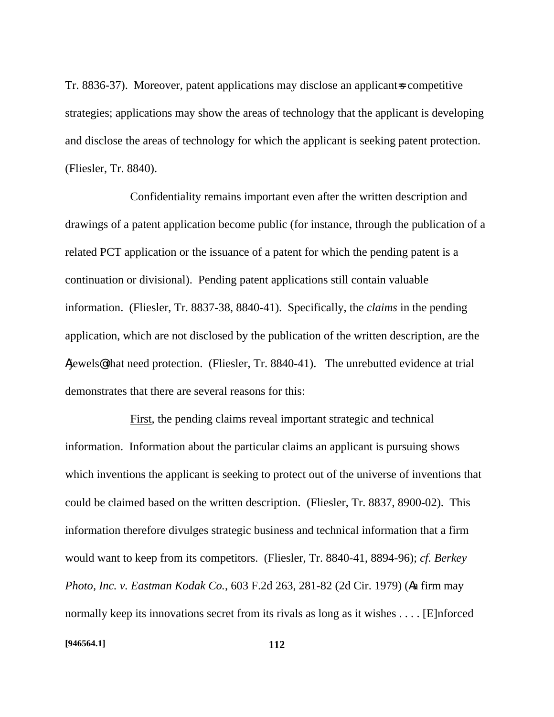Tr. 8836-37). Moreover, patent applications may disclose an applicant-s competitive strategies; applications may show the areas of technology that the applicant is developing and disclose the areas of technology for which the applicant is seeking patent protection. (Fliesler, Tr. 8840).

Confidentiality remains important even after the written description and drawings of a patent application become public (for instance, through the publication of a related PCT application or the issuance of a patent for which the pending patent is a continuation or divisional). Pending patent applications still contain valuable information. (Fliesler, Tr. 8837-38, 8840-41). Specifically, the *claims* in the pending application, which are not disclosed by the publication of the written description, are the Ajewels@ that need protection. (Fliesler, Tr. 8840-41). The unrebutted evidence at trial demonstrates that there are several reasons for this:

First, the pending claims reveal important strategic and technical information. Information about the particular claims an applicant is pursuing shows which inventions the applicant is seeking to protect out of the universe of inventions that could be claimed based on the written description. (Fliesler, Tr. 8837, 8900-02). This information therefore divulges strategic business and technical information that a firm would want to keep from its competitors. (Fliesler, Tr. 8840-41, 8894-96); *cf. Berkey Photo, Inc. v. Eastman Kodak Co.*, 603 F.2d 263, 281-82 (2d Cir. 1979) (Aa firm may normally keep its innovations secret from its rivals as long as it wishes . . . . [E]nforced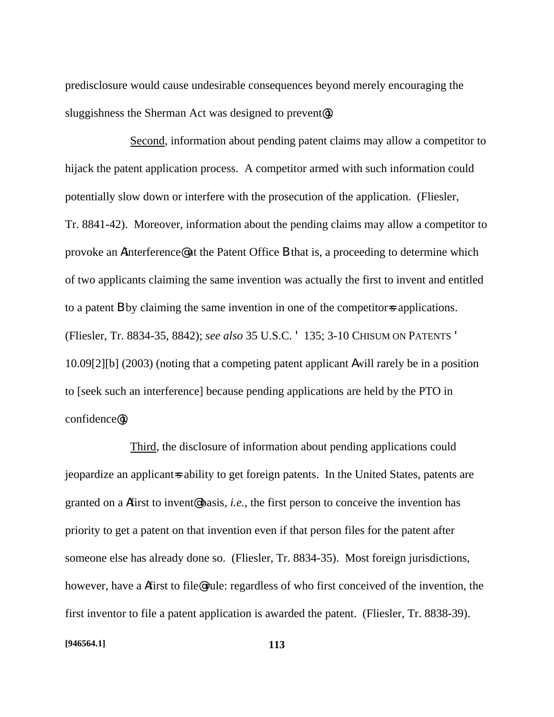predisclosure would cause undesirable consequences beyond merely encouraging the sluggishness the Sherman Act was designed to prevent<sup>o</sup>.

Second, information about pending patent claims may allow a competitor to hijack the patent application process. A competitor armed with such information could potentially slow down or interfere with the prosecution of the application. (Fliesler, Tr. 8841-42). Moreover, information about the pending claims may allow a competitor to provoke an Ainterference@ at the Patent Office B that is, a proceeding to determine which of two applicants claiming the same invention was actually the first to invent and entitled to a patent **B** by claiming the same invention in one of the competitor-s applications. (Fliesler, Tr. 8834-35, 8842); *see also* 35 U.S.C. ' 135; 3-10 CHISUM ON PATENTS ' 10.09[2][b] (2003) (noting that a competing patent applicant Awill rarely be in a position to [seek such an interference] because pending applications are held by the PTO in confidence@).

Third, the disclosure of information about pending applications could jeopardize an applicant-s ability to get foreign patents. In the United States, patents are granted on a Afirst to invent@ basis, *i.e.*, the first person to conceive the invention has priority to get a patent on that invention even if that person files for the patent after someone else has already done so. (Fliesler, Tr. 8834-35). Most foreign jurisdictions, however, have a Afirst to file@ rule: regardless of who first conceived of the invention, the first inventor to file a patent application is awarded the patent. (Fliesler, Tr. 8838-39).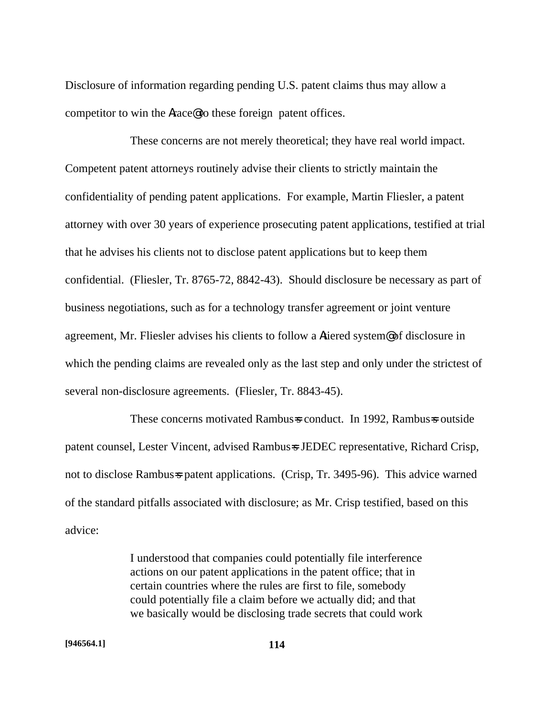Disclosure of information regarding pending U.S. patent claims thus may allow a competitor to win the Arace@ to these foreign patent offices.

These concerns are not merely theoretical; they have real world impact. Competent patent attorneys routinely advise their clients to strictly maintain the confidentiality of pending patent applications. For example, Martin Fliesler, a patent attorney with over 30 years of experience prosecuting patent applications, testified at trial that he advises his clients not to disclose patent applications but to keep them confidential. (Fliesler, Tr. 8765-72, 8842-43). Should disclosure be necessary as part of business negotiations, such as for a technology transfer agreement or joint venture agreement, Mr. Fliesler advises his clients to follow a Atiered system@ of disclosure in which the pending claims are revealed only as the last step and only under the strictest of several non-disclosure agreements. (Fliesler, Tr. 8843-45).

These concerns motivated Rambus=s conduct. In 1992, Rambus=s outside patent counsel, Lester Vincent, advised Rambus=s JEDEC representative, Richard Crisp, not to disclose Rambus=s patent applications. (Crisp, Tr. 3495-96). This advice warned of the standard pitfalls associated with disclosure; as Mr. Crisp testified, based on this advice:

> I understood that companies could potentially file interference actions on our patent applications in the patent office; that in certain countries where the rules are first to file, somebody could potentially file a claim before we actually did; and that we basically would be disclosing trade secrets that could work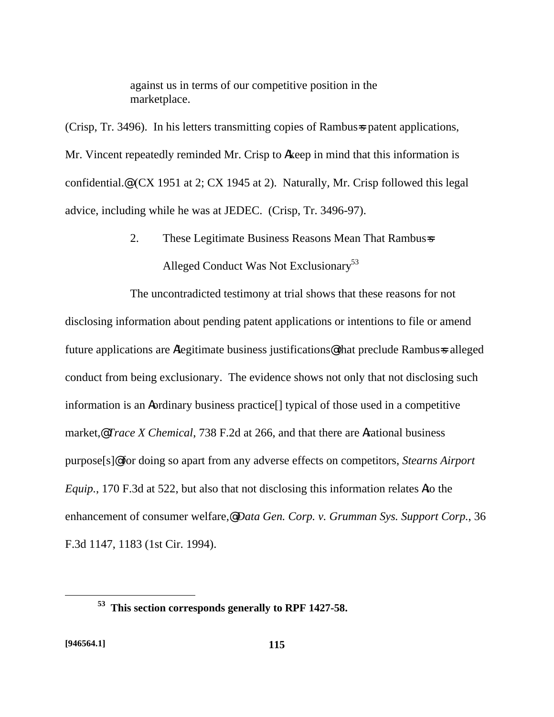against us in terms of our competitive position in the marketplace.

(Crisp, Tr. 3496). In his letters transmitting copies of Rambus=s patent applications, Mr. Vincent repeatedly reminded Mr. Crisp to Akeep in mind that this information is confidential.@ (CX 1951 at 2; CX 1945 at 2). Naturally, Mr. Crisp followed this legal advice, including while he was at JEDEC. (Crisp, Tr. 3496-97).

> 2. These Legitimate Business Reasons Mean That Rambus=s Alleged Conduct Was Not Exclusionary<sup>53</sup>

The uncontradicted testimony at trial shows that these reasons for not disclosing information about pending patent applications or intentions to file or amend future applications are Alegitimate business justifications@ that preclude Rambus=s alleged conduct from being exclusionary. The evidence shows not only that not disclosing such information is an Aordinary business practice[] typical of those used in a competitive market,@ *Trace X Chemical*, 738 F.2d at 266, and that there are Arational business purpose[s]@ for doing so apart from any adverse effects on competitors, *Stearns Airport Equip.*, 170 F.3d at 522, but also that not disclosing this information relates Ato the enhancement of consumer welfare,@ *Data Gen. Corp. v. Grumman Sys. Support Corp.*, 36 F.3d 1147, 1183 (1st Cir. 1994).

<u>.</u>

**<sup>53</sup> This section corresponds generally to RPF 1427-58.**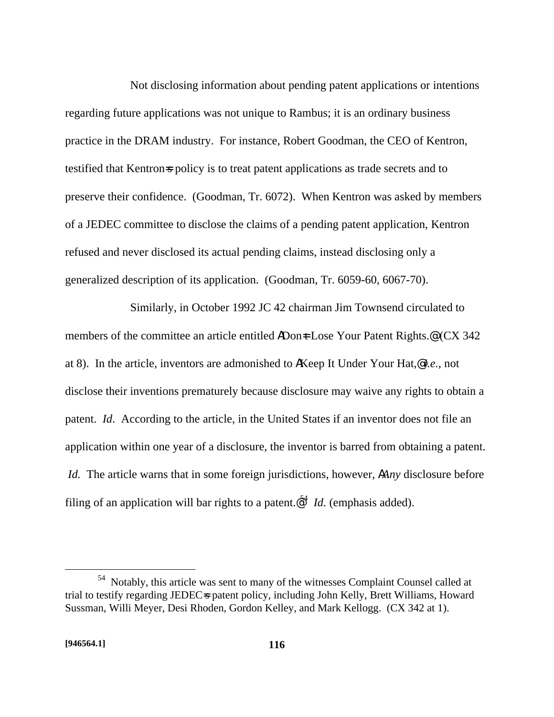Not disclosing information about pending patent applications or intentions regarding future applications was not unique to Rambus; it is an ordinary business practice in the DRAM industry. For instance, Robert Goodman, the CEO of Kentron, testified that Kentron=s policy is to treat patent applications as trade secrets and to preserve their confidence. (Goodman, Tr. 6072). When Kentron was asked by members of a JEDEC committee to disclose the claims of a pending patent application, Kentron refused and never disclosed its actual pending claims, instead disclosing only a generalized description of its application. (Goodman, Tr. 6059-60, 6067-70).

Similarly, in October 1992 JC 42 chairman Jim Townsend circulated to members of the committee an article entitled ADon<sup> $\pm$ </sup> Lose Your Patent Rights.<sup>@</sup> (CX 342) at 8). In the article, inventors are admonished to AKeep It Under Your Hat,@ *i.e.*, not disclose their inventions prematurely because disclosure may waive any rights to obtain a patent. *Id*. According to the article, in the United States if an inventor does not file an application within one year of a disclosure, the inventor is barred from obtaining a patent. *Id.* The article warns that in some foreign jurisdictions, however, A*Any* disclosure before filing of an application will bar rights to a patent. $\mathcal{Q}^4$  *Id.* (emphasis added).

1

<sup>54</sup> Notably, this article was sent to many of the witnesses Complaint Counsel called at trial to testify regarding JEDECs patent policy, including John Kelly, Brett Williams, Howard Sussman, Willi Meyer, Desi Rhoden, Gordon Kelley, and Mark Kellogg. (CX 342 at 1).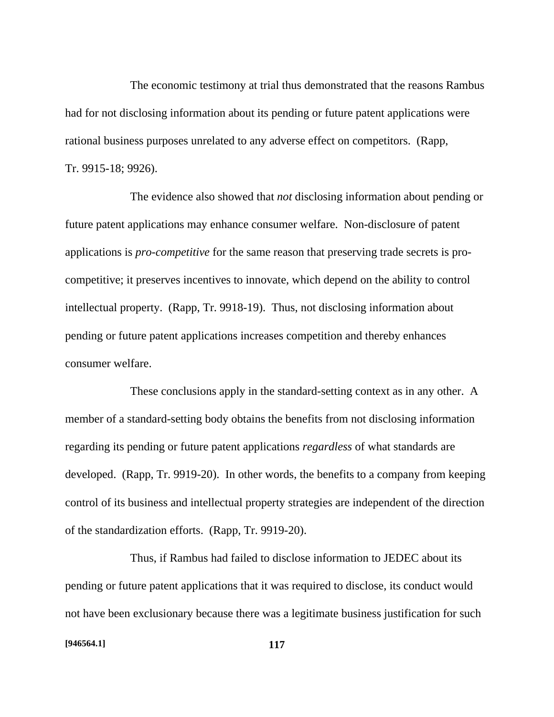The economic testimony at trial thus demonstrated that the reasons Rambus had for not disclosing information about its pending or future patent applications were rational business purposes unrelated to any adverse effect on competitors. (Rapp, Tr. 9915-18; 9926).

The evidence also showed that *not* disclosing information about pending or future patent applications may enhance consumer welfare. Non-disclosure of patent applications is *pro-competitive* for the same reason that preserving trade secrets is procompetitive; it preserves incentives to innovate, which depend on the ability to control intellectual property. (Rapp, Tr. 9918-19). Thus, not disclosing information about pending or future patent applications increases competition and thereby enhances consumer welfare.

These conclusions apply in the standard-setting context as in any other. A member of a standard-setting body obtains the benefits from not disclosing information regarding its pending or future patent applications *regardless* of what standards are developed. (Rapp, Tr. 9919-20). In other words, the benefits to a company from keeping control of its business and intellectual property strategies are independent of the direction of the standardization efforts. (Rapp, Tr. 9919-20).

Thus, if Rambus had failed to disclose information to JEDEC about its pending or future patent applications that it was required to disclose, its conduct would not have been exclusionary because there was a legitimate business justification for such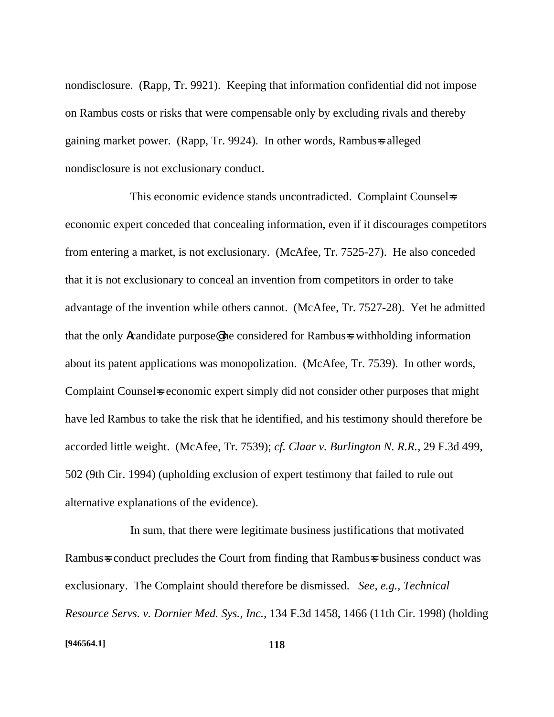nondisclosure. (Rapp, Tr. 9921). Keeping that information confidential did not impose on Rambus costs or risks that were compensable only by excluding rivals and thereby gaining market power. (Rapp, Tr. 9924). In other words, Rambus=s alleged nondisclosure is not exclusionary conduct.

This economic evidence stands uncontradicted. Complaint Counsel=s economic expert conceded that concealing information, even if it discourages competitors from entering a market, is not exclusionary. (McAfee, Tr. 7525-27). He also conceded that it is not exclusionary to conceal an invention from competitors in order to take advantage of the invention while others cannot. (McAfee, Tr. 7527-28). Yet he admitted that the only Acandidate purpose@ he considered for Rambus=s withholding information about its patent applications was monopolization. (McAfee, Tr. 7539). In other words, Complaint Counsels economic expert simply did not consider other purposes that might have led Rambus to take the risk that he identified, and his testimony should therefore be accorded little weight. (McAfee, Tr. 7539); *cf. Claar v. Burlington N. R.R.*, 29 F.3d 499, 502 (9th Cir. 1994) (upholding exclusion of expert testimony that failed to rule out alternative explanations of the evidence).

In sum, that there were legitimate business justifications that motivated Rambus=s conduct precludes the Court from finding that Rambus=s business conduct was exclusionary. The Complaint should therefore be dismissed. *See, e.g., Technical Resource Servs. v. Dornier Med. Sys., Inc.*, 134 F.3d 1458, 1466 (11th Cir. 1998) (holding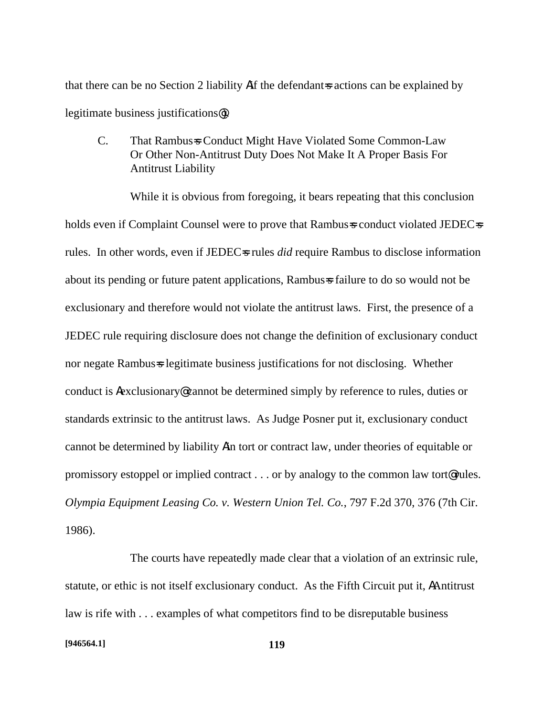that there can be no Section 2 liability Aif the defendant is actions can be explained by legitimate business justifications@).

C. That Rambus=s Conduct Might Have Violated Some Common-Law Or Other Non-Antitrust Duty Does Not Make It A Proper Basis For Antitrust Liability

While it is obvious from foregoing, it bears repeating that this conclusion holds even if Complaint Counsel were to prove that Rambus=s conduct violated JEDEC=s rules. In other words, even if JEDEC=s rules *did* require Rambus to disclose information about its pending or future patent applications, Rambus failure to do so would not be exclusionary and therefore would not violate the antitrust laws. First, the presence of a JEDEC rule requiring disclosure does not change the definition of exclusionary conduct nor negate Rambus-s legitimate business justifications for not disclosing. Whether conduct is Aexclusionary@ cannot be determined simply by reference to rules, duties or standards extrinsic to the antitrust laws. As Judge Posner put it, exclusionary conduct cannot be determined by liability Ain tort or contract law, under theories of equitable or promissory estoppel or implied contract . . . or by analogy to the common law tort@ rules. *Olympia Equipment Leasing Co. v. Western Union Tel. Co.*, 797 F.2d 370, 376 (7th Cir. 1986).

The courts have repeatedly made clear that a violation of an extrinsic rule, statute, or ethic is not itself exclusionary conduct. As the Fifth Circuit put it, AAntitrust law is rife with . . . examples of what competitors find to be disreputable business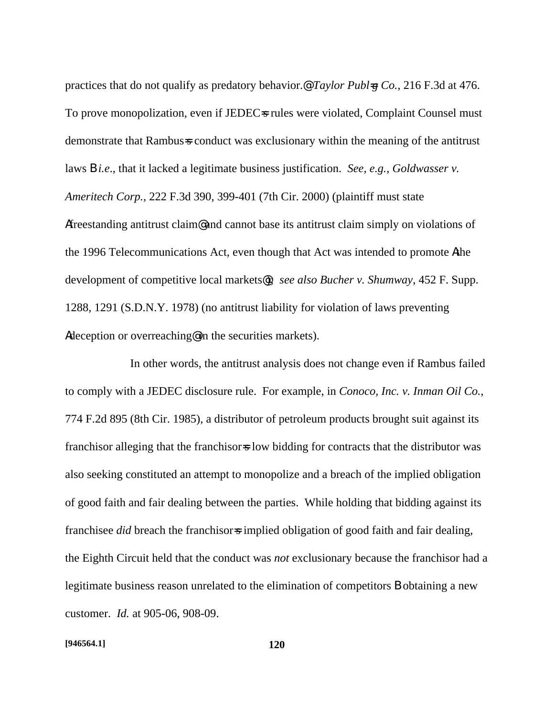practices that do not qualify as predatory behavior.@ *Taylor Publ=g Co.*, 216 F.3d at 476. To prove monopolization, even if JEDEC=s rules were violated, Complaint Counsel must demonstrate that Rambus=s conduct was exclusionary within the meaning of the antitrust laws B *i.e*., that it lacked a legitimate business justification. *See, e.g., Goldwasser v. Ameritech Corp.*, 222 F.3d 390, 399-401 (7th Cir. 2000) (plaintiff must state Afreestanding antitrust claim@ and cannot base its antitrust claim simply on violations of the 1996 Telecommunications Act, even though that Act was intended to promote Athe development of competitive local markets@); *see also Bucher v. Shumway*, 452 F. Supp. 1288, 1291 (S.D.N.Y. 1978) (no antitrust liability for violation of laws preventing Adeception or overreaching@ in the securities markets).

In other words, the antitrust analysis does not change even if Rambus failed to comply with a JEDEC disclosure rule. For example, in *Conoco, Inc. v. Inman Oil Co.*, 774 F.2d 895 (8th Cir. 1985), a distributor of petroleum products brought suit against its franchisor alleging that the franchisor is low bidding for contracts that the distributor was also seeking constituted an attempt to monopolize and a breach of the implied obligation of good faith and fair dealing between the parties. While holding that bidding against its franchisee *did* breach the franchisors implied obligation of good faith and fair dealing, the Eighth Circuit held that the conduct was *not* exclusionary because the franchisor had a legitimate business reason unrelated to the elimination of competitors B obtaining a new customer. *Id.* at 905-06, 908-09.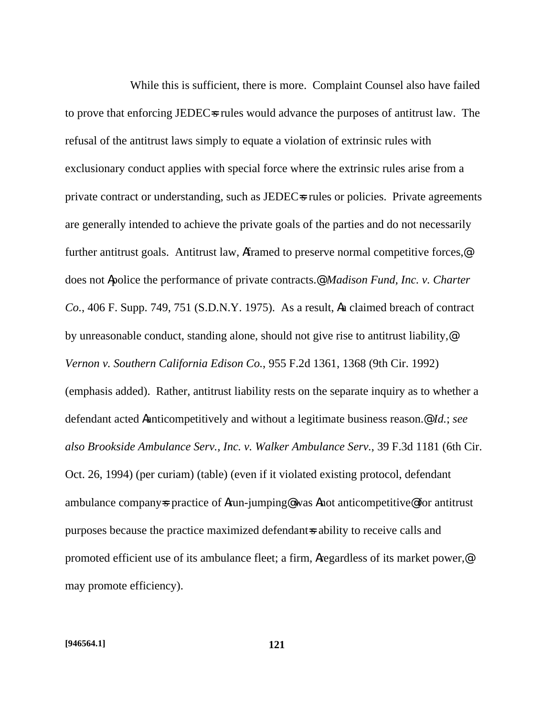While this is sufficient, there is more. Complaint Counsel also have failed to prove that enforcing JEDECs rules would advance the purposes of antitrust law. The refusal of the antitrust laws simply to equate a violation of extrinsic rules with exclusionary conduct applies with special force where the extrinsic rules arise from a private contract or understanding, such as JEDEC=s rules or policies. Private agreements are generally intended to achieve the private goals of the parties and do not necessarily further antitrust goals. Antitrust law, Aframed to preserve normal competitive forces,<sup>@</sup> does not Apolice the performance of private contracts.@ *Madison Fund, Inc. v. Charter Co.*, 406 F. Supp. 749, 751 (S.D.N.Y. 1975). As a result, Aa claimed breach of contract by unreasonable conduct, standing alone, should not give rise to antitrust liability,@ *Vernon v. Southern California Edison Co.*, 955 F.2d 1361, 1368 (9th Cir. 1992) (emphasis added). Rather, antitrust liability rests on the separate inquiry as to whether a defendant acted Aanticompetitively and without a legitimate business reason.@ *Id.*; *see also Brookside Ambulance Serv., Inc. v. Walker Ambulance Serv.*, 39 F.3d 1181 (6th Cir. Oct. 26, 1994) (per curiam) (table) (even if it violated existing protocol, defendant ambulance company=s practice of Arun-jumping@ was Anot anticompetitive@ for antitrust purposes because the practice maximized defendant=s ability to receive calls and promoted efficient use of its ambulance fleet; a firm, Aregardless of its market power,@ may promote efficiency).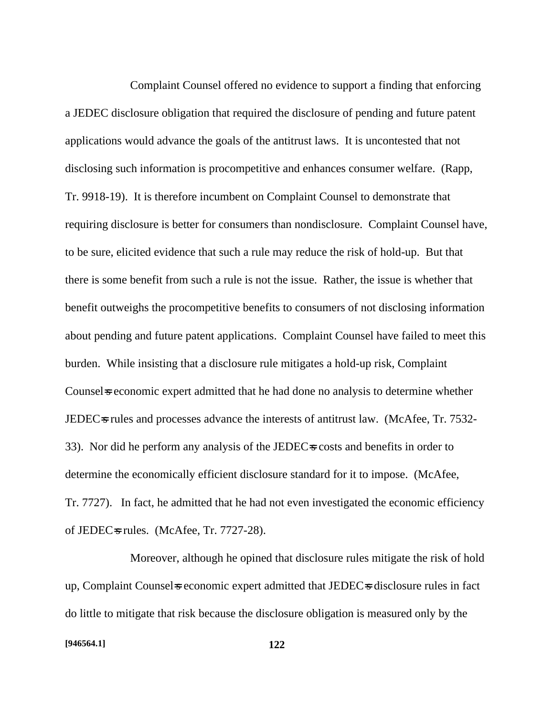Complaint Counsel offered no evidence to support a finding that enforcing a JEDEC disclosure obligation that required the disclosure of pending and future patent applications would advance the goals of the antitrust laws. It is uncontested that not disclosing such information is procompetitive and enhances consumer welfare. (Rapp, Tr. 9918-19). It is therefore incumbent on Complaint Counsel to demonstrate that requiring disclosure is better for consumers than nondisclosure. Complaint Counsel have, to be sure, elicited evidence that such a rule may reduce the risk of hold-up. But that there is some benefit from such a rule is not the issue. Rather, the issue is whether that benefit outweighs the procompetitive benefits to consumers of not disclosing information about pending and future patent applications. Complaint Counsel have failed to meet this burden. While insisting that a disclosure rule mitigates a hold-up risk, Complaint Counsel is economic expert admitted that he had done no analysis to determine whether JEDECs rules and processes advance the interests of antitrust law. (McAfee, Tr. 7532-33). Nor did he perform any analysis of the JEDEC=s costs and benefits in order to determine the economically efficient disclosure standard for it to impose. (McAfee, Tr. 7727). In fact, he admitted that he had not even investigated the economic efficiency of JEDEC $\approx$  rules. (McAfee, Tr. 7727-28).

Moreover, although he opined that disclosure rules mitigate the risk of hold up, Complaint Counsels economic expert admitted that JEDECs disclosure rules in fact do little to mitigate that risk because the disclosure obligation is measured only by the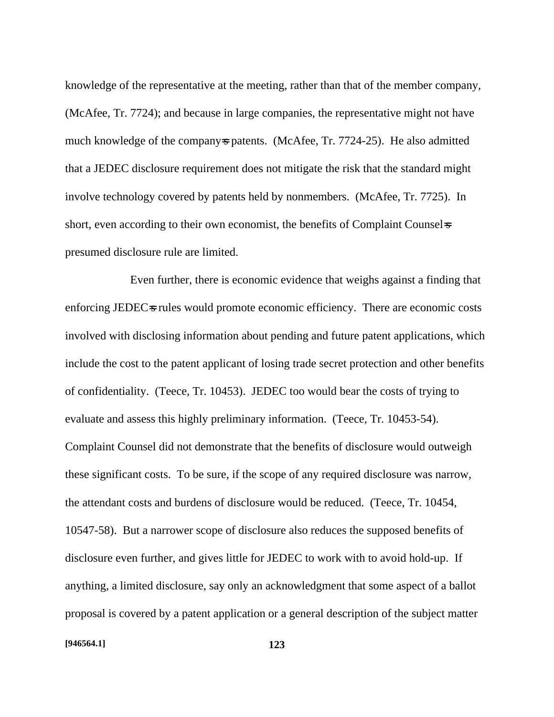knowledge of the representative at the meeting, rather than that of the member company, (McAfee, Tr. 7724); and because in large companies, the representative might not have much knowledge of the company-s patents. (McAfee, Tr. 7724-25). He also admitted that a JEDEC disclosure requirement does not mitigate the risk that the standard might involve technology covered by patents held by nonmembers. (McAfee, Tr. 7725). In short, even according to their own economist, the benefits of Complaint Counsel-s presumed disclosure rule are limited.

Even further, there is economic evidence that weighs against a finding that enforcing JEDEC=s rules would promote economic efficiency. There are economic costs involved with disclosing information about pending and future patent applications, which include the cost to the patent applicant of losing trade secret protection and other benefits of confidentiality. (Teece, Tr. 10453). JEDEC too would bear the costs of trying to evaluate and assess this highly preliminary information. (Teece, Tr. 10453-54). Complaint Counsel did not demonstrate that the benefits of disclosure would outweigh these significant costs. To be sure, if the scope of any required disclosure was narrow, the attendant costs and burdens of disclosure would be reduced. (Teece, Tr. 10454, 10547-58). But a narrower scope of disclosure also reduces the supposed benefits of disclosure even further, and gives little for JEDEC to work with to avoid hold-up. If anything, a limited disclosure, say only an acknowledgment that some aspect of a ballot proposal is covered by a patent application or a general description of the subject matter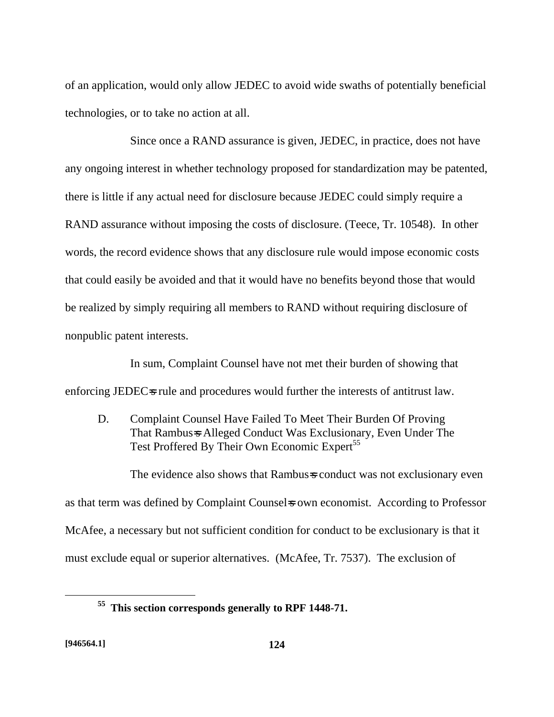of an application, would only allow JEDEC to avoid wide swaths of potentially beneficial technologies, or to take no action at all.

Since once a RAND assurance is given, JEDEC, in practice, does not have any ongoing interest in whether technology proposed for standardization may be patented, there is little if any actual need for disclosure because JEDEC could simply require a RAND assurance without imposing the costs of disclosure. (Teece, Tr. 10548). In other words, the record evidence shows that any disclosure rule would impose economic costs that could easily be avoided and that it would have no benefits beyond those that would be realized by simply requiring all members to RAND without requiring disclosure of nonpublic patent interests.

In sum, Complaint Counsel have not met their burden of showing that enforcing JEDEC $\equiv$ s rule and procedures would further the interests of antitrust law.

D. Complaint Counsel Have Failed To Meet Their Burden Of Proving That Rambus=s Alleged Conduct Was Exclusionary, Even Under The Test Proffered By Their Own Economic Expert<sup>55</sup>

The evidence also shows that Rambus=s conduct was not exclusionary even as that term was defined by Complaint Counsels own economist. According to Professor McAfee, a necessary but not sufficient condition for conduct to be exclusionary is that it must exclude equal or superior alternatives. (McAfee, Tr. 7537). The exclusion of

<u>.</u>

**<sup>55</sup> This section corresponds generally to RPF 1448-71.**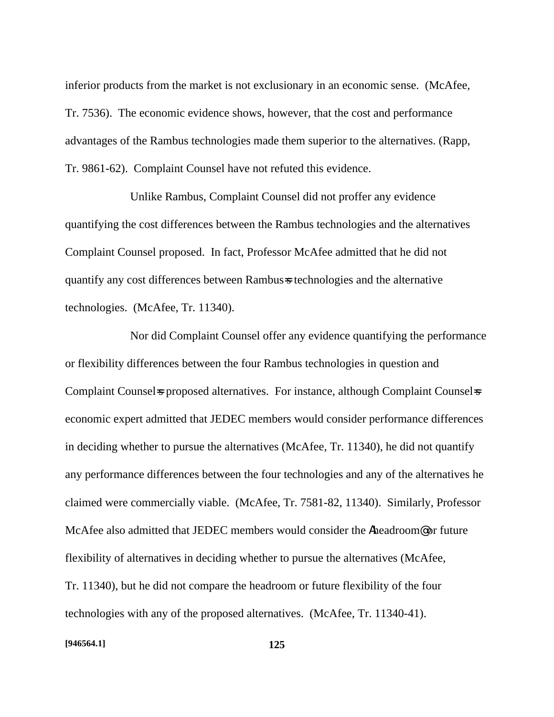inferior products from the market is not exclusionary in an economic sense. (McAfee, Tr. 7536). The economic evidence shows, however, that the cost and performance advantages of the Rambus technologies made them superior to the alternatives. (Rapp, Tr. 9861-62). Complaint Counsel have not refuted this evidence.

Unlike Rambus, Complaint Counsel did not proffer any evidence quantifying the cost differences between the Rambus technologies and the alternatives Complaint Counsel proposed. In fact, Professor McAfee admitted that he did not quantify any cost differences between Rambus=s technologies and the alternative technologies. (McAfee, Tr. 11340).

Nor did Complaint Counsel offer any evidence quantifying the performance or flexibility differences between the four Rambus technologies in question and Complaint Counsel is proposed alternatives. For instance, although Complaint Counsel is economic expert admitted that JEDEC members would consider performance differences in deciding whether to pursue the alternatives (McAfee, Tr. 11340), he did not quantify any performance differences between the four technologies and any of the alternatives he claimed were commercially viable. (McAfee, Tr. 7581-82, 11340). Similarly, Professor McAfee also admitted that JEDEC members would consider the Aheadroom@ or future flexibility of alternatives in deciding whether to pursue the alternatives (McAfee, Tr. 11340), but he did not compare the headroom or future flexibility of the four technologies with any of the proposed alternatives. (McAfee, Tr. 11340-41).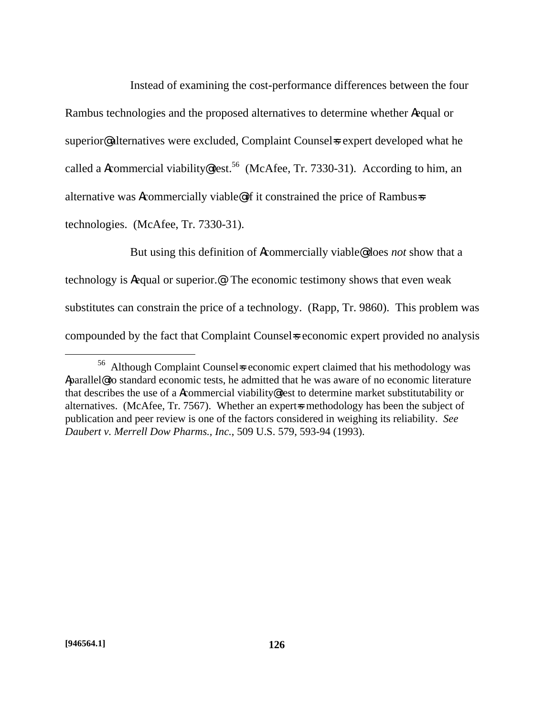Instead of examining the cost-performance differences between the four Rambus technologies and the proposed alternatives to determine whether Aequal or superior@ alternatives were excluded, Complaint Counsels expert developed what he called a Acommercial viability@ test.<sup>56</sup> (McAfee, Tr. 7330-31). According to him, an alternative was Acommercially viable@ if it constrained the price of Rambus=s technologies. (McAfee, Tr. 7330-31).

But using this definition of Acommercially viable@ does *not* show that a technology is Aequal or superior.@ The economic testimony shows that even weak substitutes can constrain the price of a technology. (Rapp, Tr. 9860). This problem was compounded by the fact that Complaint Counsel is economic expert provided no analysis

 $\overline{a}$ 

 $56$  Although Complaint Counsels economic expert claimed that his methodology was Aparallel@ to standard economic tests, he admitted that he was aware of no economic literature that describes the use of a Acommercial viability@ test to determine market substitutability or alternatives. (McAfee, Tr. 7567). Whether an expert-s methodology has been the subject of publication and peer review is one of the factors considered in weighing its reliability. *See Daubert v. Merrell Dow Pharms., Inc.*, 509 U.S. 579, 593-94 (1993).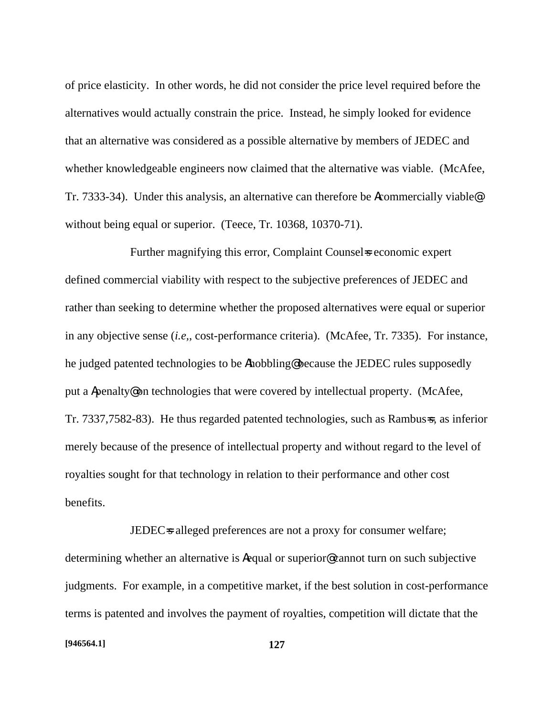of price elasticity. In other words, he did not consider the price level required before the alternatives would actually constrain the price. Instead, he simply looked for evidence that an alternative was considered as a possible alternative by members of JEDEC and whether knowledgeable engineers now claimed that the alternative was viable. (McAfee, Tr. 7333-34). Under this analysis, an alternative can therefore be Acommercially viable@ without being equal or superior. (Teece, Tr. 10368, 10370-71).

Further magnifying this error, Complaint Counsels economic expert defined commercial viability with respect to the subjective preferences of JEDEC and rather than seeking to determine whether the proposed alternatives were equal or superior in any objective sense (*i.e,*, cost-performance criteria). (McAfee, Tr. 7335). For instance, he judged patented technologies to be Ahobbling@ because the JEDEC rules supposedly put a Apenalty@ on technologies that were covered by intellectual property. (McAfee, Tr. 7337,7582-83). He thus regarded patented technologies, such as Rambus=s, as inferior merely because of the presence of intellectual property and without regard to the level of royalties sought for that technology in relation to their performance and other cost benefits.

JEDEC<sub>s</sub> alleged preferences are not a proxy for consumer welfare; determining whether an alternative is Aequal or superior@ cannot turn on such subjective judgments. For example, in a competitive market, if the best solution in cost-performance terms is patented and involves the payment of royalties, competition will dictate that the

#### **[946564.1] 127**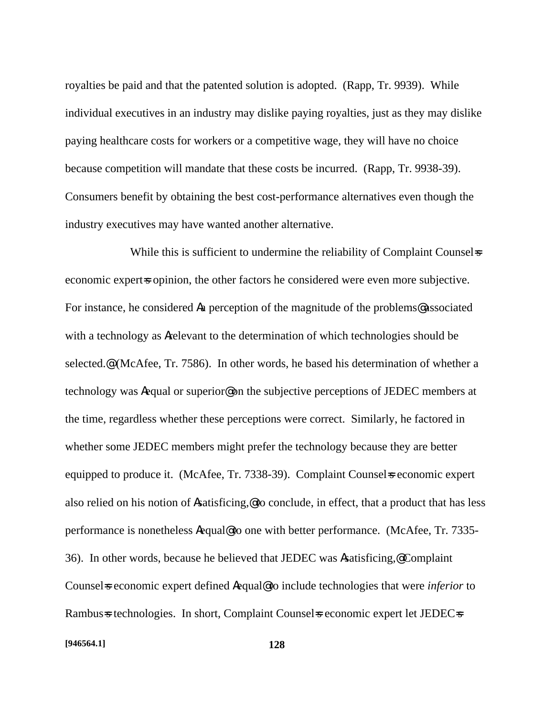royalties be paid and that the patented solution is adopted. (Rapp, Tr. 9939). While individual executives in an industry may dislike paying royalties, just as they may dislike paying healthcare costs for workers or a competitive wage, they will have no choice because competition will mandate that these costs be incurred. (Rapp, Tr. 9938-39). Consumers benefit by obtaining the best cost-performance alternatives even though the industry executives may have wanted another alternative.

While this is sufficient to undermine the reliability of Complaint Counsel-s economic experts opinion, the other factors he considered were even more subjective. For instance, he considered Aa perception of the magnitude of the problems@ associated with a technology as Arelevant to the determination of which technologies should be selected.@ (McAfee, Tr. 7586). In other words, he based his determination of whether a technology was Aequal or superior@ on the subjective perceptions of JEDEC members at the time, regardless whether these perceptions were correct. Similarly, he factored in whether some JEDEC members might prefer the technology because they are better equipped to produce it. (McAfee, Tr. 7338-39). Complaint Counsel is economic expert also relied on his notion of Asatisficing,@ to conclude, in effect, that a product that has less performance is nonetheless Aequal@ to one with better performance. (McAfee, Tr. 7335- 36). In other words, because he believed that JEDEC was Asatisficing,@ Complaint Counsels economic expert defined Aequal@ to include technologies that were *inferior* to Rambus=s technologies. In short, Complaint Counsel=s economic expert let JEDEC=s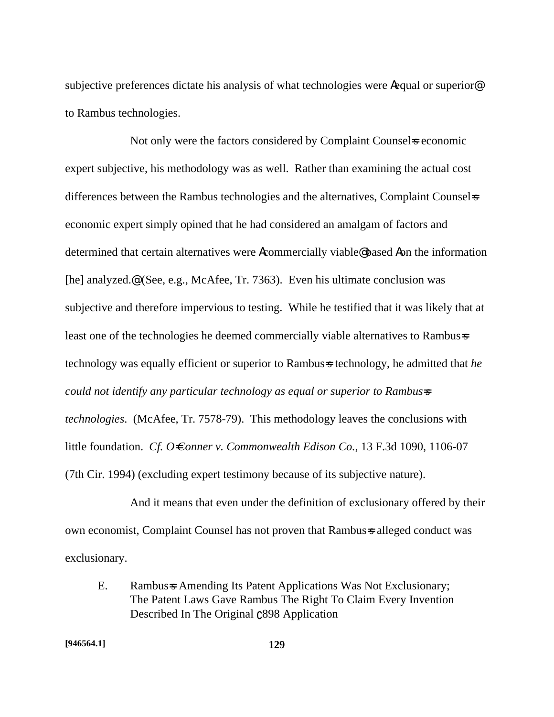subjective preferences dictate his analysis of what technologies were Aequal or superior<sup>®</sup> to Rambus technologies.

Not only were the factors considered by Complaint Counsels economic expert subjective, his methodology was as well. Rather than examining the actual cost differences between the Rambus technologies and the alternatives, Complaint Counsel economic expert simply opined that he had considered an amalgam of factors and determined that certain alternatives were Acommercially viable@ based Aon the information [he] analyzed.@ (See, e.g., McAfee, Tr. 7363). Even his ultimate conclusion was subjective and therefore impervious to testing. While he testified that it was likely that at least one of the technologies he deemed commercially viable alternatives to Rambus=s technology was equally efficient or superior to Rambus=s technology, he admitted that *he could not identify any particular technology as equal or superior to Rambus=s technologies*. (McAfee, Tr. 7578-79). This methodology leaves the conclusions with little foundation. *Cf. O=Conner v. Commonwealth Edison Co.*, 13 F.3d 1090, 1106-07 (7th Cir. 1994) (excluding expert testimony because of its subjective nature).

And it means that even under the definition of exclusionary offered by their own economist, Complaint Counsel has not proven that Rambus=s alleged conduct was exclusionary.

E. Rambus=s Amending Its Patent Applications Was Not Exclusionary; The Patent Laws Gave Rambus The Right To Claim Every Invention Described In The Original  $C898$  Application

**[946564.1] 129**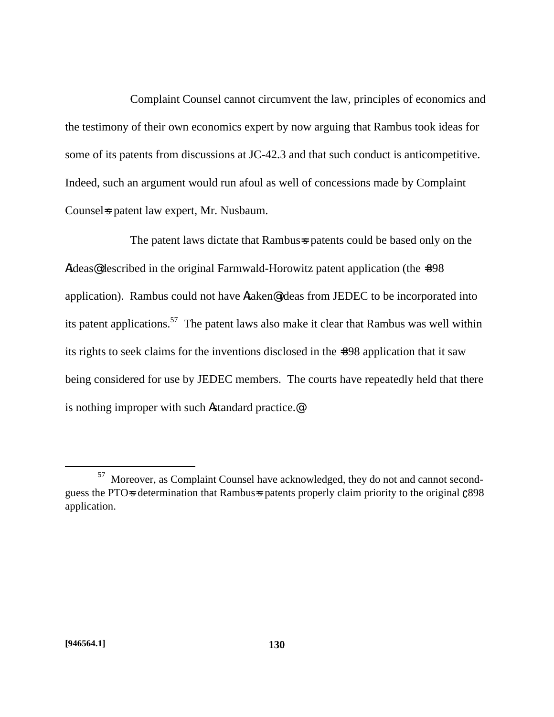Complaint Counsel cannot circumvent the law, principles of economics and the testimony of their own economics expert by now arguing that Rambus took ideas for some of its patents from discussions at JC-42.3 and that such conduct is anticompetitive. Indeed, such an argument would run afoul as well of concessions made by Complaint Counsels patent law expert, Mr. Nusbaum.

The patent laws dictate that Rambus-s patents could be based only on the Aideas<sup>@</sup> described in the original Farmwald-Horowitz patent application (the =898 application). Rambus could not have Ataken@ ideas from JEDEC to be incorporated into its patent applications.<sup>57</sup> The patent laws also make it clear that Rambus was well within its rights to seek claims for the inventions disclosed in the =898 application that it saw being considered for use by JEDEC members. The courts have repeatedly held that there is nothing improper with such Astandard practice.@

<sup>57</sup> Moreover, as Complaint Counsel have acknowledged, they do not and cannot secondguess the PTO-s determination that Rambus-s patents properly claim priority to the original  $c898$ application.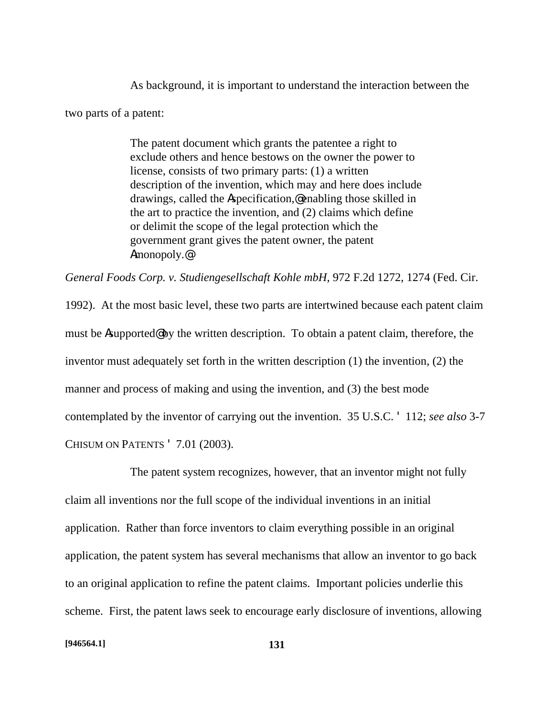As background, it is important to understand the interaction between the two parts of a patent:

> The patent document which grants the patentee a right to exclude others and hence bestows on the owner the power to license, consists of two primary parts: (1) a written description of the invention, which may and here does include drawings, called the Aspecification,@ enabling those skilled in the art to practice the invention, and (2) claims which define or delimit the scope of the legal protection which the government grant gives the patent owner, the patent Amonopoly.@

*General Foods Corp. v. Studiengesellschaft Kohle mbH*, 972 F.2d 1272, 1274 (Fed. Cir.

1992). At the most basic level, these two parts are intertwined because each patent claim must be Asupported@ by the written description. To obtain a patent claim, therefore, the inventor must adequately set forth in the written description (1) the invention, (2) the manner and process of making and using the invention, and (3) the best mode contemplated by the inventor of carrying out the invention. 35 U.S.C. ' 112; *see also* 3-7 CHISUM ON PATENTS ' 7.01 (2003).

The patent system recognizes, however, that an inventor might not fully claim all inventions nor the full scope of the individual inventions in an initial application. Rather than force inventors to claim everything possible in an original application, the patent system has several mechanisms that allow an inventor to go back to an original application to refine the patent claims. Important policies underlie this scheme. First, the patent laws seek to encourage early disclosure of inventions, allowing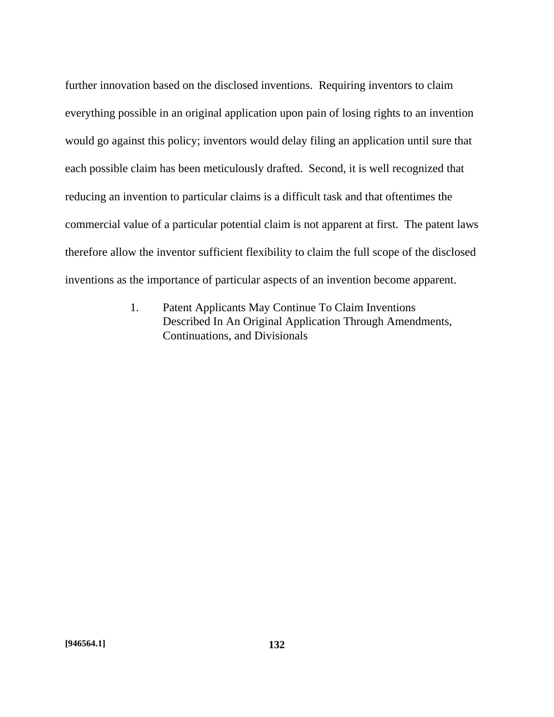further innovation based on the disclosed inventions. Requiring inventors to claim everything possible in an original application upon pain of losing rights to an invention would go against this policy; inventors would delay filing an application until sure that each possible claim has been meticulously drafted. Second, it is well recognized that reducing an invention to particular claims is a difficult task and that oftentimes the commercial value of a particular potential claim is not apparent at first. The patent laws therefore allow the inventor sufficient flexibility to claim the full scope of the disclosed inventions as the importance of particular aspects of an invention become apparent.

> 1. Patent Applicants May Continue To Claim Inventions Described In An Original Application Through Amendments, Continuations, and Divisionals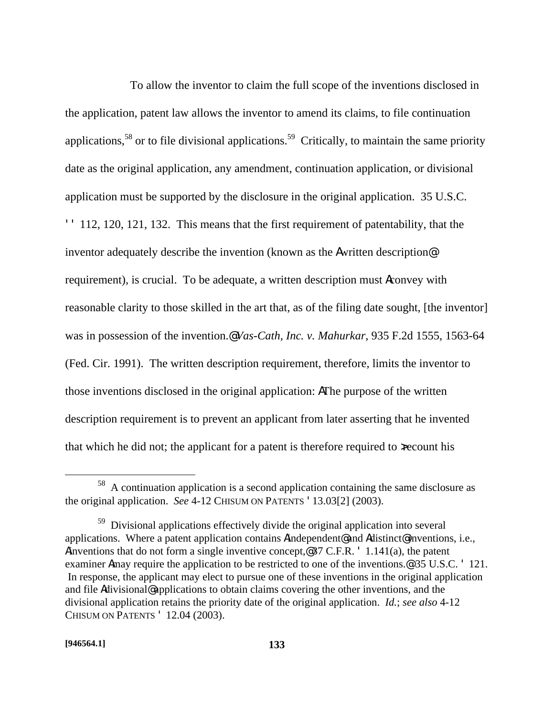To allow the inventor to claim the full scope of the inventions disclosed in the application, patent law allows the inventor to amend its claims, to file continuation applications,<sup>58</sup> or to file divisional applications.<sup>59</sup> Critically, to maintain the same priority date as the original application, any amendment, continuation application, or divisional application must be supported by the disclosure in the original application. 35 U.S.C. '' 112, 120, 121, 132. This means that the first requirement of patentability, that the inventor adequately describe the invention (known as the Awritten description@ requirement), is crucial. To be adequate, a written description must Aconvey with reasonable clarity to those skilled in the art that, as of the filing date sought, [the inventor] was in possession of the invention.@ *Vas-Cath, Inc. v. Mahurkar*, 935 F.2d 1555, 1563-64 (Fed. Cir. 1991). The written description requirement, therefore, limits the inventor to those inventions disclosed in the original application: AThe purpose of the written description requirement is to prevent an applicant from later asserting that he invented that which he did not; the applicant for a patent is therefore required to xecount his

<sup>58</sup> A continuation application is a second application containing the same disclosure as the original application. *See* 4-12 CHISUM ON PATENTS '13.03[2] (2003).

<sup>&</sup>lt;sup>59</sup> Divisional applications effectively divide the original application into several applications. Where a patent application contains Aindependent@ and Adistinct@ inventions, i.e., Ainventions that do not form a single inventive concept,@ 37 C.F.R. ' 1.141(a), the patent examiner Amay require the application to be restricted to one of the inventions.@ 35 U.S.C. ' 121. In response, the applicant may elect to pursue one of these inventions in the original application and file Adivisional@ applications to obtain claims covering the other inventions, and the divisional application retains the priority date of the original application. *Id.*; *see also* 4-12 CHISUM ON PATENTS ' 12.04 (2003).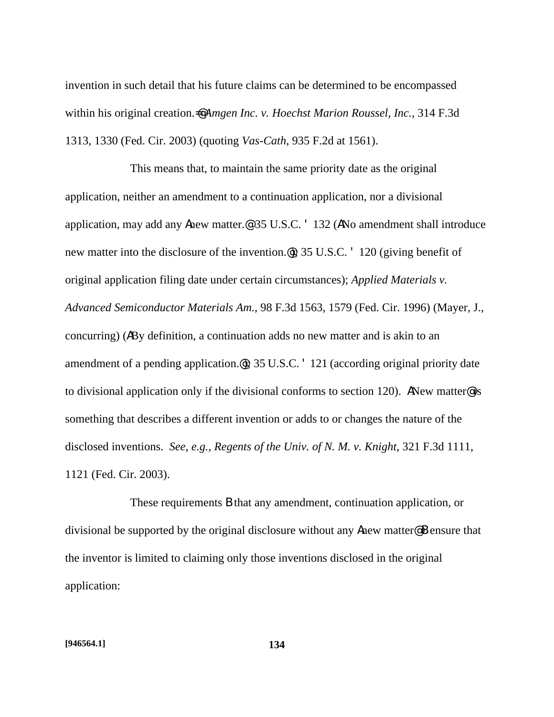invention in such detail that his future claims can be determined to be encompassed within his original creation.=@ *Amgen Inc. v. Hoechst Marion Roussel, Inc.*, 314 F.3d 1313, 1330 (Fed. Cir. 2003) (quoting *Vas-Cath*, 935 F.2d at 1561).

This means that, to maintain the same priority date as the original application, neither an amendment to a continuation application, nor a divisional application, may add any Anew matter.@ 35 U.S.C. ' 132 (ANo amendment shall introduce new matter into the disclosure of the invention.@); 35 U.S.C. ' 120 (giving benefit of original application filing date under certain circumstances); *Applied Materials v. Advanced Semiconductor Materials Am.*, 98 F.3d 1563, 1579 (Fed. Cir. 1996) (Mayer, J., concurring) (ABy definition, a continuation adds no new matter and is akin to an amendment of a pending application.@); 35 U.S.C. ' 121 (according original priority date to divisional application only if the divisional conforms to section 120). ANew matter@ is something that describes a different invention or adds to or changes the nature of the disclosed inventions. *See, e.g., Regents of the Univ. of N. M. v. Knight*, 321 F.3d 1111, 1121 (Fed. Cir. 2003).

These requirements B that any amendment, continuation application, or divisional be supported by the original disclosure without any Anew matter@ B ensure that the inventor is limited to claiming only those inventions disclosed in the original application: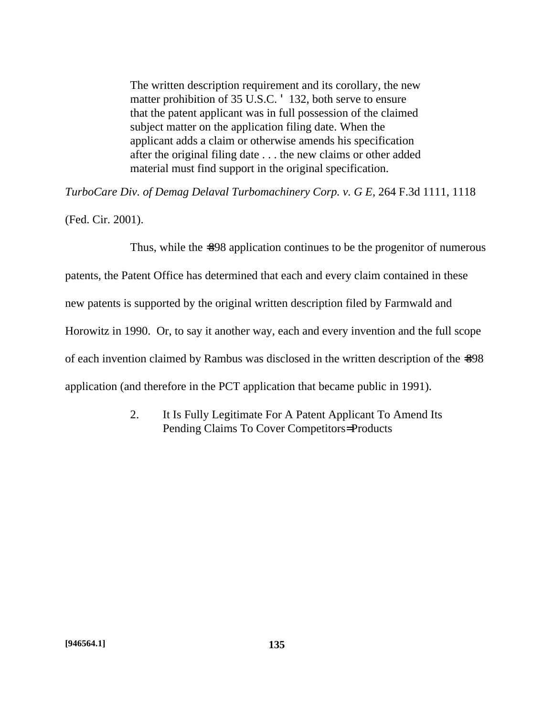The written description requirement and its corollary, the new matter prohibition of 35 U.S.C. ' 132, both serve to ensure that the patent applicant was in full possession of the claimed subject matter on the application filing date. When the applicant adds a claim or otherwise amends his specification after the original filing date . . . the new claims or other added material must find support in the original specification.

*TurboCare Div. of Demag Delaval Turbomachinery Corp. v. G E*, 264 F.3d 1111, 1118

(Fed. Cir. 2001).

Thus, while the  $\approx 98$  application continues to be the progenitor of numerous

patents, the Patent Office has determined that each and every claim contained in these

new patents is supported by the original written description filed by Farmwald and

Horowitz in 1990. Or, to say it another way, each and every invention and the full scope

of each invention claimed by Rambus was disclosed in the written description of the =898

application (and therefore in the PCT application that became public in 1991).

2. It Is Fully Legitimate For A Patent Applicant To Amend Its Pending Claims To Cover Competitors= Products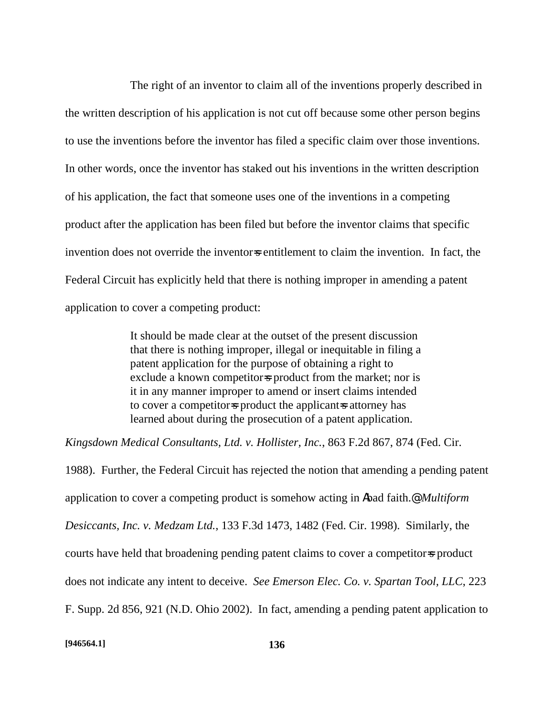The right of an inventor to claim all of the inventions properly described in the written description of his application is not cut off because some other person begins to use the inventions before the inventor has filed a specific claim over those inventions. In other words, once the inventor has staked out his inventions in the written description of his application, the fact that someone uses one of the inventions in a competing product after the application has been filed but before the inventor claims that specific invention does not override the inventors entitlement to claim the invention. In fact, the Federal Circuit has explicitly held that there is nothing improper in amending a patent application to cover a competing product:

> It should be made clear at the outset of the present discussion that there is nothing improper, illegal or inequitable in filing a patent application for the purpose of obtaining a right to exclude a known competitors product from the market; nor is it in any manner improper to amend or insert claims intended to cover a competitor-s product the applicant-s attorney has learned about during the prosecution of a patent application.

*Kingsdown Medical Consultants, Ltd. v. Hollister, Inc.*, 863 F.2d 867, 874 (Fed. Cir.

1988). Further, the Federal Circuit has rejected the notion that amending a pending patent application to cover a competing product is somehow acting in Abad faith.@ *Multiform Desiccants, Inc. v. Medzam Ltd.*, 133 F.3d 1473, 1482 (Fed. Cir. 1998). Similarly, the courts have held that broadening pending patent claims to cover a competitor-s product does not indicate any intent to deceive. *See Emerson Elec. Co. v. Spartan Tool, LLC*, 223 F. Supp. 2d 856, 921 (N.D. Ohio 2002). In fact, amending a pending patent application to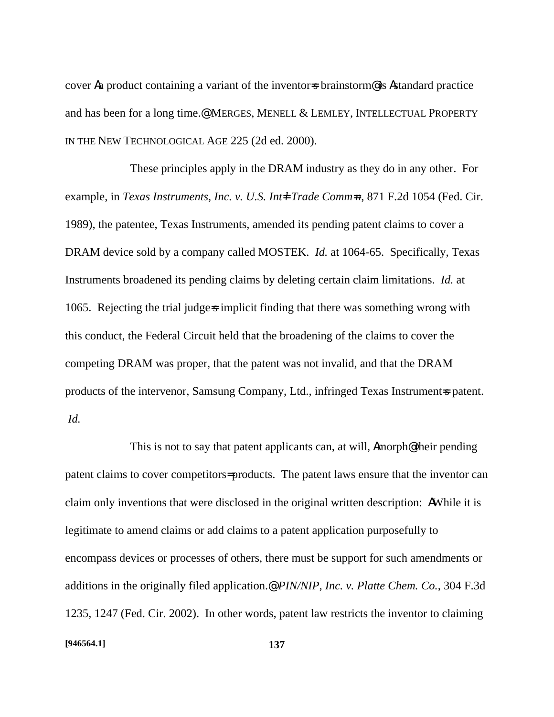cover Aa product containing a variant of the inventors brainstorm<sup>@</sup> is Astandard practice and has been for a long time.@ MERGES, MENELL & LEMLEY, INTELLECTUAL PROPERTY IN THE NEW TECHNOLOGICAL AGE 225 (2d ed. 2000).

These principles apply in the DRAM industry as they do in any other. For example, in *Texas Instruments, Inc. v. U.S. Int=l Trade Comm=n*, 871 F.2d 1054 (Fed. Cir. 1989), the patentee, Texas Instruments, amended its pending patent claims to cover a DRAM device sold by a company called MOSTEK. *Id.* at 1064-65. Specifically, Texas Instruments broadened its pending claims by deleting certain claim limitations. *Id.* at 1065. Rejecting the trial judge=s implicit finding that there was something wrong with this conduct, the Federal Circuit held that the broadening of the claims to cover the competing DRAM was proper, that the patent was not invalid, and that the DRAM products of the intervenor, Samsung Company, Ltd., infringed Texas Instrument=s patent. *Id.*

This is not to say that patent applicants can, at will, Amorph@ their pending patent claims to cover competitors= products. The patent laws ensure that the inventor can claim only inventions that were disclosed in the original written description: AWhile it is legitimate to amend claims or add claims to a patent application purposefully to encompass devices or processes of others, there must be support for such amendments or additions in the originally filed application.@ *PIN/NIP, Inc. v. Platte Chem. Co.*, 304 F.3d 1235, 1247 (Fed. Cir. 2002). In other words, patent law restricts the inventor to claiming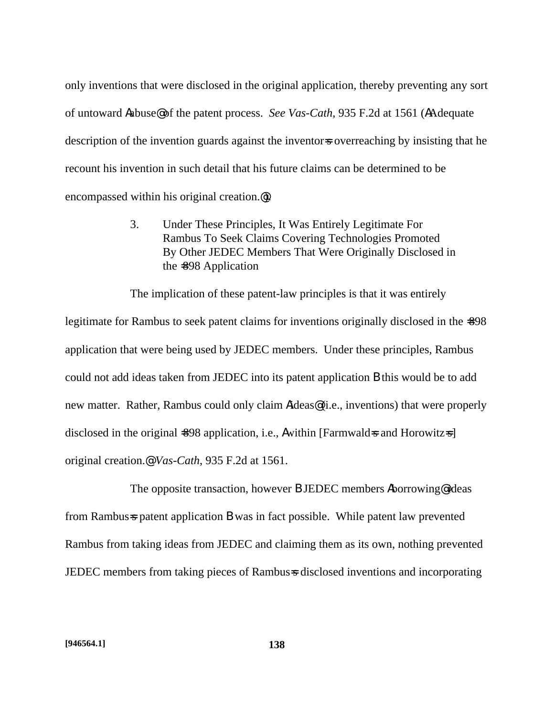only inventions that were disclosed in the original application, thereby preventing any sort of untoward Aabuse@ of the patent process. *See Vas-Cath*, 935 F.2d at 1561 (AAdequate description of the invention guards against the inventor-s overreaching by insisting that he recount his invention in such detail that his future claims can be determined to be encompassed within his original creation.@).

> 3. Under These Principles, It Was Entirely Legitimate For Rambus To Seek Claims Covering Technologies Promoted By Other JEDEC Members That Were Originally Disclosed in the =898 Application

The implication of these patent-law principles is that it was entirely

legitimate for Rambus to seek patent claims for inventions originally disclosed in the  $\textless 98$ application that were being used by JEDEC members. Under these principles, Rambus could not add ideas taken from JEDEC into its patent application B this would be to add new matter. Rather, Rambus could only claim Aideas@ (i.e., inventions) that were properly disclosed in the original  $\leq 98$  application, i.e., A within [Farmwald=s and Horowitz=s] original creation.@ *Vas-Cath*, 935 F.2d at 1561.

The opposite transaction, however B JEDEC members Aborrowing@ ideas from Rambus=s patent application B was in fact possible. While patent law prevented Rambus from taking ideas from JEDEC and claiming them as its own, nothing prevented JEDEC members from taking pieces of Rambus=s disclosed inventions and incorporating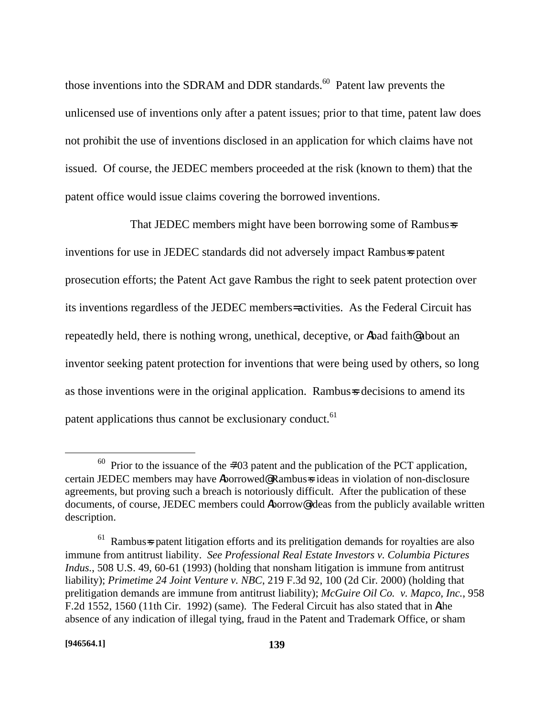those inventions into the SDRAM and DDR standards. $60$  Patent law prevents the unlicensed use of inventions only after a patent issues; prior to that time, patent law does not prohibit the use of inventions disclosed in an application for which claims have not issued. Of course, the JEDEC members proceeded at the risk (known to them) that the patent office would issue claims covering the borrowed inventions.

That JEDEC members might have been borrowing some of Rambus=s inventions for use in JEDEC standards did not adversely impact Rambus=s patent prosecution efforts; the Patent Act gave Rambus the right to seek patent protection over its inventions regardless of the JEDEC members= activities. As the Federal Circuit has repeatedly held, there is nothing wrong, unethical, deceptive, or Abad faith@ about an inventor seeking patent protection for inventions that were being used by others, so long as those inventions were in the original application. Rambus=s decisions to amend its patent applications thus cannot be exclusionary conduct.<sup>61</sup>

1

 $60$  Prior to the issuance of the =703 patent and the publication of the PCT application, certain JEDEC members may have Aborrowed@ Rambus=s ideas in violation of non-disclosure agreements, but proving such a breach is notoriously difficult. After the publication of these documents, of course, JEDEC members could Aborrow@ ideas from the publicly available written description.

 $61$  Rambus=s patent litigation efforts and its prelitigation demands for royalties are also immune from antitrust liability. *See Professional Real Estate Investors v. Columbia Pictures Indus.*, 508 U.S. 49, 60-61 (1993) (holding that nonsham litigation is immune from antitrust liability); *Primetime 24 Joint Venture v. NBC*, 219 F.3d 92, 100 (2d Cir. 2000) (holding that prelitigation demands are immune from antitrust liability); *McGuire Oil Co. v. Mapco, Inc.*, 958 F.2d 1552, 1560 (11th Cir. 1992) (same). The Federal Circuit has also stated that in Athe absence of any indication of illegal tying, fraud in the Patent and Trademark Office, or sham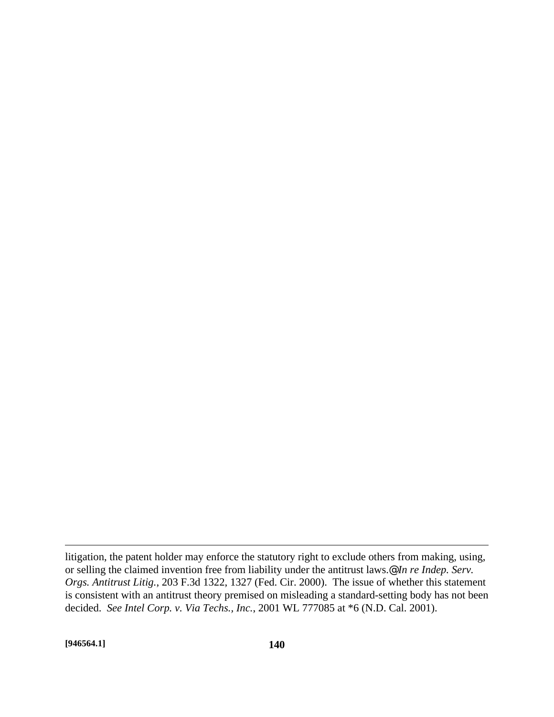litigation, the patent holder may enforce the statutory right to exclude others from making, using, or selling the claimed invention free from liability under the antitrust laws.@ *In re Indep. Serv. Orgs. Antitrust Litig.*, 203 F.3d 1322, 1327 (Fed. Cir. 2000). The issue of whether this statement is consistent with an antitrust theory premised on misleading a standard-setting body has not been decided. *See Intel Corp. v. Via Techs., Inc.*, 2001 WL 777085 at \*6 (N.D. Cal. 2001).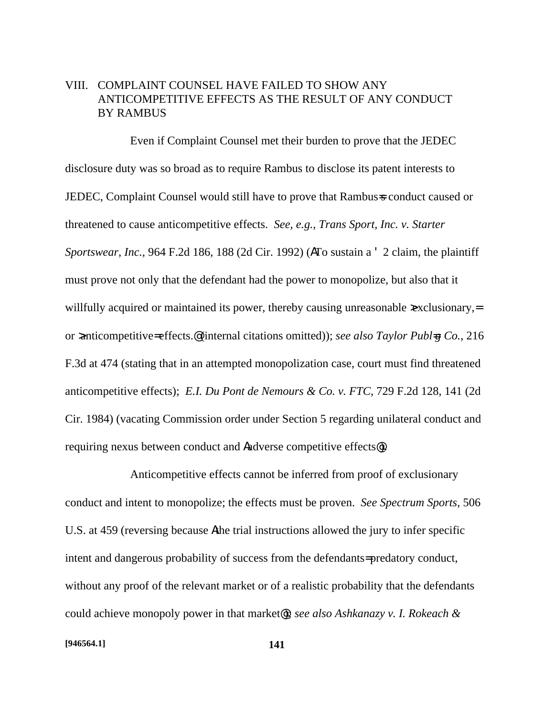# VIII. COMPLAINT COUNSEL HAVE FAILED TO SHOW ANY ANTICOMPETITIVE EFFECTS AS THE RESULT OF ANY CONDUCT BY RAMBUS

Even if Complaint Counsel met their burden to prove that the JEDEC disclosure duty was so broad as to require Rambus to disclose its patent interests to JEDEC, Complaint Counsel would still have to prove that Rambus=s conduct caused or threatened to cause anticompetitive effects. *See, e.g., Trans Sport, Inc. v. Starter Sportswear, Inc.*, 964 F.2d 186, 188 (2d Cir. 1992) (ATo sustain a ' 2 claim, the plaintiff must prove not only that the defendant had the power to monopolize, but also that it willfully acquired or maintained its power, thereby causing unreasonable  $\infty$ clusionary,= or >anticompetitive= effects.@ (internal citations omitted)); *see also Taylor Publ=g Co.*, 216 F.3d at 474 (stating that in an attempted monopolization case, court must find threatened anticompetitive effects); *E.I. Du Pont de Nemours & Co. v. FTC*, 729 F.2d 128, 141 (2d Cir. 1984) (vacating Commission order under Section 5 regarding unilateral conduct and requiring nexus between conduct and Aadverse competitive effects@).

Anticompetitive effects cannot be inferred from proof of exclusionary conduct and intent to monopolize; the effects must be proven. *See Spectrum Sports*, 506 U.S. at 459 (reversing because Athe trial instructions allowed the jury to infer specific intent and dangerous probability of success from the defendants= predatory conduct, without any proof of the relevant market or of a realistic probability that the defendants could achieve monopoly power in that market@); *see also Ashkanazy v. I. Rokeach &*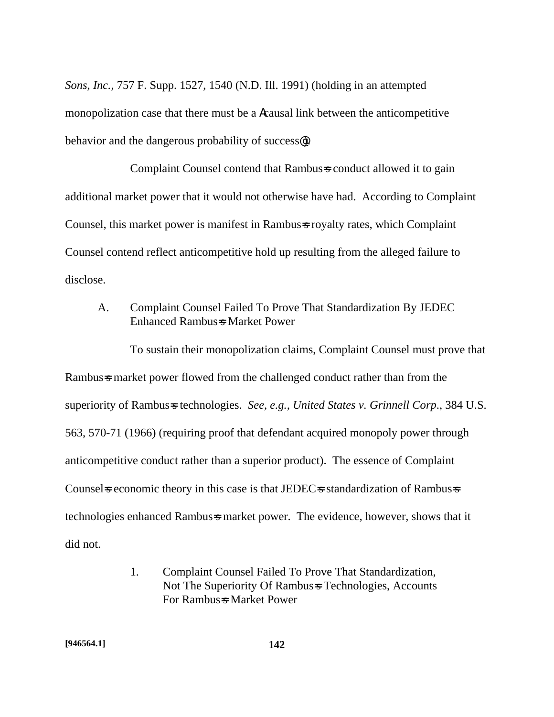*Sons*, *Inc.*, 757 F. Supp. 1527, 1540 (N.D. Ill. 1991) (holding in an attempted monopolization case that there must be a Acausal link between the anticompetitive behavior and the dangerous probability of success@).

Complaint Counsel contend that Rambus=s conduct allowed it to gain additional market power that it would not otherwise have had. According to Complaint Counsel, this market power is manifest in Rambus=s royalty rates, which Complaint Counsel contend reflect anticompetitive hold up resulting from the alleged failure to disclose.

A. Complaint Counsel Failed To Prove That Standardization By JEDEC Enhanced Rambus=s Market Power

To sustain their monopolization claims, Complaint Counsel must prove that Rambus-s market power flowed from the challenged conduct rather than from the superiority of Rambus=s technologies. *See, e.g., United States v. Grinnell Corp*., 384 U.S. 563, 570-71 (1966) (requiring proof that defendant acquired monopoly power through anticompetitive conduct rather than a superior product). The essence of Complaint Counsels economic theory in this case is that JEDECs standardization of Rambusses technologies enhanced Rambus=s market power. The evidence, however, shows that it did not.

> 1. Complaint Counsel Failed To Prove That Standardization, Not The Superiority Of Rambus=s Technologies, Accounts For Rambus=s Market Power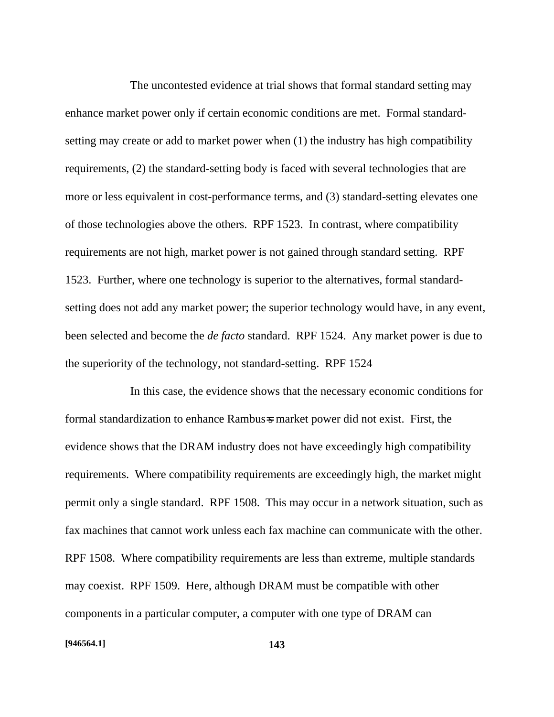The uncontested evidence at trial shows that formal standard setting may enhance market power only if certain economic conditions are met. Formal standardsetting may create or add to market power when (1) the industry has high compatibility requirements, (2) the standard-setting body is faced with several technologies that are more or less equivalent in cost-performance terms, and (3) standard-setting elevates one of those technologies above the others. RPF 1523. In contrast, where compatibility requirements are not high, market power is not gained through standard setting. RPF 1523. Further, where one technology is superior to the alternatives, formal standardsetting does not add any market power; the superior technology would have, in any event, been selected and become the *de facto* standard. RPF 1524. Any market power is due to the superiority of the technology, not standard-setting. RPF 1524

In this case, the evidence shows that the necessary economic conditions for formal standardization to enhance Rambus=s market power did not exist. First, the evidence shows that the DRAM industry does not have exceedingly high compatibility requirements. Where compatibility requirements are exceedingly high, the market might permit only a single standard. RPF 1508. This may occur in a network situation, such as fax machines that cannot work unless each fax machine can communicate with the other. RPF 1508. Where compatibility requirements are less than extreme, multiple standards may coexist. RPF 1509. Here, although DRAM must be compatible with other components in a particular computer, a computer with one type of DRAM can

#### **[946564.1] 143**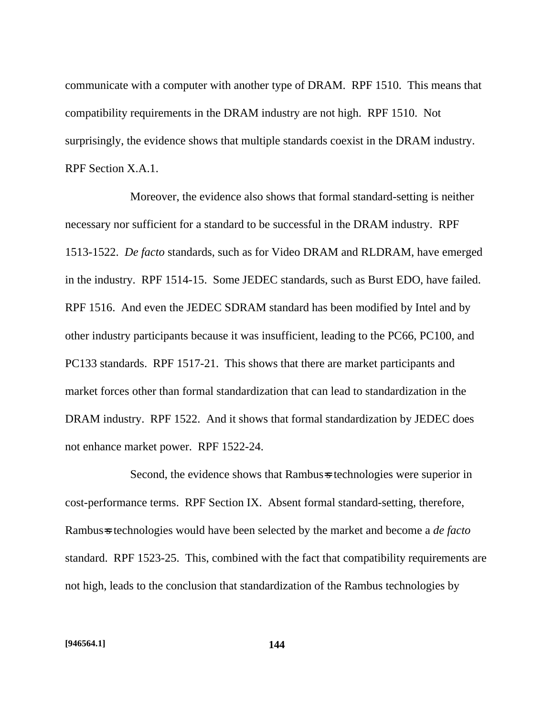communicate with a computer with another type of DRAM. RPF 1510. This means that compatibility requirements in the DRAM industry are not high. RPF 1510. Not surprisingly, the evidence shows that multiple standards coexist in the DRAM industry. RPF Section X.A.1.

Moreover, the evidence also shows that formal standard-setting is neither necessary nor sufficient for a standard to be successful in the DRAM industry. RPF 1513-1522. *De facto* standards, such as for Video DRAM and RLDRAM, have emerged in the industry. RPF 1514-15. Some JEDEC standards, such as Burst EDO, have failed. RPF 1516. And even the JEDEC SDRAM standard has been modified by Intel and by other industry participants because it was insufficient, leading to the PC66, PC100, and PC133 standards. RPF 1517-21. This shows that there are market participants and market forces other than formal standardization that can lead to standardization in the DRAM industry. RPF 1522. And it shows that formal standardization by JEDEC does not enhance market power. RPF 1522-24.

Second, the evidence shows that Rambus is technologies were superior in cost-performance terms. RPF Section IX. Absent formal standard-setting, therefore, Rambus=s technologies would have been selected by the market and become a *de facto* standard. RPF 1523-25. This, combined with the fact that compatibility requirements are not high, leads to the conclusion that standardization of the Rambus technologies by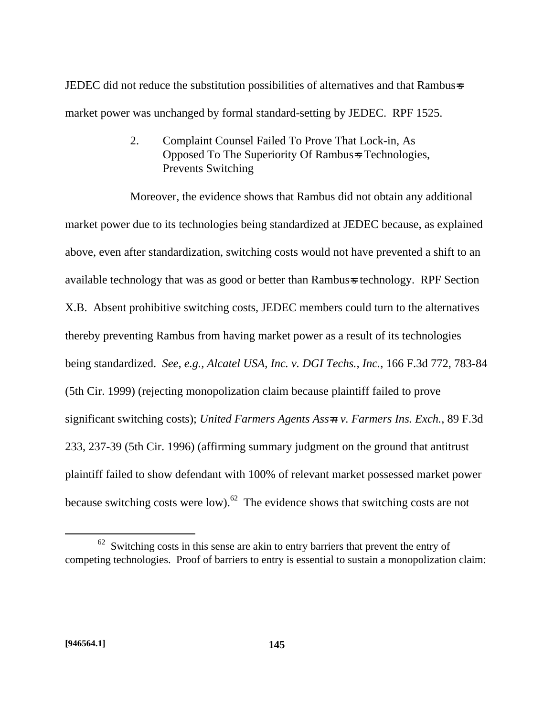JEDEC did not reduce the substitution possibilities of alternatives and that Rambus=s market power was unchanged by formal standard-setting by JEDEC. RPF 1525.

> 2. Complaint Counsel Failed To Prove That Lock-in, As Opposed To The Superiority Of Rambus=s Technologies, Prevents Switching

Moreover, the evidence shows that Rambus did not obtain any additional market power due to its technologies being standardized at JEDEC because, as explained above, even after standardization, switching costs would not have prevented a shift to an available technology that was as good or better than Rambus=s technology. RPF Section X.B. Absent prohibitive switching costs, JEDEC members could turn to the alternatives thereby preventing Rambus from having market power as a result of its technologies being standardized. *See, e.g., Alcatel USA, Inc. v. DGI Techs., Inc.*, 166 F.3d 772, 783-84 (5th Cir. 1999) (rejecting monopolization claim because plaintiff failed to prove significant switching costs); *United Farmers Agents Ass=n v. Farmers Ins. Exch.*, 89 F.3d 233, 237-39 (5th Cir. 1996) (affirming summary judgment on the ground that antitrust plaintiff failed to show defendant with 100% of relevant market possessed market power because switching costs were low). $62$  The evidence shows that switching costs are not

 $62$  Switching costs in this sense are akin to entry barriers that prevent the entry of competing technologies. Proof of barriers to entry is essential to sustain a monopolization claim: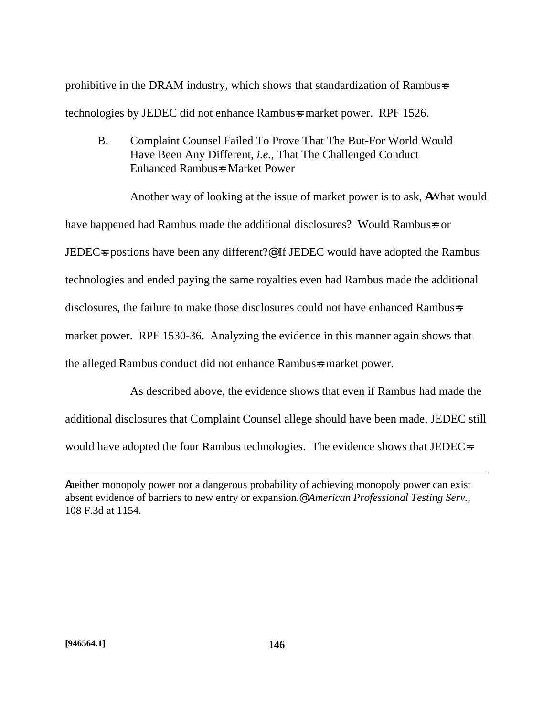prohibitive in the DRAM industry, which shows that standardization of Rambus=s technologies by JEDEC did not enhance Rambus=s market power. RPF 1526.

B. Complaint Counsel Failed To Prove That The But-For World Would Have Been Any Different, *i.e.*, That The Challenged Conduct Enhanced Rambus=s Market Power

Another way of looking at the issue of market power is to ask, AWhat would have happened had Rambus made the additional disclosures? Would Rambus=s or JEDEC=s postions have been any different?@ If JEDEC would have adopted the Rambus technologies and ended paying the same royalties even had Rambus made the additional disclosures, the failure to make those disclosures could not have enhanced Rambus=s market power. RPF 1530-36. Analyzing the evidence in this manner again shows that the alleged Rambus conduct did not enhance Rambus=s market power.

As described above, the evidence shows that even if Rambus had made the additional disclosures that Complaint Counsel allege should have been made, JEDEC still would have adopted the four Rambus technologies. The evidence shows that JEDEC=s

Aneither monopoly power nor a dangerous probability of achieving monopoly power can exist absent evidence of barriers to new entry or expansion.@ *American Professional Testing Serv.*, 108 F.3d at 1154.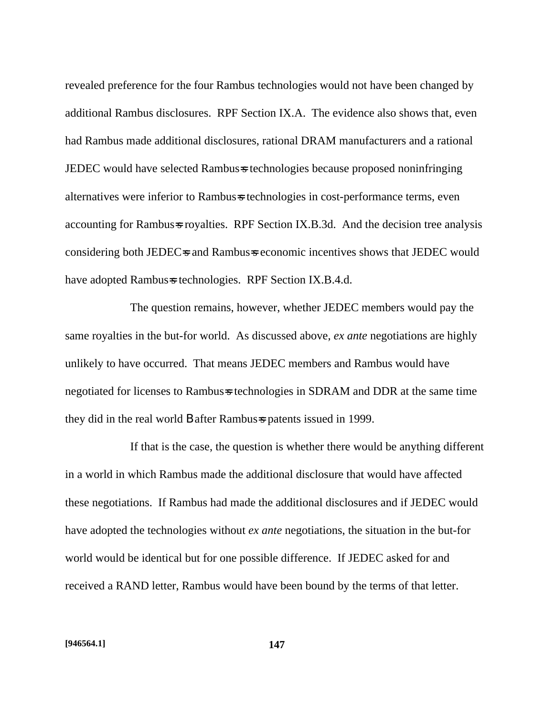revealed preference for the four Rambus technologies would not have been changed by additional Rambus disclosures. RPF Section IX.A. The evidence also shows that, even had Rambus made additional disclosures, rational DRAM manufacturers and a rational JEDEC would have selected Rambus=s technologies because proposed noninfringing alternatives were inferior to Rambus=s technologies in cost-performance terms, even accounting for Rambus=s royalties. RPF Section IX.B.3d. And the decision tree analysis considering both JEDEC=s and Rambus=s economic incentives shows that JEDEC would have adopted Rambus=s technologies. RPF Section IX.B.4.d.

The question remains, however, whether JEDEC members would pay the same royalties in the but-for world. As discussed above, *ex ante* negotiations are highly unlikely to have occurred. That means JEDEC members and Rambus would have negotiated for licenses to Rambus=s technologies in SDRAM and DDR at the same time they did in the real world **B** after Rambus=s patents issued in 1999.

If that is the case, the question is whether there would be anything different in a world in which Rambus made the additional disclosure that would have affected these negotiations. If Rambus had made the additional disclosures and if JEDEC would have adopted the technologies without *ex ante* negotiations, the situation in the but-for world would be identical but for one possible difference. If JEDEC asked for and received a RAND letter, Rambus would have been bound by the terms of that letter.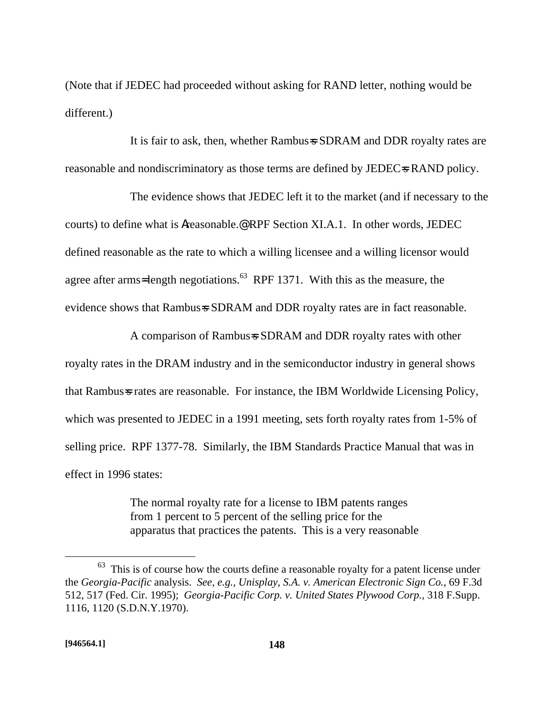(Note that if JEDEC had proceeded without asking for RAND letter, nothing would be different.)

It is fair to ask, then, whether Rambus=s SDRAM and DDR royalty rates are reasonable and nondiscriminatory as those terms are defined by JEDEC=s RAND policy.

The evidence shows that JEDEC left it to the market (and if necessary to the courts) to define what is Areasonable.@ RPF Section XI.A.1. In other words, JEDEC defined reasonable as the rate to which a willing licensee and a willing licensor would agree after arms=length negotiations.<sup>63</sup> RPF 1371. With this as the measure, the evidence shows that Rambus=s SDRAM and DDR royalty rates are in fact reasonable.

A comparison of Rambus=s SDRAM and DDR royalty rates with other royalty rates in the DRAM industry and in the semiconductor industry in general shows that Rambus=s rates are reasonable. For instance, the IBM Worldwide Licensing Policy, which was presented to JEDEC in a 1991 meeting, sets forth royalty rates from 1-5% of selling price. RPF 1377-78. Similarly, the IBM Standards Practice Manual that was in effect in 1996 states:

> The normal royalty rate for a license to IBM patents ranges from 1 percent to 5 percent of the selling price for the apparatus that practices the patents. This is a very reasonable

 $63$  This is of course how the courts define a reasonable royalty for a patent license under the *Georgia-Pacific* analysis. *See, e.g., Unisplay, S.A. v. American Electronic Sign Co.*, 69 F.3d 512, 517 (Fed. Cir. 1995); *Georgia-Pacific Corp. v. United States Plywood Corp.*, 318 F.Supp. 1116, 1120 (S.D.N.Y.1970).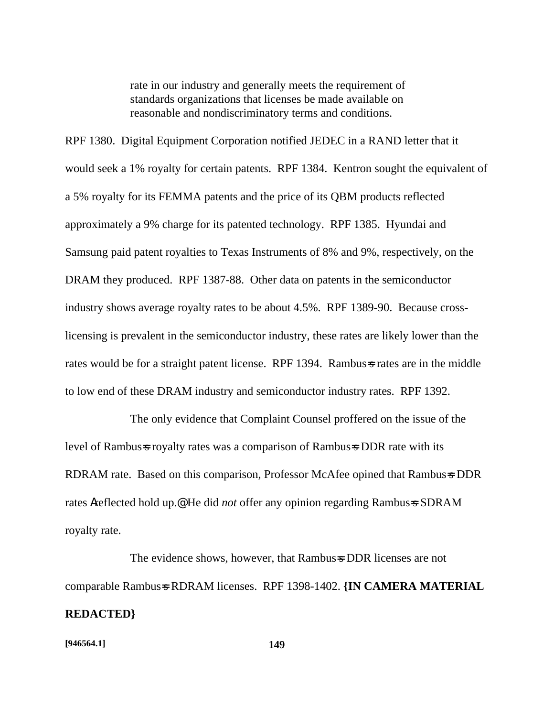rate in our industry and generally meets the requirement of standards organizations that licenses be made available on reasonable and nondiscriminatory terms and conditions.

RPF 1380. Digital Equipment Corporation notified JEDEC in a RAND letter that it would seek a 1% royalty for certain patents. RPF 1384. Kentron sought the equivalent of a 5% royalty for its FEMMA patents and the price of its QBM products reflected approximately a 9% charge for its patented technology. RPF 1385. Hyundai and Samsung paid patent royalties to Texas Instruments of 8% and 9%, respectively, on the DRAM they produced. RPF 1387-88. Other data on patents in the semiconductor industry shows average royalty rates to be about 4.5%. RPF 1389-90. Because crosslicensing is prevalent in the semiconductor industry, these rates are likely lower than the rates would be for a straight patent license. RPF 1394. Rambus=s rates are in the middle to low end of these DRAM industry and semiconductor industry rates. RPF 1392.

The only evidence that Complaint Counsel proffered on the issue of the level of Rambus=s royalty rates was a comparison of Rambus=s DDR rate with its RDRAM rate. Based on this comparison, Professor McAfee opined that Rambus=s DDR rates Areflected hold up.<sup>@</sup> He did *not* offer any opinion regarding Rambus=s SDRAM royalty rate.

The evidence shows, however, that Rambus=s DDR licenses are not comparable Rambus=s RDRAM licenses. RPF 1398-1402. **{IN CAMERA MATERIAL REDACTED}**

#### **[946564.1] 149**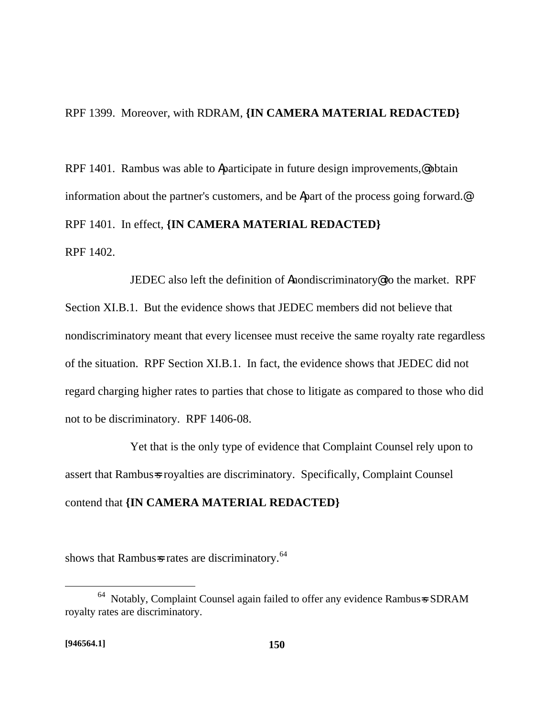RPF 1399. Moreover, with RDRAM, **{IN CAMERA MATERIAL REDACTED}**

RPF 1401. Rambus was able to Aparticipate in future design improvements, @ obtain information about the partner's customers, and be Apart of the process going forward.@ RPF 1401. In effect, **{IN CAMERA MATERIAL REDACTED}** RPF 1402.

JEDEC also left the definition of Anondiscriminatory@ to the market. RPF Section XI.B.1. But the evidence shows that JEDEC members did not believe that nondiscriminatory meant that every licensee must receive the same royalty rate regardless of the situation. RPF Section XI.B.1. In fact, the evidence shows that JEDEC did not regard charging higher rates to parties that chose to litigate as compared to those who did not to be discriminatory. RPF 1406-08.

Yet that is the only type of evidence that Complaint Counsel rely upon to assert that Rambus=s royalties are discriminatory. Specifically, Complaint Counsel contend that **{IN CAMERA MATERIAL REDACTED}**

shows that Rambus-s rates are discriminatory. $64$ 

1

<sup>64</sup> Notably, Complaint Counsel again failed to offer any evidence Rambus=s SDRAM royalty rates are discriminatory.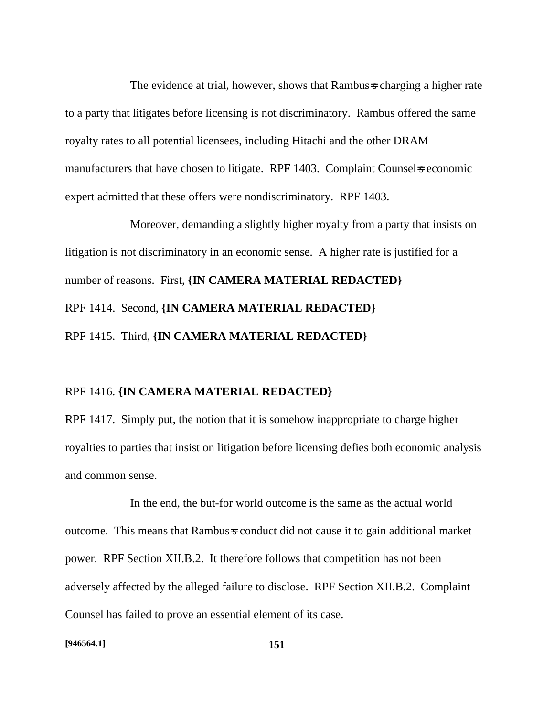The evidence at trial, however, shows that Rambus=s charging a higher rate to a party that litigates before licensing is not discriminatory. Rambus offered the same royalty rates to all potential licensees, including Hitachi and the other DRAM manufacturers that have chosen to litigate. RPF 1403. Complaint Counsel is economic expert admitted that these offers were nondiscriminatory. RPF 1403.

Moreover, demanding a slightly higher royalty from a party that insists on litigation is not discriminatory in an economic sense. A higher rate is justified for a number of reasons. First, **{IN CAMERA MATERIAL REDACTED}** RPF 1414. Second, **{IN CAMERA MATERIAL REDACTED}** RPF 1415. Third, **{IN CAMERA MATERIAL REDACTED}**

#### RPF 1416. **{IN CAMERA MATERIAL REDACTED}**

RPF 1417. Simply put, the notion that it is somehow inappropriate to charge higher royalties to parties that insist on litigation before licensing defies both economic analysis and common sense.

In the end, the but-for world outcome is the same as the actual world outcome. This means that Rambus=s conduct did not cause it to gain additional market power. RPF Section XII.B.2. It therefore follows that competition has not been adversely affected by the alleged failure to disclose. RPF Section XII.B.2. Complaint Counsel has failed to prove an essential element of its case.

**[946564.1] 151**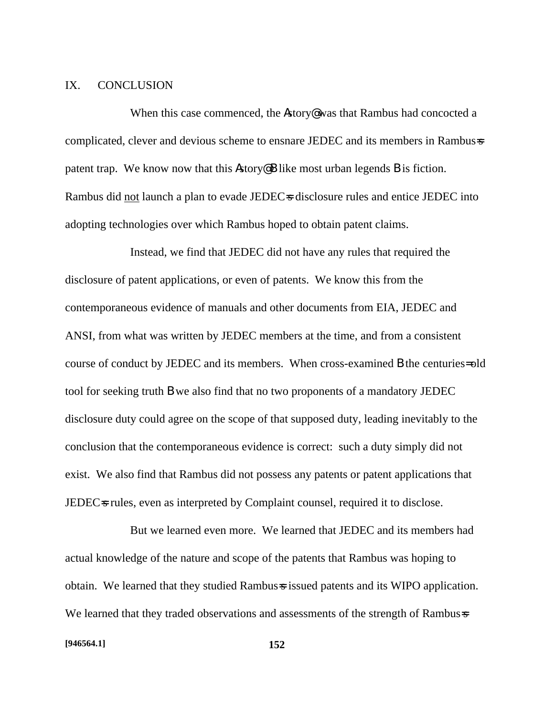### IX. CONCLUSION

When this case commenced, the **A**story<sup>@</sup> was that Rambus had concocted a complicated, clever and devious scheme to ensnare JEDEC and its members in Rambus=s patent trap. We know now that this Astory@ B like most urban legends B is fiction. Rambus did not launch a plan to evade JEDEC=s disclosure rules and entice JEDEC into adopting technologies over which Rambus hoped to obtain patent claims.

Instead, we find that JEDEC did not have any rules that required the disclosure of patent applications, or even of patents. We know this from the contemporaneous evidence of manuals and other documents from EIA, JEDEC and ANSI, from what was written by JEDEC members at the time, and from a consistent course of conduct by JEDEC and its members. When cross-examined B the centuries= old tool for seeking truth B we also find that no two proponents of a mandatory JEDEC disclosure duty could agree on the scope of that supposed duty, leading inevitably to the conclusion that the contemporaneous evidence is correct: such a duty simply did not exist. We also find that Rambus did not possess any patents or patent applications that JEDEC<sub>s</sub> rules, even as interpreted by Complaint counsel, required it to disclose.

But we learned even more. We learned that JEDEC and its members had actual knowledge of the nature and scope of the patents that Rambus was hoping to obtain. We learned that they studied Rambus-s issued patents and its WIPO application. We learned that they traded observations and assessments of the strength of Rambus=s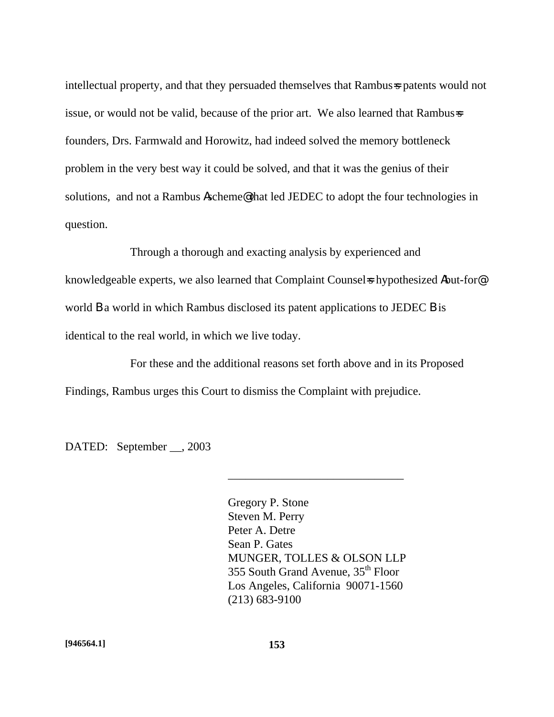intellectual property, and that they persuaded themselves that Rambus-s patents would not issue, or would not be valid, because of the prior art. We also learned that Rambus=s founders, Drs. Farmwald and Horowitz, had indeed solved the memory bottleneck problem in the very best way it could be solved, and that it was the genius of their solutions, and not a Rambus Ascheme@ that led JEDEC to adopt the four technologies in question.

Through a thorough and exacting analysis by experienced and knowledgeable experts, we also learned that Complaint Counsels hypothesized Abut-for world **B** a world in which Rambus disclosed its patent applications to JEDEC **B** is identical to the real world, in which we live today.

For these and the additional reasons set forth above and in its Proposed Findings, Rambus urges this Court to dismiss the Complaint with prejudice.

DATED: September \_\_, 2003

Gregory P. Stone Steven M. Perry Peter A. Detre Sean P. Gates MUNGER, TOLLES & OLSON LLP 355 South Grand Avenue, 35<sup>th</sup> Floor Los Angeles, California 90071-1560 (213) 683-9100

\_\_\_\_\_\_\_\_\_\_\_\_\_\_\_\_\_\_\_\_\_\_\_\_\_\_\_\_\_\_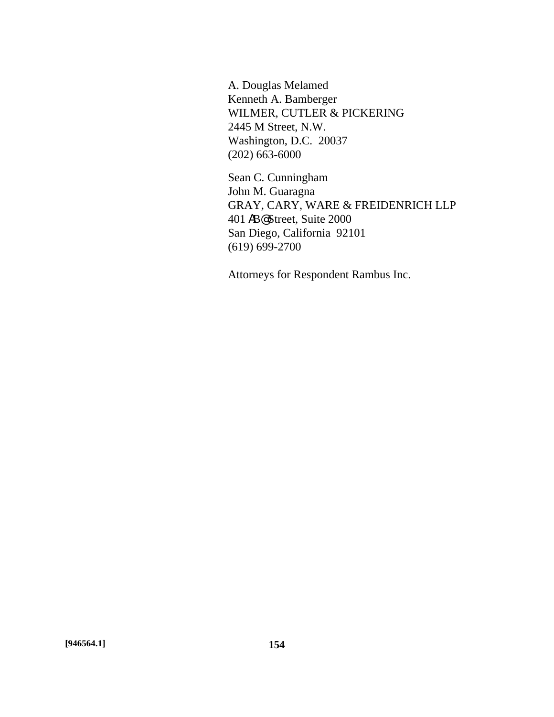A. Douglas Melamed Kenneth A. Bamberger WILMER, CUTLER & PICKERING 2445 M Street, N.W. Washington, D.C. 20037 (202) 663-6000

Sean C. Cunningham John M. Guaragna GRAY, CARY, WARE & FREIDENRICH LLP 401 AB@ Street, Suite 2000 San Diego, California 92101 (619) 699-2700

Attorneys for Respondent Rambus Inc.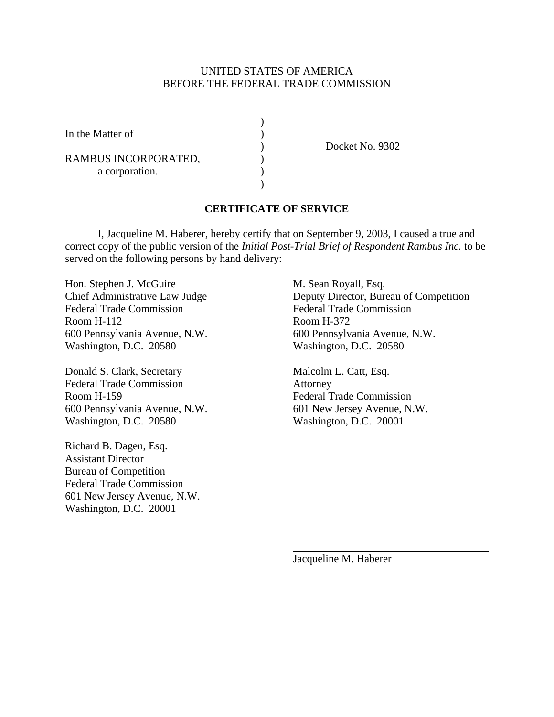### UNITED STATES OF AMERICA BEFORE THE FEDERAL TRADE COMMISSION

)

)

In the Matter of  $\qquad \qquad$  )

RAMBUS INCORPORATED,  $($ a corporation.

) Docket No. 9302

### **CERTIFICATE OF SERVICE**

I, Jacqueline M. Haberer, hereby certify that on September 9, 2003, I caused a true and correct copy of the public version of the *Initial Post-Trial Brief of Respondent Rambus Inc.* to be served on the following persons by hand delivery:

Hon. Stephen J. McGuire M. Sean Royall, Esq. Federal Trade Commission Federal Trade Commission Room H-112 Room H-372 Washington, D.C. 20580 Washington, D.C. 20580

Donald S. Clark, Secretary Malcolm L. Catt, Esq. Federal Trade Commission **Attorney** Room H-159 Federal Trade Commission 600 Pennsylvania Avenue, N.W. 601 New Jersey Avenue, N.W. Washington, D.C. 20580 Washington, D.C. 20001

Richard B. Dagen, Esq. Assistant Director Bureau of Competition Federal Trade Commission 601 New Jersey Avenue, N.W. Washington, D.C. 20001

Chief Administrative Law Judge Deputy Director, Bureau of Competition 600 Pennsylvania Avenue, N.W. 600 Pennsylvania Avenue, N.W.

Jacqueline M. Haberer